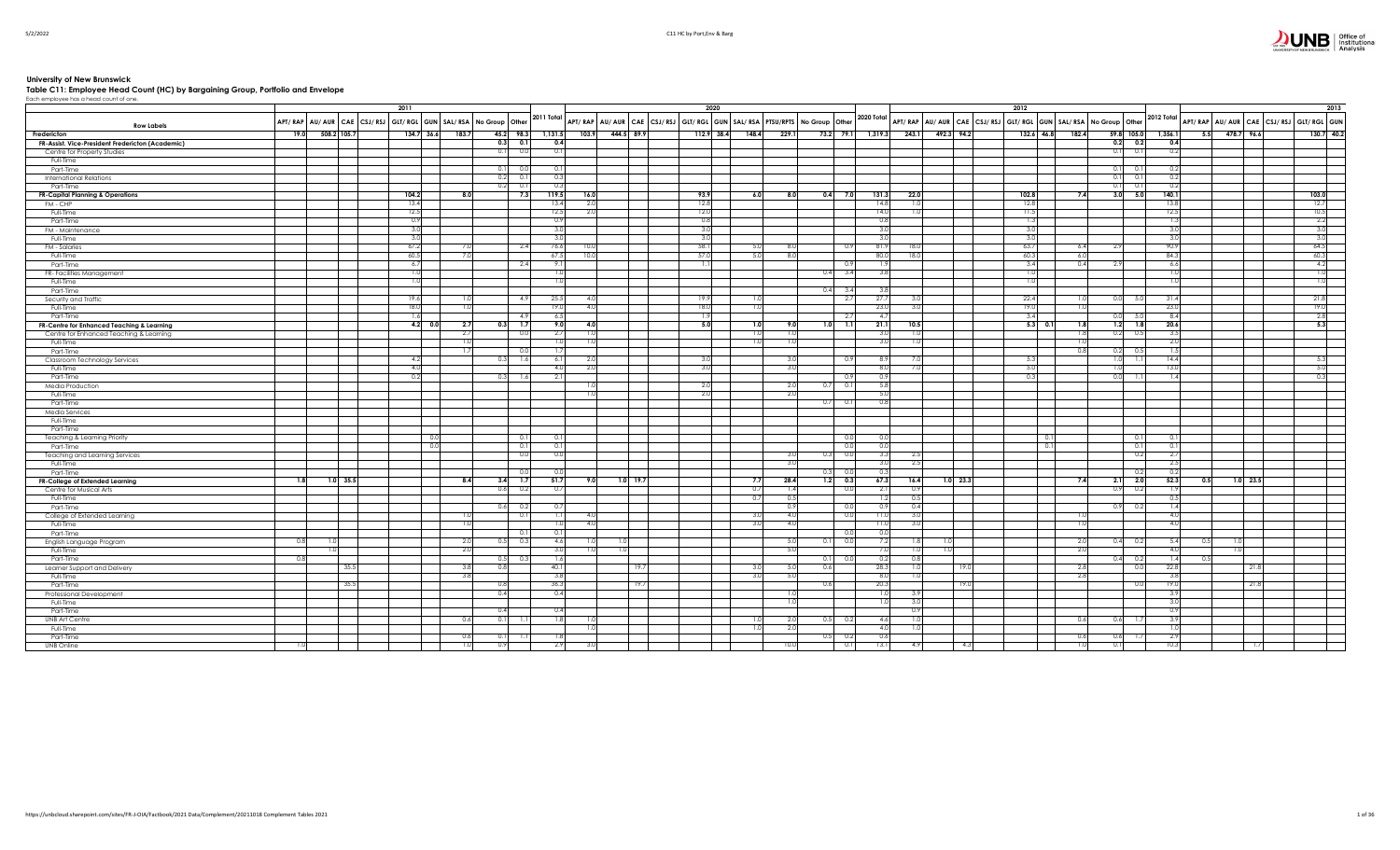## $\sum_{\text{Givities}}\prod_{\text{Givity} \text{ of } \text{ICW}}\left|\prod_{\text{Institutional}}\right| \text{Office of } \text{Institutional}$

# University of New Brunswick<br>Table C11: Employee Head Count (HC) by Bargaining Group, Portfolio and Envelope<br><sup>Each employee has a head count of one.</sup>

|                                                  |                   |                  |                  | 2011                                                          |            |               |             |                       |            | 2020                                                                                                                                                                                    |                 |       |      |                              |                   |                  |            | 2012  |            |       |                                                                                |       |                |     |            | 2013                                   |
|--------------------------------------------------|-------------------|------------------|------------------|---------------------------------------------------------------|------------|---------------|-------------|-----------------------|------------|-----------------------------------------------------------------------------------------------------------------------------------------------------------------------------------------|-----------------|-------|------|------------------------------|-------------------|------------------|------------|-------|------------|-------|--------------------------------------------------------------------------------|-------|----------------|-----|------------|----------------------------------------|
|                                                  | <b>Row Labels</b> |                  |                  | APT/RAP AU/AUR CAE CSJ/RSJ GLT/RGL GUN SAL/RSA No Group Other |            |               |             |                       |            | $\Big $ 2011 Total $\Big $ APT/ RAP $\Big $ AU/ AUR $\Big $ CAE $\Big $ CSJ/ RSJ $\Big $ GLT/ RGL $\Big $ GUN $\Big $ SAL/ RSA $\Big $ PTSU/RPTS $\Big $ No Group $\Big $ Other $\Big $ |                 |       |      |                              | 2020 Total        |                  |            |       |            |       | APT/RAP   AU/ AUR   CAE   CSJ/RSJ   GLT/RGL   GUN   SAL/RSA   No Group   Other |       | 2012 Total     |     |            | APT/RAP AU/AUR CAE CSJ/RSJ GLT/RGL GUN |
| Fredericton                                      |                   | 19.0             | 508.2 105.7      | $134.7$ 36.6                                                  | 183.7      | 45.2 98.3     | 1,131.5     | 103.9                 | 444.5 89.9 | $112.9$ 38.4                                                                                                                                                                            | 148.4           | 229.1 |      |                              | 73.2 79.1 1,319.3 | 243.1            | 492.3 94.2 |       | 132.6 46.8 | 182.4 | 59.8 105.0                                                                     |       | 1,356.1<br>5.5 |     | 478.7 96.6 | 130.7 40.2                             |
| FR-Assist. Vice-President Fredericton (Academic) |                   |                  |                  |                                                               |            | 0.3<br>$-0.1$ | 0.4         |                       |            |                                                                                                                                                                                         |                 |       |      |                              |                   |                  |            |       |            |       | 0.2 0.2                                                                        |       | 0.4            |     |            |                                        |
| Centre for Property Studies                      |                   |                  |                  |                                                               |            | 0.1<br>0.0    | 0.1         |                       |            |                                                                                                                                                                                         |                 |       |      |                              |                   |                  |            |       |            |       | 0.1                                                                            | 0.1   | 0.2            |     |            |                                        |
| Full-Time                                        |                   |                  |                  |                                                               |            |               |             |                       |            |                                                                                                                                                                                         |                 |       |      |                              |                   |                  |            |       |            |       |                                                                                |       |                |     |            |                                        |
| Part-Time                                        |                   |                  |                  |                                                               |            | 0.1<br>-0.0   | 0.1         |                       |            |                                                                                                                                                                                         |                 |       |      |                              |                   |                  |            |       |            |       | 0.11                                                                           | 0.1   | 0.2            |     |            |                                        |
| <b>International Relations</b>                   |                   |                  |                  |                                                               |            | 0.2<br>0.1    | 0.3         |                       |            |                                                                                                                                                                                         |                 |       |      |                              |                   |                  |            |       |            |       | 0.1                                                                            | 0.1   | 0.2            |     |            |                                        |
| Part-Time                                        |                   |                  |                  |                                                               |            | 0.2<br>0.1    | 0.3         |                       |            |                                                                                                                                                                                         |                 |       |      |                              |                   |                  |            |       |            |       | 0.1                                                                            | 0.1   | 0.2            |     |            |                                        |
| <b>FR-Capital Planning &amp; Operations</b>      |                   |                  |                  | 104.2                                                         | 8.0        | 7.3           | 119.5       | 16.0                  |            | 93.9                                                                                                                                                                                    | 6.0             | 8.0   | 0.4  | 7.0                          | 131.3             | 22.0             |            | 102.8 |            |       | $3.0$ 5.0<br>7.4                                                               |       | 140.1          |     |            | 103.0                                  |
| FM - CHP                                         |                   |                  |                  | 13.4                                                          |            |               | 13.4        | 2(                    |            | 12.8                                                                                                                                                                                    |                 |       |      |                              | 14.8              | 1.0              |            |       | 12.8       |       |                                                                                |       | 13.8           |     |            | 12.7                                   |
| Full-Time                                        |                   |                  |                  | 12.5                                                          |            |               | 12.5        | 2.0                   |            | 12.0                                                                                                                                                                                    |                 |       |      |                              | 14.0              | 1.0 <sub>1</sub> |            |       | 11.5       |       |                                                                                |       | 12.5           |     |            | 10.5                                   |
| Part-Time                                        |                   |                  |                  | 0.9                                                           |            |               | 0.9         |                       |            | 0.8                                                                                                                                                                                     |                 |       |      |                              | 0.8               |                  |            |       | 1.3        |       |                                                                                |       | -1.3           |     |            | 2.2                                    |
| FM - Maintenance                                 |                   |                  |                  | 3.0                                                           |            |               | 3.0         |                       |            | 3.0                                                                                                                                                                                     |                 |       |      |                              | 3.0               |                  |            |       | 3.0        |       |                                                                                |       | 3(             |     |            | 3.0                                    |
| Full-Time                                        |                   |                  |                  | 3.0                                                           |            |               | 3.0         |                       |            | 3.0                                                                                                                                                                                     |                 |       |      |                              | 3.0               |                  |            |       | 3.0        |       |                                                                                |       | 3.0            |     |            | 3.0                                    |
| FM - Salaries                                    |                   |                  |                  | 67.2                                                          |            | 2.4           | 76.6        |                       |            | 58.1                                                                                                                                                                                    | 5.0             | 8.0   |      | 0.9                          | 81.9              | 18.0             |            |       | 63.7       |       | 6.4<br>2.9I                                                                    |       | 90.9           |     |            | 64.5                                   |
| Full-Time                                        |                   |                  |                  | 60.5                                                          | 7.0        |               | 67.5        |                       |            | 57.0                                                                                                                                                                                    | 5.0             | 8.0   |      |                              | 80.0              | 18.0             |            |       | 60.3       |       | 6.0                                                                            |       | 84.3           |     |            | 60.3                                   |
| Part-Time                                        |                   |                  |                  | 6.7                                                           |            | -2.4          | 9.1         |                       |            | -1.1                                                                                                                                                                                    |                 |       |      | - 0.9                        |                   |                  |            |       | 3.4        |       | 0.4<br>2.91                                                                    |       | 6.6            |     |            | 4.2                                    |
| FR- Facilities Management                        |                   |                  |                  | 1.0                                                           |            |               |             | 1.0                   |            |                                                                                                                                                                                         |                 |       | 0.4  | 3.4                          | 3.8               |                  |            |       | 1.0        |       |                                                                                |       | 1.0            |     |            | 1.0                                    |
| Full-Time                                        |                   |                  |                  | 1.0                                                           |            |               | 1.0         |                       |            |                                                                                                                                                                                         |                 |       |      |                              |                   |                  |            |       | 1.0        |       |                                                                                |       |                |     |            | 1.0                                    |
| Part-Time                                        |                   |                  |                  |                                                               |            |               |             |                       |            |                                                                                                                                                                                         |                 |       |      | $0.4$ 3.4                    | -3.8              |                  |            |       |            |       |                                                                                |       |                |     |            |                                        |
| Security and Traffic                             |                   |                  |                  | 19.6                                                          | 1.0        | 4.9           | 25.5        | 4(                    |            | 19.9                                                                                                                                                                                    | 10              |       |      | $-2.7$                       | 27.7              | 3.0              |            |       | 22.4       |       | $0.0$ 5.0<br>1.01                                                              |       | 31.4           |     |            | 21.8                                   |
| Full-Time                                        |                   |                  |                  | 18.0                                                          | 1.0        |               | 19.0        | 4.0                   |            | 18.0                                                                                                                                                                                    | 1.0             |       |      |                              | 23.0              | 3.0              |            |       | 19.0       |       | 1.01                                                                           |       | 23.0           |     |            | 19.0                                   |
| Part-Time                                        |                   |                  |                  | 1.6                                                           |            | 4.9           | 6.5         |                       |            | 1.9                                                                                                                                                                                     |                 |       |      | 2.7                          | -4.7              |                  |            |       | 3.4        |       | 0.0                                                                            | - 5.0 | 8.4            |     |            | 2.8                                    |
| FR-Centre for Enhanced Teaching & Learning       |                   |                  |                  | 4.2 0.0                                                       | 2.7        | $-1.7$<br>0.3 | 9.0         | 4.0                   |            | 5.0                                                                                                                                                                                     | 1.0             | 9.0   | 1.0  | $\overline{1.1}$             | 21.1              | 10.5             |            |       | $5.3$ 0.1  |       | 1.2                                                                            | 1.8   | 20.6           |     |            | 5.3                                    |
| Centre for Enhanced Teaching & Learning          |                   |                  |                  |                                                               | 2.7        | 0.0           | 2.7         |                       |            |                                                                                                                                                                                         |                 | 1.0   |      |                              | -3.0              | 1.0              |            |       |            |       | 0.2                                                                            | 0.51  |                |     |            |                                        |
| Full-Time                                        |                   |                  |                  |                                                               | 1.0        |               |             | 1.0<br>1 <sub>0</sub> |            |                                                                                                                                                                                         |                 | 1.0   |      |                              | 3.0               | 1.0              |            |       |            |       | 1.01                                                                           |       | 2.0            |     |            |                                        |
| Part-Time                                        |                   |                  |                  |                                                               | 1.7        | 0.0           | 1.7         |                       |            |                                                                                                                                                                                         |                 |       |      |                              |                   |                  |            |       |            |       | 0.2<br>0.8                                                                     | 0.5   | 1.5            |     |            |                                        |
| Classroom Technology Services                    |                   |                  |                  | 4.2                                                           |            | 1.6<br>0.3    | 6.1         |                       |            | 3.                                                                                                                                                                                      |                 | 3.0   |      | - 0.9                        | -8.9              | 7.0              |            |       | 5.3        |       | 1.0                                                                            | -1.1  | 14.4           |     |            | 5.3                                    |
| Full-Time                                        |                   |                  |                  | 4.0                                                           |            |               |             | 4.0<br>20             |            | 3.0                                                                                                                                                                                     |                 | 3.0   |      |                              | 8.0               | 7.0              |            |       | 5.0        |       | 1.O                                                                            |       | 13.0           |     |            | 5.0                                    |
| Part-Time                                        |                   |                  |                  | 0.2                                                           |            | 0.3<br>-1.6   | 2.1         |                       |            |                                                                                                                                                                                         |                 |       |      | 0.9                          | 0.9               |                  |            |       | 0.3        |       | 0.0                                                                            |       |                |     |            | 0.3                                    |
| Media Production                                 |                   |                  |                  |                                                               |            |               |             |                       |            | 2.0                                                                                                                                                                                     |                 | 2.0   | 0.7  | 0.1                          | 5.8               |                  |            |       |            |       |                                                                                |       |                |     |            |                                        |
| Full-Time                                        |                   |                  |                  |                                                               |            |               |             |                       |            | 2.0                                                                                                                                                                                     |                 | 2.0   |      |                              | 5.0               |                  |            |       |            |       |                                                                                |       |                |     |            |                                        |
| Part-Time                                        |                   |                  |                  |                                                               |            |               |             |                       |            |                                                                                                                                                                                         |                 |       | 0.7  | 0.1                          | 0.8               |                  |            |       |            |       |                                                                                |       |                |     |            |                                        |
| Media Services                                   |                   |                  |                  |                                                               |            |               |             |                       |            |                                                                                                                                                                                         |                 |       |      |                              |                   |                  |            |       |            |       |                                                                                |       |                |     |            |                                        |
| Full-Time                                        |                   |                  |                  |                                                               |            |               |             |                       |            |                                                                                                                                                                                         |                 |       |      |                              |                   |                  |            |       |            |       |                                                                                |       |                |     |            |                                        |
| Part-Time                                        |                   |                  |                  |                                                               |            |               |             |                       |            |                                                                                                                                                                                         |                 |       |      |                              |                   |                  |            |       |            |       |                                                                                |       |                |     |            |                                        |
| Teaching & Learning Priority                     |                   |                  |                  | 0.0                                                           |            | 0.1           | 0.1         |                       |            |                                                                                                                                                                                         |                 |       |      | 0.0                          | $_{0.0}$          |                  |            |       | 0.1        |       |                                                                                | 0.1   | 0.1            |     |            |                                        |
| Part-Time                                        |                   |                  |                  | 0.0                                                           |            | 0.1           | 0.1         |                       |            |                                                                                                                                                                                         |                 |       |      | 0.0                          | 0.0               |                  |            |       | 0.1        |       |                                                                                | 0.1   | 0.1            |     |            |                                        |
| Teaching and Learning Services                   |                   |                  |                  |                                                               |            | 0.0           | 0.0         |                       |            |                                                                                                                                                                                         |                 | 3.0   |      | 0.0                          | 3.3               | 2.5              |            |       |            |       |                                                                                | 0.2   | -2.7           |     |            |                                        |
| Full-Time                                        |                   |                  |                  |                                                               |            |               |             |                       |            |                                                                                                                                                                                         |                 | 3.0   |      |                              | 3.0               | 2.5              |            |       |            |       |                                                                                |       | 2.5            |     |            |                                        |
| Part-Time                                        |                   |                  |                  |                                                               |            | 0.0           | 0.0         |                       | $1.0$ 19.7 |                                                                                                                                                                                         |                 |       | 0.31 | - 0.C                        | 0.3               |                  |            |       |            |       |                                                                                | 0.2   | 0.2            |     | $1.0$ 23.5 |                                        |
| FR-College of Extended Learning                  |                   | 1.8 <sub>1</sub> | $1.0 \quad 35.5$ |                                                               | 8.4        | $3.4$ 1.7     | 51.7        | 9.0                   |            |                                                                                                                                                                                         | 7.7             | 28.4  | 1.2  | $\overline{\phantom{0}}$ 0.3 | 67.3              | 16.4             | 1.0 23.3   |       |            |       | 7.4<br>2.1                                                                     | 2.0   | 52.3<br>0.5    |     |            |                                        |
| Centre for Musical Arts                          |                   |                  |                  |                                                               |            | 0.6<br>0.2    | 0.7         |                       |            |                                                                                                                                                                                         | 0.7             | 1.4   |      | 0.0                          | 2.1               | 0.9              |            |       |            |       | 0.9                                                                            | 0.2   |                |     |            |                                        |
| Full-Time                                        |                   |                  |                  |                                                               |            |               |             |                       |            |                                                                                                                                                                                         | -0.7            | 0.5   |      |                              | -1.2              | 0.5              |            |       |            |       |                                                                                |       | 0.5            |     |            |                                        |
| Part-Time                                        |                   |                  |                  |                                                               |            | 0.6<br>0.2    | 0.7         |                       |            |                                                                                                                                                                                         |                 | 0.9   |      | 0.0                          | 0.9               | 0.4              |            |       |            |       | 0.9                                                                            | 0.2   | 1.4            |     |            |                                        |
| College of Extended Learning                     |                   |                  |                  |                                                               | 1.0        | 0.1           | 1.1         | 4(                    |            |                                                                                                                                                                                         |                 | 4.0   |      | 0.0                          | 11.0              | 3.0              |            |       |            |       |                                                                                |       | 4.0            |     |            |                                        |
| Full-Time                                        |                   |                  |                  |                                                               | 1.0        |               |             | 4.0<br>1.0            |            |                                                                                                                                                                                         | 3.0             | 4.0   |      |                              | 11.0              | 3.0              |            |       |            |       | 1.01                                                                           |       | 4.0            |     |            |                                        |
| Part-Time                                        |                   |                  |                  |                                                               |            | 0.1           | 0.1         |                       |            |                                                                                                                                                                                         |                 |       |      | -0.0                         | 0.0               |                  |            |       |            |       |                                                                                |       |                |     |            |                                        |
| English Language Program                         |                   | 0.8              |                  |                                                               | 2.0        | 0.3<br>0.5    | 4.6         |                       |            |                                                                                                                                                                                         |                 | 5.0   | 0.11 | 0.0                          | 7.2               | 1.8              |            |       |            |       | 0.4<br><b>2.0</b>                                                              | 0.2   | -5.4<br>0.51   | 1.0 |            |                                        |
| Full-Time                                        |                   |                  | 1.01             |                                                               | 2.0        |               | 3.0         |                       |            |                                                                                                                                                                                         |                 | 5.0   |      |                              | 7.0               | 1.0              | 1.0        |       |            |       | 2.0                                                                            |       | -4.0           |     | 1.0        |                                        |
| Part-Time                                        |                   | 0.8              |                  |                                                               |            | 0.5<br>0.3    | 1.6         |                       |            |                                                                                                                                                                                         |                 |       | 0.11 | 0.0                          | 0.2<br>28.3       | 0.8              |            |       |            |       | $0.4\qquad 0.2$                                                                |       | 1.4<br>0.5     |     |            |                                        |
| Learner Support and Delivery                     |                   |                  | 35.5             |                                                               | 3.8<br>3.8 | 0.8           | 40.1<br>3.8 |                       |            | 19.7                                                                                                                                                                                    |                 | 5.0   | 0.6  |                              |                   | 1.0              | 19.1       |       |            |       | 2.81                                                                           | 0.0   | 22.8           |     | 21.8       |                                        |
| Full-Time                                        |                   |                  |                  |                                                               |            |               | 36.3        |                       |            |                                                                                                                                                                                         | 3.0             | 5.0   |      |                              | 8.0               | 1.0              |            |       |            |       | 2.8                                                                            |       | 3.8<br>19.0    |     |            |                                        |
| Part-Time                                        |                   |                  | 35.5             |                                                               |            | 0.8           | 0.4         |                       |            | 19.7                                                                                                                                                                                    |                 |       | 0.6  |                              | 20.3              |                  | -19.       |       |            |       |                                                                                | 0.0   |                |     | 21.8       |                                        |
| Professional Development                         |                   |                  |                  |                                                               |            | 0.4           |             |                       |            |                                                                                                                                                                                         |                 | 1.0   |      |                              | 1.0               | 3.9              |            |       |            |       |                                                                                |       | 3.9<br>3(      |     |            |                                        |
| Full-Time                                        |                   |                  |                  |                                                               |            |               |             |                       |            |                                                                                                                                                                                         |                 | 1.0   |      |                              | 1.0               | 3.0<br>0.9       |            |       |            |       |                                                                                |       | 0.9            |     |            |                                        |
| Part-Time                                        |                   |                  |                  |                                                               |            | 0.4           | 0.4         |                       |            |                                                                                                                                                                                         |                 |       |      |                              |                   |                  |            |       |            |       |                                                                                |       |                |     |            |                                        |
| UNB Art Centre                                   |                   |                  |                  |                                                               | 0.6        | 0.1           | 1.8         |                       |            |                                                                                                                                                                                         | $\overline{10}$ | 2.0   | 0.5  | 0.2                          | 4.6               | 1.01             |            |       |            |       | 0.6<br>$0.6$ 1.7                                                               |       | -3.9           |     |            |                                        |
| Full-Time                                        |                   |                  |                  |                                                               |            |               |             |                       |            |                                                                                                                                                                                         |                 | 2.0   |      |                              | 4.0               | 1.0              |            |       |            |       |                                                                                |       |                |     |            |                                        |
| Part-Time                                        |                   |                  |                  |                                                               | 0.6        | 0.1           |             | 1.8                   |            |                                                                                                                                                                                         |                 |       | 0.51 | 0.2                          | 0.6               |                  |            |       |            |       | 0.6<br>0.6                                                                     |       | 2.9            |     |            |                                        |
| <b>UNB Online</b>                                |                   | 1.0              |                  |                                                               | 1.0        | 0.9           | 2.9         |                       |            |                                                                                                                                                                                         |                 | 10.0  |      | 0.1                          | 13.1              | 4.9              | -4.3       |       |            |       | 1.0<br>0.1                                                                     |       | 10.3           |     | -1.7       |                                        |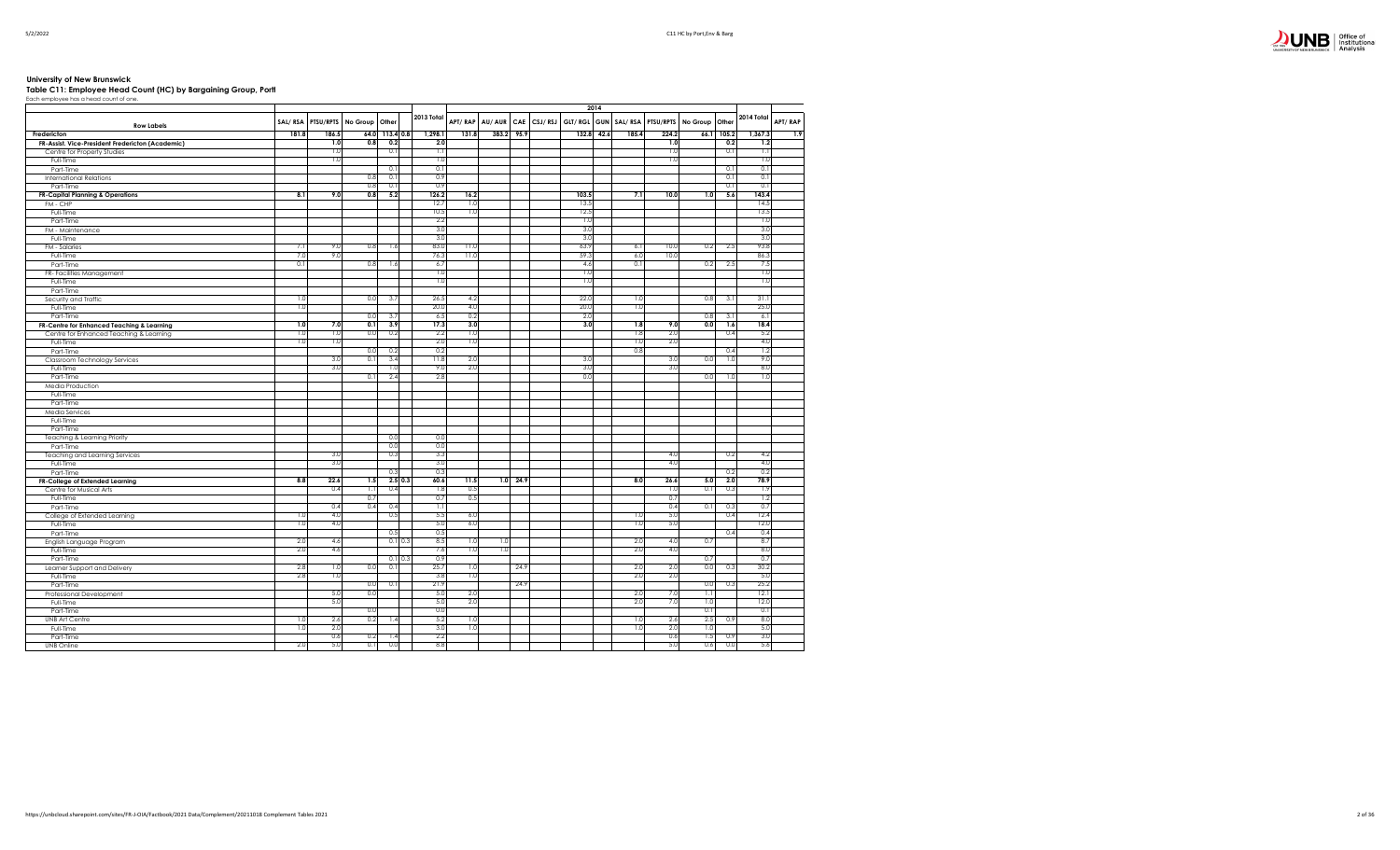## $\sum_{\text{M}}$  UNB  $\sum_{\text{Antivsis}}^{\text{Office of}}$

### **University of New Brunswick Table C11: Employee Head Count (HC) by Bargaining Group, Portf**

| Table CTT: Employee Head Count (HC) by Bargaining Group, Form |  |
|---------------------------------------------------------------|--|
| Each employee has a head count of one.                        |  |

|                                                  |            |                   |                |                |             |            |         |            |            |                         | 2014       |       |                   |                |       |            |         |
|--------------------------------------------------|------------|-------------------|----------------|----------------|-------------|------------|---------|------------|------------|-------------------------|------------|-------|-------------------|----------------|-------|------------|---------|
| <b>Row Labels</b>                                |            | SAL/RSA PTSU/RPTS | No Group Other |                |             | 2013 Total | APT/RAP | AU/AUR     |            | CAE CSJ/RSJ GLT/RGL GUN |            |       | SAL/RSA PTSU/RPTS | No Group Other |       | 2014 Total | APT/RAP |
| Fredericton                                      | 181.8      | 186.5             |                | 64.0 113.4 0.8 |             | 1,298.1    | 131.8   | 383.2      | 95.9       |                         | 132.8 42.6 | 185.4 | 224.2             | 66.1           | 105.2 | 1,367.3    | 1.9     |
| FR-Assist. Vice-President Fredericton (Academic) |            | 1.0               | 0.8            | 0.2            |             | 2.0        |         |            |            |                         |            |       | 1.0               |                | 0.2   | 1.2        |         |
| Centre for Property Studies                      |            | 1.0               |                | 0.1            |             | 1.1        |         |            |            |                         |            |       | 1.0               |                | 0.1   | 1.1        |         |
| Full-Time                                        |            | 1.0               |                |                |             | 1.0        |         |            |            |                         |            |       | 1.0               |                |       | 1.0        |         |
| Part-Time                                        |            |                   |                | 0.1            |             | 0.1        |         |            |            |                         |            |       |                   |                | 0.1   | 0.1        |         |
| <b>International Relations</b>                   |            |                   | 0.8            | 0.1            |             | 0.9        |         |            |            |                         |            |       |                   |                | 0.1   | 0.1        |         |
| Part-Time                                        |            |                   | 0.8            | 0.1            |             | 0.9        |         |            |            |                         |            |       |                   |                | 0.1   | 0.1        |         |
| <b>FR-Capital Planning &amp; Operations</b>      | 8.1        | 9.0               | 0.8            | 5.2            |             | 126.2      | 16.2    |            |            | 103.5                   |            | 7.1   | 10.0              | 1.0            | 5.6   | 143.4      |         |
| FM - CHP                                         |            |                   |                |                |             | 12.7       | 1.0     |            |            | 13.5                    |            |       |                   |                |       | 14.5       |         |
| Full-Time                                        |            |                   |                |                |             | 10.5       | 1.0     |            |            | 12.5                    |            |       |                   |                |       | 13.5       |         |
| Part-Time                                        |            |                   |                |                |             | 2.2        |         |            |            | 1.0                     |            |       |                   |                |       | 1.0        |         |
| FM - Maintenance                                 |            |                   |                |                |             | 3.0        |         |            |            | 3.0                     |            |       |                   |                |       | 3.0        |         |
| Full-Time                                        |            |                   |                |                |             | 3.0        |         |            |            | 3.0                     |            |       |                   |                |       | 3.0        |         |
| <b>FM - Salaries</b>                             | 7.1        | 9.0               | 0.8            | 1.6            |             | 83.0       | 11.0    |            |            | 63.9                    |            | 6.1   | 10.0              | 0.2            | 2.5   | 93.8       |         |
| Full-Time                                        | 7.0        | 9.0               |                |                |             | 76.3       | 11.0    |            |            | 59.3                    |            | 6.0   | 10.0              |                |       | 86.3       |         |
| Part-Time                                        | 0.1        |                   | 0.8            | 1.6            |             | 6.7        |         |            |            | 4.6                     |            | 0.1   |                   | 0.2            | 2.5   | 7.5        |         |
| FR- Facilities Management                        |            |                   |                |                |             | 1.0        |         |            |            | 1.0                     |            |       |                   |                |       | 1.0        |         |
| Full-Time                                        |            |                   |                |                |             | 1.0        |         |            |            | 1.0                     |            |       |                   |                |       | 1.0        |         |
| Part-Time                                        |            |                   |                |                |             |            |         |            |            |                         |            |       |                   |                |       |            |         |
| Security and Traffic                             | 1.0        |                   | 0.0            | 3.7            |             | 26.5       | 4.2     |            |            | 22.0                    |            | 1.0   |                   | 0.8            | 3.1   | 31.1       |         |
| Full-Time                                        | 1.0        |                   |                |                |             | 20.0       | 4.0     |            |            | 20.0                    |            | 1.0   |                   |                |       | 25.0       |         |
| Part-Time                                        |            |                   | 0.0            | 3.7            |             | 6.5        | 0.2     |            |            | 2.0                     |            |       |                   | 0.8            | 3.1   | 6.1        |         |
| FR-Centre for Enhanced Teaching & Learning       | 1.0        | 7.0               | 0.1            | 3.9            |             | 17.3       | 3.0     |            |            | 3.0                     |            | 1.8   | 9.0               | 0.0            | 1.6   | 18.4       |         |
| Centre for Enhanced Teaching & Learning          | 1.0        | 1.0               | 0.0            | 0.2            |             | 2.2        | 1.0     |            |            |                         |            | 1.8   | 2.0               |                | 0.4   | 5.2        |         |
| Full-Time                                        | 1.0        | 1.0               |                |                |             | 2.0        | 1.0     |            |            |                         |            | 1.0   | 2.0               |                |       | 4.0        |         |
| Part-Time                                        |            |                   | 0.0            | 0.2            |             | 0.2        |         |            |            |                         |            | 0.8   |                   |                | 0.4   | 1.2        |         |
| Classroom Technology Services                    |            | 3.0               | 0.1            | 3.4            |             | 11.8       | 2.0     |            |            | 3.0                     |            |       | 3.0               | 0.0            | 1.0   | 9.0        |         |
| Full-Time                                        |            | 3.0               |                | 1.0            |             | 9.0        | 2.0     |            |            | 3.0                     |            |       | 3.0               |                |       | 8.0        |         |
| Part-Time                                        |            |                   | 0.1            | 2.4            |             | 2.8        |         |            |            | 0.0                     |            |       |                   | 0.0            | 1.0   | 1.0        |         |
| Media Production                                 |            |                   |                |                |             |            |         |            |            |                         |            |       |                   |                |       |            |         |
| Full-Time                                        |            |                   |                |                |             |            |         |            |            |                         |            |       |                   |                |       |            |         |
| Part-Time                                        |            |                   |                |                |             |            |         |            |            |                         |            |       |                   |                |       |            |         |
|                                                  |            |                   |                |                |             |            |         |            |            |                         |            |       |                   |                |       |            |         |
| Media Services<br>Full-Time                      |            |                   |                |                |             |            |         |            |            |                         |            |       |                   |                |       |            |         |
| Part-Time                                        |            |                   |                |                |             |            |         |            |            |                         |            |       |                   |                |       |            |         |
|                                                  |            |                   |                | 0.0            |             | 0.0        |         |            |            |                         |            |       |                   |                |       |            |         |
| Teaching & Learning Priority<br>Part-Time        |            |                   |                | 0.0            |             | 0.0        |         |            |            |                         |            |       |                   |                |       |            |         |
|                                                  |            | 3.0               |                | 0.3            |             | 3.3        |         |            |            |                         |            |       | 4.0               |                | 0.2   | 4.2        |         |
| Teaching and Learning Services<br>Full-Time      |            | 3.0               |                |                |             | 3.0        |         |            |            |                         |            |       | 4.0               |                |       | 4.0        |         |
| Part-Time                                        |            |                   |                | 0.3            |             | 0.3        |         |            |            |                         |            |       |                   |                | 0.2   | 0.2        |         |
|                                                  | 8.8        | 22.6              | 1.5            |                | 2.5 0.3     | 60.6       | 11.5    |            | $1.0$ 24.9 |                         |            | 8.0   | 26.6              | 5.0            | 2.0   | 78.9       |         |
| FR-College of Extended Learning                  |            | 0.4               | 1.1            | 0.4            |             | 1.8        | 0.5     |            |            |                         |            |       | 1.0               | 0.1            | 0.3   | 1.9        |         |
| Centre for Musical Arts<br>Full-Time             |            |                   | 0.7            |                |             | 0.7        | 0.5     |            |            |                         |            |       | 0.7               |                |       | 1.2        |         |
|                                                  |            | 0.4               | 0.4            | 0.4            |             | 1.1        |         |            |            |                         |            |       | 0.4               | 0.1            | 0.3   | 0.7        |         |
| Part-Time                                        | 1.0        | 4.0               |                | 0.5            |             | 5.5        | 6.0     |            |            |                         |            | 1.0   | 5.0               |                | 0.4   | 12.4       |         |
| College of Extended Learning                     |            | 4.0               |                |                |             |            |         |            |            |                         |            |       |                   |                |       | 12.0       |         |
| Full-Time                                        | 1.0        |                   |                | 0.5            |             | 5.0<br>0.5 | 6.0     |            |            |                         |            | 1.0   | 5.0               |                | 0.4   | 0.4        |         |
| Part-Time                                        |            |                   |                |                |             |            |         |            |            |                         |            |       |                   |                |       | 8.7        |         |
| English Language Program                         | 2.0<br>2.0 | 4.6<br>4.6        |                |                | $0.1 \ 0.3$ | 8.5        | 1.0     | 1.0<br>1.0 |            |                         |            | 2.0   | 4.0<br>4.0        | 0.7            |       | 8.0        |         |
| Full-Time                                        |            |                   |                |                |             | 7.6        | 1.0     |            |            |                         |            | 2.0   |                   |                |       |            |         |
| Part-Time                                        |            |                   |                |                | $0.1$ 0.3   | 0.9        |         |            |            |                         |            |       |                   | 0.7            |       | 0.7        |         |
| Learner Support and Delivery                     | 2.8        | 1.0               | 0.0            | 0.1            |             | 25.7       | 1.0     |            | 24.9       |                         |            | 2.0   | 2.0               | 0.0            | 0.3   | 30.2       |         |
| Full-Time                                        | 2.8        | 1.0               |                |                |             | 3.8        | 1.0     |            |            |                         |            | 2.0   | 2.0               |                |       | 5.0        |         |
| Part-Time                                        |            |                   | 0.0            | 0.1            |             | 21.9       |         |            | 24.9       |                         |            |       |                   | 0.0            | 0.3   | 25.2       |         |
| Professional Development                         |            | 5.0               | 0.0            |                |             | 5.0        | 2.0     |            |            |                         |            | 2.0   | 7.0               | 1.1            |       | 12.1       |         |
| Full-Time                                        |            | 5.0               |                |                |             | 5.0        | 2.0     |            |            |                         |            | 2.0   | 7.0               | 1.0            |       | 12.0       |         |
| Part-Time                                        |            |                   | 0.0            |                |             | 0.0        |         |            |            |                         |            |       |                   | 0.1            |       | 0.1        |         |
| <b>UNB Art Centre</b>                            | 1.0        | 2.6               | 0.2            | 1.4            |             | 5.2        | 1.0     |            |            |                         |            | 1.0   | 2.6               | 2.5            | 0.9   | 8.0        |         |
| Full-Time                                        | 1.0        | 2.0               |                |                |             | 3.0        | 1.0     |            |            |                         |            | 1.0   | 2.0               | 1.0            |       | 5.0        |         |
| Part-Time                                        |            | 0.6               | 0.2            | 1.4            |             | 2.2        |         |            |            |                         |            |       | 0.6               | 1.5            | 0.9   | 3.0        |         |
| <b>UNB Online</b>                                | 2.0        | 5.0               | 0.1            | 0.0            |             | 8.8        |         |            |            |                         |            |       | 5.0               | 0.6            | 0.0   | 5.6        |         |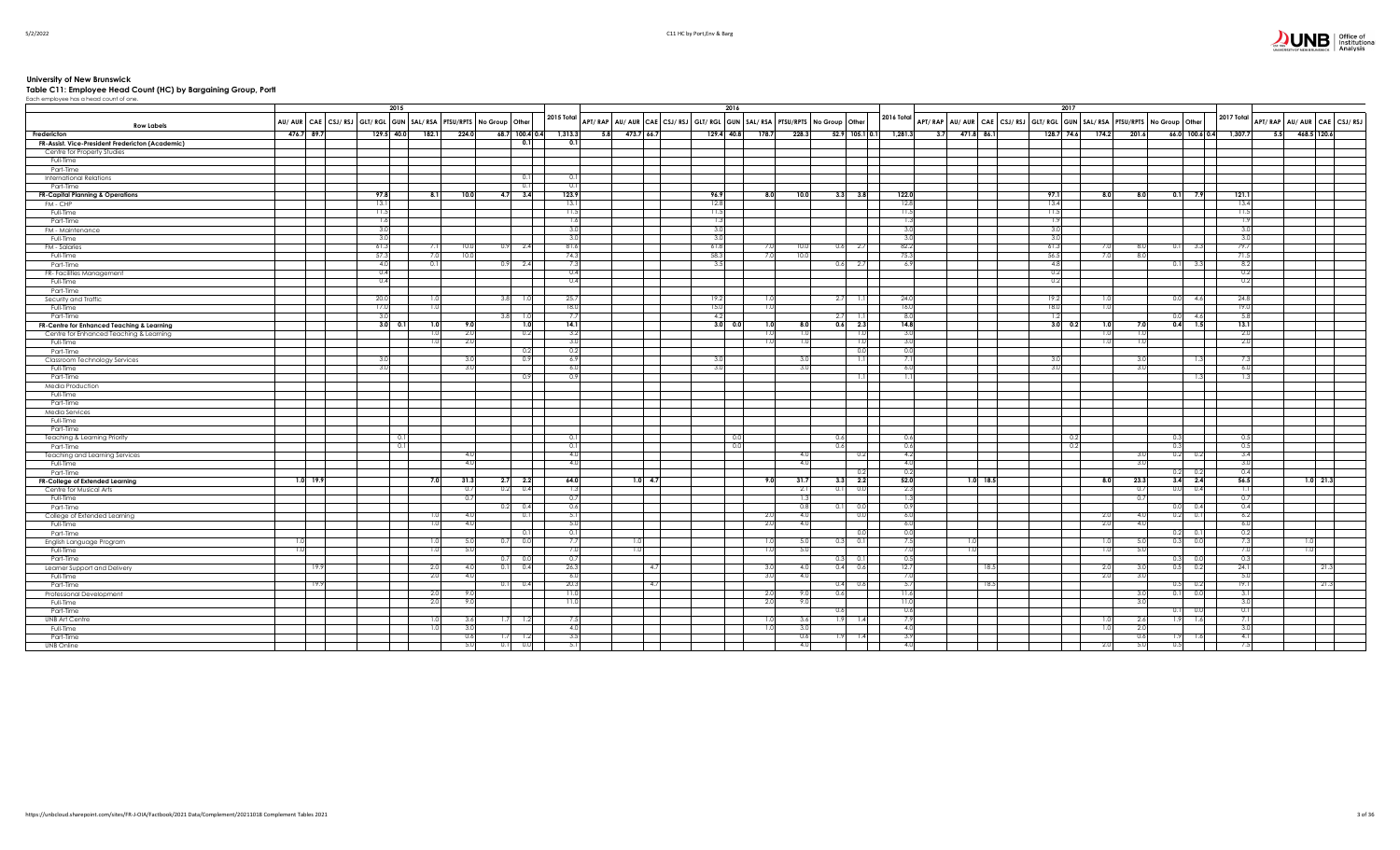## $\sum_{\text{Gibm} \text{C}} \prod_{\text{Gibm} \text{C}} \prod_{\text{B}} \prod_{\text{B}} \prod_{\text{C}} \text{C}} \prod_{\text{A}} \text{C}}$

University of New Brunswick<br>Table C11: Employee Head Count (HC) by Bargaining Group, Portl<br>Each employee has a head count of one.

|                                                         |                                                                     | 2015              |       |                  |                        |                |                                                                         |     |      | 2016                |                |            |                   |                                 |            |      | 2017                                                                                                                                                                                    |       |                |                         |                                          |             |  |
|---------------------------------------------------------|---------------------------------------------------------------------|-------------------|-------|------------------|------------------------|----------------|-------------------------------------------------------------------------|-----|------|---------------------|----------------|------------|-------------------|---------------------------------|------------|------|-----------------------------------------------------------------------------------------------------------------------------------------------------------------------------------------|-------|----------------|-------------------------|------------------------------------------|-------------|--|
| <b>Row Labels</b>                                       | AU/ AUR CAE CSJ/ RSJ GLT/ RGL GUN SAL/ RSA PTSU/RPTS No Group Other |                   |       |                  |                        | 2015 Total     | APT/RAP AU/AUR CAE CSJ/RSJ GLT/RGL GUN SAL/RSA PTSU/RPTS No Group Other |     |      |                     |                |            |                   |                                 |            |      | $\vert$ 2016 Total $\vert$ APT/ RAP $\vert$ AU/ AUR $\vert$ CAE $\vert$ CSJ/ RSJ $\vert$ GLT/ RGL $\vert$ GUN $\vert$ SAL/ RSA $\vert$ PTSU/RPTS $\vert$ No Group $\vert$ Other $\vert$ |       |                |                         | 2017 Total<br>APT/RAP AU/AUR CAE CSJ/RSJ |             |  |
| Fredericton                                             | 476.7 89.7                                                          | 129.5 40.0        | 182.1 | 224.0            | 68.7 100.4 0.4 1,313.3 |                | 5.8 473.7 66.7                                                          |     |      | 129.4 40.8<br>178.7 | 228.3          |            |                   | $52.9$ 105.1 0.1 1,281.3<br>3.7 | 471.8 86.1 |      | 128.7 74.6                                                                                                                                                                              | 174.2 | 201.6          | 66.0 100.6 0.4 1,307.7  | 5.5                                      | 468.5 120.6 |  |
| FR-Assist. Vice-President Fredericton (Academic)        |                                                                     |                   |       |                  | 0.1                    | 0.1            |                                                                         |     |      |                     |                |            |                   |                                 |            |      |                                                                                                                                                                                         |       |                |                         |                                          |             |  |
| Centre for Property Studies                             |                                                                     |                   |       |                  |                        |                |                                                                         |     |      |                     |                |            |                   |                                 |            |      |                                                                                                                                                                                         |       |                |                         |                                          |             |  |
| Full-Time                                               |                                                                     |                   |       |                  |                        |                |                                                                         |     |      |                     |                |            |                   |                                 |            |      |                                                                                                                                                                                         |       |                |                         |                                          |             |  |
| Part-Time                                               |                                                                     |                   |       |                  |                        | 0.             |                                                                         |     |      |                     |                |            |                   |                                 |            |      |                                                                                                                                                                                         |       |                |                         |                                          |             |  |
| <b>International Relations</b>                          |                                                                     |                   |       |                  | 0.1                    | $\overline{0}$ |                                                                         |     |      |                     |                |            |                   |                                 |            |      |                                                                                                                                                                                         |       |                |                         |                                          |             |  |
| Part-Time                                               |                                                                     | 97.8              | -8.   | 10.0             | 0.11<br>4.7<br>3.4     | 123.9          |                                                                         |     | 96.9 | 8.0                 | 10.0           | 3.3        | 3.8               | 122.0                           |            |      | 97.1                                                                                                                                                                                    | 8.0   | 8.0            | $0.1$ 7.9               | 121.1                                    |             |  |
| <b>FR-Capital Planning &amp; Operations</b><br>FM - CHP |                                                                     | 13.1              |       |                  |                        | 13.1           |                                                                         |     | 12.8 |                     |                |            |                   | 12.8                            |            |      | 13.4                                                                                                                                                                                    |       |                |                         | 13.4                                     |             |  |
| Full-Time                                               |                                                                     | 11.5              |       |                  |                        | 11.5           |                                                                         |     | 11.5 |                     |                |            |                   | 11.5                            |            |      | 11.5                                                                                                                                                                                    |       |                |                         | 11.5                                     |             |  |
| Part-Time                                               |                                                                     | 1.6               |       |                  |                        | 1.6            |                                                                         |     | 1.3  |                     |                |            |                   | -13                             |            |      | 1.9                                                                                                                                                                                     |       |                |                         | 1.9                                      |             |  |
| FM - Maintenance                                        |                                                                     | 3.0               |       |                  |                        | - 3.0          |                                                                         |     | 3.0  |                     |                |            |                   | 3.0                             |            |      | 3.0                                                                                                                                                                                     |       |                |                         | 3.0                                      |             |  |
| Full-Time                                               |                                                                     | 3.0               |       |                  |                        | 3.0            |                                                                         |     | 3.0  |                     |                |            |                   | 3.0                             |            |      | 3.0                                                                                                                                                                                     |       |                |                         | 3.0                                      |             |  |
| FM - Salaries                                           |                                                                     | 61.3              |       | 10.0             | 0.9<br>2.4             | 81.6           |                                                                         |     | 61.8 | 7.0                 | 10.0           | 0.6        | 2.7               | 82.2                            |            |      | 61.3                                                                                                                                                                                    |       | 8 <sub>c</sub> | 3.3<br>0.11             | 79.7                                     |             |  |
| Full-Time                                               |                                                                     | 57.3              |       | 10.0             |                        | 74.3           |                                                                         |     | 58.3 | 7.0                 | 10.0           |            |                   | 75.3                            |            |      | 56.5                                                                                                                                                                                    |       | 8.0            |                         | 71.5                                     |             |  |
| Part-Time                                               |                                                                     | 4.0               |       |                  | 0.9 2.4                |                |                                                                         |     | 3.5  |                     |                | 0.6        | 2.7               | 6.9                             |            |      | 4.8                                                                                                                                                                                     |       |                | $0.1$ 3.3               | 8.2                                      |             |  |
| FR- Facilities Management                               |                                                                     | 0.4               |       |                  |                        | 0.4            |                                                                         |     |      |                     |                |            |                   |                                 |            |      | 0.2                                                                                                                                                                                     |       |                |                         | 0.2                                      |             |  |
| Full-Time                                               |                                                                     | 0.4               |       |                  |                        | 0.4            |                                                                         |     |      |                     |                |            |                   |                                 |            |      | 0.2                                                                                                                                                                                     |       |                |                         | 0.2                                      |             |  |
| Part-Time                                               |                                                                     |                   |       |                  |                        |                |                                                                         |     |      |                     |                |            |                   |                                 |            |      |                                                                                                                                                                                         |       |                |                         |                                          |             |  |
| Security and Traffic                                    |                                                                     | 20.0              |       |                  | 3.8<br>1.0             | 25.7           |                                                                         |     | 19.2 | 1.0                 |                | 2.7        | 1.1               | 24.0                            |            |      | 19.2                                                                                                                                                                                    |       |                | 4.6<br>0.0              | 24.8                                     |             |  |
| Full-Time                                               |                                                                     | 17.0              |       |                  |                        | 18.0           |                                                                         |     | 15.0 | 1.01                |                | 2.7        |                   | 16.0<br>8.0                     |            |      | 18.0                                                                                                                                                                                    |       |                |                         | 19.0                                     |             |  |
| Part-Time                                               |                                                                     | 3.0<br>$3.0\ 0.1$ |       | 9.0              | 3.8<br>1.0             | 14.1           |                                                                         |     | 4.2  | $3.0\quad 0.0$      | 8.0            | 0.6        | 1.11<br>2.3       | 14.8                            |            |      | 1.2<br>$3.0\begin{array}{ c } 0.2 \end{array}$                                                                                                                                          |       |                | 0.0<br>4.6<br>$0.4$ 1.5 | 5.8<br>13.1                              |             |  |
| FR-Centre for Enhanced Teaching & Learning              |                                                                     |                   |       | -2.0             | 1.0<br>0.2             | -3.2           |                                                                         |     |      | 1.0<br>1.0          | 1.0            |            | 1.0               | 3.0                             |            |      |                                                                                                                                                                                         |       | 7.0<br>1.01    |                         | -2.0                                     |             |  |
| Centre for Enhanced Teaching & Learning<br>Full-Time    |                                                                     |                   |       | 2.0              |                        | $\overline{3}$ |                                                                         |     |      | 1.0                 | 1.0            |            | 1.0               | 3.0                             |            |      |                                                                                                                                                                                         |       | 1.0            |                         | 2.0                                      |             |  |
| Part-Time                                               |                                                                     |                   |       |                  | 0.2                    | 0.2            |                                                                         |     |      |                     |                |            | 0.0               | 0.0                             |            |      |                                                                                                                                                                                         |       |                |                         |                                          |             |  |
| Classroom Technology Services                           |                                                                     | 3.0               |       | 3.1              | 0.9                    | 6.9            |                                                                         |     | 3.0  |                     | 30             |            | 1.1               | 71                              |            |      | 3.0                                                                                                                                                                                     |       | 3 <sub>0</sub> | 1.3                     | 7.3                                      |             |  |
| Full-Time                                               |                                                                     | 3.0               |       | -3.0             |                        | -6.0           |                                                                         |     | 3.0  |                     | 3.0            |            |                   | 6.0                             |            |      | 3.0                                                                                                                                                                                     |       | 3.C            |                         | 6.0                                      |             |  |
| Part-Time                                               |                                                                     |                   |       |                  | 0.9                    | 0.9            |                                                                         |     |      |                     |                |            | $\overline{1.11}$ | 1.11                            |            |      |                                                                                                                                                                                         |       |                | 1.3                     | 1.3                                      |             |  |
| Media Production                                        |                                                                     |                   |       |                  |                        |                |                                                                         |     |      |                     |                |            |                   |                                 |            |      |                                                                                                                                                                                         |       |                |                         |                                          |             |  |
| Full-Time                                               |                                                                     |                   |       |                  |                        |                |                                                                         |     |      |                     |                |            |                   |                                 |            |      |                                                                                                                                                                                         |       |                |                         |                                          |             |  |
| Part-Time                                               |                                                                     |                   |       |                  |                        |                |                                                                         |     |      |                     |                |            |                   |                                 |            |      |                                                                                                                                                                                         |       |                |                         |                                          |             |  |
| Media Services                                          |                                                                     |                   |       |                  |                        |                |                                                                         |     |      |                     |                |            |                   |                                 |            |      |                                                                                                                                                                                         |       |                |                         |                                          |             |  |
| Full-Time                                               |                                                                     |                   |       |                  |                        |                |                                                                         |     |      |                     |                |            |                   |                                 |            |      |                                                                                                                                                                                         |       |                |                         |                                          |             |  |
| Part-Time                                               |                                                                     |                   |       |                  |                        |                |                                                                         |     |      |                     |                |            |                   |                                 |            |      |                                                                                                                                                                                         |       |                |                         |                                          |             |  |
| <b>Teaching &amp; Learning Priority</b>                 |                                                                     | 0.1               |       |                  |                        | 0.             |                                                                         |     |      |                     |                | 0.6        |                   | 0.6                             |            |      | 0.2                                                                                                                                                                                     |       |                | 0.3                     | 0.5                                      |             |  |
| Part-Time                                               |                                                                     | 0.1               |       | -4.              |                        | $\Omega$       |                                                                         |     |      |                     | 4.0            | 0.61       |                   | 0.6<br>4.2                      |            |      | 0.2                                                                                                                                                                                     |       |                | 0.31                    | 0.5<br>3.4                               |             |  |
| Teaching and Learning Services<br>Full-Time             |                                                                     |                   |       | 4.0              |                        | 4.0            |                                                                         |     |      |                     | 4.0            |            | 0.2               | 4.0                             |            |      |                                                                                                                                                                                         |       | 3.U<br>3.0     | 0.2<br>0.2              | 3.0                                      |             |  |
| Part-Time                                               |                                                                     |                   |       |                  |                        |                |                                                                         |     |      |                     |                |            | 0.2               | 0.2                             |            |      |                                                                                                                                                                                         |       |                | $0.2$ 0.2               | 0.4                                      |             |  |
| FR-College of Extended Learning                         | $1.0$ 19.9                                                          |                   |       | 31.3             | $2.7$ 2.2              | 64.0           | $1.0 - 4.7$                                                             |     |      | 9.0                 | 31.7           | 3.3        | 2.2               | 52.0                            | $1.0$ 18.5 |      |                                                                                                                                                                                         | 8.0   | 23.3           | $3.4$ 2.4               | 56.5                                     | $1.0$ 21.3  |  |
| Centre for Musical Arts                                 |                                                                     |                   |       | 0.7              | 0.2<br>0.4             |                |                                                                         |     |      |                     | 2.1            | 0.1        | 0.0               | 2.3                             |            |      |                                                                                                                                                                                         |       | 0.7            | 0.0 0.4                 | 1.1                                      |             |  |
| Full-Time                                               |                                                                     |                   |       | $\overline{0}$ . |                        | 0.             |                                                                         |     |      |                     | $\overline{1}$ |            |                   |                                 |            |      |                                                                                                                                                                                         |       | 0.7            |                         | 0.7                                      |             |  |
| Part-Time                                               |                                                                     |                   |       |                  | $0.2\qquad 0.4$        | 0.6            |                                                                         |     |      |                     | 0.8            | 0.1        | 0.0               | 0.9                             |            |      |                                                                                                                                                                                         |       |                | $0.0$ 0.4               | 0.4                                      |             |  |
| College of Extended Learning                            |                                                                     |                   |       | 4.0              | 0.11                   | 5.1            |                                                                         |     |      | 2.0                 | 4.0            |            | 0.0               | 6.0                             |            |      |                                                                                                                                                                                         | -2.0  | 4.0            | $0.2$ 0.1               | 6.2                                      |             |  |
| Full-Time                                               |                                                                     |                   |       | 4.0              |                        | -5.0           |                                                                         |     |      | 2.0                 | 4.0            |            |                   | 6.0                             |            |      |                                                                                                                                                                                         | -2.0  | 4.0            |                         | 6.0                                      |             |  |
| Part-Time                                               |                                                                     |                   |       |                  | 0.11                   | 0.1            |                                                                         |     |      |                     |                |            | 0.01              | 0.0                             |            |      |                                                                                                                                                                                         |       |                | $0.2\qquad 0.1$         | 0.2                                      |             |  |
| English Language Program                                |                                                                     |                   |       |                  | 0.0<br>0.7             | 7.             | 1.0                                                                     |     |      | 1.0                 | 5.0            |            | 0.1               | 7.5                             |            |      |                                                                                                                                                                                         |       | 5.0            | 0.3<br>0.0              | 7.3                                      | 1.0         |  |
| Full-Time                                               | 1.0                                                                 |                   |       | 5.0              |                        | 7.U            | 1.0                                                                     |     |      | 1.0                 | 5.0            |            |                   | 7.0                             |            |      |                                                                                                                                                                                         |       | 5.0            |                         | 7.0                                      | 1.0         |  |
| Part-Time                                               |                                                                     |                   |       |                  | 0.7<br>0.0             | $\overline{0}$ |                                                                         |     |      |                     |                | 0.3        | 0.1               | 0.5                             |            |      |                                                                                                                                                                                         |       |                | $0.3$ 0.0               | 0.3                                      |             |  |
| Learner Support and Delivery                            | 19.9                                                                |                   |       | 4.1              | 0.1<br>0.4             | 26.3           |                                                                         | 4.7 |      | 3.0                 | 4.0            | 0.4        | 0.6               | 12.7                            |            | 18.5 |                                                                                                                                                                                         |       |                | 0.5<br>0.2              | 24.1                                     | 21.3        |  |
| Full-Time                                               |                                                                     |                   | -2.   | 4.0              |                        | 6.0            |                                                                         |     |      | 3.0                 | 4.0            |            |                   | 7.0                             |            |      |                                                                                                                                                                                         | -2.0  | 3.0            |                         | 5.0                                      |             |  |
| Part-Time                                               | 19.9                                                                |                   |       |                  | 0.11<br>0.4            | 20.3<br>11.0   |                                                                         | 4.7 |      |                     |                | 0.4<br>0.6 | 0.6               | 5.7                             |            | 18.5 |                                                                                                                                                                                         |       |                | $0.5$ 0.2               | 19.1                                     | 21.3        |  |
| Professional Development<br>Full-Time                   |                                                                     |                   | 2.0   | У.<br>9.0        |                        | 11.0           |                                                                         |     |      | 2.0<br>2.0          | 9.0<br>9.0     |            |                   | 11.6<br>11.0                    |            |      |                                                                                                                                                                                         |       | -3.0<br>3.0    | 0.0<br>0.1              | 3.1<br>3.0                               |             |  |
| Part-Time                                               |                                                                     |                   |       |                  |                        |                |                                                                         |     |      |                     |                | 0.6        |                   | 0.6                             |            |      |                                                                                                                                                                                         |       |                | 0.0<br>0.1              | 0.1                                      |             |  |
| <b>UNB Art Centre</b>                                   |                                                                     |                   |       | 3.6              | 1.71<br>-1.2           | -73            |                                                                         |     |      | 1.0                 | 3.6            | 1.9        | 1.4               | 7.9                             |            |      |                                                                                                                                                                                         |       | 2.6            | 1.9<br>1.6              | 7.1                                      |             |  |
| Full-Time                                               |                                                                     |                   |       | 3.0              |                        | 4.0            |                                                                         |     |      | 1.0                 | 3.0            |            |                   | 4.0                             |            |      |                                                                                                                                                                                         |       | 2.0            |                         | 3.0                                      |             |  |
| Part-Time                                               |                                                                     |                   |       | 0.6              | 1.7<br>1.2             | 3.5            |                                                                         |     |      |                     | 0.6            | 1.9        | 1.4               | 3.9                             |            |      |                                                                                                                                                                                         |       | 0.6            | 1.6<br>1.91             | 4.1                                      |             |  |
| <b>UNB Online</b>                                       |                                                                     |                   |       |                  | 0.1<br>0.01            |                |                                                                         |     |      |                     | 4.0            |            |                   | 4.0                             |            |      |                                                                                                                                                                                         |       |                |                         |                                          |             |  |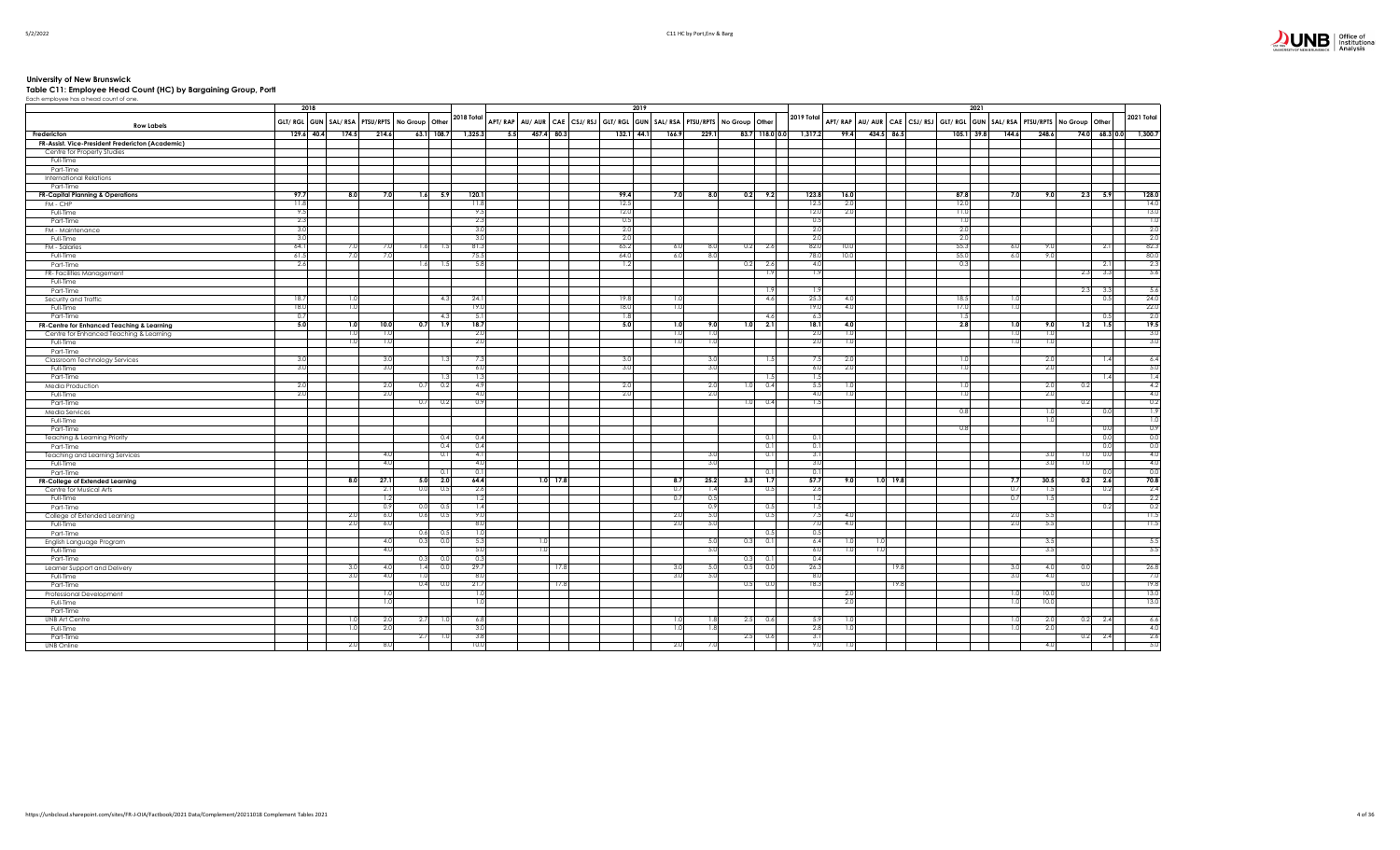# University of New Brunswick<br>Table C11: Employee Head Count (HC) by Bargaining Group, Portl<br>Each employee has a head count of one.

|                                                  | 2018       |       |       |                                                        |                |     |     |            |      | 2019                                                                    |       |                |                 |     |            |                                        |                 | 2021                |                                  |                |                     |
|--------------------------------------------------|------------|-------|-------|--------------------------------------------------------|----------------|-----|-----|------------|------|-------------------------------------------------------------------------|-------|----------------|-----------------|-----|------------|----------------------------------------|-----------------|---------------------|----------------------------------|----------------|---------------------|
| <b>Row Labels</b>                                |            |       |       | GLT/ RGL GUN   SAL/ RSA   PTSU/RPTS   No Group   Other | 2018 Total     |     |     |            |      | APT/RAP AU/AUR CAE CSJ/RSJ GLT/RGL GUN SAL/RSA PTSU/RPTS No Group Other |       |                | 2019 Total      |     |            | APT/RAP AU/AUR CAE CSJ/RSJ GLT/RGL GUN |                 |                     | SAL/RSA PTSU/RPTS No Group Other |                | 2021 Total          |
| Fredericton                                      | 129.6 40.4 | 174.5 | 214.6 | 63.1 108.7                                             | 1,325.3        |     | 5.5 | 457.4 80.3 |      | 132.1 44.1<br>166.9                                                     | 229.1 | 83.7 118.0 0.0 | 1,317.2<br>99.4 |     | 434.5 86.5 |                                        |                 | 105.1 39.8<br>144.6 | 248.6                            | 74.0           | $68.3 0.0 $ 1,300.7 |
| FR-Assist. Vice-President Fredericton (Academic) |            |       |       |                                                        |                |     |     |            |      |                                                                         |       |                |                 |     |            |                                        |                 |                     |                                  |                |                     |
| Centre for Property Studies                      |            |       |       |                                                        |                |     |     |            |      |                                                                         |       |                |                 |     |            |                                        |                 |                     |                                  |                |                     |
| Full-Time                                        |            |       |       |                                                        |                |     |     |            |      |                                                                         |       |                |                 |     |            |                                        |                 |                     |                                  |                |                     |
| Part-Time                                        |            |       |       |                                                        |                |     |     |            |      |                                                                         |       |                |                 |     |            |                                        |                 |                     |                                  |                |                     |
| <b>International Relations</b>                   |            |       |       |                                                        |                |     |     |            |      |                                                                         |       |                |                 |     |            |                                        |                 |                     |                                  |                |                     |
| Part-Time                                        |            |       |       |                                                        |                |     |     |            |      |                                                                         |       |                |                 |     |            |                                        |                 |                     |                                  |                |                     |
| <b>FR-Capital Planning &amp; Operations</b>      | 97.7       | 8.0   | 7.0   | $1.6$ 5.9                                              | 120.1          |     |     |            | 99.4 | 7.0                                                                     | 8.0   | $0.2$ 9.2      | 123.8<br>16.0   |     |            |                                        | 87.8            | 7.0                 | 9.0                              | 2.3<br>5.9     | 128.0               |
| FM - CHP                                         | 11.8       |       |       |                                                        | 11.8           |     |     |            | 12.5 |                                                                         |       |                | 12.5<br>2.0     |     |            |                                        | 12.0            |                     |                                  |                | 14.0                |
| Full-Time                                        | 9.5        |       |       |                                                        | 9.5            |     |     |            | 12.0 |                                                                         |       |                | 12.0<br>2.0     |     |            |                                        | 11.0            |                     |                                  |                | 13.0                |
| Part-Time                                        | 2.3        |       |       |                                                        | 2.3            |     |     |            | 0.5  |                                                                         |       |                | 0.5             |     |            |                                        | 1.0             |                     |                                  |                | $\overline{1.0}$    |
| FM - Maintenance                                 | 3.0        |       |       |                                                        | 3 <sub>c</sub> |     |     |            | 2.0  |                                                                         |       |                | 2.0             |     |            |                                        | 2.0             |                     |                                  |                | 2.0                 |
| Full-Time                                        | 3.0        |       |       |                                                        | 3.0            |     |     |            | 2.0  |                                                                         |       |                | 2.0             |     |            |                                        | -2.0            |                     |                                  |                | 2.0                 |
| FM - Salaries                                    | 64.1       | 7.0   | 7.0   | 1.6<br>-1.5                                            | 81.3           |     |     |            | 65.2 | 6.0                                                                     | 8.0   | 0.2<br>2.6     | 82.0<br>10.0    |     |            |                                        | 55.3            | 6.0                 | 9.0                              | 2.1            | 82.3                |
| Full-Time                                        | 61.5       | 7.0   | 7.0   |                                                        | 75.5           |     |     |            | 64.0 | 6.0                                                                     | 8.0   |                | 78.0<br>10.0    |     |            |                                        | 55.0            | 6.0                 | 9.0                              |                | 80.0                |
| Part-Time                                        | 2.6        |       |       | 1.6                                                    | 5.8            |     |     |            | 1.2  |                                                                         |       | 2.6<br>0.2     | 4.0             |     |            |                                        | 0.3             |                     |                                  | 2.1            | 2.3                 |
| FR- Facilities Management                        |            |       |       |                                                        |                |     |     |            |      |                                                                         |       | 1.9            | 1.9             |     |            |                                        |                 |                     |                                  | 3.3<br>2.3     | 5.6                 |
| Full-Time                                        |            |       |       |                                                        |                |     |     |            |      |                                                                         |       |                |                 |     |            |                                        |                 |                     |                                  |                |                     |
| Part-Time                                        |            |       |       |                                                        |                |     |     |            |      |                                                                         |       | 1.9            | 1.9             |     |            |                                        |                 |                     |                                  | 2.3<br>3.3     | -5.6                |
| Security and Traffic                             | 18.7       | 1.0   |       | 4.3                                                    | 24.1           |     |     |            | 19.8 | 1.0                                                                     |       | 4.6            | 25.3<br>4.0     |     |            |                                        | 18.5            |                     |                                  | 0.5            | 24.0                |
| Full-Time                                        | 18.0       | 1.0   |       |                                                        | 19(            |     |     |            | 18.0 | 1.0                                                                     |       |                | 19.0<br>4.0     |     |            |                                        | 17.0            | 1 <sup>c</sup>      |                                  |                | 22.0                |
| Part-Time                                        | 0.7        |       |       | $\overline{4}$                                         | 5.1            |     |     |            | 1.8  |                                                                         |       | 4.6            | 6.3             |     |            |                                        | 1.5             |                     |                                  | 0.5            | 2.0                 |
| FR-Centre for Enhanced Teaching & Learning       | 5.0        | 1.0   | 10.0  | 0.7<br>1.9                                             | 18.7           |     |     |            | 5.0  | 1.0                                                                     | 9.0   | 2.1<br>1.0     | 18.1<br>4.0     |     |            |                                        | 2.8             | 1.0                 | 9.0                              | 7.5<br>1.2     | 19.5                |
| Centre for Enhanced Teaching & Learning          |            | -1.0  | 1.0   |                                                        | 2.0            |     |     |            |      | 1.0                                                                     | 1.0   |                | 2.0<br>1.0      |     |            |                                        |                 | 10                  | 1.0                              |                | 3.0                 |
| Full-Time                                        |            | 1.0   | 1.0   |                                                        | 2.0            |     |     |            |      | 1.0                                                                     | 1.0   |                | 2.0<br>1.0      |     |            |                                        |                 | 1 <sup>c</sup>      | 1.0                              |                | 3.0                 |
| Part-Time                                        |            |       |       |                                                        |                |     |     |            |      |                                                                         |       |                |                 |     |            |                                        |                 |                     |                                  |                |                     |
| Classroom Technology Services                    | 3.0        |       | 3.0   |                                                        | 7.3            |     |     |            | 3.0  |                                                                         | 3.0   | 1.5            | 7.5<br>2.0      |     |            |                                        | -1.0            |                     | 2.0                              | 1.4            | 6.4                 |
| Full-Time                                        | 3.0        |       | 3.0   |                                                        | 6.0            |     |     |            | 3.0  |                                                                         | 3.0   |                | 6.0<br>2.0      |     |            |                                        | $\overline{10}$ |                     | 2.0                              |                | 5.0                 |
| Part-Time                                        |            |       |       | -1.3                                                   |                | 1.3 |     |            |      |                                                                         |       | 1.5            | 1.5             |     |            |                                        |                 |                     |                                  | 1.4            | 1.4                 |
| Media Production                                 | 2.0        |       | 2.0   | 0.2<br>0.7                                             | 4.9            |     |     |            | 2.0  |                                                                         | 2.0   | 0.4<br>1.0     | 5.5<br>1.0      |     |            |                                        | -1.0            |                     | 2.0                              | 0.2            | 4.2                 |
| Full-Time                                        | 2.0        |       | 2.0   |                                                        | 4.0            |     |     |            | 2.0  |                                                                         | 2.0   |                | 4.0<br>1.0      |     |            |                                        | 1.0             |                     | -2.0                             |                | 4.0                 |
| Part-Time                                        |            |       |       | 0.7<br>- 0.2                                           | 0.9            |     |     |            |      |                                                                         |       | 0.4<br>1.0     | 1.5             |     |            |                                        |                 |                     |                                  | 0.2            | 0.2                 |
| Media Services                                   |            |       |       |                                                        |                |     |     |            |      |                                                                         |       |                |                 |     |            |                                        | 0.8             |                     | $\overline{1.0}$                 | 0.0            | 7.9                 |
| Full-Time                                        |            |       |       |                                                        |                |     |     |            |      |                                                                         |       |                |                 |     |            |                                        |                 |                     |                                  |                | $\overline{1.0}$    |
| Part-Time                                        |            |       |       |                                                        |                |     |     |            |      |                                                                         |       |                |                 |     |            |                                        | 0.8             |                     |                                  | 0.0            | 0.9                 |
| Teaching & Learning Priority                     |            |       |       | 0.4                                                    | 0.4            |     |     |            |      |                                                                         |       | 0.1            | 0.1             |     |            |                                        |                 |                     |                                  | 0.0            | 0.0                 |
| Part-Time                                        |            |       |       | 0.4                                                    | 0.4            |     |     |            |      |                                                                         |       | 0.1            | 0.1             |     |            |                                        |                 |                     |                                  | 0.0            |                     |
| Teaching and Learning Services                   |            |       | 4.0   | $\Omega$                                               | 4.1            |     |     |            |      |                                                                         | 3.0   | 0.1            | 3.1             |     |            |                                        |                 |                     | 3.0                              | 0.0            | $0.0$<br>4.0        |
| Full-Time                                        |            |       | 4.0   |                                                        | 4.0            |     |     |            |      |                                                                         | 3.0   |                | 3.0             |     |            |                                        |                 |                     | 3.0                              |                | 4.0                 |
| Part-Time                                        |            |       |       | -0.                                                    | 0.1            |     |     |            |      |                                                                         |       | 0.1            | 0.1             |     |            |                                        |                 |                     |                                  | 0.0            | 0.0                 |
| FR-College of Extended Learning                  |            | 8.0   | 27.1  | 5.0 2.0                                                | 64.4           |     |     | $1.0$ 17.8 |      | 8.7                                                                     | 25.2  | 3.3<br>7.7     | 57.7<br>9.0     |     | $1.0$ 19.8 |                                        |                 | 7.7                 | 30.5                             | 2.6<br>0.2     | 70.8                |
| Centre for Musical Arts                          |            |       | 2.1   | 0.0<br>0.5                                             | 2.6            |     |     |            |      | 0.7                                                                     | 1.4   | 0.5            | 2.6             |     |            |                                        |                 | 0.7                 | 1.5                              | 0.2            | 2.4                 |
| Full-Time                                        |            |       | 1.2   |                                                        |                | 1.2 |     |            |      | 0.7                                                                     | 0.5   |                | 1.2             |     |            |                                        |                 | 0.7                 | 1.5                              |                | 2.2                 |
| Part-Time                                        |            |       | 0.9   | 0.0<br>0.5                                             |                | 1.4 |     |            |      |                                                                         | 0.9   | 0.5            | 1.5             |     |            |                                        |                 |                     |                                  | 0.2            | 0.2                 |
| College of Extended Learning                     |            | 2.0   | 6.0   | 0.6<br>0.5                                             | 9.0            |     |     |            |      | 2.0                                                                     | 5.0   | 0.5            | 7.5<br>4.0      |     |            |                                        |                 | 2.0                 | 5.5                              |                | 11.5                |
| Full-Time                                        |            | 2.0   | 6.0   |                                                        | 8.0            |     |     |            |      | 2.0                                                                     | 5.0   |                | 7.0<br>4.0      |     |            |                                        |                 | 2.0                 | 5.5                              |                | 11.5                |
| Part-Time                                        |            |       |       | 0.6<br>0.5                                             | 1 <sup>c</sup> |     |     |            |      |                                                                         |       | 0.5            | 0.5             |     |            |                                        |                 |                     |                                  |                |                     |
| English Language Program                         |            |       | 4.0   | 0.3<br>0.0                                             | 5.3            |     |     |            |      |                                                                         | 5.0   | 0.3<br>0.1     | 6.4<br>1.0      | 1.0 |            |                                        |                 |                     | 3.5                              |                | 5.5                 |
| Full-Time                                        |            |       | 4.0   |                                                        | 5.0            |     | 1.0 |            |      |                                                                         | -5.0  |                | 6.0<br>1.01     | 1.0 |            |                                        |                 |                     | 3.5                              |                | 5.5                 |
| Part-Time                                        |            |       |       | 0.3<br>- 0.0                                           | 0.3            |     |     |            |      |                                                                         |       | 0.3<br>0.11    | 0.4             |     |            |                                        |                 |                     |                                  |                |                     |
| Learner Support and Delivery                     |            | 3.0   | 4.0   | 1.4<br>0.0                                             | 29.7           |     |     | 17.8       |      | 3.0                                                                     | 5.0   | 0.5<br>0.0     | 26.3            |     | 19.8       |                                        |                 | 3.0                 | 4.0                              | 0 <sup>0</sup> | 26.8                |
| Full-Time                                        |            | 3.0   | 4.0   | 1.0                                                    | 8.0            |     |     |            |      | 3.0                                                                     | - 5.0 |                | 8.0             |     |            |                                        |                 | 3.0                 | 4.0                              |                | 7.0                 |
| Part-Time                                        |            |       |       | 0.4<br>0.                                              | 21.7           |     |     | 17.8       |      |                                                                         |       | 0.5<br>0.0     | 18.3            |     | 19.8       |                                        |                 |                     |                                  | 0.0            | 19.8                |
| Professional Development                         |            |       | 1.0   |                                                        | $\mathbf{1}$   |     |     |            |      |                                                                         |       |                | 2.0             |     |            |                                        |                 | 1.0                 | 10.0                             |                | 13.0                |
| Full-Time                                        |            |       | 1.0   |                                                        | 1.0            |     |     |            |      |                                                                         |       |                | 2.0             |     |            |                                        |                 | 1 <sup>C</sup>      | 10.0                             |                | 13.0                |
| Part-Time                                        |            |       |       |                                                        |                |     |     |            |      |                                                                         |       |                |                 |     |            |                                        |                 |                     |                                  |                |                     |
| <b>UNB Art Centre</b>                            |            | 1.0   | 2.0   | 2.7<br>1.0                                             | 6.8            |     |     |            |      | 1.0                                                                     | 1.8   | 2.5<br>0.6     | 5.9<br>1.0      |     |            |                                        |                 | 1.0                 | 2.0                              | 0.2<br>2.4     | 6.6                 |
| Full-Time                                        |            | 1.0   | 2.0   |                                                        | 3.0            |     |     |            |      | 1.01                                                                    | 1.8   |                | 2.8<br>1.0      |     |            |                                        |                 | $\overline{10}$     | 2.0                              |                | 4.0                 |
| Part-Time                                        |            |       |       | 2.7<br>-1.0                                            | 3.8            |     |     |            |      |                                                                         |       | 2.5<br>0.6     | 3.1             |     |            |                                        |                 |                     |                                  | 0.2<br>2.4     | 2.6                 |
| UNB Online                                       |            | 2.0   | 8.0   |                                                        | 10.0           |     |     |            |      | 2.0                                                                     | 7.0   |                | 9.0<br>1.0      |     |            |                                        |                 |                     | 4.0                              |                | 5.0                 |
|                                                  |            |       |       |                                                        |                |     |     |            |      |                                                                         |       |                |                 |     |            |                                        |                 |                     |                                  |                |                     |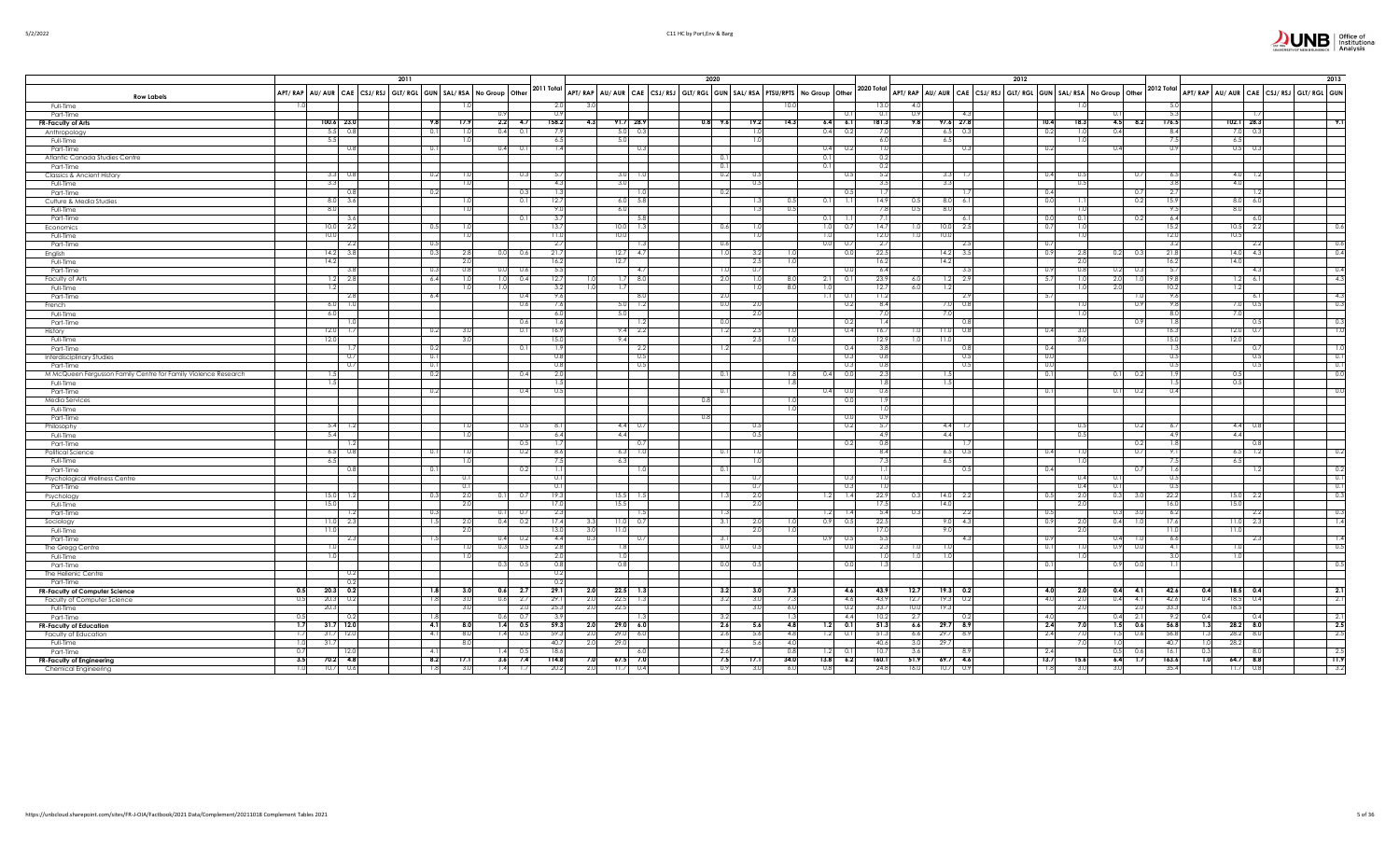|                                                                |                          | 2011                                                                          |                 |                 |              |                    |      | 2020      |                 |                  |     |                  |             |          |                    |            | 2012                                                                                                                                                       |                 |             |             |                        | 2013                                   |
|----------------------------------------------------------------|--------------------------|-------------------------------------------------------------------------------|-----------------|-----------------|--------------|--------------------|------|-----------|-----------------|------------------|-----|------------------|-------------|----------|--------------------|------------|------------------------------------------------------------------------------------------------------------------------------------------------------------|-----------------|-------------|-------------|------------------------|----------------------------------------|
| <b>Row Labels</b>                                              |                          | APT/RAP   AU/AUR   CAE   CSJ/RSJ   GLT/RGL   GUN   SAL/RSA   No Group   Other |                 |                 | 2011 Total   |                    |      |           |                 |                  |     |                  |             |          |                    |            | AFT/ RAP AU/ AUR CAE CSJ/ RSJ GLT/ RGL GUN SAL/ RSA PTSU/RFTS No Group Other 2020 Total AFT/ RAP AU/ AUR CAE CSJ/ RSJ GLT/ RGL GUN SAL/ RSA No Group Other |                 |             | 2012 Total  |                        | APT/RAP AU/AUR CAE CSJ/RSJ GLT/RGL GUN |
| Full-Time                                                      |                          |                                                                               |                 |                 | 2.0          |                    |      |           |                 |                  |     |                  | 13.0        | $\Delta$ |                    |            |                                                                                                                                                            |                 |             |             |                        |                                        |
| Part-Time                                                      |                          |                                                                               |                 |                 |              |                    |      |           |                 |                  |     | 0.1              | 0.1         |          |                    | 4.3        |                                                                                                                                                            |                 |             | 5.3         |                        |                                        |
| FR-Faculty of Arts                                             | 100.6 23.0               | 9.8                                                                           | 17.9            | $2.2$ 4.7       | 158.2        | $91.7$ 28.9<br>4.3 |      | $0.8$ 9.6 | 19.2            | 14.3             |     | $6.4\quad 6.1$   | 181.3       | 9.8      | 97.6 27.8          |            | 10.4<br>18.3                                                                                                                                               | $4.5$ $8.2$     |             | 176.5       | $102.1$ 28.3           | 9.1                                    |
| Anthropology                                                   | $5.5\ 0.8$               | 0.1                                                                           |                 | $0.4$ 0.1       | 7.9          | $5.0\ 0.3$         |      |           | $\overline{1}$  |                  |     | $0.4$ 0.2        | 7.0         |          | $6.5\qquad 0.3$    |            | 0.2                                                                                                                                                        | 0.4             |             | 8.4         | $7.0\quad 0.$          |                                        |
| Full-Time                                                      | 5.5<br>0.8               | 0.1                                                                           |                 | $0.4$ 0.1       | 6.5<br>1.4   | 5.0<br>0.3         |      |           |                 |                  |     | $0.4$ 0.2        | 6.0<br>1.0  |          | 6.5                | 0.3        | 0.2                                                                                                                                                        | 0.4             |             | 7.5<br>0.9  | 6.5<br>$0.5\qquad 0.3$ |                                        |
| Part-Time                                                      |                          |                                                                               |                 |                 |              |                    |      | 0.11      |                 |                  | 0.1 |                  | 0.2         |          |                    |            |                                                                                                                                                            |                 |             |             |                        |                                        |
| Atlantic Canada Studies Centre<br>Part-Time                    |                          |                                                                               |                 |                 |              |                    |      | 0.1       |                 |                  | 0.1 |                  | 0.2         |          |                    |            |                                                                                                                                                            |                 |             |             |                        |                                        |
| Classics & Ancient History                                     | $3.3\qquad 0.8$          | 0.2                                                                           |                 | 0.3             | 5.7          | $3.0$ 1.0          |      | 0.2       |                 |                  |     | 0.5              | 5.2         |          | 3.3                | 1.7        | 0.4                                                                                                                                                        |                 | 0.7         | 6.5         | $4.0$ 1.               |                                        |
| Full-Time                                                      | 3.3                      |                                                                               | 1.0             |                 | 4.3          | 3.0                |      |           | 0.5             |                  |     |                  | 3.5         |          | 3.3                |            | 0.                                                                                                                                                         |                 |             | 3.8         | 4.0                    |                                        |
| Part-Time                                                      | 0.8                      | 0.2                                                                           |                 | - 0.3           | 1.3          |                    | 1.0  | 0.2       |                 |                  |     | 0.5              | 1.7         |          |                    | -1.7       | 0.4                                                                                                                                                        |                 | 0.7         | 2.7         |                        |                                        |
| Culture & Media Studies                                        | $8.0\qquad 3.6$          |                                                                               |                 | 0.1             | 12.7         | $6.0\qquad 5.8$    |      |           |                 |                  |     | $0.1$ 1.1        | 14.9        | 0.       | 8.0                | 6.1        | 0.0                                                                                                                                                        |                 | 0.2         | 15.9        | $8.0\quad 6.0$         |                                        |
| Full-Time                                                      | 8.0                      |                                                                               | π               |                 | 9.0          | 6.0                |      |           | $\overline{13}$ | 0.5              |     |                  | 7.8         | 0.5      | 8.0                |            |                                                                                                                                                            |                 |             | 9.5         | 8.0                    |                                        |
| Part-Time                                                      | 3.6                      |                                                                               |                 |                 | 3.7          |                    | 5.8  |           |                 |                  | 0.1 | 1.1              | 7.1         |          |                    | 6.1        |                                                                                                                                                            |                 | 0.2         | 6.4         | $\overline{6}$         |                                        |
| Economics                                                      | 10.0 2.2                 | 0.5                                                                           |                 |                 | 13.7         | $10.0$ 1.3         |      | 0.6       |                 |                  | 1.0 | 0.7              | 14.7        |          | 10.0               | 2.5        | -0.7                                                                                                                                                       |                 |             | 15.2        | $10.5 - 2.$            | 0.6                                    |
| Full-Time                                                      | 10.0                     |                                                                               | 1.0             |                 | 11.0         | 10.0               |      |           |                 |                  | 1.0 |                  | 12.0        |          | 10.0               |            |                                                                                                                                                            |                 |             | 12.0        | 10.5                   |                                        |
| Part-Time                                                      | 2.2                      | - 0.5<br>0.3                                                                  | 2.8             |                 | -2.7         |                    | -1.3 | 0.6       | 3.2             |                  | 0.0 | 0.7              | 2.7<br>22.5 |          |                    | 2.5        | - 0.7                                                                                                                                                      |                 |             | 3.2<br>21.8 | 2.2                    | 0.6<br>$^{0.4}$                        |
| English<br>Full-Time                                           | $14.2$ 3.8<br>14.2       |                                                                               | 2.0             | 0.0 0.6         | 21.7<br>16.2 | $12.7$ 4.7<br>12.7 |      | 1.0       | 2.5             | $\overline{1.0}$ |     | 0.0              | 16.2        |          | $14.2$ 3.5<br>14.2 |            | 0.9                                                                                                                                                        | $0.2\qquad 0.3$ |             | 16.2        | $14.0$ 4.3<br>14.0     |                                        |
| Part-Time                                                      | - 3.8                    | - 0.                                                                          | 0.8             | 0.0<br>0.6      | 5.5          | - 4.7              |      | 1.0       | 0.7             |                  |     | - 0.0            | 6.4         |          |                    | -3.5       | 0.9                                                                                                                                                        | 0.21            | -0.3        | 5.7         | $\Delta$               | 0.4                                    |
| Faculty of Arts                                                | $1.2$ 2.8                | 6.4                                                                           |                 | 1.0<br>0.4      | 12.7         | $1.7 - 8.0$        |      | 2.0       |                 |                  | 2.1 | 0.1              | 23.9        | -6.      | 1.2                | 2.9        | - 5.7                                                                                                                                                      | 2.0             | 1.0         | 19.8        | $1.2\frac{6}{6}$       | $-4.3$                                 |
| Full-Time                                                      | 1.2                      |                                                                               |                 | 1.0             | 3.2          | 1.7                |      |           |                 | -8.0             | 1.0 |                  | 12.7        | -6.0     | 1.2                |            |                                                                                                                                                            | 2.0             |             | 10.2        | 1.2                    |                                        |
| Part-Time                                                      | 2.8                      | - 6.4                                                                         |                 | 0.4             | 9.6          | 8.0                |      | - 2.0     |                 |                  |     | $1.1 \qquad 0.1$ | 11.2        |          |                    | - 2.9      | - 5.7                                                                                                                                                      |                 | - 1.0       | 9.6         | - 6.                   | $-4.3$                                 |
| rench                                                          | $6.0$ 1.0                |                                                                               |                 | 0.6             | 7.6          | $5.0$ 1.2          |      | 0.0       | 2.0             |                  |     | 0.2              | 8.4         |          | 7.0                | 0.8        |                                                                                                                                                            |                 | - 0.9       | 9.8         | $7.0\ 0.5$             | $\overline{\phantom{a}}$               |
| Full-Time                                                      | 6.0                      |                                                                               |                 |                 | 6.0          | 5.0                |      |           | 2(              |                  |     |                  | 7.0         |          | 7.0                |            |                                                                                                                                                            |                 |             | 8.0         | 7.0                    |                                        |
| Part-Time                                                      | $\overline{1.0}$         |                                                                               |                 | 0.6             | 1.6          | 1.2                |      | 0.0       |                 |                  |     | 0.2              | 1.4         |          |                    | 0.8        |                                                                                                                                                            |                 | 0.9         | 1.8         | - 0.5                  | $\overline{\phantom{0}}$ 0.3           |
| History                                                        | $12.0$ 1.7               | 0.2                                                                           | 31              | $\Omega$        | 16.9         | $9.4$ 2.2          |      | 1.2       | 2.5             |                  |     | 0.4              | 16.7        |          | 11.0               | 0.8        | 0.4                                                                                                                                                        |                 |             | 16.3        | $12.0 \ 0.$            | $\overline{\phantom{a}}$               |
| Full-Time                                                      | 12.0                     |                                                                               | 3(              |                 | 15.0         | 9.4                |      |           | 2.5             |                  |     |                  | 12.9        |          | 11.0               |            |                                                                                                                                                            |                 |             | 15.0        | 12.0                   |                                        |
| Part-Time                                                      | - 1.7                    | - 0.2                                                                         |                 | 0.1             | 1.9          | 2.2<br>0.5         |      | 1.2       |                 |                  |     | 0.4<br>0.3       | 3.8<br>0.8  |          |                    | 0.8<br>0.5 | 0.4                                                                                                                                                        |                 |             | 1.3<br>0.5  | $\cap$<br>$\bigcap$    | - 1.0<br>0.1                           |
| <b>Interdisciplinary Studies</b><br>Part-Time                  | 0.7<br>0.7               | 0.1<br>0.1                                                                    |                 |                 | 0.8<br>0.8   | 0.5                |      |           |                 |                  |     | 0.3              | 0.8         |          |                    | 0.5        | 0.0<br>0.0                                                                                                                                                 |                 |             | 0.5         | $\sim$                 | $\overline{0}$ .                       |
| M McQueen Fergusson Family Centre for Family Violence Research | 1.5                      | 0.2                                                                           |                 | 0.4             | 2.0          |                    |      | 0.1       |                 |                  |     | 0.4 0.0          | 2.3         |          |                    |            | 0.1                                                                                                                                                        | 0.1             | 0.2         | 1.9         | 0.5                    | $\overline{0}$ .                       |
| Full-Time                                                      | 1.5                      |                                                                               |                 |                 | 1.5          |                    |      |           |                 |                  |     |                  | 1.8         |          | 1.5                |            |                                                                                                                                                            |                 |             | 1.5         | 0.5                    |                                        |
| Part-Time                                                      |                          | 0.2                                                                           |                 | 0.4             | 0.5          |                    |      | 0.1       |                 |                  | 0.4 | 0.0              | 0.6         |          |                    |            | 0.1                                                                                                                                                        | 0.1             | 0.2         | 0.4         |                        |                                        |
| Media Services                                                 |                          |                                                                               |                 |                 |              |                    | 0.8  |           |                 |                  |     | 0.0              | 1.9         |          |                    |            |                                                                                                                                                            |                 |             |             |                        |                                        |
| Full-Time                                                      |                          |                                                                               |                 |                 |              |                    |      |           |                 |                  |     |                  | 1.0         |          |                    |            |                                                                                                                                                            |                 |             |             |                        |                                        |
| Part-Time                                                      |                          |                                                                               |                 |                 |              |                    | 0.8  |           |                 |                  |     | 0.0              | 0.9         |          |                    |            |                                                                                                                                                            |                 |             |             |                        |                                        |
| Philosophy                                                     | $5.4$ 1.2                |                                                                               |                 | 0.5             | 8.1          | $4.4$ 0.7          |      |           |                 |                  |     | 0.2              | 5.7         |          | $4.4$ 1.7          |            | 0.                                                                                                                                                         |                 | 0.2         | -6.7        | $4.4$ 0.               |                                        |
| Full-Time                                                      | 5.4                      |                                                                               | $\overline{10}$ |                 | 6.4          | 4.4                |      |           | 0.5             |                  |     |                  | 4.9         |          | 4.4                |            | $\Omega$                                                                                                                                                   |                 |             | 4.9         | 4.4                    |                                        |
| Part-Time                                                      | -1.2                     |                                                                               |                 |                 |              | 0.7                |      |           |                 |                  |     | 0.2              | 0.8         |          |                    | -1.2       |                                                                                                                                                            |                 | 0.2         | 1.8         |                        |                                        |
| Political Science                                              | $6.5\qquad 0.8$          | 0.                                                                            |                 | 0.2             | 8.6          | 6.3<br>1.0         |      | 0.1       |                 |                  |     |                  | 8.4         |          | 6.5                | 0.5        | 0.4                                                                                                                                                        |                 | 0.7         | 9.1         | 6.5                    | 0.2                                    |
| Full-Time                                                      | 6.5<br>0.8               | 0.1                                                                           | 1.0             |                 | 7.5<br>1.1   | 6.3                |      |           |                 |                  |     |                  | 7.3         |          | 6.5                |            |                                                                                                                                                            |                 | 0.7         | 7.5         | 6.5                    | 0.2                                    |
| Part-Time                                                      |                          |                                                                               | 0.              | 0.2             | 0.1          |                    | 1.0  | 0.1       |                 |                  |     | 0.3              | 1.1<br>1.0  |          |                    | 0.5        | 0.4                                                                                                                                                        |                 |             | 1.6<br>0.5  |                        | 0.1                                    |
| Psychological Wellness Centre<br>Part-Time                     |                          |                                                                               | $\overline{0}$  |                 | 0.11         |                    |      |           | 0.7             |                  |     | 0.3              | 1.01        |          |                    |            | 04                                                                                                                                                         | 01              |             | 0.5         |                        | $\overline{0}$ .                       |
| <sup>2</sup> sychology                                         | 15.0<br>1.2              | 0.                                                                            | 2(              | 0.1             | 19.3         | $15.5$ 1.5         |      | 1.3       | 2.0             |                  | 1.2 | 1.4              | 22.9        |          | $14.0$ 2.2         |            | 0.5                                                                                                                                                        | 0.3             |             | 22.2        | $15.0$ 2.              | $\overline{\phantom{0}}$ 0.3           |
| Full-Time                                                      | 15.0                     |                                                                               | 2.0             |                 | 17.0         | 15.5               |      |           | 2.0             |                  |     |                  | 17.5        |          | 14.0               |            |                                                                                                                                                            |                 |             | 16.0        | 15.0                   |                                        |
| Part-Time                                                      | - 1.2                    | -0.3                                                                          |                 | 0.1<br>- 0.7    | 2.3          | - 1.5              |      | 1.3       |                 |                  |     | $1.2$ 1.4        | 5.4         |          |                    | 2.2        | 0.5                                                                                                                                                        | 0.3             | - 3.0       | 6.2         | - 2.                   | 0.3                                    |
| sociology                                                      | 2.3<br>11.0              | ┑,                                                                            |                 | $0.4\qquad 0.2$ | 17.4         | $11.0 - 0.7$       |      | 3.1       |                 |                  |     | $0.9$ 0.5        | 22.5        |          |                    | 4.3        | - 0.9                                                                                                                                                      | 0.4             |             | 17.6        | $11.0$ 2.              | $\mathbb{R}$                           |
| Full-Time                                                      | 11.0                     |                                                                               | 2(              |                 | 13.0         | 11.0<br>-3.0       |      |           | 2.0             |                  |     |                  | 17.0        |          | 9.0                |            |                                                                                                                                                            |                 |             | 11.0        | 11.0                   |                                        |
| Part-Time                                                      | 2.3                      | 1.5                                                                           |                 | $0.4\qquad 0.2$ | 4.4          | 0.3                | 0.7  | 3.1       |                 |                  |     | $0.9$ 0.5        | 5.5         |          |                    | 4.3        | 0.9                                                                                                                                                        | 0.4             |             | 6.6         | - 2.                   | $\overline{\phantom{a}}$               |
| The Gregg Centre                                               | 1.0                      |                                                                               | 1.0             | 0.3<br>0.5      | 2.8          | 1.8                |      | 0.0       | 0.5             |                  |     | 0.0              | 2.3         |          |                    |            | 0.1                                                                                                                                                        | 0.9             | 0.0         | 4.1         | 1.0                    | $-0.5$                                 |
| Full-Time                                                      | 1.0                      |                                                                               |                 |                 | 2.0          | 1.0                |      |           |                 |                  |     |                  | 1.0         |          |                    |            |                                                                                                                                                            |                 |             | 3.0         | 1.0                    |                                        |
| Part-Time                                                      |                          |                                                                               |                 | 0.3<br>0.5      | 0.8          | 0.8                |      | 0.0       | 0.5             |                  |     | 0.0              | 1.3         |          |                    |            | 0.1                                                                                                                                                        | 0.9             | 0.0         | 1.1         |                        | 0.5                                    |
| The Hellenic Centre                                            | 0.2                      |                                                                               |                 |                 | 0.2          |                    |      |           |                 |                  |     |                  |             |          |                    |            |                                                                                                                                                            |                 |             |             |                        |                                        |
| Part-Time<br>FR-Faculty of Computer Science                    | 0.2<br>0.5<br>$20.3$ 0.2 | 1.8                                                                           | 3.0             | $0.6$ 2.7       | 0.2<br>29.1  | $22.5$ 1.3<br>2.0  |      | 3.2       | 3.0             | 7.3              |     | 4.6              | 43.9        | 12.7     | $19.3$ 0.2         |            | 4.0<br>2.0                                                                                                                                                 | $0.4$ 4.1       |             | 42.6        | $18.5$ 0.4<br>0.4      | $\overline{2}$ .                       |
| Faculty of Computer Science                                    | 0.5<br>$20.3$ 0.2        | 1.8                                                                           | 3.0             | $0.6$ 2.7       | 29.1         | $22.5$ 1.3<br>2.0  |      | 3.2       | 3.0             | 7.3              |     | 4.6              | 43.9        | 12.7     | 19.3               | 0.2        | 4.0<br>-2.0                                                                                                                                                | 0.4             | 4.1         | 42.6        | 0.4<br>$18.5$ 0.4      | $-2.1$                                 |
| Full-Time                                                      | 20.3                     |                                                                               | 3.0             |                 | 25.3         | 22.5<br>2.0        |      |           | 3 <sub>c</sub>  | 6.0              |     | 0.2              | 33.7        | 10.0     | 19.3               |            |                                                                                                                                                            |                 | 2.0         | 33.3        | 18.5                   |                                        |
| Part-Time                                                      | 0.2                      |                                                                               |                 | 0.6<br>0.       | 3.9          |                    |      | -3.2      |                 | 13               |     | 4.4              | 10.2        | -2.      |                    | 0.2        | 4.0                                                                                                                                                        |                 | $-2.1$      | 9.2         |                        | $\overline{2}$ .                       |
| <b>FR-Faculty of Education</b>                                 | $31.7$ 12.0<br>1.7       | $-4.1$                                                                        | 8.0             | $1.4$ 0.5       | 59.3         | $29.0\ 6.0$<br>2(  |      | 2.6       | 5.6             | 4.8              |     | $1.2$ 0.1        | 51.3        | 6.6      | $29.7$ 8.9         |            | 2.4                                                                                                                                                        |                 | $1.5$ 0.6   | 56.8        | $28.2$ 8.0<br>1.3      | $-2.5$                                 |
| Faculty of Education                                           | $31.7$ 12.0              | $-4.1$                                                                        | 8.0             | $1.4$ 0.5       | 59.3         | $29.0\ 6.0$<br>2.0 |      | 2.6       | 5.6             | 4.8              |     | $1.2$ 0.1        | 51.3        | 6.6      | 29.7 8.9           |            | 2.4                                                                                                                                                        |                 | $1.5 - 0.6$ | 56.8        | 28.2 8.0               | $-2.5$                                 |
| Full-Time                                                      | 31.7                     |                                                                               | 8(              |                 | 40.7         | 29.0<br>-2.0       |      |           | 5.6             | 4(               |     |                  | 40.6        | 3.0      | 29.7               |            |                                                                                                                                                            | I .OI           |             | 40.7        | 28.2                   |                                        |
| Part-Time                                                      | 0.7<br>12.0              |                                                                               |                 | $1.4$ 0.5       | 18.6         | - 6.0              |      | 2.6       |                 | 0.8              |     | $1.2$ 0.1        | 10.7        | 3.6      |                    | 8.9        | 2.4                                                                                                                                                        | $0.5\qquad 0.6$ |             | 16.1        |                        | $-2.5$                                 |
| <b>FR-Faculty of Engineering</b>                               | 3.5<br>$70.2$ 4.8        | 8.2                                                                           | 17.1            | $3.6$ 7.4       | 114.8        | $67.5$ 7.0<br>7.0  |      | 7.5       | 17.1            | 34.0             |     | $13.8$ 6.2       | 160.1       | 51.9     | $69.7$ 4.6         |            | 13.7<br>15.6                                                                                                                                               |                 | $6.4$ 1.7   | 163.6       | $64.7$ 8.8<br>1.0      | $-11.9$                                |
| Chemical Engineering                                           | 1.0<br>10.7<br>0.6       | 1.8                                                                           | 3.0             | 1.4<br>1.7      | 20.2         | $11.7$ 0.4<br>2.0  |      | 0.9       | 3.0             | 6.0              | 0.8 |                  | 24.8        | 16.0     | 10.7               | 0.9        | 1.8                                                                                                                                                        | 3.0             |             | 35.4        | 11.7<br>0.8            | $-3.2$                                 |

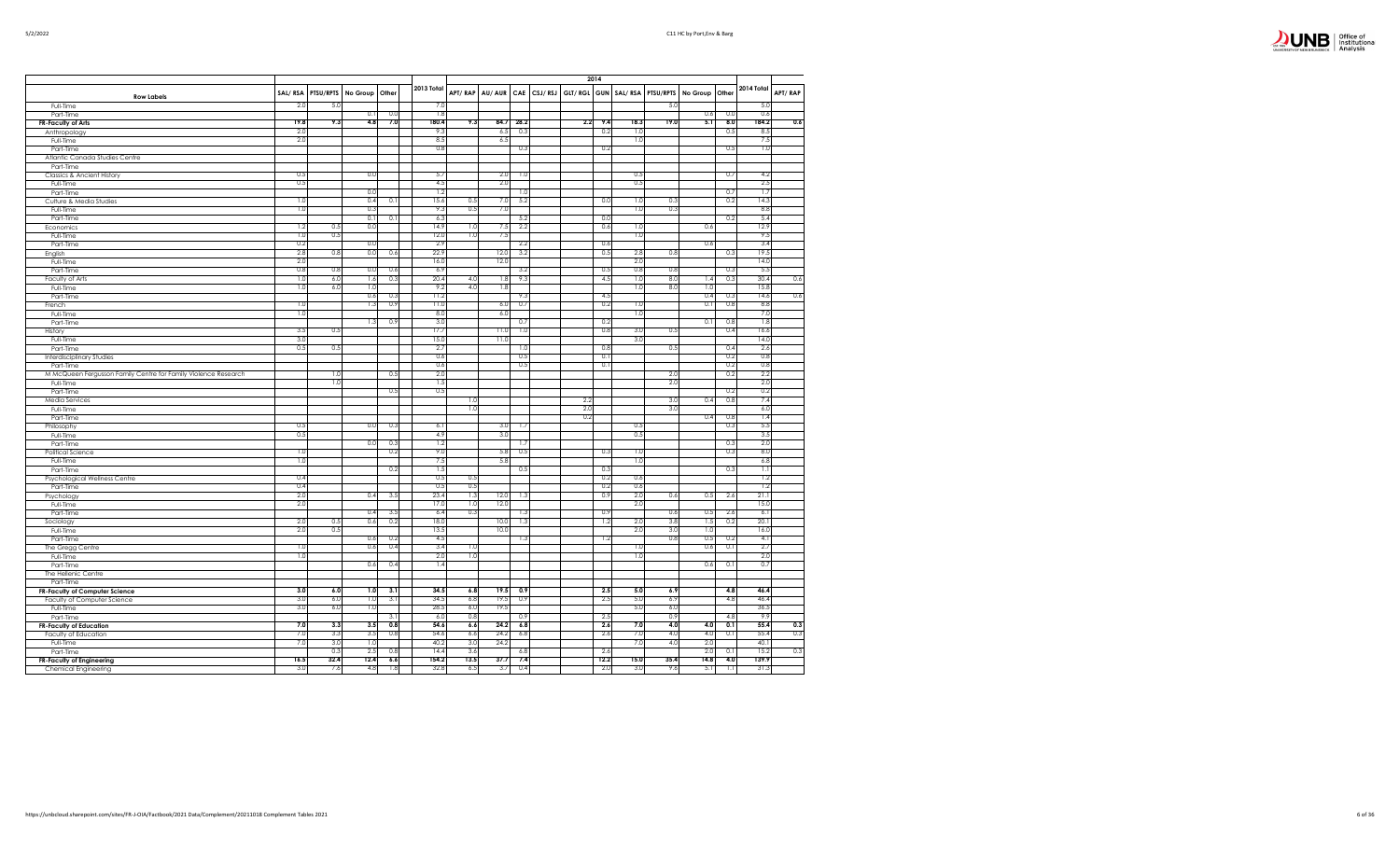|   | Office of<br>Institutional |
|---|----------------------------|
|   |                            |
| . | Analysis                   |

|                                                                |            |           |                |     |                |            |                |      |         |             | 2014 |                       |            |          |       |              |         |
|----------------------------------------------------------------|------------|-----------|----------------|-----|----------------|------------|----------------|------|---------|-------------|------|-----------------------|------------|----------|-------|--------------|---------|
|                                                                |            |           |                |     | 2013 Total     |            |                |      |         |             |      |                       |            |          |       | 2014 Total   |         |
| <b>Row Labels</b>                                              | SAL/RSA    | PTSU/RPTS | No Group Other |     |                |            | APT/RAP AU/AUR | CAE  | CSJ/RSJ | GLT/RGL GUN |      | SAL/RSA               | PTSU/RPTS  | No Group | Other |              | APT/RAP |
| Full-Time                                                      | 2.0        | 5.0       |                |     | 7.0            |            |                |      |         |             |      |                       | 5.0        |          |       | 5.0          |         |
| Part-Time                                                      |            |           | 0.1            | 0.0 | 1.8            |            |                |      |         |             |      |                       |            | 0.6      | 0.0   | 0.6          |         |
| FR-Faculty of Arts                                             | 19.8       | 9.3       | 4.8            | 7.0 | 180.4          | 9.3        | 84.7           | 28.2 |         | 2.2         | 9.4  | 18.3                  | 19.0       | 5.1      | 8.0   | 184.2        | 0.6     |
| Anthropology                                                   | 2.0<br>2.0 |           |                |     | 9.3<br>8.5     |            | 6.5<br>6.5     | 0.3  |         |             | 0.2  | 1 <sup>2</sup><br>1.0 |            |          | 0.5   | 8.5<br>7.5   |         |
| Full-Time                                                      |            |           |                |     | 0.8            |            |                | 0.3  |         |             | 0.2  |                       |            |          | 0.5   | 1.0          |         |
| Part-Time<br>Atlantic Canada Studies Centre                    |            |           |                |     |                |            |                |      |         |             |      |                       |            |          |       |              |         |
| Part-Time                                                      |            |           |                |     |                |            |                |      |         |             |      |                       |            |          |       |              |         |
| Classics & Ancient History                                     | 0.5        |           | 0.0            |     | 5.7            |            | 2.0            | 1.0  |         |             |      | 0.5                   |            |          | 0.7   | 4.2          |         |
| Full-Time                                                      | 0.5        |           |                |     | 4.5            |            | 2.0            |      |         |             |      | 0.5                   |            |          |       | 2.5          |         |
| Part-Time                                                      |            |           | 0.0            |     | 1.2            |            |                | 1.0  |         |             |      |                       |            |          | 0.7   | 1.7          |         |
| Culture & Media Studies                                        | 1.0        |           | 0.4            | 0.1 | 15.6           | 0.5        | 7.0            | 5.2  |         |             | 0.0  | 1.0                   | 0.3        |          | 0.2   | 14.3         |         |
| Full-Time                                                      | 1.0        |           | 0.3            |     | 9.3            | 0.5        | 7.0            |      |         |             |      | 1.0                   | 0.3        |          |       | 8.8          |         |
| Part-Time                                                      |            |           | 0.1            | 0.1 | 6.3            |            |                | 5.2  |         |             | 0.0  |                       |            |          | 0.2   | 5.4          |         |
| Economics                                                      | 1.2        | 0.5       | 0.0            |     | 14.9           | 1.0        | 7.5            | 2.2  |         |             | 0.6  | 1.0                   |            | 0.6      |       | 12.9         |         |
| Full-Time                                                      | 1.0        | 0.5       |                |     | 12.0           | 1.0        | 7.5            |      |         |             |      | 1.0                   |            |          |       | 9.5          |         |
| Part-Time                                                      | 0.2        |           | 0.0            |     | 2.9            |            |                | 2.2  |         |             | 0.6  |                       |            | 0.6      |       | 3.4          |         |
| English                                                        | 2.8        | 0.8       | 0.0            | 0.6 | 22.9           |            | 12.0           | 3.2  |         |             | 0.5  | 2.8                   | 0.8        |          | 0.3   | 19.5         |         |
| Full-Time                                                      | 2.0<br>0.8 | 0.8       | 0.0            | 0.6 | 16.0<br>6.9    |            | 12.0           | 3.2  |         |             | 0.5  | 2.0<br>0.8            | 0.8        |          | 0.3   | 14.0<br>5.5  |         |
| Part-Time<br>Faculty of Arts                                   | 1.0        | 6.0       | 1.6            | 0.3 | 20.4           | 4.0        | 1.8            | 9.3  |         |             | 4.5  | 1.0                   | 8.0        | 1.4      | 0.3   | 30.4         | 0.6     |
| Full-Time                                                      | 1.0        | 6.0       | 1.0            |     | 9.2            | 4.0        | 1.8            |      |         |             |      | 1.0                   | 8.0        | 1.0      |       | 15.8         |         |
| Part-Time                                                      |            |           | 0.6            | 0.3 | 11.2           |            |                | 9.3  |         |             | 4.5  |                       |            | 0.4      | 0.3   | 14.6         | 0.6     |
| French                                                         | 1.0        |           | 13             | 0.9 | 11.0           |            | 6.0            | 0.7  |         |             | 0.2  | 1.0                   |            | 0.1      | 0.8   | 8.8          |         |
| Full-Time                                                      | 1.0        |           |                |     | 8.0            |            | 6.0            |      |         |             |      | 1.0                   |            |          |       | 7.0          |         |
| Part-Time                                                      |            |           | 1.3            | 0.9 | 3 <sub>c</sub> |            |                | 0.7  |         |             | 0.2  |                       |            | 0.1      | 0.8   | 1.8          |         |
| History                                                        | 3.5        | 0.5       |                |     | 17.7           |            | 11.0           | 1.0  |         |             | 0.8  | 3.0                   | 0.5        |          | 0.4   | 16.6         |         |
| Full-Time                                                      | 3.0        |           |                |     | 15.0           |            | 11.0           |      |         |             |      | 3.0                   |            |          |       | 14.0         |         |
| Part-Time                                                      | 0.5        | 0.5       |                |     | 2.7            |            |                | 1.0  |         |             | 0.8  |                       | 0.5        |          | 0.4   | 2.6          |         |
| Interdisciplinary Studies                                      |            |           |                |     | 0.6            |            |                | 0.5  |         |             | 0.1  |                       |            |          | 0.2   | 0.8          |         |
| Part-Time                                                      |            |           |                |     | 0.6            |            |                | 0.5  |         |             | 0.1  |                       |            |          | 0.2   | 0.8          |         |
| M McQueen Fergusson Family Centre for Family Violence Research |            | 1.0       |                | 0.5 | 2.0            |            |                |      |         |             |      |                       | 2.0        |          | 0.2   | 2.2          |         |
| Full-Time                                                      |            | 1.0       |                | 0.5 | 1.5<br>0.5     |            |                |      |         |             |      |                       | 2.0        |          | 0.2   | 2.0<br>0.2   |         |
| Part-Time<br><b>Media Services</b>                             |            |           |                |     |                | 1.0        |                |      |         | 2.2         |      |                       | 3.0        | 0.4      | 0.8   | 7.4          |         |
| Full-Time                                                      |            |           |                |     |                | 1.0        |                |      |         | 2.0         |      |                       | 3.0        |          |       | 6.0          |         |
| Part-Time                                                      |            |           |                |     |                |            |                |      |         | 0.2         |      |                       |            | 0.4      | 0.8   | 1.4          |         |
| Philosophy                                                     | 0.5        |           | 0.0            | 0.3 | 6.1            |            | 3.0            | 1.7  |         |             |      | 0.5                   |            |          | 0.3   | 5.5          |         |
| Full-Time                                                      | 0.5        |           |                |     | 4.9            |            | 3.0            |      |         |             |      | 0.5                   |            |          |       | 3.5          |         |
| Part-Time                                                      |            |           | 0.0            | 0.3 | 1.2            |            |                | 1.7  |         |             |      |                       |            |          | 0.3   | 2.0          |         |
| Political Science                                              | 1.0        |           |                | 0.2 | 9.0            |            | 5.8            | 0.5  |         |             | 0.3  | $\overline{1.0}$      |            |          | 0.3   | 8.0          |         |
| Full-Time                                                      | 1.0        |           |                |     | 7.5            |            | 5.8            |      |         |             |      | 1.0                   |            |          |       | 6.8          |         |
| Part-Time                                                      |            |           |                | 0.2 | 1.5            |            |                | 0.5  |         |             | 0.3  |                       |            |          | 0.3   | IJ           |         |
| Psychological Wellness Centre                                  | 0.4        |           |                |     | 0.5            | 0.5        |                |      |         |             | 0.2  | 0.6                   |            |          |       | 1.2          |         |
| Part-Time                                                      | 0.4<br>2.0 |           |                |     | 0.5<br>23.4    | 0.5        |                |      |         |             | 0.2  | 0.6<br>2.0            |            | 0.5      |       | 1.2          |         |
| Psychology                                                     | 2.0        |           | 0.4            | 3.5 | 17.0           | 1.3<br>1.0 | 12.0<br>12.0   | 1.3  |         |             | 0.9  | 2.0                   | 0.6        |          | 2.6   | 21.1<br>15.0 |         |
| Full-Time<br>Part-Time                                         |            |           | 0.4            | 3.5 | 6.4            | 0.3        |                | 1.3  |         |             | 0.9  |                       | 0.6        | 0.5      | 2.6   | 6.1          |         |
| Sociology                                                      | 2.0        | 0.5       | 0.6            | 0.2 | 18.0           |            | 10.0           | 1.3  |         |             | 1.2  | 2.0                   | 3.8        | 1.5      | 0.2   | 20.1         |         |
| Full-Time                                                      | 2.0        | 0.5       |                |     | 13.5           |            | 10.0           |      |         |             |      | 2.0                   | 3.0        | 1.0      |       | 16.0         |         |
| Part-Time                                                      |            |           | 0.6            | 0.2 | 4.5            |            |                | 1.3  |         |             | 1.2  |                       | 0.8        | 0.5      | 0.2   | 4.1          |         |
| The Gregg Centre                                               | 1.0        |           | 0.6            | 0.4 | 3.4            | 1.0        |                |      |         |             |      | 1.0                   |            | 0.6      | 0.1   | 2.7          |         |
| Full-Time                                                      | 1.0        |           |                |     | 2.0            | 1.0        |                |      |         |             |      | 1.0                   |            |          |       | 2.0          |         |
| Part-Time                                                      |            |           | 0.6            | 0.4 | 1.4            |            |                |      |         |             |      |                       |            | 0.6      | 0.1   | 0.7          |         |
| The Hellenic Centre                                            |            |           |                |     |                |            |                |      |         |             |      |                       |            |          |       |              |         |
| Part-Time                                                      |            |           |                |     |                |            |                |      |         |             |      |                       |            |          |       |              |         |
| FR-Faculty of Computer Science                                 | 3.0        | 6.0       | 1.0            | 3.1 | 34.5           | 6.8        | 19.5           | 0.9  |         |             | 2.5  | 5.0                   | 6.9        |          | 4.8   | 46.4         |         |
| Faculty of Computer Science                                    | 3.0<br>3.0 | 6.0       | 1.0            | 3.1 | 34.5<br>28.5   | 6.8        | 19.5           | 0.9  |         |             | 2.5  | 5.0<br>5.0            | 6.9<br>6.0 |          | 4.8   | 46.4<br>36.5 |         |
| Full-Time                                                      |            | 6.0       | 1.0            | 3.1 |                | 6.0<br>0.8 | 19.5           | 0.9  |         |             | 2.5  |                       | 0.9        |          | 4.8   | 9.9          |         |
| Part-Time                                                      | 7.0        | 3.3       | 3.5            | 0.8 | 6.0<br>54.6    | 6.6        | 24.2           | 6.8  |         |             | 2.6  | 7.0                   | 4.0        | 4.0      | 0.1   | 55.4         | 0.3     |
| <b>FR-Faculty of Education</b><br>Faculty of Education         | 7.0        | 3.3       | 3.5            | 0.8 | 54.6           | 6.6        | 24.2           | 6.8  |         |             | 2.6  | 7.0                   | 4.0        | 4.0      | 0.1   | 55.4         | 0.3     |
| Full-Time                                                      | 7.0        | 3.0       | 1.0            |     | 40.2           | 3.0        | 24.2           |      |         |             |      | 7.0                   | 4.0        | 2.0      |       | 40.1         |         |
| Part-Time                                                      |            | 0.3       | 2.5            | 0.8 | 14.4           | 3.6        |                | 6.8  |         |             | 2.6  |                       |            | 2.0      | 0.1   | 15.2         | 0.3     |
| <b>FR-Faculty of Engineering</b>                               | 16.5       | 32.4      | 12.4           | 6.6 | 154.2          | 13.5       | 37.7           | 7.4  |         |             | 12.2 | 15.0                  | 35.4       | 14.8     | 4.0   | 139.9        |         |
| Chemical Engineering                                           | 3.0        | 7.6       | 4.8            | 1.8 | 32.8           | 6.5        | 3.7            | 0.4  |         |             | 2.0  | 3.0                   | 9.6        | 5.1      | 1.1   | 31.3         |         |
|                                                                |            |           |                |     |                |            |                |      |         |             |      |                       |            |          |       |              |         |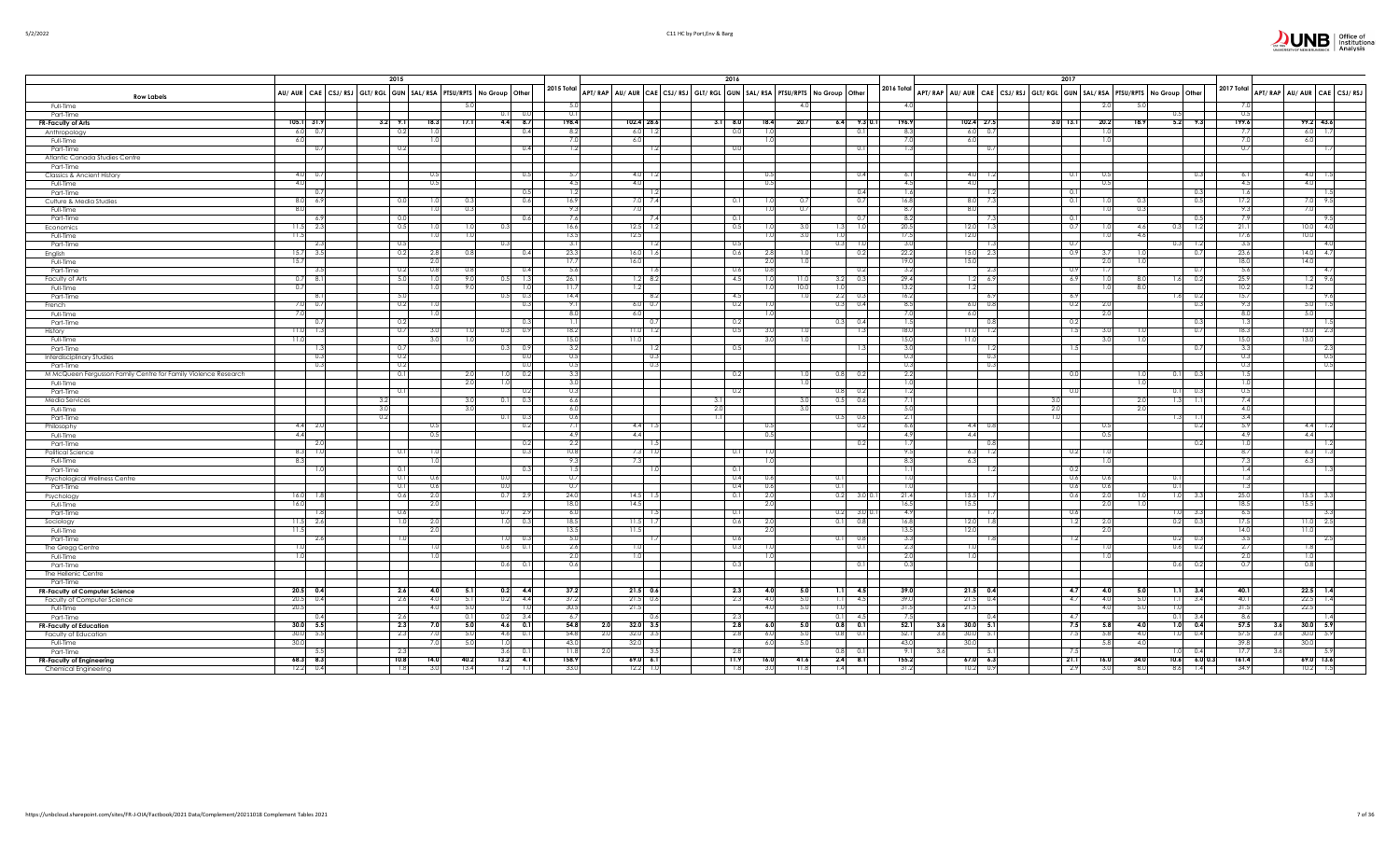|                                                                |                        | 2015                                                                |                         |                          |                                 |                             |            | 2016         |                |                                                                         |                             |                 |                                                                         | 2017               |                                |                   |             |             |                            |
|----------------------------------------------------------------|------------------------|---------------------------------------------------------------------|-------------------------|--------------------------|---------------------------------|-----------------------------|------------|--------------|----------------|-------------------------------------------------------------------------|-----------------------------|-----------------|-------------------------------------------------------------------------|--------------------|--------------------------------|-------------------|-------------|-------------|----------------------------|
| <b>Row Labels</b>                                              |                        | AU/ AUR CAE CSJ/ RSJ GLT/ RGL GUN SAL/ RSA PTSU/RPTS No Group Other |                         |                          | 2015 Total                      |                             |            |              |                | APT/RAP AU/AUR CAE CSJ/RSJ GLT/RGL GUN SAL/RSA PTSU/RPTS No Group Other |                             | 2016 Total      | APT/RAP AU/AUR CAE CSJ/RSJ GLT/RGL GUN SAL/RSA PTSU/RPTS No Group Other |                    |                                |                   | 2017 Total  |             | APT/RAP AU/AUR CAE CSJ/RS. |
| Full-Time                                                      |                        |                                                                     |                         |                          |                                 |                             |            |              |                | 4 C                                                                     |                             | 4.0             |                                                                         |                    |                                |                   |             |             |                            |
| Part-Time                                                      |                        |                                                                     |                         | 0.0                      | $\Omega$                        |                             |            |              |                |                                                                         |                             |                 |                                                                         |                    |                                |                   | 0.5         |             |                            |
| FR-Faculty of Arts                                             | $105.1$ 31.9           | $3.2$ $9.1$<br>18.3                                                 | 17.1                    | 4.4<br>8.7               | 198.4                           | 102.4 28.6                  |            | $3.1$ 8.0    | 18.4           | 20.7                                                                    | $9.3 \ 0.1$<br>6.4          | 196.9           | 102.4 27.5                                                              | $3.0$ 13.1<br>20.2 | 5.2<br>18.9                    | 9.3               | 199.6       |             | $99.2$ 43.6                |
| Anthropology<br>Full-Time                                      | $6.0\qquad 0.7$<br>6.0 | 0.2<br>1.0                                                          |                         | 0.4                      | 82                              | $6.0$ 1.2<br>6.0            |            | 0.0          | 1 <sup>0</sup> |                                                                         | 0.1                         | 8.3<br>7.0      | $6.0\qquad 0.7$<br>6.0                                                  | 10                 |                                |                   | 7.7<br>7.0  |             | 6.0<br>-1.7<br>6.          |
| Part-Time                                                      | 0.7                    | 0.2                                                                 |                         | 0.4                      |                                 | -1.2                        |            | 0.0          |                |                                                                         | 0.1                         | $\overline{13}$ | - 0.7                                                                   |                    |                                |                   | 0.7         |             |                            |
| Atlantic Canada Studies Centre                                 |                        |                                                                     |                         |                          |                                 |                             |            |              |                |                                                                         |                             |                 |                                                                         |                    |                                |                   |             |             |                            |
| Part-Time                                                      |                        |                                                                     |                         |                          |                                 |                             |            |              |                |                                                                         |                             |                 |                                                                         |                    |                                |                   |             |             |                            |
| Classics & Ancient History                                     | $4.0\qquad 0.7$        | 0.5                                                                 |                         | 0.5                      | -5.                             | $4.0$ 1.2                   |            |              | 0.5            |                                                                         | 0.4                         | 6.1             | 4.0 1.2                                                                 | 0.1<br>0.5         |                                | 0.3               | 6.1         |             | 4.0                        |
| Full-Time                                                      | 4.0<br>0.7             | 0.5                                                                 |                         | 0.5                      | 4.5<br>$\overline{1}$           | 4.0                         |            |              | 0.5            |                                                                         |                             | 4.5<br>1.6      | 4.0                                                                     | 0.5<br>0.1         |                                |                   | 4.5<br>1.6  |             | 4.0                        |
| Part-Time<br>Culture & Media Studies                           | $8.0\, 6.9$            | 0.0<br>1.0                                                          |                         | 0.6                      | 16.5                            | $7.0$ 7.4                   |            | 0.1          | 1.0            |                                                                         | 0.4<br>0.7                  | 16.8            | 8.0                                                                     | 0.1<br>1.0         | 0.3                            | 0.3<br>0.5        | 17.2        |             | 9.5                        |
| Full-Time                                                      | 8.0                    | 1.0                                                                 |                         |                          |                                 | 7.0                         |            |              | 1.0            | 0.7                                                                     |                             | 8.7             | 8.0                                                                     |                    | 0.3<br>1.01                    |                   | 9.3         |             |                            |
| Part-Time                                                      | - 6.9                  | 0.0                                                                 |                         | 0.6                      | -7.6                            | 7.4                         |            | 0.1          |                |                                                                         | 0.7                         | 8.2             |                                                                         | 0.1                |                                | 0.5               | 7.9         |             | 9.5                        |
| Economics                                                      | $11.5$ 2.3             | 0.5<br>1.0                                                          |                         |                          | 16.6                            | $12.5$ 1.2                  |            | 0.5          | 1.0            |                                                                         | 1.0                         | 20.5            | 12.0                                                                    | 0.7<br>1.0         | 4.6<br>0.31                    | 1.2               | 21.1        |             | 4.0<br>10.                 |
| Full-Time                                                      | 11.5<br>2.3            | 1.0<br>0.5                                                          |                         |                          | 13.5<br>$\overline{3}$          | 12.5                        |            | 0.5          | 1.0            | 3.0                                                                     | 0.3<br>$\overline{10}$      | 17.5<br>3.0     | 12.0                                                                    | 0.7                | 4.6<br>1.0<br>0.3              |                   | 17.6<br>3.5 |             | 10.0<br>4.0                |
| Part-Time<br>English                                           | 3.5<br>15.7            | 0.2<br>2.8                                                          |                         | 0.4                      | 23.3                            | $16.0$ 1.6                  |            | 0.6          | 2.8            |                                                                         | 0.2                         | 22.2            | 15.0<br>2.3                                                             | 0.9                |                                | 1.2<br>0.7        | 23.6        |             | 4.7<br>14.                 |
| Full-Time                                                      | 15.7                   | 2.0                                                                 |                         |                          | 17.                             | 16.0                        |            |              | 2.0            |                                                                         |                             | 19.0            | 15.0                                                                    | 2.0                | 1.0                            |                   | 18.0        |             | 14.0                       |
| Part-Time                                                      | -3.5                   | 0.8<br>0.2                                                          | 0.8                     | 0.41                     | -5.6                            | $\overline{a}$              |            | 0.6          | 0.8            |                                                                         | -0.2                        | 3.2             | -2.3                                                                    | 0.9<br>-1.7        |                                | -0.7              | 5.6         |             | -4.7                       |
| Faculty of Arts                                                | $0.7$ 8.1              | 5.0<br>1.0                                                          | 9.0                     | 1.3                      | 26.1                            | $1.2 \quad 8.2$             |            | 4.5          | 1.0            | 11.0                                                                    | 0.3<br>3.2                  | 29.4            | $1.2\frac{6.9}{ }$                                                      | 6.9<br>1.0         | 8.0                            | 1.6<br>0.2        | 25.9        |             | 9.6                        |
| Full-Time                                                      | 0.7                    | 1.0                                                                 | 9.0                     | 1.0                      | 11.7                            | 1.2                         |            |              | 1.0            | 10.0                                                                    | 1.0                         | 13.2            | 1.2                                                                     |                    | 8.0<br>1.0                     |                   | 10.2        |             |                            |
| Part-Time                                                      | 8.1<br>$7.0\ 0.7$      | 5.0<br>0.2                                                          |                         | 0.3<br>0.5<br>0.3        | 14.4<br>91                      | $\sqrt{8.2}$<br>$6.0 - 0.7$ |            | 4.5<br>0.2   |                | 1.0                                                                     | 2.2<br>- 0.3<br>0.3         | 16.2<br>8.5     | - 6.9<br>$6.0\qquad 0.8$                                                | -6.9<br>0.2<br>2.0 |                                | $1.6 - 0.2$       | 15.7<br>9.3 |             | 9.6<br>$\overline{1.5}$    |
| French<br>Full-Time                                            |                        |                                                                     |                         |                          | 8.0                             | 6.0                         |            |              |                |                                                                         |                             | 7.0             | 6.0                                                                     | 2.0                |                                |                   | 8.0         |             |                            |
| Part-Time                                                      | 0.7                    | 0.2                                                                 |                         | 0.3                      |                                 | l 0.7                       |            | 0.2          |                | 0.3                                                                     | 0.4                         | 1.5             | 0.8                                                                     | 0.2                |                                | 0.3               | 1.3         |             |                            |
| History                                                        | $11.0$ 1.3             | 0.7<br>3.0                                                          |                         | 0.9<br>0.3               | 18.2                            | $11.0$ 1.2                  |            | 0.5          | 3.0            |                                                                         | -1.3                        | 18.0            | 11.01<br>- 1.2                                                          | 1.5<br>3.0         | 1.01                           | 0.7               | 18.3        |             | 13.<br>-23                 |
| Full-Time                                                      | 11.0                   | 3.0                                                                 |                         |                          | 15.0                            | 11.0                        |            |              | 3.0            |                                                                         |                             | 15.0            | 11.0                                                                    | 3.0                | 1.0                            |                   | 15.0        |             | 13.0                       |
| Part-Time                                                      | 1.3<br>0.3             | 0.7<br>0.2                                                          |                         | 0.9<br>0.0               | 32<br>0.5                       | -1.2<br>0.3                 |            | 0.5          |                |                                                                         |                             | 3.0<br>0.3      | -1.2<br>0.3                                                             | -1.5               |                                | 0.7               | 3.3<br>0.3  |             | - 2.3<br>0.5               |
| <b>Interdisciplinary Studies</b><br>Part-Time                  | 0.3                    | 0.2                                                                 |                         | 0.0                      | $\Omega$ .                      |                             |            |              |                |                                                                         |                             | 0.3             | -0.3                                                                    |                    |                                |                   | 0.3         |             |                            |
| M McQueen Fergusson Family Centre for Family Violence Research |                        | 0.1                                                                 | 2.0                     | 0.2                      |                                 |                             |            | 0.2          |                | 0.8                                                                     | 0.2                         | 2.2             |                                                                         | 0.0                | 1.0                            | 0.3               | 1.5         |             |                            |
| Full-Time                                                      |                        |                                                                     | 2.0                     |                          |                                 |                             |            |              |                | 1.0                                                                     |                             | 1.0             |                                                                         |                    | 1.0                            |                   | 1.0         |             |                            |
| Part-Time                                                      |                        | 0.1                                                                 |                         | 0.2                      | $\Omega$                        |                             |            | 0.2          |                |                                                                         | 0.81<br>- 0.2               | 1.2             |                                                                         | 0.0                | 0.11                           | 0.3               | 0.5         |             |                            |
| <b>Media Services</b>                                          |                        | 3.2<br>3.0                                                          | 3.0<br>3.0              | 0.3                      | 6.6<br>6.0                      |                             | 3.1<br>2.0 |              |                | 30                                                                      | 0.5<br>0.6                  | -7.1<br>5.0     |                                                                         | 2.0                | 2.0<br>$\vert .3 \vert$<br>2.0 |                   | 7.4<br>4.0  |             |                            |
| Full-Time<br>Part-Time                                         |                        | 0.2                                                                 |                         | 0.3<br>0.1               | 0.6                             |                             | 7.11       |              |                |                                                                         | 0.5<br>0.6                  | 2.1             |                                                                         | 1.0                | 1.3                            | - 1.1             | 3.4         |             |                            |
| Philosophy                                                     | $4.4$ 2.0              | 05                                                                  |                         | 0.2                      |                                 | $4.4$ 1.5                   |            |              |                |                                                                         | 0.2                         | 6.6             | $4.4\quad 0.8$                                                          |                    |                                | 0.2               | 5.9         |             | $\Delta$ $\Delta$<br>- 1.2 |
| Full-Time                                                      | 4.4                    | 0.5                                                                 |                         |                          | 4.9                             | 4.4                         |            |              | 0.5            |                                                                         |                             | 4.9             | 4.4                                                                     | 0.5                |                                |                   | 4.9         |             |                            |
| Part-Time                                                      | - 2.0                  |                                                                     |                         | 0.2                      | 2:                              |                             |            |              |                |                                                                         | 0.2                         | -1.7            | 0.8                                                                     |                    |                                | 0.2               | 1.0         |             |                            |
| Political Science                                              | 8.3 1.0                | 0.1<br>1.0                                                          |                         | 0.3                      | 10.8<br>$\overline{Q}$          | $7.3$ 1.0                   |            | 0.1          |                |                                                                         |                             | 9.5<br>8.3      | 6.3<br>1.2                                                              | 0.2<br>1.0         |                                |                   | 8.7<br>7.3  |             | 6.3<br>-1.3                |
| Full-Time<br>Part-Time                                         | 8.3<br>1.0             | 1.0<br>0.1                                                          |                         | 0.3                      | 15                              | 7.3<br>-1.0                 |            | 0.1          | 1.0            |                                                                         |                             | 1.1             | 6.3<br>1.2                                                              | 1.0<br>- 0.2       |                                |                   | 1.4         |             | 6.3                        |
| Psychological Wellness Centre                                  |                        | 0.1<br>0.6                                                          |                         | nη                       | 0.7                             |                             |            | 0.4          | 0.6            | 0.1                                                                     |                             | 1.0             |                                                                         | 0.6<br>0.6         | 0.1                            |                   | 1.3         |             |                            |
| Part-Time                                                      |                        | 0.1<br>0.6                                                          |                         | 0 <sub>0</sub>           | $\Omega$                        |                             |            | 0.4          | 0.6            | $\overline{0}$ .                                                        |                             |                 |                                                                         | 0.6<br>0.6         | 0.1                            |                   | 1.3         |             |                            |
| Psychology                                                     | 16.0<br>- 1.8          | 2.0<br>0.6                                                          |                         | 0.7<br>2.9               | 24.0                            | $14.5$ 1.                   |            | 0.1          | 2.0            |                                                                         | 0.2<br>3.0 U.I              | 21.4            | 15.5                                                                    | 2.0<br>0.6         | 1.0<br>1.01                    | - 3.3             | 25.0        |             | 15.5<br>- 3.3              |
| Full-Time                                                      | 16.0                   | 2.0                                                                 |                         |                          | 18.0                            | 14.5                        |            |              | 2.0            |                                                                         |                             | 16.5            | 15.5                                                                    |                    | 2.0<br>1.0                     |                   | 18.5        |             | 15.5                       |
| Part-Time<br>Sociology                                         | 1.8<br>$11.5$ 2.6      | 0.6<br>1.0<br>2.0                                                   |                         | 0.7<br>2.9<br>1.0<br>0.3 | 6.0<br>18.5                     | $11.5 - 1.7$                |            | 0.1<br>0.6   | 2.0            |                                                                         | 0.2<br>- 3.0<br>0.1<br>0.8  | 4.9<br>16.8     | 12.0<br>1.8                                                             | 0.6<br>1.2<br>2.0  | 0.2                            | 1.0<br>3.3<br>0.3 | 6.5<br>17.5 |             | - 2.5<br>Ш                 |
| Full-Time                                                      | 11.5                   | 2.0                                                                 |                         |                          | 13.5                            | 11.5                        |            |              | 2.0            |                                                                         |                             | 13.5            | 12.0                                                                    | 2.0                |                                |                   | 14.0        |             | 11.0                       |
| Part-Time                                                      | 2.6                    | 1.0                                                                 |                         | 0.3                      | -5.0                            |                             |            | 0.6          |                | 0.1                                                                     | 0.8                         | 3.3             |                                                                         | 1.2                | 0.2                            | - 0.3             | 3.5         |             | -2.5                       |
| The Gregg Centre                                               | 1.0                    | 1.0                                                                 |                         | 0.6<br>0.1               | 2.6                             | 1.0                         |            | 0.3          |                |                                                                         | 0.1                         | 2.3             |                                                                         |                    | 0.6                            | 0.2               | 2.7         |             |                            |
| Full-Time                                                      | 1.0                    | 1.0                                                                 |                         |                          | 21                              | 1.0                         |            |              |                |                                                                         |                             | 2.0             |                                                                         |                    | 1.0                            |                   | 2.0         |             |                            |
| Part-Time<br>The Hellenic Centre                               |                        |                                                                     |                         | 0.6<br>0.1               | 0.6                             |                             |            | 0.3          |                |                                                                         | 0.1                         | 0.3             |                                                                         |                    |                                | $0.6$ 0.2         | 0.7         |             | 0.8                        |
| Part-Time                                                      |                        |                                                                     |                         |                          |                                 |                             |            |              |                |                                                                         |                             |                 |                                                                         |                    |                                |                   |             |             |                            |
| FR-Faculty of Computer Science                                 | $20.5$ 0.4             | 2.6<br>4.0                                                          | $-5.1$                  | 0.2<br>4.4               | 37.2                            | $21.5$ 0.6                  |            | 2.3          | 4.0            | 5.0                                                                     | 4.5                         | 39.0            | $21.5$ 0.4                                                              | 4.7<br>4.0         | 5.0<br>1.1                     | 3.4               | 40.1        |             | 22.5<br>1.4                |
| Faculty of Computer Science                                    | 20.5<br>0.4            | 2.6<br>4.0                                                          | 5.1                     | 0.2<br>4.4               | 37.2                            | $21.5$ 0.6                  |            | 2.3          | 4.0            | 5.0                                                                     | 4.5                         | 39.0            | 21.5<br>0.4                                                             | -4.7<br>4.0        | 5.0<br>1.1                     | 3.4               | 40.1        |             | 22.5<br>14                 |
| Full-Time                                                      | 20.5                   | 4.0                                                                 | 5.0                     | 1.0                      | 30.5                            | 21.5                        |            |              | 4.0            | 5.0                                                                     |                             | 31.5            | 21.5                                                                    | 4.0                | 5.0<br>1.0                     |                   | 31.5        |             | 22.5                       |
| Part-Time                                                      | 0.4<br>$30.0$ 5.5      | -2.6<br>2.3<br>7.0                                                  | $\overline{0}$ .<br>5.0 | 3.4<br>0.2<br>4.6<br>0.1 | $\overline{6}$ .<br>54.8<br>2.0 | $32.0$ $3.5$                |            | - 2.3<br>2.8 |                | $\overline{0}$<br>5.0                                                   | 4 <sup>1</sup><br>$0.8$ 0.1 | -73<br>52.1     | 30.0<br>- 51                                                            | -4.7<br>7.5<br>5.8 | 0.1<br>1.0<br>4.0              | 0.4               | 8.6<br>57.5 |             | 30.0<br>-59                |
| <b>FR-Faculty of Education</b><br>Faculty of Education         | 30.0 5.5               | 2.3<br>7.0                                                          | 5.0                     | 4.6<br>0.1               | 54.8<br>2.0                     | $32.0$ 3.5                  |            | 2.8          | 6.0<br>6.0     | 5.0                                                                     | 0.8<br>0.1                  | 52.1            | 3.61<br>30.0<br>3.6<br>5.1                                              | 7.5                | 1.0<br>5.8<br>4.0              | 0.4               | 57.5        | 3.6I<br>3.6 | 30.0<br>5.9                |
| Full-Time                                                      | 30.0                   | 7.0                                                                 | 5.0                     | 1.0                      | 43.0                            | 32.0                        |            |              | 6.0            | 5.0                                                                     |                             | 43.0            | 30.0                                                                    |                    | 5.8<br>4.0                     |                   | 39.8        |             | 30.0                       |
| Part-Time                                                      | - 5.5                  | 2.3                                                                 |                         | 3.6<br>0.1               | 11.8                            |                             |            | - 2.8        |                |                                                                         | 0.8<br>-0.                  | 9.1             | 3.6                                                                     | $\overline{7}$     | 1.01                           | 0.4               | 17.7        |             |                            |
| FR-Faculty of Engineering                                      | $68.3$ 8.3             | 10.8<br>14.0                                                        | 40.2                    | 13.2<br>4.1              | 158.9                           | 69.061.1                    |            | 11.9         | 16.0           | 41.6                                                                    | 2.4<br>8.1                  | 155.2           | $67.0\ 6.3$                                                             | 21.1<br>16.0       | 34.0<br>10.6                   | $6.0\,0.3$        | 161.4       |             | $69.0$ 13.6                |
| Chemical Engineering                                           | 12.2<br>0.4            | 1.8<br>3.0                                                          | 13.4                    | 1.2                      | 33.                             | 12.2                        |            | 1.8          | 3.0            | 11.8                                                                    |                             | 31.2            | 10.2<br>0.9                                                             | 2.9                | 3.0<br>8.0<br>8.6              | 1.4               | 34.9        |             |                            |

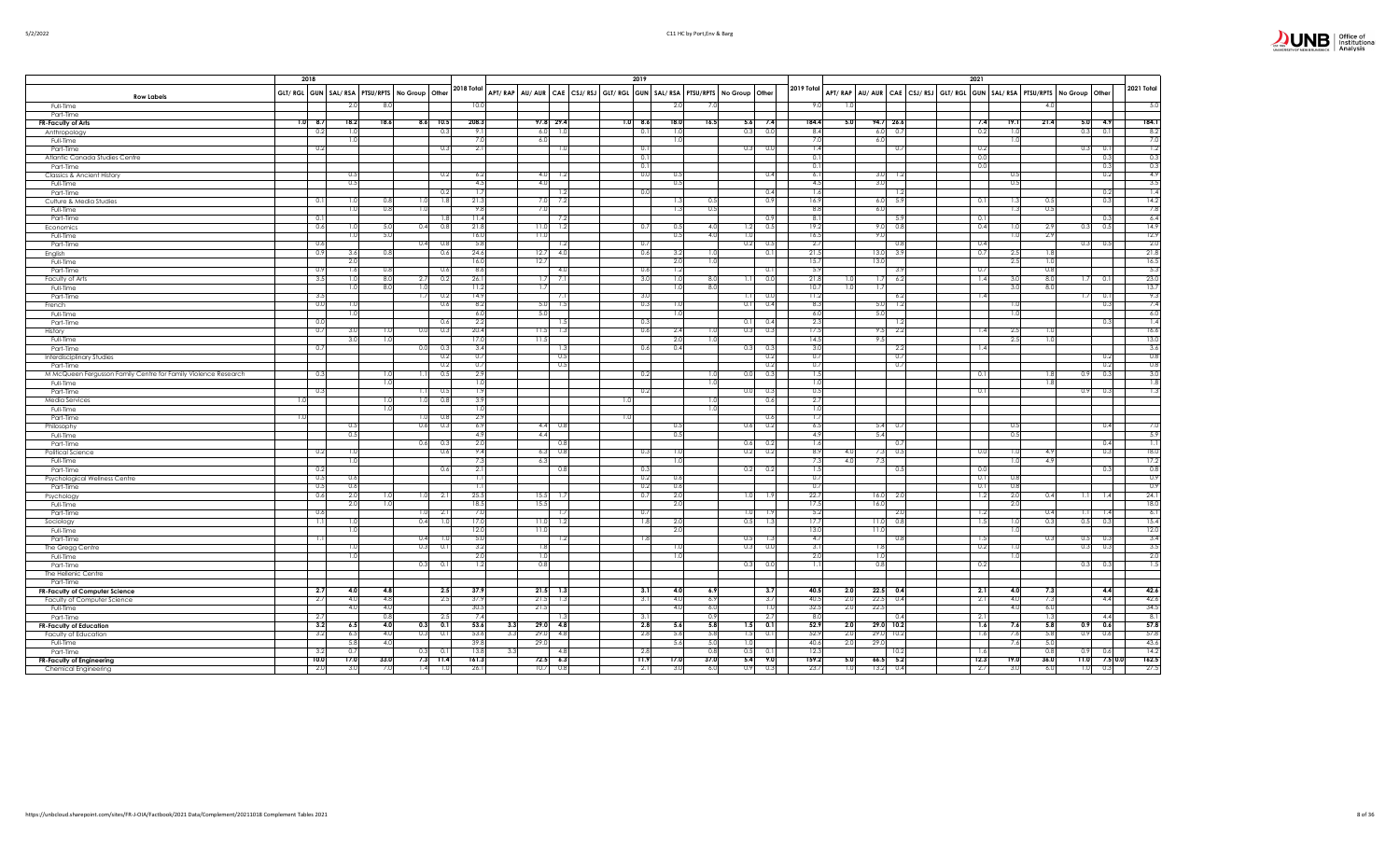|                                                                | 2018 |            |            |                                                        |             |                         |                                 |              |             |  | 2019           |                                |            |                                                                         |              |                  | 2021                                                              |                  |            |             |      |            |                   |
|----------------------------------------------------------------|------|------------|------------|--------------------------------------------------------|-------------|-------------------------|---------------------------------|--------------|-------------|--|----------------|--------------------------------|------------|-------------------------------------------------------------------------|--------------|------------------|-------------------------------------------------------------------|------------------|------------|-------------|------|------------|-------------------|
|                                                                |      |            |            | GLT/ RGL GUN   SAL/ RSA   PTSU/RPTS   No Group   Other |             |                         | 2018 Total                      |              |             |  |                |                                |            | APT/RAP AU/AUR CAE CSJ/RSJ GLT/RGL GUN SAL/RSA PTSU/RPTS No Group Other | 2019 Total   |                  | APT/RAP AU/AUR CAE CSJ/RSJ GLT/RGL GUN SAL/RSA PTSU/RPTS No Group |                  |            |             |      | Other      | 2021 Total        |
| <b>Row Labels</b><br>Full-Time                                 |      |            | 2.0        | $\mathcal{R}$                                          |             |                         | 10.                             |              |             |  |                |                                |            |                                                                         |              |                  |                                                                   |                  |            | 4.0         |      |            | 5.0               |
| Part-Time                                                      |      |            |            |                                                        |             |                         |                                 |              |             |  |                |                                |            |                                                                         |              |                  |                                                                   |                  |            |             |      |            |                   |
| <b>FR-Faculty of Arts</b>                                      |      | $1.0$ 8.7  | 18.2       | 18.6                                                   | $8.6$ 10.5  |                         | 208.3                           | 97.8 29.4    |             |  | 1.0 8.6        | 18.0                           | 16.5       | 5.6<br>7.4                                                              | 184.4        |                  | 94.726.6<br>5.0                                                   | 7.4              | 19.1       | 21.4        | 5.0  | 4.9        | 184.1             |
| Anthropology                                                   |      | 0.2        | 1.0        |                                                        |             | 0.3                     | -9.                             | 6.0          | 1.0         |  | 0.1            | -11                            |            | 0.0<br>0.3                                                              | 8.4          |                  | $6.0\ 0.7$                                                        | 0.2              | 1.0        |             | 0.3  | 0.1        | 8.2               |
| Full-Time                                                      |      | 0.2        | 1.0        |                                                        |             | 0.3                     | $-2.1$                          | 6.0          | 1.0         |  | $\circ$ .      |                                |            | 0.3<br>0.0                                                              |              | $\overline{14}$  | 6.0<br>0.7                                                        | 0.2              | 1.0        |             | 0.3  | 0.1        | 7.0<br>1.2        |
| Part-Time<br>Atlantic Canada Studies Centre                    |      |            |            |                                                        |             |                         |                                 |              |             |  | 0.1            |                                |            |                                                                         | 0.1          |                  |                                                                   | 0(               |            |             |      | 0.3        | 0.3               |
| Part-Time                                                      |      |            |            |                                                        |             |                         |                                 |              |             |  | 0.             |                                |            |                                                                         | 0.1          |                  |                                                                   | 0.0              |            |             |      | 0.3        | 0.3               |
| Classics & Ancient History                                     |      |            | 0.5        |                                                        |             | 0.2                     | 6.2                             |              | $4.0$ 1.2   |  | 0.0            | $^{\circ}$                     |            | 0.4                                                                     | 6.1          |                  | 3.0<br>1.2                                                        |                  | 0.5        |             |      | 0.2        | 4.9               |
| Full-Time                                                      |      |            | 0.5        |                                                        |             |                         | 4.5                             | 4.0          |             |  |                | 0.5                            |            |                                                                         |              | 4.5              | 3.0                                                               |                  | 0.5        |             |      |            | 3.5               |
| Part-Time                                                      |      |            |            |                                                        |             | 0.2                     | ⊤                               |              | 1.2         |  | 0.0            |                                |            | 0.4                                                                     |              | 1.6              | -1.2                                                              |                  |            |             |      | 0.2        | 1.4               |
| Culture & Media Studies                                        |      | 0.1        | 1.0<br>1.0 | 0.8<br>0.8                                             | 1.0<br>1.0  | 1.8                     | 21.3<br>93                      |              | $7.0$ 7.2   |  |                | -1.                            | 0.5<br>0.5 | 0.9                                                                     | 16.9<br>8.8  |                  | 6.0<br>- 5.9<br>6.0                                               | 0.1              | 1.3        | 0.5<br>0.5  |      | 0.3        | 14.2<br>7.8       |
| Full-Time<br>Part-Time                                         |      | -0.1       |            |                                                        |             | 1.8                     | 11.4                            | 7.0          | -7.2        |  |                |                                |            | 0.9                                                                     | -8.          |                  | - 5.9                                                             | $\Omega$         |            |             |      | 0.3        | 6.4               |
| Economics                                                      |      | 0.6        | 1.0        | 5.0                                                    | 0.4         | 0.8                     | 21.8                            | $11.0$ 1.2   |             |  | 0.7            | $\circ$                        | 4.0        | 0.5<br>1.2                                                              | 19.2         |                  | $9.0\ 0.8$                                                        | 0.4              | 1.0        | 2.9         | 0.3  | 0.5        | 14.9              |
| Full-Time                                                      |      |            | 1.0        | 5.0                                                    |             |                         | 16.0                            | 11.0         |             |  |                | 0.5                            | 4.0        | 1.0                                                                     | 16.5         |                  | 9.0                                                               |                  | 1.0        | 2.9         |      |            | 12.9              |
| Part-Time                                                      |      | 0.6        |            |                                                        | 0.4         | 0.8                     | 5.8                             |              | 1.2         |  | $\overline{0}$ |                                |            | 0.2<br>0.5                                                              | 2.7          |                  | 0.8                                                               | 0.4              |            |             | 0.3  | 0.5        | 2.0               |
| English                                                        |      | 0.9        | 3.6        | 0.8                                                    |             | 0.6                     | 24.6                            | 12.7         | 4.0         |  | 0.6            | 3.                             | 1.0        | 0.1                                                                     | 21.5         |                  | 13.0<br>-3.9                                                      | 0.7              | 2.5        | 1.8         |      |            | 21.8              |
| Full-Time<br>Part-Time                                         |      | 0.9        | 2.0<br>1.6 | 0.8                                                    |             | 0.6                     | 16.0<br>8.6                     | 12.7         | -4.0        |  | $\Omega$       | $\overline{2}$<br>$\mathbf{1}$ | 1.0        | 0.11                                                                    | 15.7<br>-5.9 |                  | 13.0<br>-3.9                                                      | $_{0.7}$         | 2.5        | 1.0<br>0.8  |      |            | 16.5<br>5.3       |
| Faculty of Arts                                                |      | 3.5        | 1.0        | 8.0                                                    | 2.7         | 0.2                     | 26.                             | 1.7          | 7.1         |  | 3.0            |                                | 8.0        | 0.0                                                                     | 21.8         |                  | 6.2<br>1.7                                                        | 1.4              | 3.0        | 8.0         | 1.7  | 0.1        | 23.0              |
| Full-Time                                                      |      |            | 1.0        | 8.0                                                    | 1.0         |                         | 11.2                            | 1.7          |             |  |                |                                | 8.0        |                                                                         | 10.7         |                  | 1.7                                                               |                  | 3.0        | 8.0         |      |            | 13.7              |
| Part-Time                                                      |      | 3.5        |            |                                                        | 1.7         | 0.2                     | 14.9                            |              | 7.1         |  | 3.0            |                                |            | 0.0<br>1.1                                                              | 11.2         |                  | -6.2                                                              | 1.4              |            |             | 1.7  | 0.1        | 9.3               |
| French                                                         |      | $_{0.0}$   | 1.0        |                                                        |             | 0.6                     | - 8.2                           | $5.0$ 1.5    |             |  | ೧.             |                                |            | 0.1<br>0.4                                                              | -8.3         |                  | 5.0<br>- 1.2                                                      |                  | 1.0        |             |      | 0.3        | 7.4               |
| Full-Time                                                      |      |            | 1.0        |                                                        |             |                         | 6.                              | 5.0          |             |  |                |                                |            |                                                                         | 6.0          |                  | 5.0                                                               |                  | 1.0        |             |      |            | 6.0               |
| Part-Time                                                      |      | 0.0<br>0.7 | 3.0        | -1.0                                                   |             | 0.6<br>0.3              | 2.2<br>20.4                     | 11.5         | -1.5<br>1.3 |  | 0.3<br>0.6     | 2.4                            |            | 0.11<br>0.4<br>0.3<br>0.3                                               | 17.5         | 2.3              | 1.2<br>9.5<br>2.2                                                 | -1.4             | 2.5        |             |      | 0.3        | 1.4<br>16.6       |
| History<br>Full-Time                                           |      |            | 3.0        | 1.0                                                    | 0.0         |                         | 17.0                            | 11.5         |             |  |                | 2.1                            | 1.0<br>1.0 |                                                                         | 14.5         |                  | 9.5                                                               |                  | 2.5        | -1.0<br>1.0 |      |            | 13.0              |
| Part-Time                                                      |      | 0.7        |            |                                                        | 0.0         | 0.3                     | 3.4                             |              | 1.3         |  | 0.6            | 0.4                            |            | 0.3<br>0.3                                                              |              | 3.0              | 2.2                                                               | 1.4              |            |             |      |            | 3.6               |
| <b>Interdisciplinary Studies</b>                               |      |            |            |                                                        |             | 0.2                     | 0.7                             |              | 0.5         |  |                |                                |            | 0.2                                                                     | 0.7          |                  | 0.7                                                               |                  |            |             |      | 0.2        | 0.8               |
| Part-Time                                                      |      |            |            |                                                        |             | 0.2                     | $\Omega$                        |              | 0.5         |  |                |                                |            | 0.2                                                                     | $\Omega$     |                  | 0.7                                                               |                  |            |             |      | 0.2        | 0.8               |
| M McQueen Fergusson Family Centre for Family Violence Research |      | 0.3        |            | 1.C                                                    | 1.1         | 0.5                     | 2.9                             |              |             |  | 0.2            |                                | 1.0        | 0.3<br>0.0                                                              |              | 1.5              |                                                                   | 0.               |            | 1.8         | 0.9  | 0.3        | 3.0               |
| Full-Time                                                      |      |            |            | $\overline{10}$                                        |             |                         |                                 |              |             |  |                |                                | 1.0        |                                                                         |              | 0.5              |                                                                   |                  |            | 1.8         |      |            | 1.8<br>1.3        |
| Part-Time<br>Media Services                                    | 1.0  | - 0.3      |            | ٦.٥                                                    | 1.11<br>1.0 | 0.5<br>$_{0.8}$         | -1.<br>-3.                      |              |             |  | - 0.:<br>1.0   |                                | 1.0        | 0.0<br>0.3<br>0.6                                                       |              | 2.7              |                                                                   | 0.               |            |             | 0.9  | 0.3        |                   |
| Full-Time                                                      |      |            |            | 1.0                                                    |             |                         | 1.0                             |              |             |  |                |                                | 1.0        |                                                                         |              | 1.0              |                                                                   |                  |            |             |      |            |                   |
| Part-Time                                                      | 1.0  |            |            |                                                        | 1.0         | 0.8                     | 2.9                             |              |             |  | 1.0            |                                |            | 0.6                                                                     |              | 1.7              |                                                                   |                  |            |             |      |            |                   |
| Philosophy                                                     |      |            | 0.5        |                                                        | 0.6         | 0.3                     | -6.5                            | 4.4          | - 0.8       |  |                | $\Omega$                       |            | 0.6<br>0.2                                                              |              | 6.5              | 5.4<br>$\sqrt{2}$                                                 |                  | 0.5        |             |      | 0.4        | 7.0               |
| Full-Time                                                      |      |            | 0.5        |                                                        |             |                         | 4.                              | 4.4          |             |  |                | 0.                             |            |                                                                         | 4.9          |                  | 5.4                                                               |                  | 0.5        |             |      |            | 5.9               |
| Part-Time                                                      |      |            |            |                                                        | 0.6         | 0.3                     | $\overline{\mathcal{L}}$<br>9.4 |              | 0.8         |  |                |                                |            | 0.6<br>0.2                                                              | 8.9          | $\overline{1.6}$ | 0.7                                                               |                  |            |             |      | 0.4        | 1.1               |
| Political Science<br>Full-Time                                 |      | 0.2        | 1.0<br>1.0 |                                                        |             | 0.6                     |                                 | 6.3          | $6.3$ 0.8   |  | -0.3           |                                |            | 0.2<br>0.2                                                              |              |                  | 0.5<br>4.0<br>7.3<br>7.3<br>4.0                                   | 0(               | 1.0<br>1.0 | 4.9<br>-4.9 |      | 0.3        | 18.0<br>17.2      |
| Part-Time                                                      |      | 0.2        |            |                                                        |             | 0.6                     | 2.1                             |              | 0.8         |  | - 0.3          |                                |            | 0.2<br>0.2                                                              |              | 1.5              | 0.5                                                               | 0.0              |            |             |      | 0.3        | 0.8               |
| Psychological Wellness Centre                                  |      | 0.5        | 0.6        |                                                        |             |                         | $\overline{1}$                  |              |             |  | 0.2            | $\Omega$                       |            |                                                                         | 0.7          |                  |                                                                   | $\overline{0}$ . | 0.8        |             |      |            | 0.9               |
| Part-Time                                                      |      | 0.5        | 0.6        |                                                        |             |                         |                                 |              |             |  | 0.2            | 0.6                            |            |                                                                         | 0.7          |                  |                                                                   | 0.1              | 0.8        |             |      |            | 0.9               |
| Psychology                                                     |      | 0.6        | 2.0        | 1.0                                                    | 1.0         | $-2.1$                  | 25.5                            | 15.5         | -1.7        |  | 0.7            | 2.1                            |            | 1.0<br>1.9                                                              | 22.7         |                  | 16.0<br>- 2.0                                                     | 1.2              | 2.0        | 0.4         | 1.1  | 1.4        | 24.1              |
| Full-Time                                                      |      |            | 2.0        | 1.0                                                    |             |                         | 18.5                            | 15.5         |             |  |                | $-2.0$                         |            |                                                                         | 17.5         |                  | 16.0                                                              |                  | 2.0        |             |      |            | 18.0              |
| Part-Time                                                      |      | 0.6<br>╖   | 1.0        |                                                        | 1.0<br>0.4  | 2.1<br>$\overline{1.0}$ | 17.0                            | 11.0         | -1.7<br>1.2 |  | - 0.7<br>-17   | $\overline{2}$                 |            | 1.0<br>1.9<br>0.5<br>1.3                                                | 5.2<br>17.7  |                  | 2.0<br>11.0<br>$_{0.8}$                                           | -1.2<br>-1.5     | 1.0        | 0.4<br>0.3  | 0.5  | 1.4<br>0.3 | 6.1<br>15.4       |
| Sociology<br>Full-Time                                         |      |            | 1.0        |                                                        |             |                         | 12.0                            | 11.0         |             |  |                | $^{2}$                         |            |                                                                         | 13.0         |                  | 11.0                                                              |                  | 1.0        |             |      |            | 12.0              |
| Part-Time                                                      |      |            |            |                                                        | 0.4         | -1.1                    | 5.                              |              | 1.2         |  |                |                                |            | 0.5                                                                     | 4.7          |                  | 0.8                                                               | $\mathbf{1}$     |            | 0.3         | 0.5  | 0.3        |                   |
| The Gregg Centre                                               |      |            | 1.0        |                                                        | 0.3         | 0.1                     | 3.                              | 1.8          |             |  |                |                                |            | 0.3<br>0.0                                                              | 3.           |                  | 1.8                                                               | 0.2              | 1.0        |             | 0.3  | 0.3        | $\frac{3.4}{3.5}$ |
| Full-Time                                                      |      |            | 1.0        |                                                        |             |                         | $\overline{2}$ .                | 1.0          |             |  |                |                                |            |                                                                         |              | 2.0              | 1.0                                                               |                  | 1.0        |             |      |            |                   |
| Part-Time                                                      |      |            |            |                                                        | $0.3$ 0.1   |                         | -1.2                            | 0.8          |             |  |                |                                |            | 0.3<br>0.0                                                              | -11          |                  | 0.8                                                               | 0.2              |            |             | 0.3  | 0.3        | 1.5               |
| The Hellenic Centre                                            |      |            |            |                                                        |             |                         |                                 |              |             |  |                |                                |            |                                                                         |              |                  |                                                                   |                  |            |             |      |            |                   |
| Part-Time<br>FR-Faculty of Computer Science                    |      | 2.7        | 4.0        | 4.8                                                    |             | 2.5                     | 37.9                            | $21.5$ 1.3   |             |  | $-3.1$         | 4.0                            | 6.9        | 3.7                                                                     | 40.5         |                  | $22.5$ 0.4<br>2.0                                                 | 2.1              | 4.0        | 7.3         |      | 4.4        | 42.6              |
| Faculty of Computer Science                                    |      | 2.7        | 4.0        | 4.8                                                    |             | 2.5                     | 37.9                            | 21.5         | -1.3        |  | 3.1            | $\overline{4}$                 | 6.9        | 3.7                                                                     | 40.5         |                  | 2.0<br>22.5<br>0.4                                                | 2.1              | 4.0        | 7.3         |      | 4.4        | 42.6              |
| Full-Time                                                      |      |            | 4.0        | 4.0                                                    |             |                         | 30.5                            | 21.5         |             |  |                | $-4.$                          | 6.0        | 1.0                                                                     | 32.5         |                  | 22.5<br>2.0                                                       |                  | 4.0        | 6.0         |      |            | 34.5              |
| Part-Time                                                      |      | -2.7       |            | $_{0.8}$                                               |             | 2.5                     | 7.                              |              |             |  | 3.             |                                | 0.9        | 2.7                                                                     | 8.C          |                  | $^{0.4}$                                                          | $\overline{2}$ . |            | ⊤           |      | 4.4        | 8.1               |
| <b>FR-Faculty of Education</b>                                 |      | 3.2        | 6.5        | 4.0                                                    | 0.3         | $\overline{0.1}$        | 53.6<br>3.3                     | $29.0\ 4.8$  |             |  | $-2.8$         | 5.6                            | 5.8        | 0.1<br>1.5                                                              | 52.9         |                  | 2.0<br>29.0 10.2                                                  | 7.6              | 7.6        | 5.8         | 0.9  | 0.6        | 57.8              |
| Faculty of Education                                           |      | 3.2        | 6.5<br>5.8 | 4.0<br>-4.0                                            | 0.3         | 0.1                     | 53.6<br>3.3<br>39.8             | 29.0<br>29.0 | 4.8         |  | - 2.8          | 5.6<br>5.6                     | 5.8<br>5.0 | 1.5<br>0.1<br>1.0                                                       | 52.9<br>40.6 |                  | 29.0<br>2.0<br>10.2<br>2.0<br>29.0                                | 1.6              | 7.6<br>7.6 | 5.8<br>5.0  | 0.9  | 0.6        | 57.8<br>43.6      |
| Full-Time<br>Part-Time                                         |      | -3.2       | $\Omega$   |                                                        | 0.3         | $\Omega$                | 13.8<br>-3.1                    |              | 4.8         |  | 28             |                                | 0.8        | 0.5<br>0.1                                                              | 12.3         |                  | 10.2                                                              | -1.6             |            | 0.8         | 0.9  | 0.6        | 14.2              |
| FR-Faculty of Engineering                                      |      | 10.0       | 17.0       | 33.0                                                   | $7.3$ 11.4  |                         | 161.3                           | 72.566.3     |             |  | 11.5           | 17.0                           | 37.0       | 5.4<br>9.0                                                              | 159.2        |                  | 5.2<br>5.0<br>66.5                                                | 12.3             | 19.0       | 36.0        | 11.0 | $7.5$ 0.0  | 162.5             |
| Chemical Engineering                                           |      | 2.0        | 3.0        | 7.0                                                    | 1.4         | 1.0                     | 26.1                            | 10.7         | 0.8         |  | 2.             | 3.1                            | 6.0        | 0.9<br>0.3                                                              | 23.7         |                  | 13.2<br>1.0<br>0.4                                                | 2.7              | 3.0        | 6.0         | 1.0  | 0.3        | 27.5              |

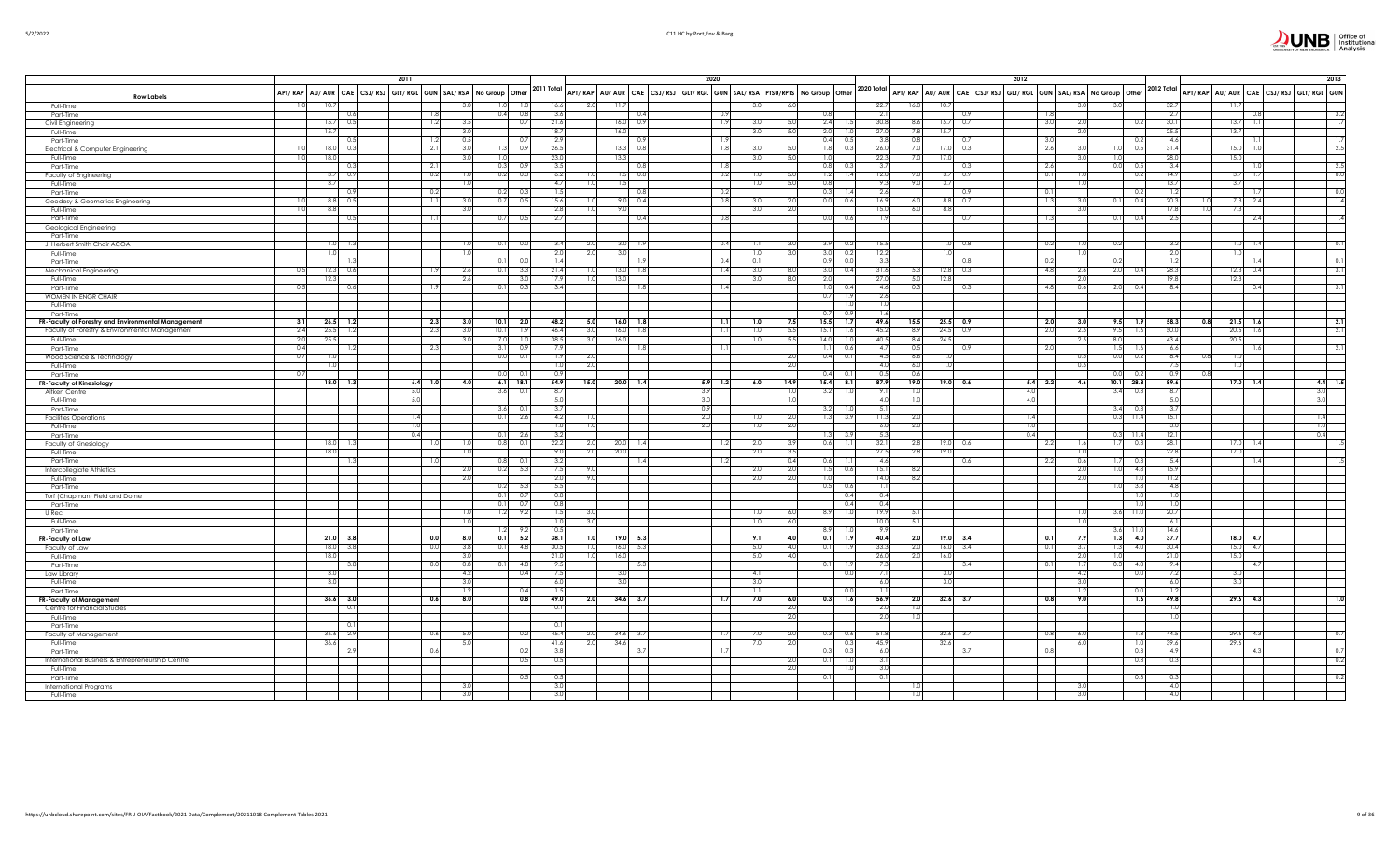|                                                                                                      |                |                           | 2011             |            |                                                                               |              |                                                                         | 2020             |                          |                           |                |                                                                                    | 2012       |            |                           |                         |                        |      | 2013                                         |
|------------------------------------------------------------------------------------------------------|----------------|---------------------------|------------------|------------|-------------------------------------------------------------------------------|--------------|-------------------------------------------------------------------------|------------------|--------------------------|---------------------------|----------------|------------------------------------------------------------------------------------|------------|------------|---------------------------|-------------------------|------------------------|------|----------------------------------------------|
| <b>Row Labels</b>                                                                                    |                |                           |                  |            | APT/RAP   AU/AUR   CAE   CSJ/RSJ   GLT/RGL   GUN   SAL/RSA   No Group   Other | 2011 Total   | APT/RAP AU/AUR CAE CSJ/RSJ GLT/RGL GUN SAL/RSA PTSU/RPTS No Group Other |                  |                          | 2020 Total                |                | APT/ RAP   AU/ AUR   CAE   CSJ/ RSJ   GLT/ RGL   GUN   SAL/ RSA   No Group   Other |            |            |                           | 2012 Total              |                        |      | APT/RAP AU/AUR CAE CSJ/RSJ GLT/RGL GUN       |
| Full-Time                                                                                            |                | 10.7                      |                  | 3.0        | 1.0<br>1.0                                                                    | 16.6         | -11.                                                                    |                  | 3.0<br>6.0               |                           | 22.7           | 16.0<br>10.7                                                                       |            |            |                           |                         | 32.7                   | 11.7 |                                              |
| Part-Time                                                                                            |                | 0.6<br>0.5                | 1.8              | 3.5        | 0.4<br>0.8<br>0.7                                                             | 3.6<br>21.6  | (1.4)<br>-16.                                                           | 0.9              | 3.0<br>5.0               | 0.8<br>2.4                | $-2.1$<br>30.8 | 0.9<br>0.7                                                                         |            | 1.8        |                           |                         | 2.7<br>30.1            | 13.7 | 3.2<br>-1,7                                  |
| Civil Engineering<br>Full-Time                                                                       |                | 15.7<br>15.7              | 1.2              | 3.0        |                                                                               | 18.7         | 16.                                                                     | 1.9              | 5.0<br>3.0               | 2.0                       | 27.1           | 8.6<br>15.7<br>7.8<br>15.7                                                         |            | 3.0        |                           |                         | 25.5                   | 13.7 |                                              |
| Part-Time                                                                                            |                |                           | 1.2              | 0.5        |                                                                               | 2.9          |                                                                         |                  |                          | 0.4<br>0.5                | $-3.5$         | 0.8                                                                                |            | 3.0        |                           |                         | 4.6                    |      | -15                                          |
| Electrical & Computer Engineering                                                                    |                | 18.0<br>0.3               | 2.1              | 3.0        | 0.9<br>1.3                                                                    | 26.5         | 13.                                                                     | 1.8              | 3.0                      | 1.8<br>5.0<br>0.3         | 26.0           | 7.0<br>$17.0\ 0.3$                                                                 |            | 2.6        |                           | 0.5                     | 31.4                   | 15.0 | $-2.5$                                       |
| Full-Time                                                                                            |                | 18.0                      |                  | 3.0        | 1.0                                                                           | 23.0         | 13.3                                                                    |                  | 3.0<br>5.0               | 1.0                       | 22.3           | 7.0<br>17.0                                                                        |            |            |                           |                         | 28.0                   | 15.0 |                                              |
| Part-Time                                                                                            |                | 0.3                       | 2.1              |            | 0.3<br>0.9                                                                    | 3.5          |                                                                         | 1.8              |                          | $0.8$ 0.3                 | 3.7            | 0.3                                                                                |            | 2.6        | 0.0                       | 0.5                     | 3.4                    |      | $-2.5$                                       |
| Faculty of Engineering                                                                               |                | $3.7 - 0.9$               | 0.2              | 1.0        | 0.2<br>0.3                                                                    | 6.2          | 0.8                                                                     | 0.2              | 5.0<br>1.0               | $1.2$ 1.4                 | 12.0           | $3.7$ 0.9<br>9.0                                                                   |            | 0.1        |                           | 0.2                     | 14.9                   |      | 0.0<br>$3.7 - 1.7$                           |
| Full-Time                                                                                            |                | 3.7                       |                  |            |                                                                               | 4.7          |                                                                         |                  | 5.0<br>1.0               | 0.8                       | -9.            | 9.0<br>3.7                                                                         |            |            |                           |                         | 13.7                   | 3.7  |                                              |
| Part-Time                                                                                            |                | 0.9                       | 0.2              |            | 0.2<br>- 0.3                                                                  | 1.5          |                                                                         | 0.2              |                          | 0.3                       | -2.6           | 0.9                                                                                |            | 0.1        |                           |                         | 1.2                    |      | 0.0                                          |
| Geodesy & Geomatics Engineering                                                                      |                | 8.8 0.5                   | 1.1              | 3.0        | 0.7<br>0.5                                                                    | 15.6         | 0.4                                                                     | 0.8              | 3.0<br>2.0               | 0.0<br>0.6                | 16.9           | $8.8\qquad 0.7$<br>6.0                                                             |            | 1.3        | 0.1                       | 0.4                     | 20.3                   |      | $^{-1.4}$<br>$7.3$ 2.4                       |
| Full-Time                                                                                            |                | 8.8<br>0.5                | $\overline{1.1}$ | 3.0        | $0.7\ 0.5$                                                                    | 12.8<br>2.7  | 9.0                                                                     | 0.8              | 3.0<br>2.0               | 0.0 0.6                   | 15.0           | 6.0<br>8.8                                                                         |            | 1.3        | 3.0                       | 0.4                     | 17.8<br>1.0<br>2.5     | 7.3  | $\overline{\phantom{a}}$                     |
| Part-Time                                                                                            |                |                           |                  |            |                                                                               |              | 0.4                                                                     |                  |                          |                           |                | 0.7                                                                                |            |            | 0.1                       |                         |                        |      | 2.4                                          |
| Geological Engineering<br>Part-Time                                                                  |                |                           |                  |            |                                                                               |              |                                                                         |                  |                          |                           |                |                                                                                    |            |            |                           |                         |                        |      |                                              |
| J. Herbert Smith Chair ACOA                                                                          |                | 1.0                       |                  |            | 0.1<br>0.0                                                                    | 3.4          |                                                                         | 0.4              | 3.0<br>1.1               | 3.9<br>0.2                | 15.5           | $1.0\ 0.8$                                                                         |            | 0.2        | 0.:                       |                         | 3.2                    | 1.0  | 0.1<br>$\frac{1}{4}$                         |
| Full-Time                                                                                            |                |                           |                  | 1.0        |                                                                               | 2.0          |                                                                         |                  | 3.0<br>1.0               | 0.2                       | 12.2           |                                                                                    |            |            |                           |                         | 2.0                    |      |                                              |
| Part-Time                                                                                            |                |                           |                  |            | 0.1<br>0.1                                                                    | 1.4          |                                                                         | 0.4              | 0.1                      | $\frac{3.0}{0.9}$<br>0.C  | 3.3            | 0.8                                                                                |            | 0.2        | 0.2                       |                         | 1.2                    |      | 0.1                                          |
| Mechanical Engineering                                                                               | - 0.5          | 0.6<br>12.3               |                  | 2.6        | 0.1<br>3.3                                                                    | 21.4         | -13.                                                                    | 1.4              | 3.0<br>8.0               | 3.0<br>0.4                | 31.6           | $12.8$ 0.3<br>5.3                                                                  |            | 4.8        | 2.0<br>2.6                |                         | 28.3                   |      | 3.1<br>$12.3$ 0.4                            |
| Full-Time                                                                                            |                | 12.3                      |                  | 2.6        | 3.0                                                                           | 17.9         | $\overline{13}$<br>-1.0                                                 |                  | 3.0<br>8.0               | 2.0                       | 27.0           | 5.0<br>12.8                                                                        |            |            | 2.0                       |                         | 19.8                   | 12.3 |                                              |
| Part-Time                                                                                            | 0.5            | 0.6                       | 1.9              |            | 0.3<br>0.1                                                                    | 3.4          |                                                                         | 1.4              |                          | $1.0$ 0.4                 | 4.6            | 0.3<br>0.3                                                                         |            | 4.8        | 2.0<br>0.6                | 0.4                     | 8.4                    |      | 3.1<br>0.4                                   |
| WOMEN IN ENGR CHAIR                                                                                  |                |                           |                  |            |                                                                               |              |                                                                         |                  |                          | $0.7$ 1.9                 | 2.6            |                                                                                    |            |            |                           |                         |                        |      |                                              |
| Full-Time                                                                                            |                |                           |                  |            |                                                                               |              |                                                                         |                  |                          | 1.0                       |                |                                                                                    |            |            |                           |                         |                        |      |                                              |
| Part-Time                                                                                            |                |                           |                  |            |                                                                               |              |                                                                         |                  |                          | 0.7<br>0.9                |                |                                                                                    |            |            |                           |                         |                        |      |                                              |
| FR-Faculty of Forestry and Environmental Management<br>Faculty of Forestry & Environmental Managemen | 3.1<br>2.4     | $26.5$ 1.2<br>25.5<br>1.2 | 2.3<br>2.3       | 3.0<br>3.0 | 10.1<br>2.0<br>10.1<br>1.9                                                    | 48.2<br>46.4 | 5.0<br>16.0<br><b>18</b><br>3.0<br>16.0<br>18                           | 1.1<br>ור        | 7.5<br>1.0<br>1.0<br>5.5 | $15.5$ 1.7<br>15.1<br>1.6 | 49.6<br>45.2   | 15.5<br>$25.5$ 0.9<br>8.9<br>$24.5$ 0.9                                            |            | 2.0<br>2.0 | 9.5<br>2.5<br>9.5         | $\overline{1.5}$<br>1.6 | 58.3<br>0.8<br>50.0    | 20.5 | $21.5$ 1.6<br>$\overline{2}$ .<br>2.1<br>1.6 |
|                                                                                                      | 2.0            | 25.5                      |                  | 3.0        | 7.0<br>1.0                                                                    | 38.5         | 30<br>16.0                                                              |                  | 5.5<br>1.0               | 14.0<br>1.0               | 40.5           | 8.4<br>24.5                                                                        |            |            | 8.0<br>2.5                |                         | 43.4                   | 20.5 |                                              |
| Full-Time<br>Part-Time                                                                               | 0.4            | 1.2                       | 2.3              |            | 3.1<br>0.9                                                                    | 7.9          |                                                                         | $\overline{1.1}$ |                          | 1.1<br>0.6                | $\Delta$       | 0.5<br>0.9                                                                         |            | - 2.0      | 15                        | $\frac{1}{2}$           | 6.6                    |      | 2.1                                          |
| Wood Science & Technology                                                                            | $\overline{0}$ |                           |                  |            | 0.0<br>$-0.1$                                                                 | 1.9          |                                                                         |                  | 2.0                      | $0.4$ 0.1                 | $\overline{A}$ | 6.6                                                                                |            |            | 0.0                       | 0.2                     | 8.4                    |      |                                              |
| Full-Time                                                                                            |                | 1.0                       |                  |            |                                                                               | 1.0          |                                                                         |                  | 2.0                      |                           |                | 6.0<br>1.0                                                                         |            |            |                           |                         | 7.5                    |      |                                              |
| Part-Time                                                                                            | 0.             |                           |                  |            | 0.0<br>- 0.                                                                   | 0.9          |                                                                         |                  |                          | 0.4<br>0.1                | $\Omega$       | 0.6                                                                                |            |            |                           |                         | 0.9                    |      |                                              |
| <b>FR-Faculty of Kinesiology</b>                                                                     |                | 18.0<br>1.3               | $6.4$ 1.0        | 4.0        | $6.1$ 18.1                                                                    | 54.9         | 15.0<br>20.0<br>1.4                                                     | $5.9$ 1.2        | 14.9<br>6.0              | $15.4$ 8.1                | 87.9           | 19.0<br>$19.0\ 0.6$                                                                |            | $5.4$ 2.2  | 10.1<br>4.6               | 28.8                    | 89.6                   |      | $4.4$ 1.5<br>$17.0$ 1.4                      |
| Aitken Centre                                                                                        |                |                           | 5.0              |            | 3.6<br>0.1                                                                    | 8.7          |                                                                         | 3.9              |                          | $3.2$ 1.0<br>1.0          | - 9.           | 1.0                                                                                | 4.0        |            | 3.4                       | 0.3                     | 8.7                    |      | 3.0                                          |
| Full-Time                                                                                            |                |                           | 5.0              |            |                                                                               | 5.0          |                                                                         | 3.0              |                          | 1.0                       | $-4.0$         | 1.0                                                                                | 4.0        |            |                           |                         | 5.0                    |      | 3.0                                          |
| Part-Time                                                                                            |                |                           |                  |            | $3.6\qquad 0.1$                                                               | 3.7          |                                                                         | 0.9              |                          | $3.2$ 1.0                 | - 5.           |                                                                                    |            |            | 3.4                       |                         | 3.7                    |      |                                              |
| <b>Facilities Operations</b>                                                                         |                |                           | 1.4              |            | $0.1$ 2.6                                                                     | 4.2          |                                                                         | 2.0              | 2.0                      | $1.3$ 3.9                 | 11.            | 2.0                                                                                | 1.4        |            | 0.3                       | 11.4                    | 15.1                   |      | 1.4                                          |
| Full-Time                                                                                            |                |                           | 1.0<br>0.4       |            | $0.1$ 2.6                                                                     | 1.0<br>3.2   |                                                                         | 2.0              | 2.0<br>1.0               | $1.3\qquad 3.9$           | - 6.0<br>- 5.3 | 2.0                                                                                | 1.0<br>0.4 |            | 0.3                       |                         | 3.0<br>12.1            |      | 1.0<br>0.4                                   |
| Part-Time<br>Faculty of Kinesiology                                                                  |                | $18.0$ 1.3                | 1.0              | 1.0        | 0.8<br>0.1                                                                    | 22.2         | 20.0<br>2.0                                                             | 1.2              | 2.0<br>3.9               | $0.6$ 1.1                 | 32.1           | 2.8<br>$19.0\ 0.6$                                                                 |            | 2.2        | 1.7<br>1.6                | 0.3                     | 28.1                   | 17.0 | -13<br>1.4                                   |
| Full-Time                                                                                            |                | 18.0                      |                  | 1.0        |                                                                               | 19.0         | 2.0<br>20.0                                                             |                  | 2.0<br>3.5               |                           | 27.5           | 2.8<br>19 <sub>c</sub>                                                             |            |            |                           |                         | 22.8                   | 17.0 |                                              |
| Part-Time                                                                                            |                | 1.3                       | 1.0              |            | $0.8$ 0.1                                                                     | 3.2          |                                                                         | 1.2              | 0.4                      | 0.6<br>$\mathbf{1}$       | 4.6            | 0.6                                                                                |            | 2.2        | 0.6                       | - 0.3                   | 5.4                    |      |                                              |
| Intercollegiate Athletics                                                                            |                |                           |                  | 2.0        | 0.2<br>5.3                                                                    | 7.5          |                                                                         |                  | 2.0<br>2.0               | 1.5<br>0.6                | 15.            | 8.2                                                                                |            |            |                           | -4.8                    | 15.9                   |      |                                              |
| Full-Time                                                                                            |                |                           |                  | 2.0        |                                                                               | 2.0          | 9.                                                                      |                  | 2.0<br>2.0               | 1.0                       | 14.0           | 8.2                                                                                |            |            |                           |                         | 11.2                   |      |                                              |
| Part-Time                                                                                            |                |                           |                  |            | 0.2<br>- 5.3                                                                  | 5.5          |                                                                         |                  |                          | 0.5<br>0.6                |                |                                                                                    |            |            |                           | 3.8                     | 4.8                    |      |                                              |
| Turf (Chapman) Field and Dome                                                                        |                |                           |                  |            | 0.1<br>0.7                                                                    | 0.8          |                                                                         |                  |                          | 0.4                       | 0.4            |                                                                                    |            |            |                           | $\pm$                   | 1.0                    |      |                                              |
| Part-Time                                                                                            |                |                           |                  |            | 0.1<br>0.7                                                                    | 0.8          |                                                                         |                  |                          | 0.4                       | $\Omega$       |                                                                                    |            |            |                           |                         | 1.0                    |      |                                              |
| U Rec                                                                                                |                |                           |                  | 1.0        | $1.2$ 9.2                                                                     | 11.5<br>חו   |                                                                         |                  | 1.0<br>6.0               | $8.9$ 1.0                 | 19.<br>10.1    | 5.1                                                                                |            |            | $\overline{11.0}$<br>3.61 |                         | 20.7                   |      |                                              |
| Full-Time<br>Part-Time                                                                               |                |                           |                  | 1.0        | 1.2<br>9.2                                                                    | 10.5         |                                                                         |                  | 6.0<br>1.0               | 8.9                       |                | 5.1                                                                                |            |            | 3.6                       |                         | 6.1<br>14.6            |      |                                              |
| FR-Faculty of Law                                                                                    |                | $21.0$ 3.8                | 0.0              | 8.0        | $0.1$ 5.2                                                                     | 38.1         | 19.0<br>5.3<br>1.0                                                      |                  | 9.1                      | 0.1<br>4.0<br>$-1.9$      | 40.4           | 2.0<br>$19.0\ 3.4$                                                                 |            | 0.1        | 1.3                       | 4.0                     | 37.7                   |      | $18.0$ 4.7                                   |
| Faculty of Law                                                                                       |                | $18.0$ 3.8                | 0.0              | 3.8        | 0.1<br>4.8                                                                    | 30.5         | 16.0<br>5.3<br>1.0                                                      |                  | 5.0                      | 4.0<br>0.1<br>1.9         | 33.3           | 2.0<br>$16.0\qquad 3.4$                                                            |            | 0.1        | 1.3<br>3.7                | 4(                      | 30.4                   |      | $15.0$ 4.7                                   |
| Full-Time                                                                                            |                | 18.0                      |                  | 3.0        |                                                                               | 21.0         | 16.0                                                                    |                  | 5.0<br>4.0               |                           | 26.0           | 2.0<br>16.0                                                                        |            |            | 2.0<br>1.0                |                         | 21.0                   | 15.0 |                                              |
| Part-Time                                                                                            |                | 3.8                       | 0.0              | 0.8        | 0.1<br>4.8                                                                    | 9.5          | - 5.3                                                                   |                  |                          | $0.1$ 1.9                 | $\overline{7}$ | 3.4                                                                                |            | 0.1        | 0.3<br>17                 | 40                      | 9.4                    |      | -4.7                                         |
| Law Library                                                                                          |                | 3.0                       |                  | 4.2        | 0.4                                                                           | 7.5          |                                                                         |                  | $-4.1$                   | 0.0                       | $\overline{7}$ | 3.0                                                                                |            |            | 4.2                       | 0.0                     | 7.2                    | 3.0  |                                              |
| Full-Time                                                                                            |                | 3.0                       |                  | 3.0        |                                                                               | 6.0          |                                                                         |                  | 3.0                      |                           | -6.0           | 3.0                                                                                |            |            |                           |                         | 6.0                    | 3.0  |                                              |
| Part-Time                                                                                            |                |                           |                  | 1.2        | 0.4                                                                           | 1.5          |                                                                         |                  | 1.1                      |                           |                |                                                                                    |            |            |                           |                         | $\overline{1.2}$       |      |                                              |
| FR-Faculty of Management                                                                             |                | $36.6$ 3.0                | 0.6              | 8.0        | 0.8                                                                           | 49.0         | 34.6<br>2.0<br>3.7                                                      | 1.7              | 7.0                      | $0.3$ 1.6<br>6.0          | 56.9           | $32.6$ 3.7<br>2.0                                                                  |            | 0.8        |                           | 7.6                     | 49.8                   |      | $29.6$ 4.3                                   |
| Centre for Financial Studies                                                                         |                | 0.1                       |                  |            |                                                                               | 0.1          |                                                                         |                  |                          | 2.0                       | -2.0<br>-2.0   | 1.0<br>1.0                                                                         |            |            |                           |                         | 1.0<br>$\overline{10}$ |      |                                              |
| Full-Time                                                                                            |                | 0.1                       |                  |            |                                                                               | 0.1          |                                                                         |                  | 2.0                      |                           |                |                                                                                    |            |            |                           |                         |                        |      |                                              |
| Part-Time<br>Faculty of Management                                                                   |                | $36.6$ 2.9                | 0.6              | 5.0        | 0.2                                                                           | 45.4         | 34.6<br>-31                                                             | 1.7              | 7.0                      | 0.3 0.6<br>2.0            | 51.            | 32.6 3.7                                                                           |            | 0.8        | -60                       |                         | 44.5                   |      | 29.6 4.3<br>0.7                              |
| Full-Time                                                                                            |                | 36.6                      |                  | 5.0        |                                                                               | 41.6         | 34.6<br>2.0                                                             |                  | 7.0<br>2.0               | 0.3                       | 45.9           | 32.6                                                                               |            |            | 6.0                       |                         | 39.6                   | 29.6 |                                              |
| Part-Time                                                                                            |                | 2.9                       | 0.6              |            | 0.2                                                                           | 3.8          |                                                                         |                  |                          | 0.3<br>0.3                | 6.0            | 3.7                                                                                |            | 0.8        |                           | $\Omega$ :              | -4.9                   |      | 0.7                                          |
| International Business & Entrepreneurship Centre                                                     |                |                           |                  |            | 0.5                                                                           | 0.5          |                                                                         |                  | 2.0                      | 0.1                       | -3.            |                                                                                    |            |            |                           | 0.3                     | 0.3                    |      | $\overline{0.2}$                             |
| Full-Time                                                                                            |                |                           |                  |            |                                                                               |              |                                                                         |                  |                          | 2.0<br>$\overline{1.0}$   | 3(             |                                                                                    |            |            |                           |                         |                        |      |                                              |
| Part-Time                                                                                            |                |                           |                  |            | 0.5                                                                           | 0.5          |                                                                         |                  |                          | 0.1                       | $\Omega$       |                                                                                    |            |            |                           |                         | 0.3                    |      | 0.2                                          |
| <b>International Programs</b>                                                                        |                |                           |                  | 3.0        |                                                                               | 3.0          |                                                                         |                  |                          |                           |                | 1.0                                                                                |            |            |                           |                         | 4.0                    |      |                                              |
| Full-Time                                                                                            |                |                           |                  | 3.0        |                                                                               | 3.0          |                                                                         |                  |                          |                           |                | 1.0                                                                                |            |            | 3.0                       |                         | 4.0                    |      |                                              |

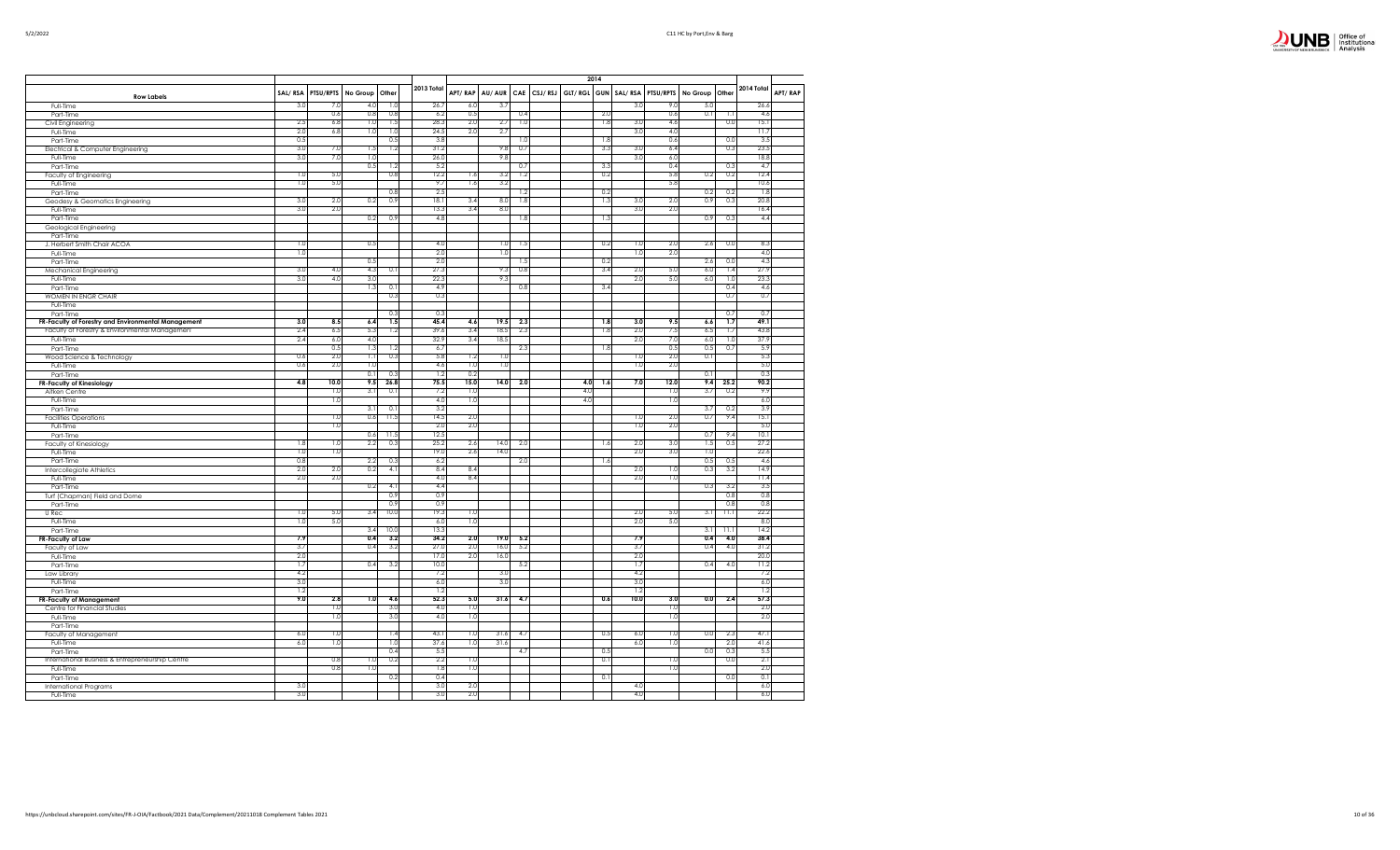

|                                                     |            |            |                         |            |              |            |              |            | 2014                |            |                |            |            |            |                          |         |
|-----------------------------------------------------|------------|------------|-------------------------|------------|--------------|------------|--------------|------------|---------------------|------------|----------------|------------|------------|------------|--------------------------|---------|
| <b>Row Labels</b>                                   | SAL/RSA    | PTSU/RPTS  | No Group                | Other      | 2013 Total   | APT/RAP    | AU/AUR       |            | CAE CSJ/RSJ GLT/RGL |            | GUN SAL/RSA    | PTSU/RPTS  | No Group   | Other      | 2014 Total               | APT/RAP |
| Full-Time                                           | 3.0        | 7.0        | 4.0                     | 1.0        | 26.7         | 6.0        | 3.7          |            |                     |            | 3.0            | 9.0        | 5.0        |            | 26.6                     |         |
| Part-Time<br>Civil Engineering                      | 2.5        | 0.6<br>6.8 | 0.8<br>1.0              | 0.8<br>1.5 | 6.2<br>28.3  | 0.5<br>2.0 | 2.7          | 0.4<br>1.0 |                     | 2.0<br>1.8 | 3.0            | 0.6<br>4.6 | 0.1        | 1.1<br>0.0 | 4.6<br>15.1              |         |
| Full-Time                                           | 2.0        | 6.8        | 1.0                     | 1.0        | 24.5         | 2.0        | 2.7          |            |                     |            | 3.0            | 4.0        |            |            | 11.7                     |         |
| Part-Time                                           | 0.5        |            |                         | 0.5        | 3.8          |            |              | 1.0        |                     | 1.8        |                | 0.6        |            | 0.0        | 3.5                      |         |
| Electrical & Computer Engineering                   | 3.0        | 7.0        | 1.5                     | 1.2        | 31.2         |            | 9.8          | 0.7        |                     | 3.3        | 3.0            | 6.4        |            | 0.3        | 23.5                     |         |
| Full-Time                                           | 3.0        | 7.0        | 1.0                     |            | 26.0         |            | 9.8          |            |                     | 33         | 3.0            | 6.0<br>0.4 |            |            | 18.8                     |         |
| Part-Time<br>Faculty of Engineering                 | 1.0        | 5.0        | 0.5                     | 1.2<br>0.8 | 5.2<br>12.2  | 1.6        | 3.2          | 0.7<br>1.2 |                     | 0.2        |                | 5.8        | 0.2        | 0.3<br>0.2 | 4.7<br>12.4              |         |
| Full-Time                                           | 1.0        | 5.0        |                         |            | 9.7          | 1.6        | 3.2          |            |                     |            |                | 5.8        |            |            | 10.6                     |         |
| Part-Time                                           |            |            |                         | 0.8        | 2.5          |            |              | 1.2        |                     | 0.2        |                |            | 0.2        | 0.2        | 1.8                      |         |
| Geodesy & Geomatics Engineering                     | 3.0        | 2.0        | 0.2                     | 0.9        | 18.1         | 3.4        | 8.0          | 1.8        |                     | 1.3        | 3.0            | 2.0        | 0.9        | 0.3        | 20.8                     |         |
| Full-Time                                           | 3.0        | 2.0        |                         |            | 13.3         | 3.4        | 8.0          |            |                     |            | 3.0            | 2.0        |            |            | 16.4                     |         |
| Part-Time                                           |            |            | 0.2                     | 0.9        | 4.8          |            |              | 1.8        |                     | -1.3       |                |            | 0.9        | 0.3        | 4.4                      |         |
| Geological Engineering<br>Part-Time                 |            |            |                         |            |              |            |              |            |                     |            |                |            |            |            |                          |         |
| J. Herbert Smith Chair ACOA                         | 1.0        |            | 0.5                     |            | 4.0          |            | 1.0          | 1.5        |                     | 0.2        | 1.0            | 2.0        | 2.6        | 0.0        | 8.3                      |         |
| Full-Time                                           | 1.0        |            |                         |            | 2.0          |            | 1.0          |            |                     |            | 1.0            | 2.0        |            |            | 4.0                      |         |
| Part-Time                                           |            |            | 0.5                     |            | 2.0          |            |              | 1.5        |                     | 0.2        |                |            | 2.6        | 0.0        | 4.3                      |         |
| Mechanical Engineering                              | 3.0        | 4.0        | 4.3                     | 0.1        | 27.3         |            | 9.3          | 0.8        |                     | 3.4        | 2.0            | 5.0        | 6.0        | 1.4        | 27.9                     |         |
| Full-Time                                           | 3.0        | 4.0        | 3.0                     |            | 22.3         |            | 9.3          |            |                     |            | 2.0            | 5.0        | 6.0        | 1.0        | 23.3                     |         |
| Part-Time<br>WOMEN IN ENGR CHAIR                    |            |            | 1.3                     | 0.1<br>0.3 | 4.9<br>0.3   |            |              | 0.8        |                     | 3.4        |                |            |            | 0.4<br>0.7 | 4.6<br>0.7               |         |
| Full-Time                                           |            |            |                         |            |              |            |              |            |                     |            |                |            |            |            |                          |         |
| Part-Time                                           |            |            |                         | 0.3        | 0.3          |            |              |            |                     |            |                |            |            | 0.7        | 0.7                      |         |
| FR-Faculty of Forestry and Environmental Management | 3.0        | 8.5        | 6.4                     | 1.5        | 45.4         | 4.6        | 19.5         | 2.3        |                     | 1.8        | 3.0            | 9.5        | 6.6        | 1.7        | 49.1                     |         |
| Faculty of Forestry & Environmental Management      | 2.4        | 6.5        | 5.3                     | 1.2        | 39.6         | 3.4        | 18.5         | 2.3        |                     | 1.8        | 2.0            | 7.5        | 6.5        | 1.7        | 43.8                     |         |
| Full-Time                                           | 2.4        | 6.0        | 4.0                     |            | 32.9         | 3.4        | 18.5         |            |                     |            | 2.0            | 7.0        | 6.0        | 1.0        | 37.9                     |         |
| Part-Time<br>Wood Science & Technology              | 0.6        | 0.5<br>2.0 | 1.3<br>$\overline{1,1}$ | 1.2<br>0.3 | 6.7<br>5.8   | 1.2        | 1.0          | 2.3        |                     | 1.8        | 1.0            | 0.5<br>2.0 | 0.5<br>0.1 | 0.7        | 5.9<br>5.3               |         |
| Full-Time                                           | 0.6        | 2.0        | 1.0                     |            | 4.6          | 1.0        | 1.0          |            |                     |            | 1.0            | 2.0        |            |            | 5.0                      |         |
| Part-Time                                           |            |            | 0.1                     | 0.3        | 1.2          | 0.2        |              |            |                     |            |                |            | 0.1        |            | 0.3                      |         |
| <b>FR-Faculty of Kinesiology</b>                    | 4.8        | 10.0       | 9.5                     | 26.8       | 75.5         | 15.0       | 14.0         | 2.0        | 4.0                 | 1.6        | 7.0            | 12.0       | 9.4        | 25.2       | 90.2                     |         |
| Aitken Centre                                       |            | 1.0        | 3.1                     | 0.1        | 7.2          | 1.0        |              |            | 4.0                 |            |                | 1.0        | 3.7        | 0.2        | 9.9                      |         |
| Full-Time                                           |            | 1.0        | 3.1                     | 0.1        | 4.0<br>3.2   | 1.0        |              |            | 4.0                 |            |                | 1.0        | 3.7        | 0.2        | 6.0<br>3.9               |         |
| Part-Time<br><b>Facilities Operations</b>           |            | 1.0        | 0.6                     | 11.5       | 14.5         | 2.0        |              |            |                     |            | 1.0            | 2.0        | 0.7        | 9.4        | 15.1                     |         |
| Full-Time                                           |            | 1.0        |                         |            | 2.0          | 2.0        |              |            |                     |            | 1.0            | 2.0        |            |            | 5.0                      |         |
| Part-Time                                           |            |            | 0.6                     | 11.5       | 12.5         |            |              |            |                     |            |                |            | 0.7        | 9.4        | 10.1                     |         |
| <b>Faculty of Kinesiology</b>                       | 1.8        | 1.0        | 2.2                     | 0.3        | 25.2         | 2.6        | 14.0         | 2.0        |                     | 1.6        | 2.0            | 3.0        | 1.5        | 0.5        | 27.2                     |         |
| Full-Time                                           | 1.0        | 1.0        |                         |            | 19.0         | 2.6        | 14.0         |            |                     |            | 2.0            | 3.0        | 1.0        |            | 22.6                     |         |
| Part-Time                                           | 0.8<br>2.0 | 2.0        | 2.2<br>0.2              | 0.3<br>4.1 | 6.2<br>8.4   | 8.4        |              | 2.0        |                     | 1.6        | 20             | 1.0        | 0.5<br>0.3 | 0.5<br>3.2 | 4.6<br>14.9              |         |
| Intercollegiate Athletics<br>Full-Time              | 2.0        | 2.0        |                         |            | 4.0          | 8.4        |              |            |                     |            | 2.0            | 1.0        |            |            | 11.4                     |         |
| Part-Time                                           |            |            | 0.2                     | 4.1        | 4.4          |            |              |            |                     |            |                |            | 0.3        | 3.2        | 3.5                      |         |
| Turf (Chapman) Field and Dome                       |            |            |                         | 0.9        | 0.9          |            |              |            |                     |            |                |            |            | 0.8        | 0.8                      |         |
| Part-Time                                           |            |            |                         | 0.9        | 0.9          |            |              |            |                     |            |                |            |            | 0.8        | 0.8                      |         |
| U Rec                                               | 1.0<br>1.0 | 5.0<br>5.0 | 3.4                     | 10.0       | 19.3<br>6.0  | 1.0<br>1.0 |              |            |                     |            | 2.0<br>2.0     | 5.0<br>5.0 | 3.1        | 11.1       | 22.2<br>8.0              |         |
| Full-Time<br>Part-Time                              |            |            | 3.4                     | 10.0       | 13.3         |            |              |            |                     |            |                |            | 3.1        | 11.1       | 14.2                     |         |
| FR-Faculty of Law                                   | 7.9        |            | 0.4                     | 3.2        | 34.2         | 2.0        | 19.0         | 5.2        |                     |            | 7.9            |            | 0.4        | 4.0        | 38.4                     |         |
| Faculty of Law                                      | 3.7        |            | 0.4                     | 3.2        | 27.0         | 2.0        | 16.0         | 5.2        |                     |            | 3.7            |            | 0.4        | 4.0        | 31.2                     |         |
| Full-Time                                           | 2.0        |            |                         |            | 17.0         | 2.0        | 16.0         |            |                     |            | 2.0            |            |            |            | 20.0                     |         |
| Part-Time                                           | 1.7        |            | 0.4                     | 3.2        | 10.0         |            |              | 5.2        |                     |            | 15             |            | 0.4        | 4.0        | 11.2                     |         |
| Law Library                                         | 4.2<br>3.0 |            |                         |            | 7.2<br>6.0   |            | 3.0<br>3.0   |            |                     |            | 4.2<br>3.0     |            |            |            | 7.2<br>6.0               |         |
| Full-Time<br>Part-Time                              | 1.2        |            |                         |            | 1.2          |            |              |            |                     |            | 1 <sup>2</sup> |            |            |            | $\overline{\phantom{a}}$ |         |
| <b>FR-Faculty of Management</b>                     | 9.0        | 2.8        | 1.0                     | 4.6        | 52.3         | 5.0        | 31.6         | 4.7        |                     | 0.6        | 10.0           | 3.0        | 0.0        | 2.4        | 57.3                     |         |
| Centre for Financial Studies                        |            | 1.0        |                         | 3.0        | 4.0          | 1.0        |              |            |                     |            |                | 1.0        |            |            | 2.0                      |         |
| Full-Time                                           |            | 1.0        |                         | 3.0        | 4.0          | 1.0        |              |            |                     |            |                | 1.0        |            |            | 2.0                      |         |
| Part-Time                                           |            |            |                         |            |              |            |              |            |                     |            |                |            |            |            |                          |         |
| Faculty of Management                               | 6.0<br>6.0 | 1.0<br>1.0 |                         | 1.4<br>1.0 | 43.1<br>37.6 | 1.0<br>1.0 | 31.6<br>31.6 | 4.7        |                     | 0.5        | 6.0<br>6.0     | 1.0<br>1.0 | 0.0        | 2.3<br>2.0 | 47.1<br>41.6             |         |
| Full-Time<br>Part-Time                              |            |            |                         | 0.4        | 5.5          |            |              | 4.7        |                     | 0.5        |                |            | 0.0        | 0.3        | 5.5                      |         |
| International Business & Entrepreneurship Centre    |            | 0.8        | 1.0                     | 0.2        | 2.2          | 1.0        |              |            |                     | 0.1        |                | 1.0        |            | 0.0        | 2.1                      |         |
| Full-Time                                           |            | 0.8        | 1.0                     |            | 1.8          | 1.0        |              |            |                     |            |                | 1.0        |            |            | 2.0                      |         |
| Part-Time                                           |            |            |                         | 0.2        | 0.4          |            |              |            |                     | 0.1        |                |            |            | 0.0        | 0.1                      |         |
| <b>International Programs</b>                       | 3.0<br>3.0 |            |                         |            | 3.0          | 2.0<br>2.0 |              |            |                     |            | 4.0<br>4.0     |            |            |            | 6.0                      |         |
| Full-Time                                           |            |            |                         |            | 3.0          |            |              |            |                     |            |                |            |            |            | 6.0                      |         |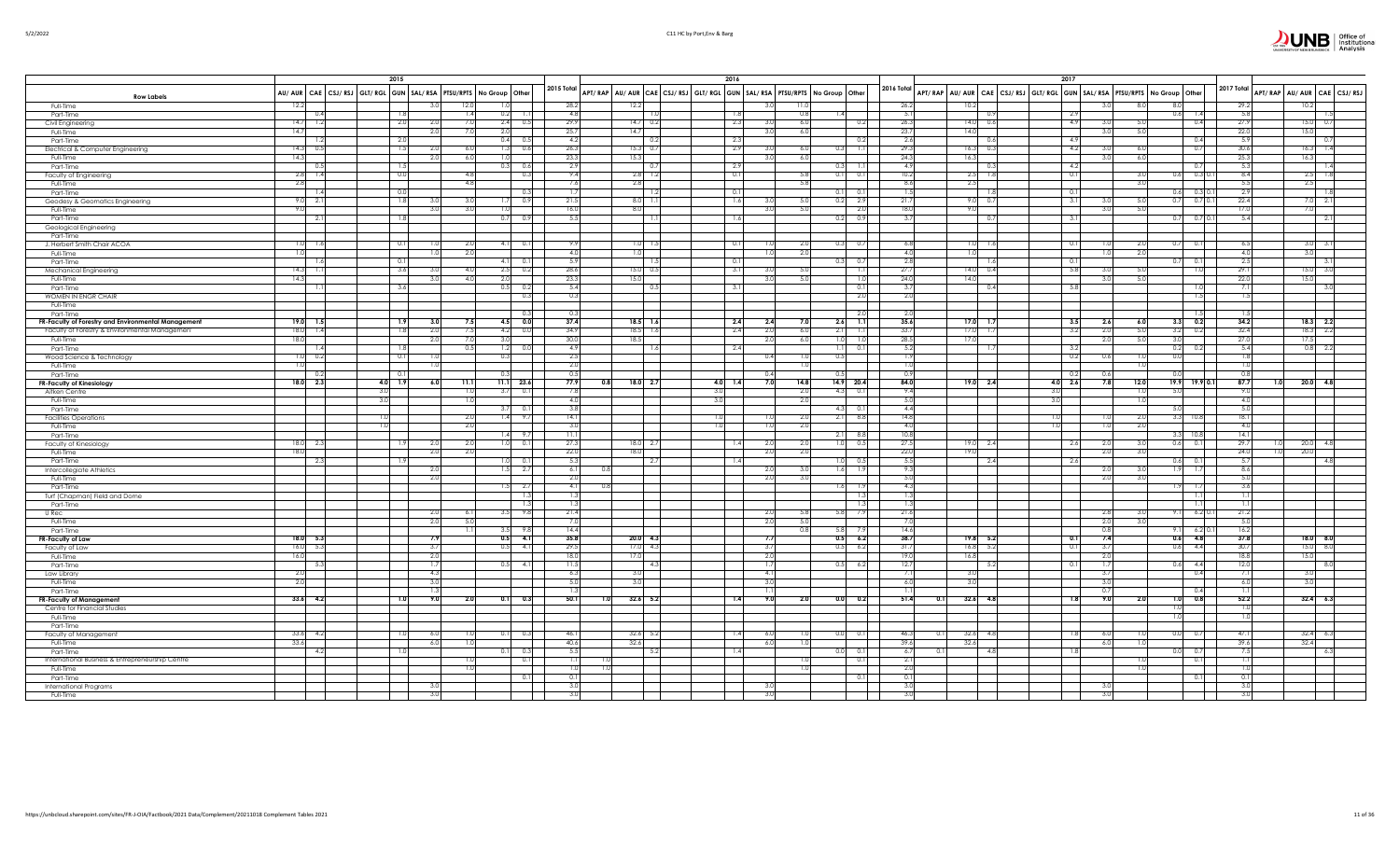|                                                               |                    |                  | 2015                                                                                |            |                              |                  |                |                                                                         | 2016        |                |            |                                       |                         |                    |          | 2017                                                                    |                          |                                      |                                              |                |                              |
|---------------------------------------------------------------|--------------------|------------------|-------------------------------------------------------------------------------------|------------|------------------------------|------------------|----------------|-------------------------------------------------------------------------|-------------|----------------|------------|---------------------------------------|-------------------------|--------------------|----------|-------------------------------------------------------------------------|--------------------------|--------------------------------------|----------------------------------------------|----------------|------------------------------|
| <b>Row Labels</b>                                             |                    |                  | AU/ AUR   CAE   CSJ/ RSJ   GLT/ RGL   GUN   SAL/ RSA   PTSU/RPTS   No Group   Other |            |                              |                  | 2015 Total     | APT/RAP AU/AUR CAE CSJ/RSJ GLT/RGL GUN SAL/RSA PTSU/RPTS No Group Other |             |                |            |                                       | 2016 Total              |                    |          | APT/RAP AU/AUR CAE CSJ/RSJ GLT/RGL GUN SAL/RSA PTSU/RPTS No Group Other |                          |                                      | 2017 Total                                   |                | APT/RAP AU/AUR CAE CSJ/RSJ   |
| Full-Time                                                     | 12.2               |                  |                                                                                     |            | 121<br>1.01                  |                  | 28.2           | 12.2                                                                    |             |                |            |                                       | 26.2                    | 10.2               |          |                                                                         | . R C                    | 8.0                                  | 29.2                                         | 10.2           |                              |
| Part-Time                                                     | $14.7$ 1.2         | 0.4              | -1.8<br>2.0                                                                         | 2.0        | 0.2<br>-1.4<br>- 7.0         | $2.4\qquad 0.5$  | 4.8<br>29.9    | $14.7 \quad 0.2$                                                        | 2.3         |                | 0.8<br>6.0 | 1.4<br>0.2                            | 5.1<br>26.3             | $14.0\ 0.6$        |          | 2.9<br>4.9                                                              | 5.0<br>3.0               | 0.6<br>1.4<br>0.4                    | 5.8<br>27.9                                  | 15.0           | 0.7                          |
| Civil Engineering<br>Full-Time                                | 14.7               |                  |                                                                                     | 2.0        | 2.0<br>7 <sup>7</sup>        |                  | 25.7           | 14.7                                                                    |             | 3.0            | 6.0        |                                       | 23.7                    | 14.0               |          |                                                                         | 3.0<br>5.0               |                                      | 22.0                                         | 15.0           |                              |
| Part-Time                                                     |                    | 1.2              | 2.0                                                                                 |            |                              | $0.4\qquad 0.5$  | 4.2            | 0.2                                                                     | 2.3         |                |            | 0.2                                   | 2.6                     |                    |          | 4.9                                                                     |                          | 0.4                                  | 5.9                                          |                | $\Omega$                     |
| Electrical & Computer Engineering                             | $14.3$ 0.5         |                  | 1.5                                                                                 | 2.0        | 1.3<br>-6.0                  | 0.6              | 26.3           | $15.3$ 0.7                                                              | 2.9         | 30             | 6.0        | 0.3<br>$\overline{1.1}$               | 29.3                    | $16.3$ 0.3         |          | 4.2                                                                     | 3.0<br>6.0               | 0.7                                  | 30.6                                         | 16.3           | $\overline{\phantom{a}}$     |
| Full-Time                                                     | 14.3               |                  |                                                                                     | 2.0        | 1.0<br>-6.0                  |                  | 23.3           | 15.3                                                                    |             | 3.0            | 6.0        |                                       | 24.3                    | 16.3               |          |                                                                         | 3.0<br>6.0               |                                      | 25.3                                         | 16.3           |                              |
| Part-Time<br>Faculty of Engineering                           | 2.8                | $\Omega$         | 0.0                                                                                 |            | 0.3                          | 0.6<br>0.3       | 2.9<br>9.4     | $2.8$ 1.2                                                               | -2.9<br>0.1 |                | 5.8        | 0.3<br>0.1<br>0.1                     | 4.9<br>10.2             | 2.5                |          | 4.2<br>0.1                                                              | 3.0                      | 0.7<br>$0.3$ 0.1<br>0.6              | 5.3<br>8.4                                   | 2.5            |                              |
| Full-Time                                                     | 2.8                |                  |                                                                                     |            |                              |                  | 7.6            | 2.8                                                                     |             |                | 5.8        |                                       | 8.6                     | 2.5                |          |                                                                         |                          |                                      | 5.5                                          | 2.5            |                              |
| Part-Time                                                     |                    |                  |                                                                                     |            |                              | 0.3              | 1.7            | -1.2                                                                    | 0.1         |                |            | 0.1                                   | T.                      |                    |          | 0.1                                                                     |                          | 0.6<br>0.310.                        | 2.9                                          |                |                              |
| Geodesy & Geomatics Engineering                               | $9.0\ 2.1$         |                  | 1.8                                                                                 | 3.0        | -3.0                         | $1.7\ 0.9$       | 21.5           | $8.0$ 1.1                                                               | 1.6         | 3.0            | 5.0        | 0.2<br>2.9                            | 21.7                    | $9.0\ 0.3$         |          | 3.1                                                                     | - 5.0<br>3.0             | $0.7$ 0.7 0.1                        | 22.4                                         |                | $7.0\quad 2.1$               |
| Full-Time                                                     | 9.0                |                  |                                                                                     | 3.0        | 30<br>T.0                    |                  | 16.0           | 8.0                                                                     |             | 3.0            | 5.0        | 2.0                                   | 18.0                    | 9.0                |          |                                                                         | 5.0<br>3.0               |                                      | 17.0                                         | 7.0            |                              |
| Part-Time                                                     |                    | $\overline{2}$ . | 1.8                                                                                 |            | 0.7                          | 0.9              | 5.5            |                                                                         | 1.6         |                |            | 0.2 0.9                               | 3.7                     |                    |          | 3.1                                                                     |                          | 0.7 <sub>1</sub><br>$0.7\,0.1$       | 5.4                                          |                | 2.1                          |
| Geological Engineering<br>Part-Time                           |                    |                  |                                                                                     |            |                              |                  |                |                                                                         |             |                |            |                                       |                         |                    |          |                                                                         |                          |                                      |                                              |                |                              |
| J. Herbert Smith Chair ACOA                                   | $1.0$ 1.6          |                  | 0.1                                                                                 | 1.0        |                              | $4.1 \qquad 0.1$ | 9.9            | $1.0$ 1.5                                                               | 0.1         |                | 2.0        | $0.3\qquad 0.7$                       | 6.8                     | 1.0                |          | 0.1                                                                     | 2.0<br>1.0               | $0.7\qquad 0.1$                      | -6.5                                         |                | $3.0\quad 3.$                |
| Full-Time                                                     | 1.0                |                  |                                                                                     | 1.0        | $-2.0$                       |                  | 4.0            | 1.0                                                                     |             | 1.0            | 2.0        |                                       | 4.0                     | 1.0                |          |                                                                         | 1.0<br>2.0               |                                      | 4.0                                          | 3.0            |                              |
| Part-Time                                                     |                    | 1.6              | 0.1                                                                                 |            |                              | $4.1$ 0.1        | 5.9            | 1.5                                                                     | 0.1         |                |            | $0.3\qquad 0.7$                       | 2.8                     |                    |          | 0.1                                                                     |                          | 0.7<br>0.1                           | 2.5                                          |                | 3.1                          |
| Mechanical Engineering                                        | $14.3$ 1.1         |                  | 3.6                                                                                 | 3.0        | -4.0                         | $2.5$ 0.2        | 28.6           | $15.0\ 0.5$                                                             | 3.1         | -3.0           | 5.0        | 1.1                                   | 27.7                    | $14.0\ 0.4$        |          | 5.8                                                                     | 3.0<br>5.0               | 1.0                                  | 29.1                                         |                | $15.0$ 3.0                   |
| Full-Time                                                     | 14.3               |                  | 3.6                                                                                 | 3.0        | 2.0<br>$\overline{4}$<br>0.5 |                  | 23.3<br>5.4    | 15.0<br>0.5                                                             | 3.1         | 3.0            | 5.0        |                                       | 24.0<br>3.7             | 14.0               |          | 5.8                                                                     | 3.0<br>5.0               |                                      | 22.0                                         | 15.0           | 3(                           |
| Part-Time<br>WOMEN IN ENGR CHAIR                              |                    |                  |                                                                                     |            |                              | 0.2<br>0.3       | 0.3            |                                                                         |             |                |            | 0.1<br>2.0                            | 2.0                     |                    |          |                                                                         |                          | 1.0<br>1.5                           |                                              |                |                              |
| Full-Time                                                     |                    |                  |                                                                                     |            |                              |                  |                |                                                                         |             |                |            |                                       |                         |                    |          |                                                                         |                          |                                      |                                              |                |                              |
| Part-Time                                                     |                    |                  |                                                                                     |            |                              | 0.3              | 0.3            |                                                                         |             |                |            | 2.0                                   | 2.0                     |                    |          |                                                                         |                          | 1.51                                 |                                              |                |                              |
| FR-Faculty of Forestry and Environmental Management           | $19.0$ 1.5         |                  | 7.9                                                                                 | 3.0        | 7.5                          | $4.5\qquad 0.0$  | 37.4           | $18.5$ 1.6                                                              | 2.4         | 2.4            | 7.0        | 7.1<br>2.6                            | 35.6                    | $17.0$ 1.          |          | 3.5                                                                     | 2.6<br>6.0               | $3.3\qquad 0.2$                      | 34.2                                         |                | $18.3$ 2.2                   |
| Faculty of Forestry & Environmental Management                | $18.0$ 1.4<br>18.0 |                  | 1.8                                                                                 | 2.0<br>2.0 | 7:<br>3.0                    | $4.2\qquad 0.0$  | 34.9<br>30.0   | $18.5$ 1.6<br>18.5                                                      | 2.4         | 2.0<br>2.0     | 6.0        | 1.1<br>2.11                           | 33.7<br>28.5            | $17.0$ 1.<br>17.0  |          | 3.2                                                                     | 5.0<br>2.0<br>2.0<br>5.0 | $3.2$ 0.2                            | 32.4<br>27.0                                 | 17.5           | $18.3$ 2.2                   |
| Full-Time<br>Part-Time                                        |                    | 1/2              | 1.8                                                                                 |            |                              | 1.2<br>0.0       | 4.9            | 1.6                                                                     | 2.4         |                | 6.0        | 1.0<br>1.0<br>0.1<br>$1.1 \mathsf{I}$ | 5.2                     |                    |          | 3.2                                                                     |                          | 3.0<br>$0.2$ 0.2                     | 5.4                                          | 0.8            | - 2.2                        |
| Wood Science & Technology                                     | $1.0 \ 0.2$        |                  | 0.1                                                                                 | 1.0        | 0.3                          |                  | 2.5            |                                                                         |             | 0.4            |            | 0.5                                   | 1.9                     |                    |          | 0.2                                                                     | 0.6                      | 0.0                                  | 1.8                                          |                |                              |
| Full-Time                                                     | 1.0                |                  |                                                                                     | 1.0        |                              |                  | 2.0            |                                                                         |             |                | 1.0        |                                       | $\overline{1.0}$        |                    |          |                                                                         | 1.0                      |                                      | 1.0                                          |                |                              |
| Part-Time                                                     |                    | 0.2              | - 01                                                                                |            | 0.3                          |                  | 0.5            |                                                                         |             | 0.4            |            | 0.5                                   | 0.9                     |                    |          | 0.2                                                                     | 0.6                      | 0.0                                  | 0.8                                          |                |                              |
| <b>FR-Faculty of Kinesiology</b>                              | 18.0 2.3           |                  | $4.0$ 1.9                                                                           | 6.0        | 11.1                         | $11.1$ 23.6      | 77.9<br>7.8    | 0.8<br>18.0 2.7                                                         | $4.0$ 1.4   | 7.0            | 14.8       | 14.9 20.4                             | 84.0                    | 19.0 2.4           |          | $4.0\begin{array}{ c c } 2.6 \end{array}$                               | 7.8<br>12.0              | $19.9$ 19.9 0.1                      | 87.7                                         |                | $20.0$ 4.8                   |
| Aitken Centre<br>Full-Time                                    |                    |                  | 3.0<br>3.0                                                                          |            | 3.7                          | 0.1              | 4.0            |                                                                         | 3.C         |                | 2.0<br>2.0 | 4.3<br>0.1                            | 9.4<br>-5.0             |                    |          | 3.0<br>3.0                                                              |                          | 5.0                                  | 4(                                           |                |                              |
| Part-Time                                                     |                    |                  |                                                                                     |            | 3.7                          |                  | 3.8            |                                                                         |             |                |            | 4.3<br>0.1                            | 4.4                     |                    |          |                                                                         |                          | 5.0                                  | 5.0                                          |                |                              |
| <b>Facilities Operations</b>                                  |                    |                  | I .O                                                                                |            | 1.4<br>$-2.0$                | - 9.7            | 14.1           |                                                                         | 1.0         |                | 2.0        | 2.1<br>8.8                            | 14.8                    |                    |          | 1.0                                                                     | 2.0<br>1.0               | 3.3<br>10.8                          | 18.1                                         |                |                              |
| Full-Time                                                     |                    |                  | 1.0                                                                                 |            | 2.0                          |                  | 3.0            |                                                                         | 1.0         | 1.0            | 2.0        |                                       | 4.0                     |                    |          | 1.0                                                                     | 1.0<br>2.0               |                                      | 4.0                                          |                |                              |
| Part-Time                                                     |                    |                  |                                                                                     |            |                              | $1.4$ 9.7        | 11.1           |                                                                         |             |                |            | 8.8<br>2.11                           | 10.8                    |                    |          |                                                                         |                          | $3.3$ 10.8                           | 14.1                                         |                |                              |
| <b>Faculty of Kinesiology</b><br>Full-Time                    | $18.0$ 2.<br>18.0  |                  | -1.9                                                                                | 2.0<br>2.0 | -2.0<br>2.0                  | $1.0$ 0.1        | 27.3<br>22.0   | 18.0 2.7<br>18.0                                                        | 1.4         | 2.0<br>2.0     | 2.0<br>2.0 | 0.5<br>1.0                            | 27.5<br>22.0            | $19.0$ 2.4<br>19.0 |          | 2.6                                                                     | 2.0<br>3.0<br>2.0<br>3.0 | $0.6$ 0.1                            | 29.7<br>24.0                                 | 20.0<br>20.0   | 4.8                          |
| Part-Time                                                     |                    | - 2.             | - 1.9                                                                               |            |                              | $1.0 \ 0.1$      | 5.3            | 2.7                                                                     | 1.4         |                |            | 0.5<br>LO.I                           | 5.5                     |                    |          | 2.6                                                                     |                          | $0.6$ 0.1                            | 5.7                                          |                | $\Delta$ 3                   |
| Intercollegiate Athletics                                     |                    |                  |                                                                                     | 2.0        |                              | $1.5$ 2.7        | 6.1            |                                                                         |             | 2.0            | 3.0        | 1.6<br>1.9                            | 9.3                     |                    |          |                                                                         | 2.0<br>3.0               | $1.9$ 1.7                            | 8.6                                          |                |                              |
| Full-Time                                                     |                    |                  |                                                                                     | 2.0        |                              |                  | 2.0            |                                                                         |             | 2.0            | 3.0        |                                       | 5.0                     |                    |          |                                                                         | 2.0<br>3.0               |                                      | 5.0                                          |                |                              |
| Part-Time                                                     |                    |                  |                                                                                     |            |                              | 1.5<br>2.7       | 4.1            | 0.8                                                                     |             |                |            | 1.6<br>1.9                            | 4.3                     |                    |          |                                                                         |                          | 1.9<br>1.7                           | 3.6                                          |                |                              |
| Turf (Chapman) Field and Dome<br>Part-Time                    |                    |                  |                                                                                     |            |                              | 1.3<br>1.3       | 1.3<br>1.3     |                                                                         |             |                |            | 1.3<br>1.3                            | $\overline{1.3}$<br>1.3 |                    |          |                                                                         |                          | $\overline{1.1}$<br>$\overline{1.1}$ | $\overline{1.1}$<br>$\overline{\phantom{0}}$ |                |                              |
| U Rec                                                         |                    |                  |                                                                                     | 2.0        | -6.                          | 9.8<br>3.5       | 21.4           |                                                                         |             |                | 5.8        |                                       | 21.6                    |                    |          |                                                                         | 2.8                      | $6.2$ 0.                             | 21.2                                         |                |                              |
| Full-Time                                                     |                    |                  |                                                                                     | 2.0        |                              |                  | 7 <sup>1</sup> |                                                                         |             | 2.0            | 5.0        |                                       |                         |                    |          |                                                                         |                          |                                      | 51                                           |                |                              |
| Part-Time                                                     |                    |                  |                                                                                     |            | 3.5                          | 9.8              | 14.4           |                                                                         |             |                | 0.8        |                                       | 14.6                    |                    |          | 0.8                                                                     |                          | $6.2$ 0                              | 16.2                                         |                |                              |
| FR-Faculty of Law                                             | 18.0 5.3           |                  |                                                                                     | 7.9        |                              | $0.5$ 4.1        | 35.8           | $20.0$ 4.3                                                              |             | 7.7            |            | 0.5<br>6.2                            | 38.7                    | $19.8$ 5.2         |          | 0.1                                                                     | 7.4                      | 4.8<br>0.6                           | 37.8                                         | 18.0           | $\overline{\phantom{0}}$ 8.0 |
| Faculty of Law                                                | 16.0               | - 5.             |                                                                                     | 3.7<br>2.0 | 0.5                          | 4.1              | 29.5<br>18.0   | $17.0\quad 4.3$<br>17.0                                                 |             | 3.7            |            | 0.5<br>6.2                            | 31.7<br>19 <sub>c</sub> | 16.8<br>16.8       |          | 0.1                                                                     | 3.7                      | 0.6<br>4.4                           | 30.7<br>18.8                                 | 15.0           | 8.0                          |
| Full-Time<br>Part-Time                                        | 16.0               | - 53             |                                                                                     | 1.7        |                              | $0.5$ 4.1        | 11.5           | 4.3                                                                     |             | 2.0<br>-1.7    |            | $0.5$ 6.2                             | 12.7                    |                    | -5.2     | 0.1                                                                     | 2.0<br>1.7               | $0.6$ 4.4                            | 12.0                                         | 15.0           | - 8.0                        |
| Law Library                                                   | 2.0                |                  |                                                                                     | 4.3        |                              |                  | 6.3            | 3.0                                                                     |             | 4.1            |            |                                       | 7.                      | 3.0                |          |                                                                         | 3.7                      | 0.4                                  | 7.1                                          |                |                              |
| Full-Time                                                     | 2.0                |                  |                                                                                     | 3.0        |                              |                  | 5.0            | 3.0                                                                     |             | 3 <sub>c</sub> |            |                                       | 6.0                     | 3.0                |          |                                                                         | 3.0                      |                                      | 6.0                                          | 3 <sub>c</sub> |                              |
| Part-Time                                                     |                    |                  |                                                                                     | 1.3        |                              |                  | 1.3            |                                                                         |             |                |            |                                       |                         |                    |          |                                                                         | 0.7                      | 0.4                                  |                                              |                |                              |
| <b>FR-Faculty of Management</b>                               | $33.6$ 4.2         |                  | 1.0                                                                                 | 9.0        |                              | $0.1$ 0.3        | 50.1           | $32.6$ 5.2                                                              | 1.4         | 9.0            | 2.0        | 0.2<br>0.0                            | 51.4                    | $32.6$ 4.8<br>0.1  |          | 1.8                                                                     | 9.0<br>2.0               | 0.8<br>$\overline{1.0}$<br>1.0       | 52.2<br>1.0                                  |                | 32.46.3                      |
| Centre for Financial Studies<br>Full-Time                     |                    |                  |                                                                                     |            |                              |                  |                |                                                                         |             |                |            |                                       |                         |                    |          |                                                                         |                          | 1.0                                  | $\overline{10}$                              |                |                              |
| Part-Time                                                     |                    |                  |                                                                                     |            |                              |                  |                |                                                                         |             |                |            |                                       |                         |                    |          |                                                                         |                          |                                      |                                              |                |                              |
| Faculty of Management                                         | $33.6$ 4.          |                  | 1.0                                                                                 | 6.0        | 0.1                          | 0.3              | 46.1           | 32.6 5.2                                                                | 1.4         | - 6.0          | 1.0        | 0.0<br>0.1                            | 46.3                    | 32.6<br>0.1        | $\Delta$ | 1.8                                                                     | 6.0                      | 0.0<br>- 0.7                         | 47.                                          | 32.4           | - 6.3                        |
| Full-Time                                                     | 33.6               |                  |                                                                                     | 6.0        |                              |                  | 40.6           | 32.6                                                                    |             | 6.0            |            |                                       | 39.6                    | 32.6               |          | 6.0                                                                     |                          |                                      | 39.6                                         | 32.4           |                              |
| Part-Time<br>International Business & Entrepreneurship Centre |                    | 4.2              |                                                                                     |            | 0.1                          | 0.3              | 5.5<br>1.1     | 5.2                                                                     |             |                | 1.0        | 0.1<br>0.1                            | 6.7<br>$-2.1$           |                    |          |                                                                         |                          | 0.0<br>0.7                           | 7.5<br>$\overline{11}$                       |                | - 6.                         |
| Full-Time                                                     |                    |                  |                                                                                     |            |                              | 0.1              | 1.0            |                                                                         |             |                | 1.0        |                                       | -2.0                    |                    |          |                                                                         |                          | 0.11                                 | 1 <sup>c</sup>                               |                |                              |
| Part-Time                                                     |                    |                  |                                                                                     |            |                              | 0.1              | 0.1            |                                                                         |             |                |            | 0.1                                   | 0.1                     |                    |          |                                                                         |                          | 0.1                                  | 0.1                                          |                |                              |
| <b>International Programs</b>                                 |                    |                  |                                                                                     | 3.0        |                              |                  | 3.0            |                                                                         |             |                |            |                                       | 3.0                     |                    |          |                                                                         | 3.0                      |                                      | $\overline{3}$                               |                |                              |
| Full-Time                                                     |                    |                  |                                                                                     |            |                              |                  |                |                                                                         |             |                |            |                                       |                         |                    |          |                                                                         |                          |                                      |                                              |                |                              |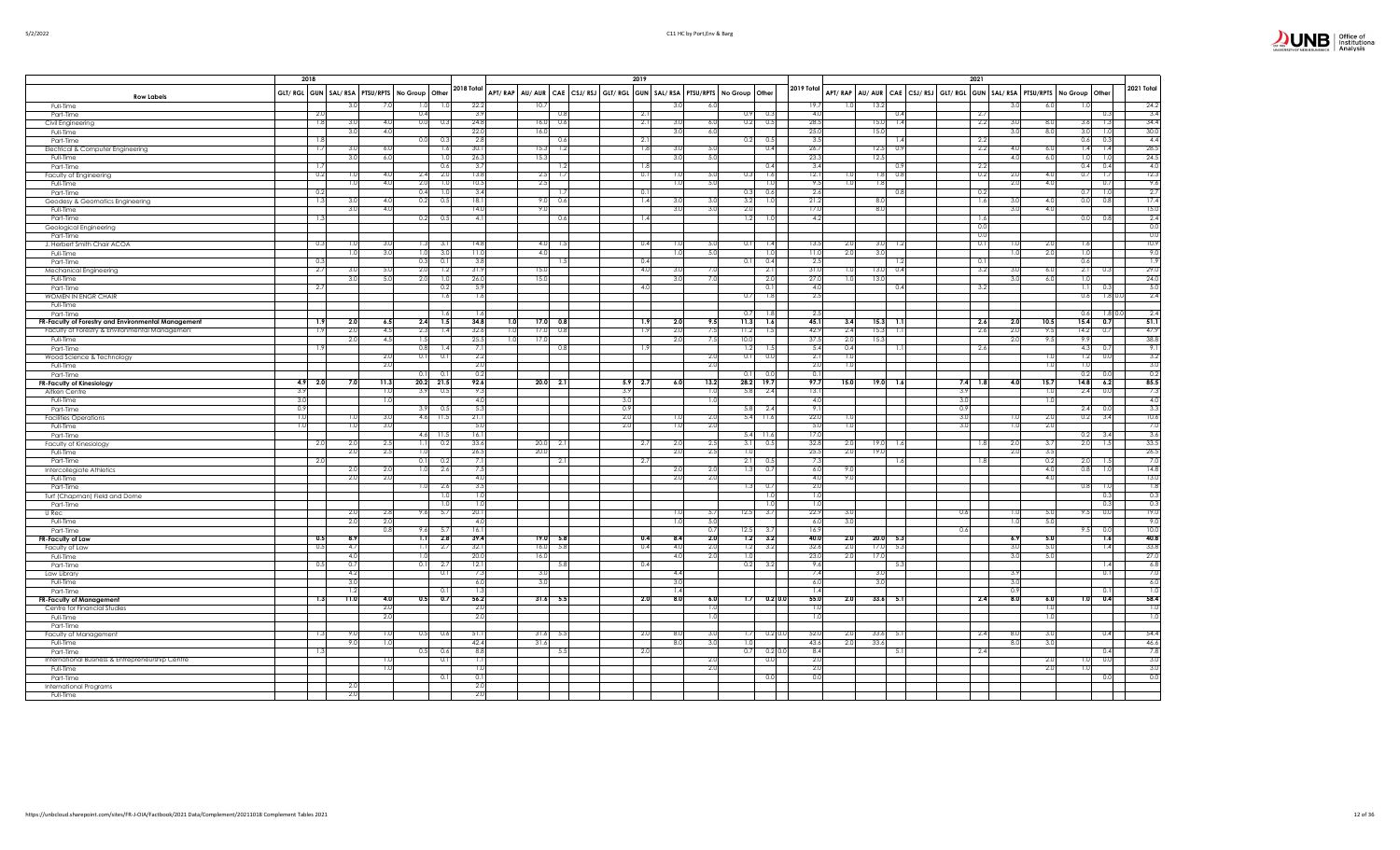|                                                               |            | 2018            |                                                        |                           |                 |     |                 |            |            | 2019           |            |                                                                         |                           |                 |            |                          |            | 2021           |                       |                                                                                           |                           |
|---------------------------------------------------------------|------------|-----------------|--------------------------------------------------------|---------------------------|-----------------|-----|-----------------|------------|------------|----------------|------------|-------------------------------------------------------------------------|---------------------------|-----------------|------------|--------------------------|------------|----------------|-----------------------|-------------------------------------------------------------------------------------------|---------------------------|
| <b>Row Labels</b>                                             |            |                 | GLT/ RGL GUN   SAL/ RSA   PTSU/RPTS   No Group   Other |                           | 2018 Total      |     |                 |            |            |                |            | APT/RAP AU/AUR CAE CSJ/RSJ GLT/RGL GUN SAL/RSA PTSU/RPTS No Group Other |                           | 2019 Total      |            |                          |            |                |                       | APT/RAP   AU/AUR   CAE   CSJ/RSJ   GLT/RGL   GUN   SAL/RSA   PTSU/RPTS   No Group   Other | 2021 Total                |
| Full-Time                                                     |            |                 | 3.0<br>7.0                                             | 1.0<br>1.0                | 22.2            |     | 10.7            |            |            |                | 3.0        | -6.0                                                                    |                           | 19.7            | 1.0        | 13.2                     |            |                | $\overline{3}$<br>6.0 |                                                                                           | 24.2                      |
| Part-Time                                                     |            | 2.0             |                                                        | 0.4                       | 3.9             |     |                 | 0.8        |            | $\overline{2}$ |            |                                                                         | 0.3<br>0.9                | 4.0             |            | 0.4                      |            | 2.7            |                       |                                                                                           | 3.4<br>0.3                |
| Civil Engineering                                             |            | 1.8             | 3.0<br>4.0                                             | 0.0<br>0.3                | 24.8            |     | 16.0            | 0.6        |            | $-2.1$         | 3.0        | -6.0                                                                    | 0.2<br>0.5                | 28.5            |            | 15.0<br>1.4              |            | 2.2            | 3.0<br>8.0            | 3.6                                                                                       | 34.4<br>1.3               |
| Full-Time                                                     |            |                 | 3.0<br>4.0                                             |                           | 22.0            |     | 16.0            |            |            |                | 3.0        | 6.0                                                                     |                           | 25.0            |            | 15.0                     |            |                | 3(<br>8.0             | 3.0                                                                                       | 30.0<br>1.0               |
| Part-Time                                                     |            | 1.8             |                                                        | 0.0<br>0.3                | 2.8             |     |                 | 0.6        |            | 2.1            |            |                                                                         | 0.2<br>0.5                | 3.5             |            | 1.4                      |            | $-2.2$         |                       | 0.6                                                                                       | 4.4<br>0.3                |
| Electrical & Computer Engineering                             |            | 1.7             | 3.0<br>6.0                                             | 1.6                       | 30.1            |     | 15.3            | 1.2        |            | 1.8            | 3.0        | - 5.0                                                                   | 0.4                       | 26.7            |            | 12.5<br>0.9              |            | 2.2            | 4(<br>6.0             | 1.4                                                                                       | 28.5<br>1.4               |
| Full-Time                                                     |            |                 | 3.0<br>6.0                                             | $\overline{10}$           | 26.3            |     | 15.3            |            |            |                | 3.0        | 5.0                                                                     |                           | 23.3            |            | 12.5                     |            |                | 4(<br>6.0             | 1.0                                                                                       | 24.5<br>1.0               |
| Part-Time                                                     |            |                 |                                                        | 0.6<br>2.0<br>2.4         | 3.7<br>13.8     |     |                 | 1.2<br>1.7 |            | 1.8<br>0.1     |            | 5.0                                                                     | 0.4                       | 3.4<br>12.1     |            | 0.9<br>0.8<br>1.8        |            | 2.2            | 2(                    | 0.4                                                                                       | 0.4<br>4.0                |
| Faculty of Engineering                                        |            | 0.2             | 4.0<br>1.0<br>1.0<br>4.0                               | 2.0<br>1.0                | 10.5            |     | 2.5<br>2.5      |            |            |                | 1.0<br>1.0 | -5.0                                                                    | 0.3<br>1.6<br>1.0         | 9.5             | 1.0<br>1.0 | 1.8                      |            | 0.2            | 20                    | 4.0<br>0.7<br>4.0                                                                         | 12.3<br>1.7<br>9.6<br>0.7 |
| Full-Time<br>Part-Time                                        |            | 0.2             |                                                        | 0.4<br>$\overline{1.0}$   | 3.4             |     |                 | 1.7        |            | 0.1            |            |                                                                         | 0.3<br>0.6                | 2.6             |            | 0.8                      |            | 0.2            |                       | 0.7                                                                                       | 2.7<br>1.0                |
| Geodesy & Geomatics Engineering                               |            | 1.3             | 3.0<br>4.0                                             | 0.2<br>0.5                | 18.1            |     | 9.0             | 0.6        |            | 1.4            | 3.0        | 3.0                                                                     | 3.2<br>1.0                | 21.2            |            | 8.0                      |            | 1.6            | 3.                    | 0.0<br>4.0                                                                                | 17.4<br>0.8               |
| Full-Time                                                     |            |                 | 3.0<br>4.0                                             |                           | 14.0            |     | 9.0             |            |            |                | 3.0        | 3.0                                                                     | 2.0                       | 17.0            |            | 8.0                      |            |                | 3(<br>4.0             |                                                                                           | 15.0                      |
| Part-Time                                                     |            | $\overline{13}$ |                                                        | 0.2<br>0.5                | $\overline{4}$  |     |                 | 0.6        |            | 1.4            |            |                                                                         | 1.2<br>1.0                | 4.2             |            |                          |            | 1.6            |                       | 0.0                                                                                       | 2.4<br>0.8                |
| Geological Engineering                                        |            |                 |                                                        |                           |                 |     |                 |            |            |                |            |                                                                         |                           |                 |            |                          |            | 0.0            |                       |                                                                                           | 0.0                       |
| Part-Time                                                     |            |                 |                                                        |                           |                 |     |                 |            |            |                |            |                                                                         |                           |                 |            |                          |            | 0.0            |                       |                                                                                           | 0.0                       |
| J. Herbert Smith Chair ACOA                                   |            | 0.3             | 1.0<br>3.0                                             | 1.31<br>3.                | 14.8            |     | 4.0             | 1.5        |            | 0.4            | 1.0        | $-5.1$                                                                  | 0.1<br>1.4                | 13.5            | 2.0        | 3.0<br>1.2               |            | 0.1            | 2.0<br>ъ,             | 1.6                                                                                       | 10.9                      |
| Full-Time                                                     |            |                 | 3.0<br>1.0                                             | 3.0<br>1.0                | 11.0            |     | 4.0             |            |            |                | 1.0        | 5.0                                                                     |                           | 11.0            | 2.0        | 3.0                      |            |                | 2.0<br>1.             | 1.0                                                                                       | 9.0                       |
| Part-Time                                                     |            | 0.3             |                                                        | 0.3<br>0.1                | 3.8             |     |                 | 1.5        |            | 0.4            |            |                                                                         | 0.4<br>0.1                | 2.5             |            |                          |            | $\mathbf{0}$ . |                       | 0.6                                                                                       | 1.9                       |
| Mechanical Engineering                                        |            | 2.7             | 3.0<br>5.0                                             | 2.0<br>1.2                | 31.9            |     | 15 <sub>c</sub> |            |            | 4.0            | 3.0        | 7.1                                                                     | 2.1                       | 31.0            | 1.0        | 0.4<br>13.0              |            | 3.2            | 3(<br>6.0             | 2.1                                                                                       | 29.0<br>0.3               |
| Full-Time                                                     |            |                 | 3.0<br>5.0                                             | 2.0<br>1.0                | 26.0            |     | 15.0            |            |            |                | 3.0        | 7.1                                                                     | 2.0                       | 27.0            | 1.0        | 13.0                     |            |                | $\overline{3}$<br>6.0 | 1.0                                                                                       | 24.0                      |
| Part-Time                                                     |            | 2.7             |                                                        | 0.2                       | 5.9             |     |                 |            |            | 4.0            |            |                                                                         | 0.1                       | 4.0<br>2.5      |            | 0.4                      |            | 3.2            |                       | $\overline{1.1}$                                                                          | 5.0<br>0.3<br>2.4         |
| WOMEN IN ENGR CHAIR<br>Full-Time                              |            |                 |                                                        | 1.6                       | 1.6             |     |                 |            |            |                |            |                                                                         | 0.7<br>1.8                |                 |            |                          |            |                |                       | 0.6                                                                                       | $1.8$ 0.0                 |
| Part-Time                                                     |            |                 |                                                        | 1.6                       |                 |     |                 |            |            |                |            |                                                                         | 0.7                       | 2.5             |            |                          |            |                |                       | 0.6                                                                                       | $1.8 \, 0.0$<br>2.4       |
| FR-Faculty of Forestry and Environmental Management           |            | 1.9             | 2.0<br>6.5                                             | 1.5<br>2.4                | 34.8            | 1.0 | 17.0            | 0.8        |            | 1.9            | 2.0        | 9.5                                                                     | 11.3<br>1.6               | 45.1            | 3.4        | $15.3$ 1.1               |            | 2.6            | 2.0<br>10.5           | 15.4                                                                                      | 51.1<br>0.7               |
| Faculty of Forestry & Environmental Managemen                 |            | 1.9             | 2.0<br>4.5                                             | 2.3<br>1.4                | 32.6            | 1.0 | 17.0            | 0.8        |            | 1.9            | 2.0        | 7.5                                                                     | 11.2<br>1.5               | 42.9            | 2.4        | 15.3<br>$\overline{1.1}$ |            | 2.6            | 2.0<br>9.5            | 14.2                                                                                      | 0.7<br>47.9               |
| Full-Time                                                     |            |                 | 2.0<br>4.5                                             | 1.5                       | 25.5            | 1.0 | 17.0            |            |            |                | 2.0        | 7.5                                                                     | 10.0                      | 37.5            | 2.0        | 15.3                     |            |                | 2(<br>9.5             | 9.9                                                                                       | 38.8                      |
| Part-Time                                                     |            | 1.9             |                                                        | 0.8<br>1.4                |                 |     |                 | 0.8        |            | 1.9            |            |                                                                         | 1.2<br>1.5                | 5.4             | 0.4        | 1.1                      |            | 2.6            |                       | 4.3                                                                                       | 9.1<br>0.7                |
| Wood Science & Technology                                     |            |                 | 2.0                                                    | 0.1<br>0.1                | 2.2             |     |                 |            |            |                |            | 2.0                                                                     | 0.1<br>0.0                | 2.              | 1.0        |                          |            |                | 1.0                   | 1.2                                                                                       | 3.2<br>0.0                |
| Full-Time                                                     |            |                 | 2.0                                                    |                           | 2.0             |     |                 |            |            |                |            | 2.0                                                                     |                           | 2.0             | 1.0        |                          |            |                | 1.0                   | 1 <sup>°</sup>                                                                            | 3.0                       |
| Part-Time                                                     |            |                 |                                                        | 0.1<br>0.1                | 0.2             |     |                 |            |            |                |            |                                                                         | 0.1<br>0.0                | 0.1             |            |                          |            |                |                       | 0.2                                                                                       | 0.2<br>0.0                |
| <b>FR-Faculty of Kinesiology</b>                              | 4.9        | 2.0             | 11.3<br>7.0                                            | 20.2<br>21.5              | 92.6            |     | 20.0            | 2.1        | 5.9        | 2.7            | 6.0        | 13.2                                                                    | 28.2<br>19.7              | 97.7            | 15.0       | 19.0<br>1.6              | 7.4        | 1.8            | 4.0<br>15.7           | 14.8                                                                                      | 85.5<br>6.2               |
| Aitken Centre                                                 | 3.9        |                 | 1.0                                                    | 3.9<br>0.5                | 9.3             |     |                 |            | 3.9        |                |            | $\overline{10}$<br>ℸ                                                    | 5.8<br>2.4                | 13.1            |            |                          | 3.9        |                |                       | 2.4<br>1.0                                                                                | 7.3<br>0.0                |
| Full-Time                                                     | 3.0<br>0.9 |                 | 1.0                                                    |                           | 4.0             |     |                 |            | 3.0        |                |            |                                                                         |                           | 4.0             |            |                          | 3.0        |                |                       | 1.0                                                                                       | 4.0                       |
| Part-Time                                                     | 0. ا       |                 | 3.0<br>1.0                                             | 3.9<br>0.5<br>4.6<br>11.5 | 5.3<br>21.1     |     |                 |            | 0.9<br>2.0 |                | 1.0        | 2.0                                                                     | 5.8<br>2.4<br>5.4<br>11.6 | 9.1<br>22.0     | 1.0        |                          | 0.9<br>3.0 |                | 2.0                   | 2.4                                                                                       | 3.3<br>0.0<br>10.6<br>3.4 |
| <b>Facilities Operations</b><br>Full-Time                     | 1.0        |                 | 1.0<br>3.0                                             |                           | 5.0             |     |                 |            | 2.0        |                | 1.0        | 2.0                                                                     |                           | 5.0             | 1.0        |                          | 3.0        |                | 2.0<br>1.0            | 0.2                                                                                       | 7.0                       |
| Part-Time                                                     |            |                 |                                                        | 4.6<br>11.5               | 16.1            |     |                 |            |            |                |            |                                                                         | $5.4$ 11.6                | 17.0            |            |                          |            |                |                       | 0.2<br>3.4                                                                                | 3.6                       |
| Faculty of Kinesiology                                        |            | 2.0             | 2.0<br>2.5                                             | 0.2<br>1.11               | 33.6            |     | 20.0            | 2.1        |            | 2.7            | 2.0        | 2.5                                                                     | 3.1<br>0.5                | 32.8            | 2.0        | 19.0<br>1.6              |            | -1.8           | $\overline{2}$<br>3.7 | 2.0                                                                                       | 33.5<br>1.5               |
| Full-Time                                                     |            |                 | 2.0<br>2.5                                             | 1.0                       | 26.5            |     | 20.0            |            |            |                | 2.0        | 2.5                                                                     | 1.0                       | 25.5            | 2.0        | 19 <sub>c</sub>          |            |                | $\overline{2}$<br>3.5 |                                                                                           | 26.5                      |
| Part-Time                                                     |            | 2.0             |                                                        | 0.1<br>0.2                | 7.              |     |                 | 2.1        |            | 2.7            |            |                                                                         | 2.1<br>0.5                | 7:              |            | 1.6                      |            |                | 0.2                   | 2.0                                                                                       | 7.0<br>1.5                |
| Intercollegiate Athletics                                     |            |                 | 2.0<br>2.0                                             | 1.0<br>2.6                | 7.5             |     |                 |            |            |                | 2.0        | $\overline{2}$                                                          | 1.3<br>0.7                | 6.0             | 9.C        |                          |            |                | 4.0                   | 0.8                                                                                       | 14.8<br>1.0               |
| Full-Time                                                     |            |                 | 2.0<br>2.0                                             |                           | 4.0             |     |                 |            |            |                | 2.0        | 2.0                                                                     |                           | 4.0             | 9.0        |                          |            |                | 4.0                   |                                                                                           | 13.0                      |
| Part-Time                                                     |            |                 |                                                        | 2.6<br>1.01               | 3.5             |     |                 |            |            |                |            |                                                                         | 1.3<br>0.7                | 2.0             |            |                          |            |                |                       | 0.8                                                                                       | 1.8<br>1.0                |
| Turf (Chapman) Field and Dome                                 |            |                 |                                                        | 1.0                       | $\overline{10}$ |     |                 |            |            |                |            |                                                                         | 1.0                       | 1.0             |            |                          |            |                |                       |                                                                                           | 0.3<br>0.3                |
| Part-Time                                                     |            |                 |                                                        | 1.0                       | 1 <sup>c</sup>  |     |                 |            |            |                |            |                                                                         | 1.0                       | 1.0             |            |                          |            |                |                       |                                                                                           | 0.3<br>0.3                |
| U Rec                                                         |            |                 | 2.0<br>2.8                                             | 5.7<br>9.6                | 20.1<br>4(      |     |                 |            |            |                | 1.0        | -5.                                                                     | 12.5<br>3.7               | 22.9            | 3.0        |                          | 0.6        |                | 5.0                   | 9.5                                                                                       | 19.0<br>0.0<br>9.0        |
| Full-Time                                                     |            |                 | 2.0<br>2.0                                             |                           | 16.1            |     |                 |            |            |                | 1.0        | -5.0                                                                    |                           | 6.0             | 3.0        |                          |            |                | 1.0                   | 5.0                                                                                       | 10.0                      |
| Part-Time                                                     |            | 0.5             | 0.8<br>8.9                                             | 9.6<br>5.7<br>1.1<br>2.8  | 39.4            |     | 19.0            | 5.8        |            | 0.4            | 8.4        | 0.7<br>2.0                                                              | 12.5<br>3.7<br>1.2<br>3.2 | 16.9<br>40.0    | 2.0        | $20.0$ 5.3               | 0.6        |                | 6.9                   | 9.5<br>5.0                                                                                | 0.0<br>40.8<br>1.6        |
| FR-Faculty of Law<br>Faculty of Law                           |            | 0.5             | 4.7                                                    | 2.7<br>1.11               | 32.1            |     | 16.0            | 5.8        |            | 0.4            | 4.0        | 2.0                                                                     | 1.2<br>3.2                | 32.6            | 2.0        | 17.0<br>5.3              |            |                | 3(<br>5.0             |                                                                                           | 1.4<br>33.8               |
| Full-Time                                                     |            |                 | 4.0                                                    |                           | 20.0            |     | 16.0            |            |            |                | 4.0        | 2.0                                                                     | 1.0                       | 23.0            | 2.0        | 17.0                     |            |                | 3(<br>5.0             |                                                                                           | 27.0                      |
| Part-Time                                                     |            | 0.5             | 0.7                                                    | 0.1<br>2.7                | 12.1            |     |                 | 5.8        |            | 0.4            |            |                                                                         | 0.2<br>3.2                | 9.6             |            | -5.3                     |            |                |                       |                                                                                           | 6.8<br>1.4                |
| Law Library                                                   |            |                 | 4.2                                                    | $\mathbf{0}$ .            | 7:              |     | 3.              |            |            |                | 4.4        |                                                                         |                           | 7.4             |            | 3.                       |            |                | $\overline{3}$ .      |                                                                                           | 7.0<br>0.1                |
| Full-Time                                                     |            |                 | 3.0                                                    |                           | 6.0             |     | 3.0             |            |            |                | 3.0        |                                                                         |                           | 6.0             |            | 3.0                      |            |                | 3(                    |                                                                                           | 6.0                       |
| Part-Time                                                     |            |                 | 1.2                                                    | 0.1                       | 1.3             |     |                 |            |            |                | 1.4        |                                                                         |                           | $\overline{14}$ |            |                          |            |                | 0.9                   | 0.1                                                                                       | $\overline{1.0}$          |
| <b>FR-Faculty of Management</b>                               |            | 1.3             | 11.0<br>4.0                                            | 0.7<br>0.5                | 56.2            |     | 31.6            | 5.5        |            | 2.0            | 8.0        | 6.0                                                                     | $0.2$ 0.0<br>1.7          | 55.0            | 2.0        | 33.6<br>5.1              |            | 2.4            | 8.0<br>6.0            | 1.0                                                                                       | 58.4<br>0.4               |
| Centre for Financial Studies                                  |            |                 | 2.0                                                    |                           | 2.0             |     |                 |            |            |                |            | 1.0                                                                     |                           | 1.0             |            |                          |            |                |                       | 1.0                                                                                       | $\overline{1.0}$          |
| Full-Time                                                     |            |                 | 2.0                                                    |                           | 2(              |     |                 |            |            |                |            | π                                                                       |                           | 1.0             |            |                          |            |                | 1.0                   |                                                                                           | 1.0                       |
| Part-Time                                                     |            |                 |                                                        |                           |                 |     |                 |            |            |                |            |                                                                         |                           |                 |            |                          |            |                |                       |                                                                                           |                           |
| Faculty of Management                                         |            | 1.3             | 1.0<br>9.0                                             | 0.5<br>0.6                | 51.             |     | 31.6            | 5.5        |            | 2.0            | 8.0        | 3.0                                                                     | 1.7<br>0.2 0              | 52.0            | 2.0        | 33.6<br>- 5.             |            | 2.4            | 8.<br>3.0             |                                                                                           | 54.4<br>0.4               |
| Full-Time                                                     |            | 1.3             | 9.0<br>1.0                                             | 0.5<br>0.6                | 42.4<br>8.8     |     | 31.6            | 5.5        |            | 2.0            | 8.0        | 3.0                                                                     | 1.0<br>0.7<br>$0.2 \ 0.$  | 43.6<br>8.4     | 2.0        | 33.6<br>5.1              |            | 2.4            | 8.0<br>3.0            |                                                                                           | 46.6<br>7.8<br>0.4        |
| Part-Time<br>International Business & Entrepreneurship Centre |            |                 | 1.0                                                    | 0.1                       | $\mathbf{1}$ .  |     |                 |            |            |                |            | 2.0                                                                     | 0.C                       | 2.0             |            |                          |            |                | 2.0                   | 1.0                                                                                       | 3.0<br>0.0                |
| Full-Time                                                     |            |                 | $\overline{1.0}$                                       |                           | Ъ               |     |                 |            |            |                |            | 2.0                                                                     |                           | 2.0             |            |                          |            |                | 2.0                   |                                                                                           | 3.0                       |
| Part-Time                                                     |            |                 |                                                        | 0.1                       | 0.              |     |                 |            |            |                |            |                                                                         | 0.0                       | 0.0             |            |                          |            |                |                       |                                                                                           | 0.0<br>0.0                |
| <b>International Programs</b>                                 |            |                 | 2.0                                                    |                           | 2.0             |     |                 |            |            |                |            |                                                                         |                           |                 |            |                          |            |                |                       |                                                                                           |                           |
| Full-Time                                                     |            |                 | 2.0                                                    |                           | 2.0             |     |                 |            |            |                |            |                                                                         |                           |                 |            |                          |            |                |                       |                                                                                           |                           |

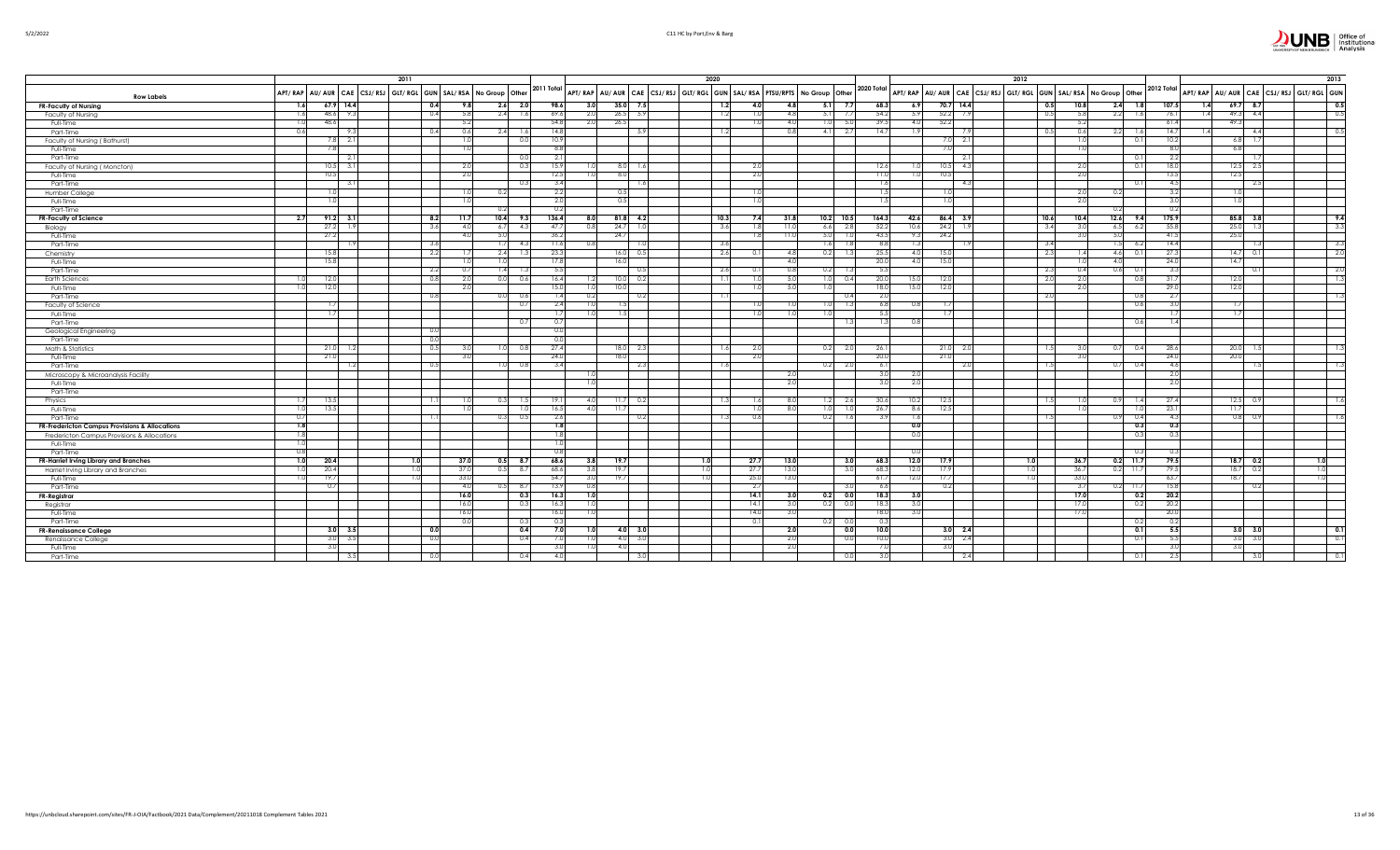| $5/2/202$ . |  |
|-------------|--|
|             |  |

|                                                      |               |                                    | 2011 |      |             |                                   |            |              |                         |                 | 2020 |                          |                 |                                                                         |                    |                    |                  |      | 2012                                                                               |                             |              |                                        | 2013             |
|------------------------------------------------------|---------------|------------------------------------|------|------|-------------|-----------------------------------|------------|--------------|-------------------------|-----------------|------|--------------------------|-----------------|-------------------------------------------------------------------------|--------------------|--------------------|------------------|------|------------------------------------------------------------------------------------|-----------------------------|--------------|----------------------------------------|------------------|
|                                                      |               | APT/RAP AU/AUR CAE CSJ/RSJ GLT/RGL |      |      |             | GUN   SAL/ RSA   No Group   Other | 2011 Total |              |                         |                 |      |                          |                 | APT/RAP AU/AUR CAE CSJ/RSJ GLT/RGL GUN SAL/RSA PTSU/RPTS No Group Other | 2020 Total         |                    |                  |      | APT/ RAP   AU/ AUR   CAE   CSJ/ RSJ   GLT/ RGL   GUN   SAL/ RSA   No Group   Other |                             | 2012 Total   | APT/RAP AU/AUR CAE CSJ/RSJ GLT/RGL GUN |                  |
| <b>Row Labels</b>                                    |               |                                    |      |      |             |                                   |            |              |                         |                 |      |                          |                 |                                                                         |                    |                    |                  |      |                                                                                    |                             |              |                                        |                  |
| <b>FR-Faculty of Nursing</b>                         | 1.6           | $67.9$ 14.4                        |      | 0.4  |             | $2.6$ 2.0                         |            | 98.6<br>3.0  |                         | 35.077.5        |      | 1.2<br>4.0               | -41             | 5.1                                                                     | 68.3<br>7.7        | 6.9                | 70.7 14.4        |      | 0.5<br>10.8                                                                        | $2.4$ 1.8                   | 107.5        | 1.4<br>$69.7$ 8.7                      | 0.5<br>0.5       |
| Faculty of Nursing                                   | 1.6           | 48.6 9.3                           |      | 0.4  | 5.8         | 1.6<br>2.4                        |            | 69.6<br>2.0  |                         | $26.5$ 5.9      |      | 1.2<br>1.0               | -4.8            | 5.1                                                                     | 7.7<br>54.2        | 5.9                | $52.2$ 7.9       |      | 0.5                                                                                | $2.2$ 1.6<br>5.8            | 76.1         | 49.3 4.4<br>1.4                        |                  |
| Full-Time                                            | -1.0          | 48.6                               |      |      | 5.2         |                                   |            | 54.8         | 2.0                     | 26.5            |      | 1.0                      | 4(              | 1.0                                                                     | 39.5<br>5.0        | 4.0                | 52.2             |      |                                                                                    | 5.2                         | 61.4         | 49.3                                   |                  |
| Part-Time                                            | 0.6           | 9.3                                |      | 0.4  | ጠ ሐ         | 2.41<br>1.6                       |            | 14.8         |                         | - 5.9           |      | 1.2                      |                 | 4.11                                                                    | 2.7<br>14.7        | - 1 S              |                  | -7.9 | 0.5                                                                                | 0.6<br>$2.2 - 1.$           | 14.7         | 4.4<br>1.4                             | 0.5              |
| Faculty of Nursing (Bathurst)                        |               | $7.8$ 2.1                          |      |      |             | 0.0                               |            | 10.9<br>8.8  |                         |                 |      |                          |                 |                                                                         |                    |                    | 7.0 2.1          |      |                                                                                    | 1.0                         | 10.2         | 6.8                                    |                  |
| Full-Time                                            |               | 7.8                                |      |      | 1.0         |                                   |            |              |                         |                 |      |                          |                 |                                                                         |                    |                    | 7.0              |      |                                                                                    | 1.01                        | 8.0          | 6.8<br>$\overline{1}$ .                |                  |
| Part-Time                                            |               | 2.1<br>$10.5$ 3.1                  |      |      |             | 0.0<br>0.3                        |            | 2.1<br>15.9  |                         | $8.0\quad 1.6$  |      | 2.0                      |                 |                                                                         | 12.6               |                    | $10.5$ 4.3       | 2.1  |                                                                                    | 0.<br>2.0<br>0.1            | 2.2<br>18.0  | $12.5$ 2.                              |                  |
| Faculty of Nursing (Moncton)<br>Full-Time            |               | 10.5                               |      |      | 2.0         |                                   |            | 12.5         |                         |                 |      | 2.0                      |                 |                                                                         |                    |                    | 10.5             |      |                                                                                    | 2.0                         | 13.5         | 12.5                                   |                  |
| Part-Time                                            |               | 3.1                                |      |      |             | 0.3                               |            | 3.4          |                         | 8.0<br>1.6      |      |                          |                 |                                                                         | 11.0               | 1.6                |                  | 4.3  |                                                                                    |                             | - 4.5        | $-2.5$                                 |                  |
| Humber College                                       |               | 1.01                               |      |      | 1.0         | 0.2                               |            | 2.2          |                         | 0.5             |      | 1.0                      |                 |                                                                         |                    | 1.5                | 1.0              |      |                                                                                    | 0.2<br>2.0                  | 3.2          | 1.0                                    |                  |
| Full-Time                                            |               |                                    |      |      |             |                                   |            | 2.0          |                         | 0.5             |      | 1.0                      |                 |                                                                         |                    | 1.5                | 1.0              |      |                                                                                    | 2.0                         | 3.0          | 1.0                                    |                  |
| Part-Time                                            |               | 1.0                                |      |      |             | 0.21                              |            | 0.2          |                         |                 |      |                          |                 |                                                                         |                    |                    |                  |      |                                                                                    | 0.2                         | 0.2          |                                        |                  |
| <b>FR-Faculty of Science</b>                         | 2.7           | $91.2$ 3.1                         |      | 8.2  |             | 10.4<br>9.3                       |            | 136.4        | 8.0                     | $81.8$ 4.2      |      | 10.3<br>7.4              | 31.8            | 10.2                                                                    | 10.5<br>164.3      | 42.6               | $86.4$ 3.9       |      | 10.6                                                                               | $12.6$ 9.4<br>10.4          | 175.9        | 85.8 3.8                               | 9.4              |
| Biology                                              |               | 27.2<br>1.9                        |      | 3.6  | $\Delta$ (  | 4.3<br>6.7                        |            | 47.7<br>O 8  |                         | $24.7$ 1.0      |      | 3.6<br>1.8               | $\overline{11}$ | 6.6                                                                     | 2.8<br>52.2        | 10.6               | $24.2$ 1.9       |      | 3.4                                                                                | 3.0<br>6.5<br>- 6.1         | 55.8         | 25.0<br>$\Box$                         | 3.3              |
| Full-Time                                            |               | 27.2                               |      |      | $\Delta$ (  | 5.0                               |            | 36.2         |                         | 24.7            |      | 1.8 <sup>1</sup>         | 11.0            | 5.0                                                                     | 43.5<br>1.0        | 9.3                | 24.2             |      |                                                                                    | 3.0<br>5.0                  | 41.5         | 25.0                                   |                  |
| Part-Time                                            |               | -1.9                               |      | 3.6  |             | 1.71<br>- 4.3                     |            | 11.6         |                         |                 |      | 3.6                      |                 | -1.61                                                                   | 1.8                | 8.8<br>-1.3        |                  | -1.9 | 3.4                                                                                | $1.5 - 6.2$                 | 14.4         |                                        | 3.3              |
| Chemistry                                            |               | 15.8                               |      | 2.2  |             | 2.4                               |            | 23.3         |                         | $16.0\qquad0.5$ |      | 2.6<br>0.1               | -4.8            | 0.2                                                                     | 25.5<br>1.3        | 4.0                | 15.0             |      | 2.3                                                                                | 4.6<br>1.4<br>- 0.          | 27.3         | 14.7                                   | 2.0              |
| Full-Time                                            |               | 15.8                               |      |      |             | 1.0                               |            | 17.8         |                         | 16.0            |      |                          | -4.0            |                                                                         | 20.0               | 4.0                | 15.0             |      |                                                                                    | 4.0<br>1.0                  | 24.0         | 14.7                                   |                  |
| Part-Time                                            |               |                                    |      | 2.2  |             | 1.4                               |            | 5.5          |                         | 0.5             |      | 2.6<br>0.1               |                 | 0.2                                                                     |                    |                    |                  |      | 2.3                                                                                | 0.4<br>0.6<br>- 0.          | 3.3          |                                        | 2.0              |
| <b>Earth Sciences</b>                                |               | 12.0                               |      | 0.8  | 2.0         | 0.6<br>0.01                       |            | 16.4         | 1.2                     | 10.0 0.2        |      | 1.11<br>1.0 <sub>l</sub> | 5.0             | 1.01                                                                    | 20.0<br>0.4        | 15.0               | 12.0             |      | 2.0                                                                                | 2.0<br>- 0.                 | 31.7         | 12.0                                   | 1.3              |
| Full-Time                                            |               | 12.0                               |      |      |             |                                   |            | 15.0         | 1.01                    | 10.0            |      |                          | -5.0            |                                                                         | 18.0               | 15.0               | 12.0             |      |                                                                                    | 2.0                         | 29.0         | 12.0                                   |                  |
| Part-Time                                            |               |                                    |      | 0.8  |             | 0.0<br>0.6                        |            | 1.4          |                         | 0.2             |      | 1.11                     |                 |                                                                         | 20<br>0.4          |                    |                  |      | 2.0                                                                                | 0.8                         | 2.7          |                                        | 1.3              |
| Faculty of Science                                   |               | 1.7                                |      |      |             | 0.7                               |            | 2.4          | 1.0                     | 1.51            |      | 1.0                      |                 |                                                                         | 1.3                | 6.8                | 1.7 <sub>1</sub> |      |                                                                                    | $_{0.6}$                    | 3.0          | 1.7                                    |                  |
| Full-Time                                            |               |                                    |      |      |             |                                   |            |              |                         | 1.5             |      |                          |                 |                                                                         |                    |                    |                  |      |                                                                                    |                             | 1.7          | 1.7                                    |                  |
| Part-Time                                            |               |                                    |      |      |             | 0.7                               |            | 0.7          |                         |                 |      |                          |                 |                                                                         | 1.3                | 1.3<br>0.8         |                  |      |                                                                                    | 0.6                         | 1.4          |                                        |                  |
| Geological Engineering                               |               |                                    |      | 0.0  |             |                                   |            | 0.0          |                         |                 |      |                          |                 |                                                                         |                    |                    |                  |      |                                                                                    |                             |              |                                        |                  |
| Part-Time                                            |               |                                    |      | 0.0  |             |                                   |            | 0.0          |                         |                 |      |                          |                 |                                                                         |                    |                    |                  |      |                                                                                    |                             |              |                                        |                  |
| Math & Statistics                                    |               | 21.0 1.2                           |      | 0.5  |             | 1.01<br>0.8                       |            | 27.4         |                         | $18.0\ 2.3$     |      | 1.6<br>2.0               |                 | 0.2                                                                     | 2.0<br>26.1        |                    | $21.0$ 2.0       |      | 1.5                                                                                | 0.7<br>3.0<br>- 0.          | 28.6         | $20.0$ 1.5                             | 1.3              |
| Full-Time                                            |               | 21.0                               |      |      |             |                                   |            | 24.0         |                         | 18.0            |      | 2.0                      |                 |                                                                         | 20.0               |                    | 21.0             |      |                                                                                    | 3.0                         | 24.0         | 20.0                                   |                  |
| Part-Time                                            |               | 1.2                                |      | 0.5  |             | 1.0<br>0.8                        |            | 3.4          |                         | 2.3             |      | 1.6                      |                 | 0.2                                                                     | 2.0<br>6.1         |                    |                  | 2.0  | 1.5                                                                                | $0.7\qquad 0.4$             | 4.6          | $\frac{1}{2}$                          | 1.3              |
| Microscopy & Microanalysis Facility                  |               |                                    |      |      |             |                                   |            |              | 1.01                    |                 |      |                          | - 2.0           |                                                                         |                    | 3.0<br>-2.0        |                  |      |                                                                                    |                             | 2.0          |                                        |                  |
| Full-Time                                            |               |                                    |      |      |             |                                   |            |              | 1.0                     |                 |      |                          | -2.0            |                                                                         |                    | 3.0<br>2.0         |                  |      |                                                                                    |                             | 2.0          |                                        |                  |
| Part-Time                                            |               |                                    |      |      |             |                                   |            |              |                         |                 |      |                          |                 |                                                                         |                    |                    |                  |      |                                                                                    |                             |              |                                        |                  |
| Physics                                              | $\mathcal{L}$ | 13.5                               |      | 1.1  |             |                                   |            | 19.          |                         | 11.7<br>- 0.2   |      | 1.3<br>1.6               |                 | 1.2                                                                     | 30.6<br>2.6        | 10.2               | 12.5             |      | 1.5                                                                                | 0.9                         | 27.4         | $12.5$ 0.                              | 1.6              |
| Full-Time                                            | 1.0           | 13.5                               |      |      |             | 1.0                               |            | 16.5         | 4.0 <sub>1</sub>        | 11.7            |      | 1.0                      |                 | 8.0<br>1.0                                                              | 1.0<br>26.7        | 8.6                | 12.5             |      |                                                                                    | 1.0<br>- 1.1                | 23.1         | 11.7                                   |                  |
| Part-Time                                            | 0.7           |                                    |      | 1.11 |             | 0.5<br>0.31                       |            | 2.6          |                         | 0.2             |      | 1.3<br>0.6               |                 | 0.2                                                                     | 1.6                | 3.9<br>1.6         |                  |      | 1.5                                                                                | 0.9<br>0.4                  | 4.3          | $0.8$ 0.9                              | 1.6              |
| FR-Fredericton Campus Provisions & Allocations       | 7.8           |                                    |      |      |             |                                   |            | 1.8          |                         |                 |      |                          |                 |                                                                         |                    | 0.0                |                  |      |                                                                                    | 0.3                         | 0.3          |                                        |                  |
| Fredericton Campus Provisions & Allocations          | 1.8           |                                    |      |      |             |                                   |            | 1.8          |                         |                 |      |                          |                 |                                                                         |                    | 0.0                |                  |      |                                                                                    |                             | 0.3          |                                        |                  |
| Full-Time                                            | 1.0           |                                    |      |      |             |                                   |            | 1.0          |                         |                 |      |                          |                 |                                                                         |                    |                    |                  |      |                                                                                    |                             |              |                                        |                  |
| Part-Time                                            | 0.8           |                                    |      |      |             |                                   |            | 0.8          |                         |                 |      |                          |                 |                                                                         |                    | n r                |                  |      |                                                                                    |                             | 0.3          |                                        |                  |
| FR-Harriet Irving Library and Branches               | 1.0           | 20.4                               | 1.0  |      | 37.0        | $0.5$ 8.7                         |            | 68.6         | 3.8                     | 19.7            | 1.0  | 27.7                     | 13.0            |                                                                         | 3.0<br>68.3        | 12.0               | 17.9             |      | 36.7<br>1.0                                                                        | $0.2$ 11.                   | 79.5         | $18.7$ 0.2                             | 1.0              |
| Harriet Irving Library and Branches                  |               | 20.4<br>19.7                       |      |      | 37          | 8.7<br>0.51                       |            | 68.6<br>54.7 |                         | 19.7            |      | 27.7                     | 13.0<br>13.0    |                                                                         | 3.0<br>68.3        | 12.0               |                  |      | 36.7<br>33.0                                                                       | $0.2$ 11.                   | 79.5         | 18.7<br>18.7                           | 1.0              |
| Full-Time                                            |               |                                    |      |      | 33.0        |                                   |            |              |                         | 19.7            |      | 25.0                     |                 |                                                                         | 61.7               | 12.0               | 17.7             |      |                                                                                    |                             | 63.7         |                                        | 1.0              |
| Part-Time                                            |               | 0.7                                |      |      | 4.0<br>16.0 | 0.5<br>- 8.7                      |            | 13.9<br>O.R  |                         |                 |      | 2.7                      |                 |                                                                         | 3.0                | 6.6                | 0.2              |      |                                                                                    | 3.7<br>$0.2$ 11.            | 15.8<br>20.2 | 0.                                     |                  |
| FR-Registrar                                         |               |                                    |      |      | 16.0        | 0.3<br>0.3                        |            | 16.3<br>16.3 | 1.0<br>1.0 <sub>1</sub> |                 |      | 14.1<br>14.1             |                 | 3.0<br>0.2<br>3.0<br>0.2                                                | 0.0<br>18.3<br>0.0 | 18.3<br>3.0<br>3.0 |                  |      | 17.0                                                                               | 17.0<br>$_{0.2}$            | 20.2         |                                        |                  |
| Registrar                                            |               |                                    |      |      | 16.0        |                                   |            |              |                         |                 |      | 14.0                     |                 |                                                                         |                    |                    |                  |      |                                                                                    | - 0.                        |              |                                        |                  |
| Full-Time                                            |               |                                    |      |      |             | 0.3                               |            | 16.0<br>-0.3 |                         |                 |      | 0.1                      |                 | 0.2                                                                     | 18.0<br>0.3<br>0.0 | 3.0                |                  |      | 17.0                                                                               | 0.                          | 20.0<br>0.2  |                                        |                  |
| Part-Time                                            |               | $3.0\quad 3.5$                     |      | 0.0  |             | 0.4                               |            | 7.0          | 1.0                     | $4.0\qquad 3.0$ |      |                          | 2.0             |                                                                         | 0.0<br>10.0        |                    | $3.0\quad 2.4$   |      |                                                                                    | $\overline{\phantom{a}}$ 0. | 5.5          | $3.0\ 3.0$                             | $\overline{0.1}$ |
| <b>FR-Renaissance College</b><br>Renaissance College |               | $3.0$ $3.5$                        |      | 0.0  |             | 0.4                               |            | 7.0          | 1.0                     | 4.0 $3.0$       |      |                          | 2.0             |                                                                         | 0.0<br>10.0        |                    | $3.0\ 2.4$       |      |                                                                                    | 0.1                         | 5.5          | $3.0\ 3.0$                             | 0.1              |
| Full-Time                                            |               | 3.OL                               |      |      |             |                                   |            | 3.0          |                         | 4.0             |      |                          | - 2.0           |                                                                         |                    | 7.0                | 3.0              |      |                                                                                    |                             | 3.0          | 3.0                                    |                  |
| Part-Time                                            |               | 3.5                                |      | 0.0  |             | 0.4                               |            | 4.0          |                         |                 |      |                          |                 |                                                                         | 0.0                | 3.0                |                  | 2.4  |                                                                                    |                             | -2.5         |                                        |                  |
|                                                      |               |                                    |      |      |             |                                   |            |              |                         |                 |      |                          |                 |                                                                         |                    |                    |                  |      |                                                                                    |                             |              |                                        |                  |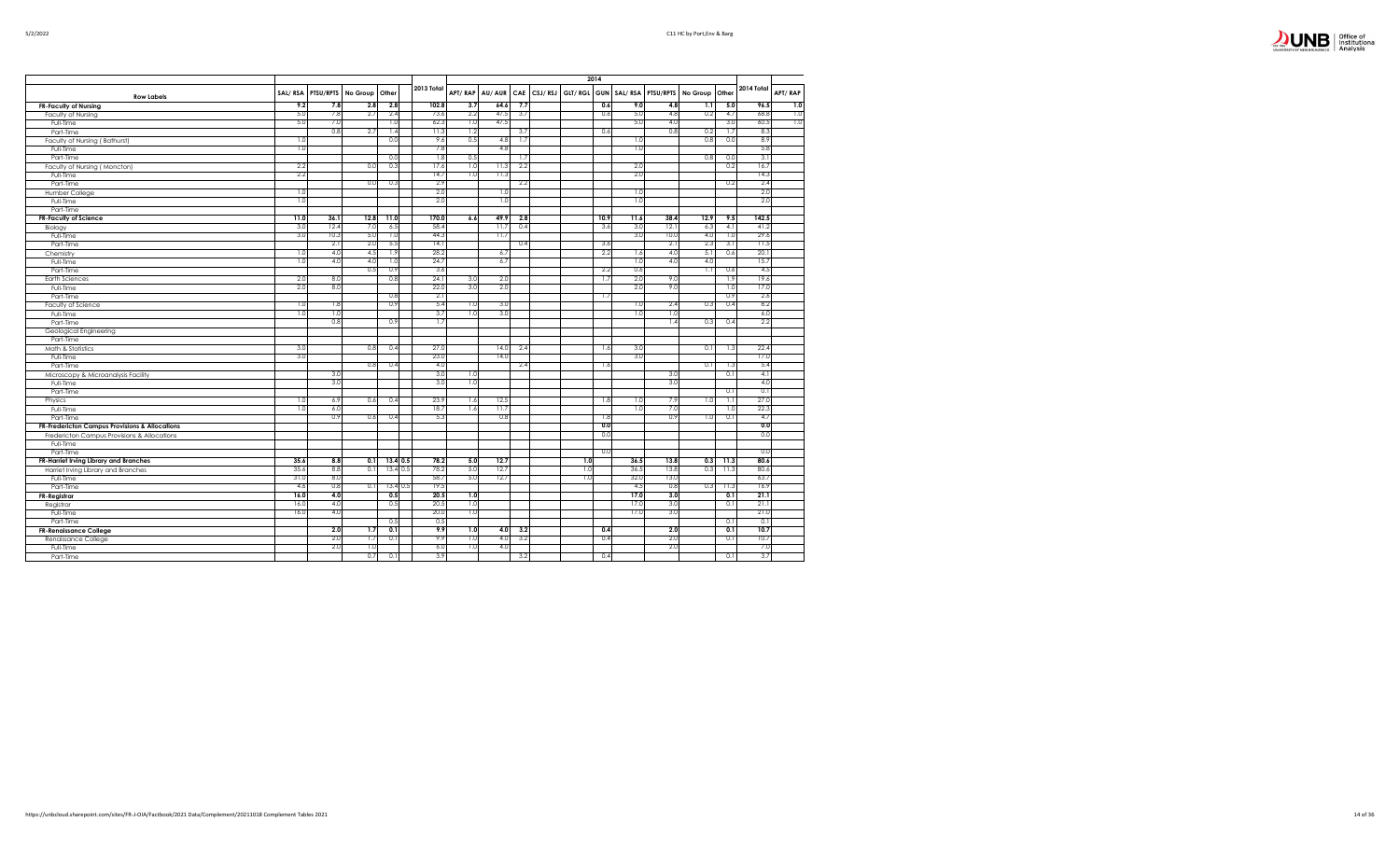

|                                                |              |            |            |                  |                          |            |              |            |             |             | 2014 |              |              |          |            |              |         |
|------------------------------------------------|--------------|------------|------------|------------------|--------------------------|------------|--------------|------------|-------------|-------------|------|--------------|--------------|----------|------------|--------------|---------|
| <b>Row Labels</b>                              | SAL/RSA      | PTSU/RPTS  | No Group   | Other            | 2013 Total               | APT/RAP    | AU/AUR       |            | CAE CSJ/RSJ | GLT/RGL GUN |      | SAL/RSA      | PTSU/RPTS    | No Group | Other      | 2014 Total   | APT/RAP |
| <b>FR-Faculty of Nursing</b>                   | 9.2          | 7.8        | 2.8        | 2.8              | 102.8                    | 3.7        | 64.6         | 7.7        |             |             | 0.6  | 9.0          | 4.8          | 1.1      | 5.0        | 96.5         | 7.0     |
| Faculty of Nursing                             | 5.0          | 7.8        | 2.7        | 2.4              | 73.6                     | 2.2        | 47.5         | 3.7        |             |             | 0.6  | 5.0          | 4.8          | 0.2      | 4.7        | 68.8         | 1.0     |
| Full-Time                                      | 5.0          | 7.0        |            | 1.0              | 62.3                     | 1.0        | 47.5         |            |             |             |      | 5.0          | 4.0          |          | 3.0        | 60.5         | 1.0     |
| Part-Time                                      |              | 0.8        | 2.7        | 1.4              | 11.3                     | 1.2        |              | 3.7        |             |             | 0.6  |              | 0.8          | 0.2      | 1.7        | 8.3          |         |
| Faculty of Nursing (Bathurst)                  | 1.0          |            |            | 0.0              | 9.6                      | 0.5        | 4.8          | 1.7        |             |             |      | 1.0          |              | 0.8      | 0.0        | 8.9          |         |
| Full-Time                                      | 1.0          |            |            |                  | 7.8                      |            | 4.8          |            |             |             |      | 1.0          |              |          |            | 5.8          |         |
| Part-Time                                      |              |            |            | 0.0              | 1.8                      | 0.5        |              | 1.7        |             |             |      |              |              | 0.8      | 0.0        | 3.1          |         |
| Faculty of Nursing (Moncton)                   | 2.2          |            | 0.0        | 0.3              | 17.6                     | 1.0        | 11.3         | 2.2        |             |             |      | 2.0          |              |          | 0.2        | 16.7         |         |
| Full-Time                                      | 2.2          |            |            |                  | 14.7                     | 1.0        | 11.3         |            |             |             |      | 2.0          |              |          |            | 14.3         |         |
| Part-Time                                      |              |            | 0.0        | 0.3              | 2.9                      |            |              | 2.2        |             |             |      |              |              |          | 0.2        | 2.4          |         |
| Humber College                                 | 1.0          |            |            |                  | 2.0                      |            | 1.0          |            |             |             |      | 1.0          |              |          |            | 2.0          |         |
| Full-Time                                      | 1.0          |            |            |                  | 2.0                      |            | 1.0          |            |             |             |      | 1.0          |              |          |            | 2.0          |         |
| Part-Time                                      |              |            |            |                  |                          |            |              |            |             |             |      |              |              |          |            |              |         |
| <b>FR-Faculty of Science</b>                   | 11.0         | 36.1       | 12.8       | 11.0             | 170.0                    | 6.6        | 49.9         | 2.8        |             |             | 10.9 | 11.6         | 38.4         | 12.9     | 9.5        | 142.5        |         |
| Biology                                        | 3.0          | 12.4       | 7.0        | 6.5              | 58.4                     |            | 11.7         | 0.4        |             |             | 3.6  | 3.0          | 12.1         | 6.3      | 4.1        | 41.2         |         |
| Full-Time                                      | 3.0          | 10.3       | 5.0        | 1.0              | 44.3                     |            | 11.7         |            |             |             |      | 3.0          | 10.0         | 4.0      | 1.0        | 29.6         |         |
| Part-Time                                      |              | 2.1        | 2.0        | 5.5              | 14.1                     |            |              | 0.4        |             |             | 3.6  |              | 2.1          | 2.3      | 3.1        | 11.5         |         |
| Chemistry                                      | 1.0          | 4.0        | 4.5        | 1.9              | 28.2                     |            | 6.7          |            |             |             | 2.2  | 1.6          | 4.0          | 5.1      | 0.6        | 20.1         |         |
| Full-Time                                      | 1.0          | 4.0        | 4.0        | 1.0              | 24.7                     |            | 6.7          |            |             |             |      | 1.0          | 4.0          | 4.0      |            | 15.7         |         |
| Part-Time                                      |              |            | 0.5        | 0.9              | 3.6                      |            |              |            |             |             | 2.2  | 0.6          |              | 1.1      | 0.6        | 4.5          |         |
| <b>Earth Sciences</b>                          | 2.0          | 8.0        |            | 0.8              | 24.1                     | 3.0        | 2.0          |            |             |             | 1.7  | 2.0          | 9.0          |          | 1.9        | 19.6         |         |
| Full-Time                                      | 2.0          | 8.0        |            |                  | 22.0                     | 3.0        | 2.0          |            |             |             |      | 2.0          | 9.0          |          | 1.0        | 17.0         |         |
| Part-Time                                      |              |            |            | 0.8              | 2.1                      |            |              |            |             |             | 1.7  |              |              |          | 0.9        | 2.6          |         |
| Faculty of Science                             | 1.0          | 1.8        |            | 0.9              | 5.4                      | 1.0        | 3.0          |            |             |             |      | 1.0          | 2.4          | 0.3      | 0.4        | 8.2          |         |
| Full-Time                                      | 1.0          | 1.0        |            |                  | 3.7                      | 1.0        | 3.0          |            |             |             |      | 1.0          | 1.0          |          |            | 6.0          |         |
| Part-Time                                      |              | 0.8        |            | 0.9              | 1.7                      |            |              |            |             |             |      |              | 1.4          | 0.3      | 0.4        | 2.2          |         |
| Geological Engineering                         |              |            |            |                  |                          |            |              |            |             |             |      |              |              |          |            |              |         |
| Part-Time                                      |              |            |            |                  |                          |            |              |            |             |             |      |              |              |          |            |              |         |
| Math & Statistics                              | 3.0          |            | 0.8        | 0.4              | 27.0                     |            | 14.0         | 2.4        |             |             | 1.6  | 3.0          |              | 0.1      | 1.3        | 22.4         |         |
| Full-Time                                      | 3.0          |            |            |                  | 23.0                     |            | 14.0         |            |             |             |      | 3.0          |              |          |            | 17.0         |         |
| Part-Time                                      |              |            | 0.8        | 0.4              | 4.0                      |            |              | 2.4        |             |             | 1.6  |              |              | 0.1      | 1.3        | 5.4          |         |
| Microscopy & Microanalysis Facility            |              | 3.0        |            |                  | 3.0                      | 1.0        |              |            |             |             |      |              | 3.0          |          | 0.1        | 4.1          |         |
| Full-Time                                      |              | 3.0        |            |                  | 3.0                      | 1.0        |              |            |             |             |      |              | 3.0          |          |            | 4.0          |         |
| Part-Time                                      |              |            |            |                  |                          |            |              |            |             |             |      |              |              |          | 0.1        | 0.1          |         |
| Physics                                        | 1.0          | 6.9        | 0.6        | 0.4              | 23.9                     | 1.6        | 12.5         |            |             |             | 1.8  | 1.0          | 7.9          | 1.0      | 1.1        | 27.0         |         |
| Full-Time                                      | 1.0          | 6.0        |            |                  | 18.7                     | 1.6        | 11.7         |            |             |             |      | 1.0          | 7.0          |          | 1.0        | 22.3         |         |
| Part-Time                                      |              | 0.9        | 0.6        | 0.4              | 5.3                      |            | 0.8          |            |             |             | 1.8  |              | 0.9          | 1.0      | 0.1        | 4.7          |         |
| FR-Fredericton Campus Provisions & Allocations |              |            |            |                  |                          |            |              |            |             |             | 0.0  |              |              |          |            | 0.0          |         |
| Fredericton Campus Provisions & Allocations    |              |            |            |                  |                          |            |              |            |             |             | 0.0  |              |              |          |            | 0.0          |         |
| Full-Time                                      |              |            |            |                  |                          |            |              |            |             |             |      |              |              |          |            | 0.0          |         |
| Part-Time                                      | 35.6         |            |            |                  | 78.2                     |            | 12.7         |            |             |             | 0.0  |              |              |          |            | 80.6         |         |
| FR-Harriet Irving Library and Branches         |              | 8.8        | 0.1        |                  | $13.4 \ 0.5$             | 5.0        |              |            |             | 1.0         |      | 36.5         | 13.8         | 0.3      | 11.3       |              |         |
| Harriet Irving Library and Branches            | 35.6<br>31.0 | 8.8<br>8.0 | 0.1        |                  | 13.4 0.5<br>78.2<br>58.7 | 5.0<br>5.0 | 12.7<br>12.7 |            |             | 1.0<br>1.0  |      | 36.5<br>32.0 | 13.8<br>13.0 | 0.3      | 11.3       | 80.6<br>63.7 |         |
| Full-Time                                      |              | 0.8        |            |                  |                          |            |              |            |             |             |      |              | 0.8          |          |            |              |         |
| Part-Time                                      | 4.6<br>16.0  | 4.0        | 0.1        | $13.40$ .<br>0.5 | 19.5<br>20.5             | 1.0        |              |            |             |             |      | 4.5<br>17.0  | 3.0          | 0.3      | 11.3       | 16.9<br>21.1 |         |
| FR-Registrar                                   | 16.0         | 4.0        |            |                  |                          |            |              |            |             |             |      | 17.0         | 3.0          |          | 0.1        | 21.1         |         |
| Registrar                                      |              |            |            | 0.5              | 20.5                     | 1.0        |              |            |             |             |      |              |              |          | 0.1        |              |         |
| Full-Time                                      | 16.0         | 4.0        |            |                  | 20.0<br>0.5              | 1.0        |              |            |             |             |      | 17.0         | 3.0          |          |            | 21.0         |         |
| Part-Time                                      |              | 2.0        |            | 0.5<br>0.1       | 9.9                      | 1.0        |              |            |             |             | 0.4  |              | 2.0          |          | 0.1        | 0.1<br>10.7  |         |
| <b>FR-Renaissance College</b>                  |              | 2.0        | 1.7<br>1.7 |                  |                          | 1.0        | 4.0          | 3.2<br>3.2 |             |             | 0.4  |              | 2.0          |          | 0.1<br>0.1 | 10.7         |         |
| Renaissance College                            |              | 2.0        |            | 0.1              | 9.9<br>6.0               | 1.0        | 4.0<br>4.0   |            |             |             |      |              | 2.0          |          |            |              |         |
| Full-Time                                      |              |            | 1.0<br>0.7 |                  | 3.9                      |            |              |            |             |             |      |              |              |          |            | 7.0<br>3.7   |         |
| Part-Time                                      |              |            |            | 0.1              |                          |            |              | 3.2        |             |             | 0.4  |              |              |          | 0.1        |              |         |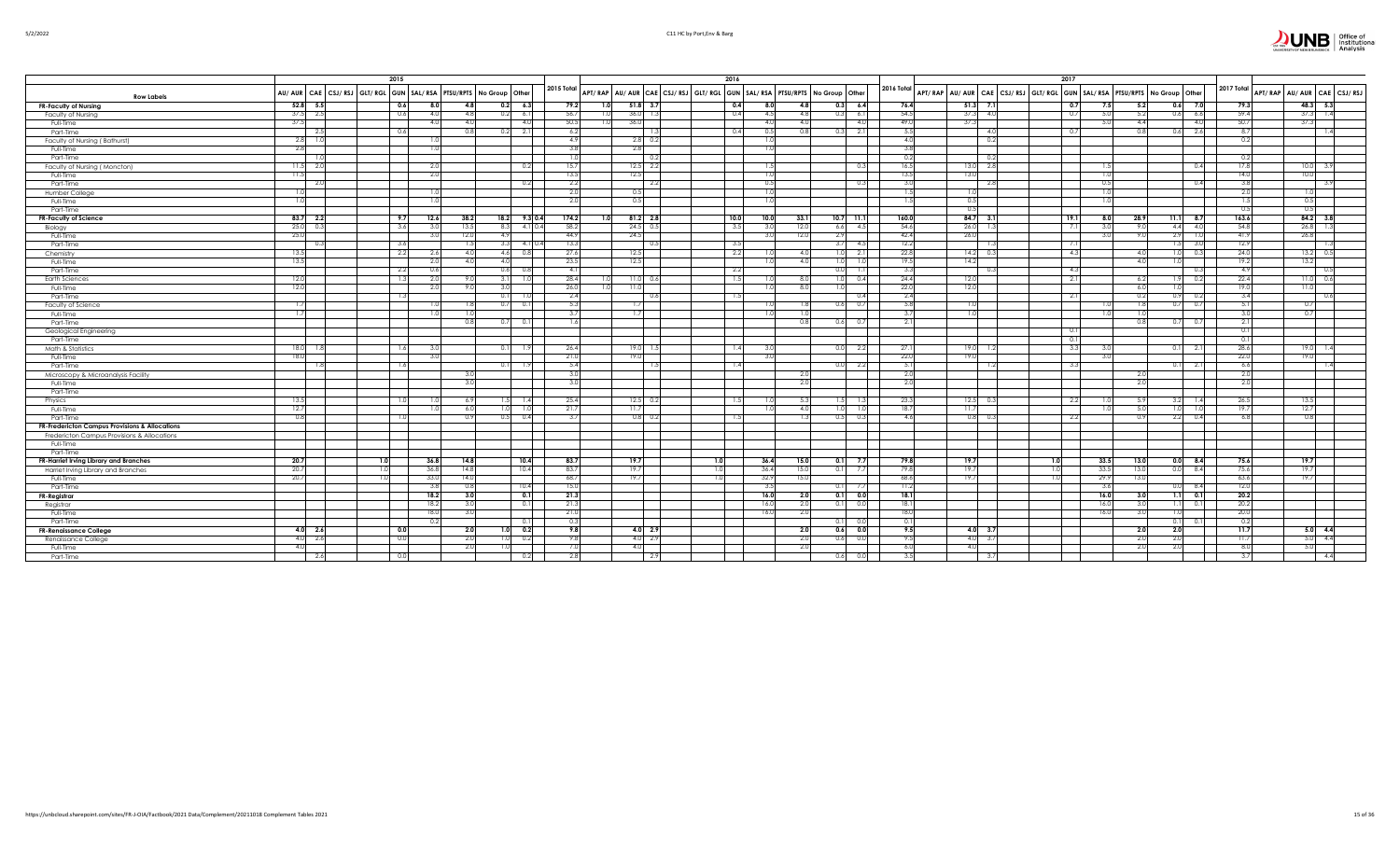| 5/2/202<br>יי |
|---------------|
|---------------|

|                                                |                | 2015                                                             |       |      |                     |                           |                                                                         | 2016 |          |       |                                        |            |                                                                         | 2017        |                |      |           |            |      |                            |
|------------------------------------------------|----------------|------------------------------------------------------------------|-------|------|---------------------|---------------------------|-------------------------------------------------------------------------|------|----------|-------|----------------------------------------|------------|-------------------------------------------------------------------------|-------------|----------------|------|-----------|------------|------|----------------------------|
| <b>Row Labels</b>                              |                | AU/ AUR CAE CSJ/RSJ GLT/RGL GUN SAL/RSA PTSU/RPTS No Group Other |       |      |                     | 2015 Total                | APT/RAP AU/AUR CAE CSJ/RSJ GLT/RGL GUN SAL/RSA PTSU/RPTS No Group Other |      |          |       |                                        | 2016 Total | APT/RAP AU/AUR CAE CSJ/RSJ GLT/RGL GUN SAL/RSA PTSU/RPTS No Group Other |             |                |      |           | 2017 Total |      | APT/RAP AU/AUR CAE CSJ/RSJ |
| <b>FR-Faculty of Nursing</b>                   | $52.8$ 5.5     | 0.6                                                              | 8.0   | 4.8  | $0.2$ 6.3           | 79.2<br>1.0               | $51.8$ 3.7                                                              | 0.4  | 8.0      | 4.8   | $0.3$ 6.4                              | 76.4       | $51.3$ 7.1                                                              | 0.7<br>7.5  | 5.2            |      | $0.6$ 7.0 | 79.3       |      | $48.3$ 5.3                 |
| Faculty of Nursing                             | $37.5$ 2.5     | 0.6                                                              | 4(    | 4.8  | 0.2<br>6.1          | 56.7                      | $36.0$ 1.                                                               | 0.4  | 4.5      | 4.8   | 6.1<br>0.3                             | 54.5       | 37.3<br>$-4.0$                                                          | 0.7         |                | 0.61 | 6.6       | 59.4       | 37.3 | 1.4                        |
| Full-Time                                      | 37.5           |                                                                  |       | 4(   | 4.0                 | 50.5                      | 36.0                                                                    |      |          | 4.0   | $\overline{4}$                         | 49.0       | 37.3                                                                    |             |                |      | 4.0       | 50.7       | 37.3 |                            |
| Part-Time                                      | - 2.5          | - 0.6                                                            |       | 0.8  | 2.1<br>0.2          | -6.2                      |                                                                         | 0.4  | 0.5      | 0.8   | 2.1<br>0.31                            | 5.5        | 4.0                                                                     | 0.7         |                | 0.61 | 2.6       | 8.7        |      | -1.4                       |
| Faculty of Nursing (Bathurst)                  | $2.8$ 1.0      |                                                                  |       |      |                     | -4.9                      | $2.8$ 0.                                                                |      |          |       |                                        | 4.0        | 0.2                                                                     |             |                |      |           | 0.2        |      |                            |
| Full-Time                                      | 2.8            |                                                                  | -1.0  |      |                     |                           | 2.8                                                                     |      |          |       |                                        | 3.8        |                                                                         |             |                |      |           |            |      |                            |
| Part-Time                                      |                |                                                                  |       |      |                     |                           |                                                                         |      |          |       |                                        | 0.2        | 0.2                                                                     |             |                |      |           | 0.2        |      |                            |
| Faculty of Nursing (Moncton)                   | $11.5$ 2.0     |                                                                  | - 2.0 |      | 0.2                 | 15.7                      | $12.5$ 2.2                                                              |      | -1.5     |       | 0.3                                    | 16.5       | 2.8<br>13.0                                                             |             |                |      | 0.4       | 17.8       |      | $10.0$ 3.9                 |
| Full-Time                                      | 11.5           |                                                                  | - 2.0 |      |                     | 13.5                      | 12.5                                                                    |      |          |       |                                        | 13.5       | 13.0                                                                    |             |                |      |           | 14.0       | 10.0 |                            |
| Part-Time                                      | - 2.0          |                                                                  |       |      | 0.2                 | -2.2                      | $-2.2$                                                                  |      | $\Omega$ |       |                                        | 3.0        | - 2.8                                                                   |             |                |      | 0.4       | 38         |      |                            |
| Humber College                                 | 1.0            |                                                                  | -1.0  |      |                     | -2.0                      | 0.5                                                                     |      | 1.0      |       |                                        | 1.5        | 1.0                                                                     | 1.0         |                |      |           | 2.0        | 1.0  |                            |
| Full-Time                                      | 1.0            |                                                                  |       |      |                     |                           | 0.5                                                                     |      |          |       |                                        | 1.5        | 0.5                                                                     |             |                |      |           |            | 0.5  |                            |
| Part-Time                                      |                |                                                                  |       |      |                     |                           |                                                                         |      |          |       |                                        |            | 0.5                                                                     |             |                |      |           | 0.5        | 0.5  |                            |
| FR-Faculty of Science                          | $83.7$ 2.2     | 9.7                                                              | 12.6  | 38.2 | $18.2$ 9.3 0.4      | 174.2<br>1.0 <sub>l</sub> | $81.2$ 2.8                                                              | 10.0 | 10.0     | 33.1  | $10.7$ 11.1                            | 160.0      | $84.7$ 3.1                                                              | 19.1<br>8.0 | 28.9           | 11.1 | 8.7       | 163.6      |      | 84.2 3.8                   |
| Biology                                        | 25.0 0.3       | 3.6                                                              | 3.0   | 13.5 | $4.1 \, 0.4$<br>8.3 | 58.2                      | $24.5$ 0.                                                               | 3.5  |          | 12.0  | 6.6<br>4.5                             | 54.6       | 26.0<br>$-1.3$                                                          | 7.1         |                | 4.4  | 4.0       | 54.8       | 26.8 |                            |
| Full-Time                                      | 25.0           |                                                                  |       | 12.0 | 4.9                 | 44.9                      | 24.5                                                                    |      |          | 12.0  | 2.9                                    | 42.4       | 26.0                                                                    |             |                | 2.9  | 1.0       | 41.9       | 26.8 |                            |
| Part-Time                                      | $\Omega$       | 3.6                                                              |       | 1.5  | 4.1 0.4<br>3.3      | 13.3                      | - 0                                                                     | 3.5  |          |       | 4.5<br>3.7                             | 12.2       |                                                                         | 7.          |                | 1.51 | 3.0       | 12.9       |      |                            |
| Chemistry                                      | 13.5           | 2.2                                                              | 2.6   | 4.0  | 4.6<br>0.8          | 27.6                      | 12.5                                                                    | 2.2  |          | 4.0   | 2.1<br>1.0                             | 22.8       | 14.2<br>0.3                                                             | 4.3         | -4.0           | 1.01 | 0.3       | 24.0       | 13.2 | - 0.5                      |
| Full-Time                                      | 13.5           |                                                                  | -2.0  | 4.0  | 4.0                 | 23.5                      | 12.5                                                                    |      |          | 4.0   | 1.0<br>1.0                             | 19.5       | 14.2                                                                    |             | $\overline{4}$ |      |           | 19.2       | 13.2 |                            |
| Part-Time                                      |                | 2.2                                                              | 0.6   |      | 0.6                 | $\sim$                    |                                                                         | 2.2  |          |       | 1.1<br>0.0                             |            |                                                                         | 4.3         |                |      | 0.3       | 4.9        |      |                            |
| <b>Earth Sciences</b>                          | 12.0           | - 15                                                             | 2.0   | 9.0  | 3.11<br>1.0         | 28.4                      | $11.0 \t 0.6$                                                           | 1.5  |          | 8.0   | 1.0<br>0.4                             | 24.4       | 12.0                                                                    | 2.1         | -6.2           |      | 0.2       | 22.4       | 11.0 | 0.6                        |
| Full-Time                                      | 12.0           |                                                                  | -2.0  |      | 3.0                 | 26.0                      | 11.01                                                                   |      |          | 8.0   |                                        | 22.0       | 12.0                                                                    |             |                |      |           | 19.0       | 11.0 |                            |
| Part-Time                                      |                | $\overline{1}$                                                   |       |      | 0.1                 | 2.4                       | 0.1                                                                     | 1.5  |          |       | 0.4                                    | 2.4        |                                                                         | $-2.1$      |                | 0.91 | 0.2       | 3.4        |      | 0.6                        |
| Faculty of Science                             | 1.71           |                                                                  |       |      | 0.71<br>0.1         | -5.3                      | 1.7                                                                     |      |          |       | $_{0.7}$<br>0.6                        | 5.8        | 1.01                                                                    |             |                | 0.71 | 0.7       | 5.1<br>3(  | 0.7  |                            |
| Full-Time                                      | 1.7            |                                                                  |       |      |                     |                           | 1.7                                                                     |      |          |       |                                        | 3.7        | 1.0                                                                     |             |                |      |           |            | 0.7  |                            |
| Part-Time                                      |                |                                                                  |       | 0.8  | 0.1<br>0.71         |                           |                                                                         |      |          | 0.8   | 0.6<br>$\Omega$                        | 2.11       |                                                                         |             |                | 0.   | 0.7       | 2.1        |      |                            |
| Geological Engineering                         |                |                                                                  |       |      |                     |                           |                                                                         |      |          |       |                                        |            |                                                                         | 0.1<br>0.1  |                |      |           | 0.1<br>0.1 |      |                            |
| Part-Time                                      | $18.0$ 1.8     | 1.6                                                              | -3.0  |      | 0.11<br>1.9         | 26.4                      | $19.0 - 1.$                                                             | 1.4  |          |       | 0.0 2.2                                | 27.1       | 19.0<br>1.2                                                             | 3.3         |                | 0.1  | 2.1       | 28.6       | 19.0 |                            |
| Math & Statistics<br>Full-Time                 | 18.0           |                                                                  |       |      |                     | 21.0                      | 19.0                                                                    |      |          |       |                                        | 22.0       | 19.01                                                                   |             |                |      |           | 22.0       | 19.0 |                            |
| Part-Time                                      | - 1.8          | -1.6                                                             |       |      | 01<br>- 1.9         | 5.4                       |                                                                         | 1.41 |          |       | 0.0 2.2                                | 5.1        | -1.2                                                                    | 3.3         |                | 0.1  | 2.1       | 6.6        |      | -1.4                       |
| Microscopy & Microanalysis Facility            |                |                                                                  |       | -3.  |                     | -3.0                      |                                                                         |      |          | - 2.0 |                                        | 2.0        |                                                                         |             |                |      |           | -2.0       |      |                            |
| Full-Time                                      |                |                                                                  |       | 3.0  |                     |                           |                                                                         |      |          | 2.0   |                                        | 2.0        |                                                                         |             |                |      |           | 2.0        |      |                            |
| Part-Time                                      |                |                                                                  |       |      |                     |                           |                                                                         |      |          |       |                                        |            |                                                                         |             |                |      |           |            |      |                            |
| Physics                                        | 13.5           |                                                                  |       | 6.9  | 1.51<br>1.4         | 25.4                      | $12.5 \t 0.2$                                                           | 1.5  |          | 5.3   | $\mathsf{T}.\mathsf{3}$<br>$L_{\rm J}$ | 23.3       | $12.5$ 0.3                                                              | 2.2         |                | 3.2  | 1.4       | 26.5       | 13.5 |                            |
| Full-Time                                      | 12.7           |                                                                  |       | 6.0  | 1.01                | 21.7                      | 11.7                                                                    |      |          | 4.0   |                                        | 18.7       | 11.7                                                                    |             |                |      |           | 19.7       | 12.7 |                            |
| Part-Time                                      | 0.8            | 1.0                                                              |       | 0.9  | 0.4<br>0.5          | 3.7                       | $0.8\quad 0.2$                                                          | 1.5  |          | 1.3   | 0.5<br>0.3                             | 4.6        | $0.8\qquad 0.3$                                                         | 2.2         | $\Omega$       | 2.2  | 0.4       | 6.8        | 0.8  |                            |
| FR-Fredericton Campus Provisions & Allocations |                |                                                                  |       |      |                     |                           |                                                                         |      |          |       |                                        |            |                                                                         |             |                |      |           |            |      |                            |
| Fredericton Campus Provisions & Allocations    |                |                                                                  |       |      |                     |                           |                                                                         |      |          |       |                                        |            |                                                                         |             |                |      |           |            |      |                            |
| Full-Time                                      |                |                                                                  |       |      |                     |                           |                                                                         |      |          |       |                                        |            |                                                                         |             |                |      |           |            |      |                            |
| Part-Time                                      |                |                                                                  |       |      |                     |                           |                                                                         |      |          |       |                                        |            |                                                                         |             |                |      |           |            |      |                            |
| FR-Harriet Irving Library and Branches         | 20.7           | 1.0                                                              | 36.8  | 14.8 | 10.4                | 83.7                      | 19.7                                                                    | 1.0  | 36.4     | 15.0  | $0.1$ 7.7                              | 79.8       | 19.7                                                                    | 1.0<br>33.5 | 13.0           | 0.0  | 8.4       | 75.6       | 19.7 |                            |
| Harriet Irving Library and Branches            | 20.7           |                                                                  | 36.8  | 14.8 | 10.4                | 83.                       | 19.7                                                                    | 1.0  | 36.4     | 15.0  | $0.1$ 7.7                              | 79.8       | 19.7                                                                    | 1.0<br>33.5 | -13            |      | 8.4       | 75.6       | 19.7 |                            |
| Full-Time                                      | 20.7           |                                                                  | 33.0  | 14.0 |                     | 68.                       | 19.7                                                                    |      | 32.9     | 15.0  |                                        | 68.6       | 19.7                                                                    | 1.0<br>29.9 | 13.            |      |           | 63.6       | 19.7 |                            |
| Part-Time                                      |                |                                                                  | -3.8  | 0.8  | 10.4                | -15.                      |                                                                         |      | -3.5     |       | $0.1$ 7.7                              | 11.2       |                                                                         |             |                |      | 8.4       | 12.0       |      |                            |
| FR-Registrar                                   |                |                                                                  | 18.2  | 3.0  | 0.1                 | 21.3                      |                                                                         |      | 16.0     | 2.0   | $0.1$ 0.0                              | 18.1       |                                                                         | 16.0        | 3(             | 1.1  | 0.1       | 20.2       |      |                            |
| Registrar                                      |                |                                                                  | 18.2  | 3.0  | 0.11                | 21.3                      |                                                                         |      | 16.0     | 2.0   | 0.1<br>0.0                             | 18.1       |                                                                         | 16.0        |                |      | 0.11      | 20.2       |      |                            |
| Full-Time                                      |                |                                                                  | 18.0  | 3.   |                     | 21.0                      |                                                                         |      | 16.0     | -2.0  |                                        | 18.0       |                                                                         |             |                |      |           | 20.0       |      |                            |
| Part-Time                                      |                |                                                                  | 0.2   |      | 0.1                 | $\overline{0}$            |                                                                         |      |          |       | 0.11                                   | 0.1        |                                                                         |             |                | 0.1  | 0.11      | 0.2        |      |                            |
| <b>FR-Renaissance College</b>                  | $4.0\,$ 2.6    | 0.0                                                              |       | 2.0  | 0.2<br>1.0          | 9.8                       | $4.0\ 2.9$                                                              |      |          | 2.0   | $0.6$ 0.0                              | 9.5        | $4.0$ 3.7                                                               |             | 2.1            | 2.0  |           | 11.7       |      | $5.0\quad 4.4$             |
| Renaissance College                            | $4.0\quad 2.6$ | 0.0                                                              |       | 2.0  | 0.2<br>1.01         | -9.8                      | $4.0\quad 2.9$                                                          |      |          | 2.0   | 0.0<br>0.6                             | 9.5        | $4.0\qquad 3.7$                                                         |             |                |      |           | 11.7       |      | $5.0\quad 4.4$             |
| Full-Time                                      | 4.0            |                                                                  |       | 2.0  |                     |                           | 4.0                                                                     |      |          | 2.0   |                                        | 6.0        | 4.0                                                                     |             |                | 2.   |           | - 8.0      | 5.0  |                            |
| Part-Time                                      | - 2.6          | 0.0                                                              |       |      | 0.2                 | -2.8                      | 2.5                                                                     |      |          |       | 0.6<br>0.0                             | 3.5        | 3.7                                                                     |             |                |      |           | -3.7       |      | 4.4                        |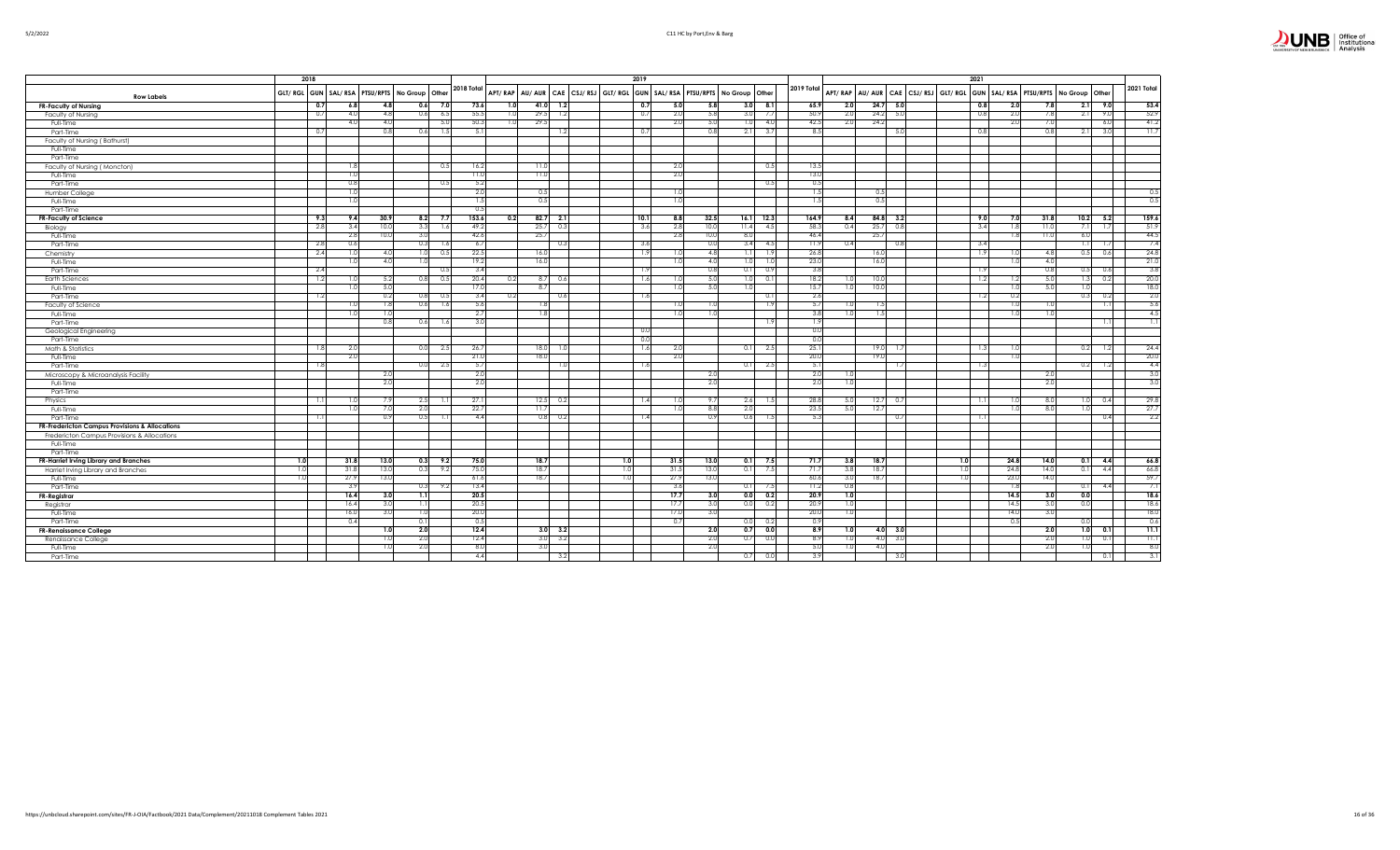| ıз                          | Office of<br>Institutional |
|-----------------------------|----------------------------|
| UNIVERSITY OF NEW BRUNSWICK | Analysis                   |

|                                                           |     | 2018       |                                                        |      |                 |      |             |      |                 |                | 2019       |                                                                         |                        |            |            |      |            |                  | 2021                                                                                      |            |                  |      |      |                 |            |
|-----------------------------------------------------------|-----|------------|--------------------------------------------------------|------|-----------------|------|-------------|------|-----------------|----------------|------------|-------------------------------------------------------------------------|------------------------|------------|------------|------|------------|------------------|-------------------------------------------------------------------------------------------|------------|------------------|------|------|-----------------|------------|
| <b>Row Labels</b>                                         |     |            | GLT/ RGL GUN   SAL/ RSA   PTSU/RPTS   No Group   Other |      |                 |      | 2018 Total  |      |                 |                |            | APT/RAP AU/AUR CAE CSJ/RSJ GLT/RGL GUN SAL/RSA PTSU/RPTS No Group Other |                        |            | 2019 Total |      |            |                  | APT/RAP   AU/AUR   CAE   CSJ/RSJ   GLT/RGL   GUN   SAL/RSA   PTSU/RPTS   No Group   Other |            |                  |      |      |                 | 2021 Total |
| <b>FR-Faculty of Nursing</b>                              |     | 0.7        | 6.8                                                    | 4.8  | 0.6             | 7.0  | 73.6        | 1.01 | 41.0            | 1.2            | 0.7        | 5.0<br>5.8                                                              | 3.0                    | 8.1        | 65.9       | 2.0  |            | $24.7$ 5.0       |                                                                                           | 0.8        | 2.0              | 7.8  |      | $2.1$ 9.0       | 53.4       |
| Faculty of Nursing                                        |     | 0.7        | 4.0                                                    | 4.8  | 0.6             | 6.5  | 55.5        | 1.0  | 29.5            | 1.2            | 0.7        | 2.0<br>5.8                                                              | 3.0                    | 7.7        | 50.9       | 2.0  | $24.2$ 5.0 |                  | 0.8                                                                                       |            | 2.0              | 7.8  | 2.1  | 9.0             | 52.9       |
| Full-Time                                                 |     |            | 4.0                                                    | 4.0  |                 | 5.0  | 50.3        | 1.0  | 29.5            |                |            | 2.0<br>5.0                                                              | 1.0                    | 4.0        | 42.5       | 2.0  | 24.2       |                  |                                                                                           |            | 2.0              | 7.0  |      | 6.0             | 41.2       |
| Part-Time                                                 |     | 0.7        |                                                        | 0.8  | 0.6             | 1.5  | 5.1         |      |                 | 1.2            | 0.7        | 0.8                                                                     | 2.1                    | 3.7        | 8.5        |      |            | -5.C             | 0.8                                                                                       |            |                  | 0.8  | 2.1  | 3.0             | 11.7       |
| Faculty of Nursing (Bathurst)                             |     |            |                                                        |      |                 |      |             |      |                 |                |            |                                                                         |                        |            |            |      |            |                  |                                                                                           |            |                  |      |      |                 |            |
| Full-Time                                                 |     |            |                                                        |      |                 |      |             |      |                 |                |            |                                                                         |                        |            |            |      |            |                  |                                                                                           |            |                  |      |      |                 |            |
| Part-Time                                                 |     |            |                                                        |      |                 |      |             |      |                 |                |            |                                                                         |                        |            |            |      |            |                  |                                                                                           |            |                  |      |      |                 |            |
| Faculty of Nursing (Moncton)                              |     |            | 1.8                                                    |      |                 | 0.5  | 16.2        |      | 11.0            |                |            | 2.0                                                                     |                        | 0.5        | 13.5       |      |            |                  |                                                                                           |            |                  |      |      |                 |            |
| Full-Time                                                 |     |            | 1.0                                                    |      |                 |      | 11.0        |      | 11.0            |                |            | 2.0                                                                     |                        |            | 13.0       |      |            |                  |                                                                                           |            |                  |      |      |                 |            |
| Part-Time                                                 |     |            | 0.8                                                    |      |                 | 0.5  | 5.2         |      |                 |                |            |                                                                         |                        | 0.5        | 0.5        |      |            |                  |                                                                                           |            |                  |      |      |                 |            |
| Humber College                                            |     |            | 1 <sub>0</sub>                                         |      |                 |      | 2.0         |      | 0.5             |                |            | 1.0                                                                     |                        |            | 1.5        |      | 0.5        |                  |                                                                                           |            |                  |      |      |                 | 0.5        |
| Full-Time                                                 |     |            | 1.0                                                    |      |                 |      | 1.5         |      | 0.5             |                |            | 1.0                                                                     |                        |            | 1.5        |      | 0.5        |                  |                                                                                           |            |                  |      |      |                 | 0.5        |
| Part-Time                                                 |     |            |                                                        |      |                 |      | 0.5         |      |                 |                |            |                                                                         |                        |            |            |      |            |                  |                                                                                           |            |                  |      |      |                 |            |
|                                                           |     | 9.3        | 9.4                                                    | 30.9 | 8.2             | 7.7  | 153.6       | 0.2  |                 | $82.7$ 2.1     | 10.1       | 8.8<br>32.5                                                             | 16.1                   | 12.3       | 164.9      | 8.4  | $84.8$ 3.2 |                  |                                                                                           | 9.0        | 7.0              | 31.8 |      | $10.2$ 5.2      | 159.6      |
| FR-Faculty of Science                                     |     | 2.8        | 3.4                                                    | 10.0 | 3.3             | 1.61 | 49.2        |      | 25.7            | 0.3            |            | 2.8<br>10.0                                                             | 11.4                   | 4.5        | 58.3       | 0.4  | 25.7       | 0.8              |                                                                                           | 3.4        | 1.8              | 11.0 | 7.1  | 1.7             | 51.9       |
| Biology                                                   |     |            | 2.8                                                    | 10.0 | 3.0             |      | 42.6        |      | 25.7            |                | 3.6        | 2.8<br>10.0                                                             | 8.0                    |            | 46.4       |      | 25.7       |                  |                                                                                           |            | 1.8              | 11.0 | 6.01 |                 | 44.5       |
| Full-Time                                                 |     |            | 0.6                                                    |      | 0.3             |      |             |      |                 |                |            | 0.0                                                                     |                        |            | 11.9       | 0.4  |            |                  |                                                                                           |            |                  |      | 1.1  |                 | 7.4        |
| Part-Time                                                 |     | 2.8<br>2.4 | 1.0                                                    | 4.0  | 1.0             | 1.6  | 6.7<br>22.5 |      | 16.0            | 0.3            | 3.6<br>1.9 | 1.0<br>4.8                                                              | 3.4<br>$\overline{11}$ | 4.5<br>1.9 | 26.8       |      | 16.0       | 0.8              |                                                                                           | 3.4<br>1.9 |                  | 4.8  | 0.5  | 1.7             | 24.8       |
| Chemistry                                                 |     |            |                                                        | 4.0  | 1.0             |      | 19.2        |      | 16.0            |                |            | 1.0<br>4.0                                                              | 1.0                    | 1.0        | 23.0       |      | 16.0       |                  |                                                                                           |            | 1.0<br>1.0       | 4.0  |      | 0.6             | 21.0       |
| Full-Time                                                 |     |            | 1.0                                                    |      |                 |      | 3.4         |      |                 |                |            | 0.8                                                                     |                        | 0.9        | 3.8        |      |            |                  |                                                                                           |            |                  | 0.8  |      |                 | 3.8        |
| Part-Time                                                 |     | 2.4        |                                                        |      |                 |      | 20.4        |      |                 |                | 1.9        |                                                                         | 0.1                    |            |            |      |            |                  |                                                                                           | 1.9        |                  |      | 0.5  | 0.6             | 20.0       |
| <b>Earth Sciences</b>                                     |     | 1.2        | -1.0                                                   | 5.2  | 0.8             | 0.5  |             | 0.2  | 8.7             | 0.6            | 1.6        | 5.0<br>1.0                                                              | 1.0                    | 0.1        | 18.2       | 1.0  | 10.0       |                  |                                                                                           | 1.2        | 1.2              | 5.0  | 1.3  | 0.2             |            |
| Full-Time                                                 |     |            |                                                        | 5.0  |                 |      | 17.0        |      | 8.              |                |            | 5.0<br>1.0                                                              | 1.0                    |            | 15.7       | 1.0  | 10.0       |                  |                                                                                           |            | 1.0              | 5.0  | 1.01 |                 | 18.0       |
| Part-Time                                                 |     | 1.2        |                                                        | 0.2  | 0.81            | 0.5  | 3.4         | 0.2  |                 | 0.6            | 1.6        |                                                                         |                        | 0.1        | 2.6        |      |            |                  |                                                                                           | 1.2        | 0.2              |      | 0.3  | 0.2             | 2.0        |
| Faculty of Science                                        |     |            | 1.0                                                    | 1.8  | 0.6             | 1.6  | 5.6         |      | 1.8             |                |            | 1.0<br>1.01                                                             |                        | 1.91       | 5.7        | 1.0  | 1.5        |                  |                                                                                           |            | 1.0              | 1.01 |      | 1.1             | - 5.6      |
| Full-Time                                                 |     |            | 1.0                                                    | 1.0  |                 |      | 2.7         |      | 1.8             |                |            | 1.0<br>1.0                                                              |                        |            | 3.8        | 1.0  | 1.5        |                  |                                                                                           |            | 1.0              | 1.0  |      |                 | 4.5        |
| Part-Time                                                 |     |            |                                                        | 0.8  | 0.6             | 1.6  | 3.0         |      |                 |                |            |                                                                         |                        | 1.91       | 1.9        |      |            |                  |                                                                                           |            |                  |      |      | 1.1             | 1.11       |
| Geological Engineering                                    |     |            |                                                        |      |                 |      |             |      |                 |                | 0.0        |                                                                         |                        |            | 0.0        |      |            |                  |                                                                                           |            |                  |      |      |                 |            |
| Part-Time                                                 |     |            |                                                        |      |                 |      |             |      |                 |                | 0.0        |                                                                         |                        |            | 0.0        |      |            |                  |                                                                                           |            |                  |      |      |                 |            |
| Math & Statistics                                         |     | 1.8        | 2.0                                                    |      | 0.0             | 2.5  | 26.7        |      | 18.0            | -1.0           | 1.6        | 2.0                                                                     | 0.1                    | 2.5        | 25.1       |      | 19.0       | -1.7             |                                                                                           | 1.3        | 1.0              |      | 0.2  | 1.2             | 24.4       |
| Full-Time                                                 |     |            | 2.0                                                    |      |                 |      | 21.0        |      | 18 <sub>c</sub> |                |            | 2.0                                                                     |                        |            | 20.0       |      | 19.0       |                  |                                                                                           |            | 1.0              |      |      |                 | 20.0       |
| Part-Time                                                 |     | 1.8        |                                                        |      | 0.01            | 2.5  | 5.7         |      |                 | 1.0            | 1.6        |                                                                         | 0.1                    | 2.5        | 5.1        |      |            | 15               |                                                                                           | 1.3        |                  |      | 0.2  | 1.2             | 4.4        |
| Microscopy & Microanalysis Facility                       |     |            |                                                        | 2.0  |                 |      | 2.0         |      |                 |                |            | 2.0                                                                     |                        |            | 2.0        | 1.0  |            |                  |                                                                                           |            |                  | 2.0  |      |                 | 3.0        |
| Full-Time                                                 |     |            |                                                        | 2.0  |                 |      | 2.0         |      |                 |                |            | 2.0                                                                     |                        |            | 2.0        | 1.0  |            |                  |                                                                                           |            |                  | 2.0  |      |                 | 3.0        |
| Part-Time                                                 |     |            |                                                        |      |                 |      |             |      |                 |                |            |                                                                         |                        |            |            |      |            |                  |                                                                                           |            |                  |      |      |                 |            |
| Physics                                                   |     | -1.1       |                                                        | -7.9 | 2.5             |      | 27.1        |      | 12.5            | 0.2            | 1.4        | 9.7<br>1.0                                                              | 2.6                    | 1.5        | 28.8       | 5.0  |            | $12.7\qquad 0.7$ |                                                                                           | 1.1        | -1.0             | 8.0  | 1.0  | 0.4             | 29.8       |
| Full-Time                                                 |     |            | 1.0                                                    | 7.0  | 2.0             |      | 22.7        |      | 11.7            |                |            | 1.0<br>8.8                                                              | 2.0                    |            | 23.5       | 5.0  | 12.7       |                  |                                                                                           |            | 1.0              | 8.0  | 1.01 |                 | 27.7       |
| Part-Time                                                 |     | 1.1        |                                                        | 0.9  | 0.5             |      | 4.4         |      |                 | $0.8\ 0.2$     | 1.4        | 0.9                                                                     | 0.6                    | 1.5        | 5.3        |      |            | 0.7              |                                                                                           | 1.11       |                  |      |      | 0.4             | 2.2        |
| <b>FR-Fredericton Campus Provisions &amp; Allocations</b> |     |            |                                                        |      |                 |      |             |      |                 |                |            |                                                                         |                        |            |            |      |            |                  |                                                                                           |            |                  |      |      |                 |            |
| Fredericton Campus Provisions & Allocations               |     |            |                                                        |      |                 |      |             |      |                 |                |            |                                                                         |                        |            |            |      |            |                  |                                                                                           |            |                  |      |      |                 |            |
| Full-Time                                                 |     |            |                                                        |      |                 |      |             |      |                 |                |            |                                                                         |                        |            |            |      |            |                  |                                                                                           |            |                  |      |      |                 |            |
| Part-Time                                                 |     |            |                                                        |      |                 |      |             |      |                 |                |            |                                                                         |                        |            |            |      |            |                  |                                                                                           |            |                  |      |      |                 |            |
| FR-Harriet Irving Library and Branches                    | 1.0 |            | 31.8                                                   | 13.0 | 0.3             | 9.2  | 75.0        |      | 18.7            |                | 1.0        | 31.5<br>13.0                                                            | 0.1                    | 7.5        | 71.7       | 3.8  | 18.7       |                  | 1.0                                                                                       |            | 24.8             | 14.0 | 0.1  | 4.4             | 66.8       |
| Harriet Irving Library and Branches                       | 1.0 |            | 31.8                                                   | 13.0 | 0.3             |      | 75.0        |      | 18.7            |                |            | 31.5<br>13.0                                                            | 0.1                    | 7.5        | 71.7       | 3.8  | 18.7       |                  | 1.0                                                                                       |            | 24.8             | 14.0 | 0.1  | 4.4             | 66.8       |
| Full-Time                                                 | 1.0 |            | 27.9                                                   | 13.0 |                 |      | 61.6        |      | 18.7            |                |            | 27.9<br>13.0                                                            |                        |            | 60.6       | 3.0  | 18.7       |                  | 1.0                                                                                       |            | 23.0             | 14.0 |      |                 | 59.7       |
| Part-Time                                                 |     |            | 3.9                                                    |      | 0.3             | 9.2  | 13.4        |      |                 |                |            | 3.6                                                                     | 0.1                    | 7.5        | 11.2       | 0.8  |            |                  |                                                                                           |            | $\overline{1.8}$ |      | 0.1  | 4.4             | 7.1        |
| FR-Registrar                                              |     |            | 16.4                                                   | 3.0  | $\overline{11}$ |      | 20.5        |      |                 |                |            | 17.7<br>3.0                                                             | 0.0                    | 0.2        | 20.9       | 1.0  |            |                  |                                                                                           |            | 14.5             | 3.0  | 0.0  |                 | 18.6       |
| Registrar                                                 |     |            | 16.4                                                   | 3.0  |                 |      | 20.5        |      |                 |                |            | 3.0<br>17.7                                                             | 0.0                    | 0.2        | 20.9       | 1.0  |            |                  |                                                                                           |            | 14.5             | 3.0  | 0.0  |                 | 18.6       |
| Full-Time                                                 |     |            | 16.0                                                   | 3.0  | 1.0             |      | 20.0        |      |                 |                |            | 17.0<br>3.0                                                             |                        |            | 20.0       | 1.01 |            |                  |                                                                                           |            | 14.0             | 3.0  |      |                 | 18.0       |
| Part-Time                                                 |     |            | 0.4                                                    |      | $_{0.1}$        |      | 0.5         |      |                 |                |            | 0.7                                                                     | 0.01                   | 0.2        | 0.9        |      |            |                  |                                                                                           |            | 0.5              |      | 0.01 |                 | 0.6        |
| <b>FR-Renaissance College</b>                             |     |            |                                                        | 1.0  | 2.0             |      | 12.4        |      |                 | $3.0\quad 3.2$ |            | 2.0                                                                     | 0.7                    | 0.0        | 8.9        | 1.0  |            | $4.0\qquad 3.0$  |                                                                                           |            |                  | 2.0  |      | $1.0\qquad 0.1$ | 11.1       |
| Renaissance College                                       |     |            |                                                        | 1.0  | 2.0             |      | 12.4        |      | 3.0             | 3.2            |            | 2.0                                                                     | 0.7                    | 0.0        | 8.9        | 1.0  |            | $4.0\quad 3.0$   |                                                                                           |            |                  | 2.0  | 1.0  | 0.1             | 11.1       |
| Full-Time                                                 |     |            |                                                        | 1.0  | 2.0             |      | 8.0         |      | 3.0             |                |            | 2.0                                                                     |                        |            | 5.0        | 1.0  | 4.0        |                  |                                                                                           |            |                  | 2.0  | 1.0  |                 | 8.0        |
| Part-Time                                                 |     |            |                                                        |      |                 |      | 4.4         |      |                 | 3.2            |            |                                                                         | 0.7                    | 0.0        | 3.9        |      |            |                  |                                                                                           |            |                  |      |      | 0.1             | 3.1        |
|                                                           |     |            |                                                        |      |                 |      |             |      |                 |                |            |                                                                         |                        |            |            |      |            |                  |                                                                                           |            |                  |      |      |                 |            |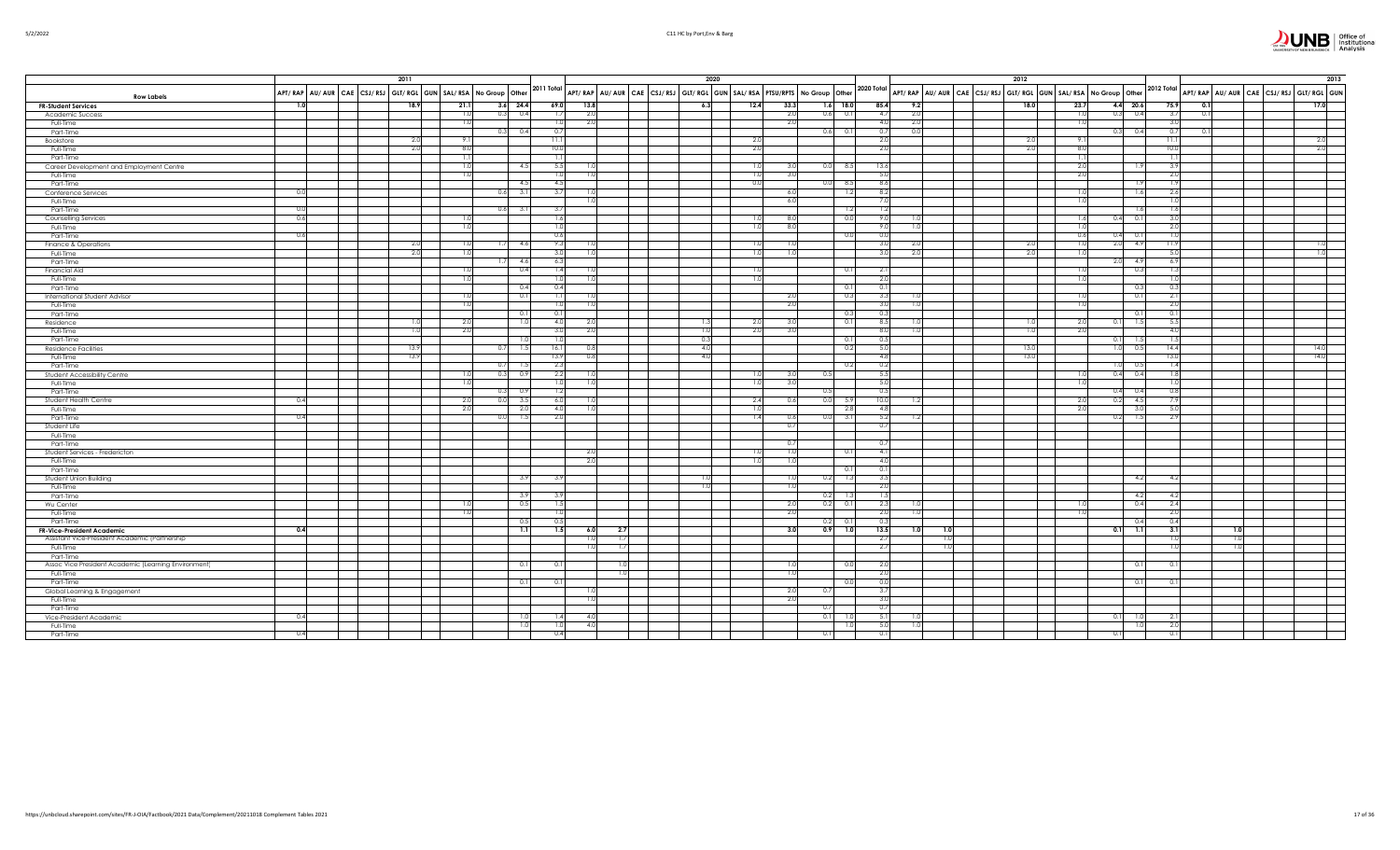

|  | 5/2/2022 |  |
|--|----------|--|
|  |          |  |

|                                                      |                                                                    | 2011 |      |            |            |            |                |     | 2020                                                                                                                                                                                                                                                                                                                                                                                                                                                |            |            |                 |                  |     |                                                                                | 2012 |      |            |     |                      |            |      | 2013                                   |
|------------------------------------------------------|--------------------------------------------------------------------|------|------|------------|------------|------------|----------------|-----|-----------------------------------------------------------------------------------------------------------------------------------------------------------------------------------------------------------------------------------------------------------------------------------------------------------------------------------------------------------------------------------------------------------------------------------------------------|------------|------------|-----------------|------------------|-----|--------------------------------------------------------------------------------|------|------|------------|-----|----------------------|------------|------|----------------------------------------|
| <b>Row Labels</b>                                    | APT/ RAP AU/ AUR CAE CSJ/ RSJ GLT/ RGL GUN SAL/ RSA No Group Other |      |      |            |            |            |                |     | $\sqrt{2011 \text{ Total}}\ \text{APT/ RAP} \ \text{AU/ AUR} \ \text{CAE} \ \text{CSJ/ RSI} \ \text{GI/ RGL} \ \text{GUN} \ \text{SAL/ RSA} \ \text{PTSU/ RPTS} \ \text{No Group} \ \text{Other} \ \text{Othe} \ \text{Othe} \ \text{Othe} \ \text{Othe} \ \text{Othe} \ \text{Othe} \ \text{Othe} \ \text{Othe} \ \text{Othe} \ \text{Othe} \ \text{Othe} \ \text{Othe} \ \text{Othe} \ \text{Othe} \ \text{Othe} \ \text{Othe} \ \text{Othe} \ \$ |            |            |                 | 2020 Total       |     | APT/RAP   AU/ AUR   CAE   CSJ/RSJ   GLT/RGL   GUN   SAL/RSA   No Group   Other |      |      |            |     |                      | 2012 Total |      | APT/RAP AU/AUR CAE CSJ/RSJ GLT/RGL GUN |
| <b>FR-Student Services</b>                           | 1.0                                                                | 18.9 | 21.1 |            | $3.6$ 24.4 | 69.0       | 13.8           |     | 6.3                                                                                                                                                                                                                                                                                                                                                                                                                                                 | 12.4       | 33.3       | $1.6$ 18.0      | 85.4             | 9.2 |                                                                                | 18.0 |      | 23.7       |     | $4.4\quad 20.6$      | 75.9       | 0.1  | 17.0                                   |
| Academic Success                                     |                                                                    |      |      | 1.0        | 0.3<br>0.4 | 1.7        | 2.0            |     |                                                                                                                                                                                                                                                                                                                                                                                                                                                     |            | 2.0        | $0.6$ 0.1       | 4.7              | 2.0 |                                                                                |      |      | 1.0        |     | $0.3\qquad 0.4$      | 3.7        | 0.1  |                                        |
| Full-Time                                            |                                                                    |      |      | 1.0        |            | 1.0        | 2.0            |     |                                                                                                                                                                                                                                                                                                                                                                                                                                                     |            | 2.0        |                 | 4.0              | 2.0 |                                                                                |      |      |            |     |                      | 3.0        |      |                                        |
| Part-Time                                            |                                                                    |      |      |            | $0.3$ 0.4  | 0.7        |                |     |                                                                                                                                                                                                                                                                                                                                                                                                                                                     |            |            | $0.6$ 0.1       | 0.7              | 0.0 |                                                                                |      |      |            |     | $0.3\qquad 0.4$      | 0.7        | -0.1 |                                        |
| Bookstore                                            |                                                                    | 2.0  |      | 9.1        |            | 11.1       |                |     |                                                                                                                                                                                                                                                                                                                                                                                                                                                     | 2.0        |            |                 | 2.0              |     |                                                                                | 2.0  |      | 9.1        |     |                      | 11.1       |      | 2.0                                    |
| Full-Time                                            |                                                                    | 2.0  |      | 8.0        |            | 10.0       |                |     |                                                                                                                                                                                                                                                                                                                                                                                                                                                     | 2.0        |            |                 | 2.0              |     |                                                                                | 2.0  |      | 8.0        |     |                      | 10.0       |      | 2.0                                    |
| Part-Time                                            |                                                                    |      |      | 1.1        |            | 1.1        |                |     |                                                                                                                                                                                                                                                                                                                                                                                                                                                     |            |            |                 |                  |     |                                                                                |      |      | - 1.1      |     |                      | 1.1        |      |                                        |
| Career Development and Employment Centre             |                                                                    |      |      | 1.0<br>1.0 | 4.5        | 5.5<br>1.0 | 1.0            |     |                                                                                                                                                                                                                                                                                                                                                                                                                                                     | 1.0<br>1.0 | 3.0<br>3.0 | $0.0$ 8.5       | 13.6<br>5.0      |     |                                                                                |      |      | 2.0<br>2.0 |     |                      | 3.9<br>2.0 |      |                                        |
| Full-Time                                            |                                                                    |      |      |            | -4.5       | 4.5        |                |     |                                                                                                                                                                                                                                                                                                                                                                                                                                                     | 0.0        |            | $-8.5$<br>0.0   | 8.6              |     |                                                                                |      |      |            |     |                      | 1.9        |      |                                        |
| Part-Time                                            | 0.0                                                                |      |      |            | 0.6<br>3.1 | 3.7        |                |     |                                                                                                                                                                                                                                                                                                                                                                                                                                                     |            | 6.0        | 1.2             | 8.2              |     |                                                                                |      |      |            |     | 1.6                  | 2.6        |      |                                        |
| Conference Services<br>Full-Time                     |                                                                    |      |      |            |            |            | $\mathbf{1}$   |     |                                                                                                                                                                                                                                                                                                                                                                                                                                                     |            | 6.0        |                 | 7.0              |     |                                                                                |      |      | 1.0        |     |                      | 1.0        |      |                                        |
| Part-Time                                            | 0.0                                                                |      |      |            | $0.6$ 3.1  | 3.7        |                |     |                                                                                                                                                                                                                                                                                                                                                                                                                                                     |            |            | 1.2             | 1.2              |     |                                                                                |      |      |            |     | -1.6                 | 1.6        |      |                                        |
| Counselling Services                                 | 0.6                                                                |      |      | 1.0        |            | 1.6        |                |     |                                                                                                                                                                                                                                                                                                                                                                                                                                                     | 1.01       | 8.0        | 0.0             | 9.0              |     |                                                                                |      |      | 1.6        |     | 0.1<br>0.4           | 3.0        |      |                                        |
| Full-Time                                            |                                                                    |      |      | 1.0        |            | 1.0        |                |     |                                                                                                                                                                                                                                                                                                                                                                                                                                                     | 1.0        | 8.0        |                 | 9.0              | 1.0 |                                                                                |      |      |            |     |                      | 2.0        |      |                                        |
| Part-Time                                            | 0.6                                                                |      |      |            |            | 0.6        |                |     |                                                                                                                                                                                                                                                                                                                                                                                                                                                     |            |            | 0.0             | 0.0              |     |                                                                                |      |      | 0.6        |     | 0.4                  | 1.0        |      |                                        |
| Finance & Operations                                 |                                                                    | 2.0  |      | 1.0        | 4.6<br>1.7 | 9.3        |                |     |                                                                                                                                                                                                                                                                                                                                                                                                                                                     | 1.0        |            |                 | 3.0              | 2.0 |                                                                                | 2.0  |      |            |     | 2.0<br>- 4.9         | 11.9       |      |                                        |
| Full-Time                                            |                                                                    | 2.0  |      | 1.0        |            | 3.0        | -1.0           |     |                                                                                                                                                                                                                                                                                                                                                                                                                                                     | 1.0        | 1.01       |                 | 3.0              | 2.0 |                                                                                | 2.0  |      | -1.0       |     |                      | 5.0        |      |                                        |
| Part-Time                                            |                                                                    |      |      |            | $1.7$ 4.6  | 6.3        |                |     |                                                                                                                                                                                                                                                                                                                                                                                                                                                     |            |            |                 |                  |     |                                                                                |      |      |            |     | $2.0\frac{4.9}{4.9}$ | 6.9        |      |                                        |
| <b>Financial Aid</b>                                 |                                                                    |      |      | 1.0        | 0.4        | 1.4        |                |     |                                                                                                                                                                                                                                                                                                                                                                                                                                                     | 1.0        |            | 0.1             | 2.1              |     |                                                                                |      |      | 1.0        |     | 0.3                  | 1.3        |      |                                        |
| Full-Time                                            |                                                                    |      |      | 1.0        |            | 1.0        |                |     |                                                                                                                                                                                                                                                                                                                                                                                                                                                     | 1.0        |            |                 | 2.0              |     |                                                                                |      |      |            |     |                      | 1.0        |      |                                        |
| Part-Time                                            |                                                                    |      |      |            | 0.4        | 0.4        |                |     |                                                                                                                                                                                                                                                                                                                                                                                                                                                     |            |            | 0.1             | 0.1              |     |                                                                                |      |      |            |     |                      | 0.3        |      |                                        |
| International Student Advisor                        |                                                                    |      |      | 1.0        | 0.1        | 1.1        |                |     |                                                                                                                                                                                                                                                                                                                                                                                                                                                     |            | 2.0        | 0.3             | 3.3              | 1.0 |                                                                                |      |      | 1.0        |     | 0.1                  | 2.1        |      |                                        |
| Full-Time                                            |                                                                    |      |      | 1.0        |            | 1.0        |                |     |                                                                                                                                                                                                                                                                                                                                                                                                                                                     |            | 2.0        |                 | 3(               | 1.0 |                                                                                |      |      |            |     |                      | 2.0        |      |                                        |
| Part-Time                                            |                                                                    |      |      |            | 0.1        | 0.1        |                |     |                                                                                                                                                                                                                                                                                                                                                                                                                                                     |            |            | 0.3             | 0.3              |     |                                                                                |      |      |            |     | -0.                  | 0.1        |      |                                        |
| Residence                                            |                                                                    | 1.0  |      | 2.0        | 1.0        | 4.0        |                |     | 1.3                                                                                                                                                                                                                                                                                                                                                                                                                                                 | 2.0        | 3.0        | 0.1             | 8.5              |     |                                                                                |      | 1.OI | -2.0       |     | 0.1<br>15            | 5.5        |      |                                        |
| Full-Time                                            |                                                                    | 1.0  |      | 2.0        |            | 3.0        | 2.0            |     | 1.0                                                                                                                                                                                                                                                                                                                                                                                                                                                 | 2.0        | 3.0        |                 | 8.0              | 1.0 |                                                                                | 1.0  |      | 2.0        |     |                      | 4.0        |      |                                        |
| Part-Time                                            |                                                                    |      |      |            | 1.0        | 1.0        |                |     | 0.3                                                                                                                                                                                                                                                                                                                                                                                                                                                 |            |            | 0.1             | 0.5              |     |                                                                                |      |      |            | 0.1 |                      | 1.5        |      |                                        |
| <b>Residence Facilities</b>                          |                                                                    | 13.9 |      |            | $0.7$ 1.5  | 16.1       | 0.8            |     | 4.0                                                                                                                                                                                                                                                                                                                                                                                                                                                 |            |            | 0.2             | 5.0              |     |                                                                                | 13.0 |      |            |     | $1.0\qquad 0.5$      | 14.4       |      | 14.0                                   |
| Full-Time                                            |                                                                    | 13.9 |      |            |            | 13.9       | 0.8            |     | 4.0                                                                                                                                                                                                                                                                                                                                                                                                                                                 |            |            |                 | 4.8              |     |                                                                                | 13.0 |      |            |     |                      | 13.0       |      | 14.0                                   |
| Part-Time                                            |                                                                    |      |      |            | 0.7<br>1.5 | 2.3        |                |     |                                                                                                                                                                                                                                                                                                                                                                                                                                                     |            |            | 0.2             | 0.2              |     |                                                                                |      |      |            |     | $1.0 \ 0.5$          | 4          |      |                                        |
| Student Accessibility Centre                         |                                                                    |      |      | 1.0        | 0.3<br>0.9 | 2.2        | -1.0           |     |                                                                                                                                                                                                                                                                                                                                                                                                                                                     | 1.01       | 3.0        | 0.5             | 5.5<br>5.0       |     |                                                                                |      |      |            |     | 0.4<br>0.4           | 1.8        |      |                                        |
| Full-Time<br>Part-Time                               |                                                                    |      |      | 1.0        | 0.3<br>0.9 | 1.0<br>1.2 |                |     |                                                                                                                                                                                                                                                                                                                                                                                                                                                     | 1.0        | 3.0        | 0.5             | 0.5              |     |                                                                                |      |      | 1.0        |     | 0.4<br>0.4           | 1.0<br>0.8 |      |                                        |
|                                                      | 0.4                                                                |      |      | 2.0        | 0.0<br>3.5 | 6.0        |                |     |                                                                                                                                                                                                                                                                                                                                                                                                                                                     | 2.4        | 0.6        | 0.0<br>- 5.9    | 10.0             |     |                                                                                |      |      | -2.0       |     | 0.2<br>-4.5          | 7.9        |      |                                        |
| Student Health Centre<br>Full-Time                   |                                                                    |      |      | 2.0        | 2.0        | 4.0        |                |     |                                                                                                                                                                                                                                                                                                                                                                                                                                                     | 1.0        |            | 2.8             | 4.8              | 1.Z |                                                                                |      |      | -2.0       |     | -3.0                 | 5.0        |      |                                        |
| Part-Time                                            | 0.4                                                                |      |      |            | 1.5<br>0.0 | 2.0        |                |     |                                                                                                                                                                                                                                                                                                                                                                                                                                                     | 1.4        | 0.6        | $0.0$ 3.1       | 5.2              |     | 1.2                                                                            |      |      |            |     | 0.2<br>- 1.5         | 2.9        |      |                                        |
| Student Life                                         |                                                                    |      |      |            |            |            |                |     |                                                                                                                                                                                                                                                                                                                                                                                                                                                     |            | 0.7        |                 | 0.7              |     |                                                                                |      |      |            |     |                      |            |      |                                        |
| Full-Time                                            |                                                                    |      |      |            |            |            |                |     |                                                                                                                                                                                                                                                                                                                                                                                                                                                     |            |            |                 |                  |     |                                                                                |      |      |            |     |                      |            |      |                                        |
| Part-Time                                            |                                                                    |      |      |            |            |            |                |     |                                                                                                                                                                                                                                                                                                                                                                                                                                                     |            | 0.7        |                 | 0.7              |     |                                                                                |      |      |            |     |                      |            |      |                                        |
| Student Services - Fredericton                       |                                                                    |      |      |            |            |            | 2.0            |     |                                                                                                                                                                                                                                                                                                                                                                                                                                                     | 1.0        | 1.0        | 0.1             | 4.1              |     |                                                                                |      |      |            |     |                      |            |      |                                        |
| Full-Time                                            |                                                                    |      |      |            |            |            | 2.0            |     |                                                                                                                                                                                                                                                                                                                                                                                                                                                     | 1.0        | 1.0        |                 | 4(               |     |                                                                                |      |      |            |     |                      |            |      |                                        |
| Part-Time                                            |                                                                    |      |      |            |            |            |                |     |                                                                                                                                                                                                                                                                                                                                                                                                                                                     |            |            | 0.1             | 0.1              |     |                                                                                |      |      |            |     |                      |            |      |                                        |
| Student Union Building                               |                                                                    |      |      |            | 3.9        | 3.9        |                |     | 1.0                                                                                                                                                                                                                                                                                                                                                                                                                                                 |            | 1.0        | 0.2<br>1.3      | 3.5              |     |                                                                                |      |      |            |     | 4.2                  | 4.2        |      |                                        |
| Full-Time                                            |                                                                    |      |      |            |            |            |                |     | 1.0                                                                                                                                                                                                                                                                                                                                                                                                                                                 |            | 1.0        |                 | 2.0              |     |                                                                                |      |      |            |     |                      |            |      |                                        |
| Part-Time                                            |                                                                    |      |      |            | 3.9        | 3.9        |                |     |                                                                                                                                                                                                                                                                                                                                                                                                                                                     |            |            | 0.2<br>- 1.3    | 1.5              |     |                                                                                |      |      |            |     | 4.2                  | 4.2        |      |                                        |
| Wu Center                                            |                                                                    |      |      | 1.0        | 0.5        | 1.5        |                |     |                                                                                                                                                                                                                                                                                                                                                                                                                                                     |            | 2.0        | 0.2<br>0.1      | 2.3              |     |                                                                                |      |      |            |     | 0.4                  | 2.4        |      |                                        |
| Full-Time                                            |                                                                    |      |      | 1.0        |            | 1.0        |                |     |                                                                                                                                                                                                                                                                                                                                                                                                                                                     |            | 2.0        |                 | 2.0              | 1.0 |                                                                                |      |      | 1.0        |     |                      | 2.0        |      |                                        |
| Part-Time                                            |                                                                    |      |      |            | 0.5        | 0.5        |                |     |                                                                                                                                                                                                                                                                                                                                                                                                                                                     |            |            | 0.2<br>$\Omega$ | $\overline{0}$ . |     |                                                                                |      |      |            |     |                      | 0.4        |      |                                        |
| <b>FR-Vice-President Academic</b>                    | 0.4                                                                |      |      |            | 7.1        | 1.5        | 6.0            | 2.7 |                                                                                                                                                                                                                                                                                                                                                                                                                                                     |            | 3.0        | 0.9<br>7.0      | 13.5             |     | 1.0 <sub>1</sub><br>1.0                                                        |      |      |            | 0.1 | הר                   | 3.1        |      | 1.0 <sub>1</sub>                       |
| Assistant Vice-President Academic (Partnership       |                                                                    |      |      |            |            |            | 1 <sub>0</sub> | 1.7 |                                                                                                                                                                                                                                                                                                                                                                                                                                                     |            |            |                 | 2.7              |     | 1.0                                                                            |      |      |            |     |                      | 1.0        |      | 1.0                                    |
| Full-Time                                            |                                                                    |      |      |            |            |            | 1 <sup>c</sup> | 1.7 |                                                                                                                                                                                                                                                                                                                                                                                                                                                     |            |            |                 | 2.7              |     | 1.0                                                                            |      |      |            |     |                      | 1.0        |      | 1.0                                    |
| Part-Time                                            |                                                                    |      |      |            |            |            |                |     |                                                                                                                                                                                                                                                                                                                                                                                                                                                     |            |            |                 |                  |     |                                                                                |      |      |            |     |                      |            |      |                                        |
| Assoc Vice President Academic (Learning Environment) |                                                                    |      |      |            | 0.1        | 0.1        |                |     | 1.0                                                                                                                                                                                                                                                                                                                                                                                                                                                 |            | 1.0        | 0.0             | 2.0              |     |                                                                                |      |      |            |     | - 0.1                | 0.11       |      |                                        |
| Full-Time                                            |                                                                    |      |      |            | 0.11       | 0.1        |                |     | 1.0                                                                                                                                                                                                                                                                                                                                                                                                                                                 |            | 1.0        | 0.0             | 2.0<br>0.0       |     |                                                                                |      |      |            |     | - 0.1                | 0.1        |      |                                        |
| Part-Time                                            |                                                                    |      |      |            |            |            |                |     |                                                                                                                                                                                                                                                                                                                                                                                                                                                     |            | 2.0        |                 | 3.7              |     |                                                                                |      |      |            |     |                      |            |      |                                        |
| Global Learning & Engagement<br>Full-Time            |                                                                    |      |      |            |            |            | 1 <sup>c</sup> |     |                                                                                                                                                                                                                                                                                                                                                                                                                                                     |            | 2.0        | 0.71            | 3(               |     |                                                                                |      |      |            |     |                      |            |      |                                        |
| Part-Time                                            |                                                                    |      |      |            |            |            |                |     |                                                                                                                                                                                                                                                                                                                                                                                                                                                     |            |            | 0.7             | 0.7              |     |                                                                                |      |      |            |     |                      |            |      |                                        |
| Vice-President Academic                              | 0.4                                                                |      |      |            | 1.0        |            | $\Delta$       |     |                                                                                                                                                                                                                                                                                                                                                                                                                                                     |            |            | 0.11            | $-5.1$           |     |                                                                                |      |      |            | 0.1 |                      | 2.1        |      |                                        |
| Full-Time                                            |                                                                    |      |      |            | 1.0        | 1.0        | 4.0            |     |                                                                                                                                                                                                                                                                                                                                                                                                                                                     |            |            | -1.0            | 5.0              | 1.0 |                                                                                |      |      |            |     |                      | 2.0        |      |                                        |
| Part-Time                                            | 0.4                                                                |      |      |            |            | 0.4        |                |     |                                                                                                                                                                                                                                                                                                                                                                                                                                                     |            |            |                 | 0.1              |     |                                                                                |      |      |            |     |                      | 0.11       |      |                                        |
|                                                      |                                                                    |      |      |            |            |            |                |     |                                                                                                                                                                                                                                                                                                                                                                                                                                                     |            |            |                 |                  |     |                                                                                |      |      |            |     |                      |            |      |                                        |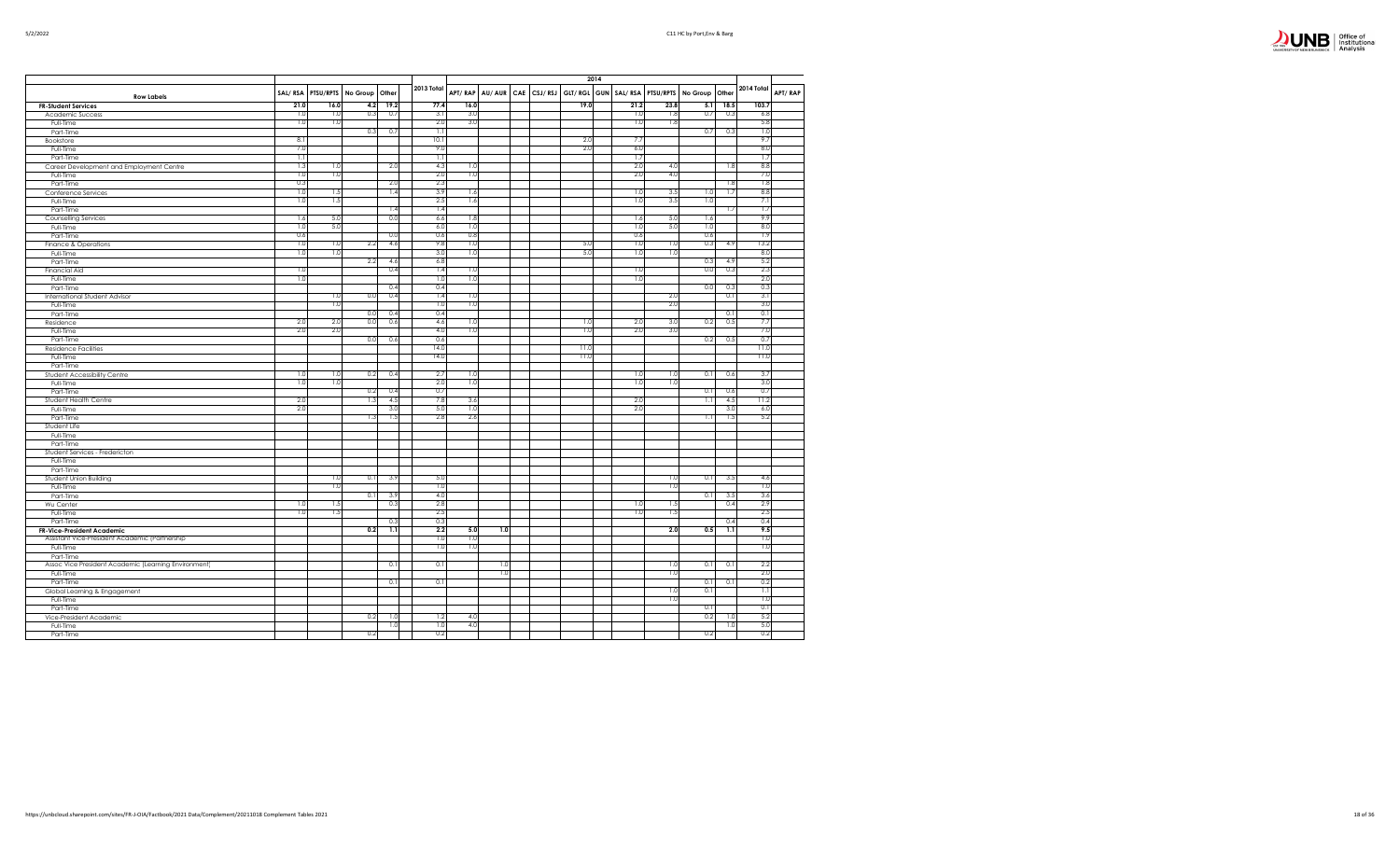|                                | Office of                 |
|--------------------------------|---------------------------|
| <b>INNERSITY OF NEW BRINSW</b> | Institutional<br>Analysis |

|                                                      | SAL/RSA    | PTSU/RPTS  | No Group | Other                 | 2013 Total              |            |     |  | APT/RAP AU/AUR CAE CSJ/RSJ |      |  |            | GLT/ RGL GUN   SAL/ RSA   PTSU/RPTS | No Group Other |            | 2014 Total  | APT/RAF |
|------------------------------------------------------|------------|------------|----------|-----------------------|-------------------------|------------|-----|--|----------------------------|------|--|------------|-------------------------------------|----------------|------------|-------------|---------|
| <b>Row Labels</b>                                    |            |            |          |                       |                         |            |     |  |                            |      |  |            |                                     |                |            |             |         |
| <b>FR-Student Services</b>                           | 21.0       | 16.0       | 4.2      | 19.2                  | 77.4                    | 16.0       |     |  |                            | 19.0 |  | 21.2       | 23.8                                | 5.1            | 18.5       | 103.7       |         |
| Academic Success                                     | 1.0        | 1.0        | 0.3      | 0.7                   | 3.1                     | 3.0        |     |  |                            |      |  | 1.0        | 1.8                                 | 0.7            | 0.3        | 6.8         |         |
| Full-Time                                            | 1.0        | 1.0        |          |                       | 2.0                     | 3.0        |     |  |                            |      |  | 1.0        | 1.8                                 |                |            | 5.8         |         |
| Part-Time                                            |            |            | 0.3      | 0.7                   | $\overline{1.1}$        |            |     |  |                            |      |  |            |                                     | 0.7            | 0.3        | 1.0         |         |
| Bookstore                                            | 8.1        |            |          |                       | 10.1                    |            |     |  |                            | 2.0  |  | 7.7        |                                     |                |            | 9.7         |         |
| Full-Time                                            | 7.0        |            |          |                       | 9.0                     |            |     |  |                            | 2.0  |  | 6.0        |                                     |                |            | 8.0         |         |
| Part-Time                                            | 1.1        |            |          |                       | $\overline{1.1}$<br>4.3 |            |     |  |                            |      |  | 1.7<br>2.0 |                                     |                |            | 1.7<br>8.8  |         |
| Career Development and Employment Centre             | 1.3        | 1.0<br>1.0 |          | 2.0                   | 2.0                     | 1.0        |     |  |                            |      |  | 2.0        | 4.0                                 |                | 1.8        | 7.0         |         |
| Full-Time                                            | 1.0<br>0.3 |            |          |                       | 2.3                     | 1.0        |     |  |                            |      |  |            | 4.0                                 |                |            | 1.8         |         |
| Part-Time                                            | 1.0        |            |          | 2.0                   | 3.9                     |            |     |  |                            |      |  |            |                                     |                | 1.8        | 8.8         |         |
| Conference Services                                  |            | 1.5<br>1.5 |          | 1.4                   | 2.5                     | 1.6        |     |  |                            |      |  | 1.0        | 3.5<br>3.5                          | 1.0            | 1.7        | 7.1         |         |
| Full-Time                                            | 1.0        |            |          |                       | 1.4                     | 1.6        |     |  |                            |      |  | 1.0        |                                     | 1.0            |            | 1.7         |         |
| Part-Time                                            |            | 5.0        |          | 1.4<br>0.0            |                         | 1.8        |     |  |                            |      |  |            | 5.0                                 |                | 1.7        | 9.9         |         |
| Counselling Services                                 | 1.6        |            |          |                       | 6.6                     |            |     |  |                            |      |  | 1.6        |                                     | 1.6            |            |             |         |
| Full-Time                                            | 1.0        | 5.0        |          |                       | 6.0                     | 1.0        |     |  |                            |      |  | 1.0        | 5.0                                 | 1.0<br>0.6     |            | 8.0         |         |
| Part-Time                                            | 0.6        |            |          | 0.0                   | 0.6                     | 0.8<br>1.0 |     |  |                            |      |  | 0.6        |                                     |                |            | 1.9         |         |
| Finance & Operations                                 | 1.0        | 1.0        | 2.2      | 4.6                   | 9.8                     |            |     |  |                            | 5.0  |  | 1.0        | 1.0                                 | 0.3            | 4.9        | 13.2        |         |
| Full-Time                                            | 1.0        | 1.0        | 2.2      |                       | 3.0<br>6.8              | 1.0        |     |  |                            | 5.0  |  | 1.0        | 1.0                                 | 0.3            |            | 8.0<br>5.2  |         |
| Part-Time                                            |            |            |          | 4.6                   |                         |            |     |  |                            |      |  |            |                                     |                | 4.9        |             |         |
| <b>Financial Aid</b>                                 | 1.0        |            |          | 0.4                   | 1.4                     | 1.0        |     |  |                            |      |  | 1.0        |                                     | 0.0            | 0.3        | 2.3         |         |
| Full-Time                                            | 1.0        |            |          |                       | 1.0                     | 1.0        |     |  |                            |      |  | 1.0        |                                     |                |            | 2.0         |         |
| Part-Time                                            |            |            |          | 0.4                   | 0.4                     |            |     |  |                            |      |  |            |                                     | 0.0            | 0.3        | 0.3         |         |
| <b>International Student Advisor</b>                 |            | 1.0        | 0.0      | 0.4                   | 1.4<br>1.0              | 1.0<br>1.0 |     |  |                            |      |  |            | 2.0                                 |                | 0.1        | 3.1         |         |
| Full-Time                                            |            | 1.0        |          |                       |                         |            |     |  |                            |      |  |            | 2.0                                 |                |            | 3.0         |         |
| Part-Time                                            |            |            | 0.0      | 0.4                   | 0.4                     |            |     |  |                            |      |  |            |                                     |                | 0.1        | 0.1         |         |
| Residence                                            | 2.0        | 2.0        | 0.0      | 0.6                   | 4.6                     | 1.0        |     |  |                            | 1.0  |  | 2.0        | 3.0                                 | 0.2            | 0.5        | 7.7         |         |
| Full-Time                                            | 2.0        | 2.0        |          |                       | 4.0                     | 1.0        |     |  |                            | 1.0  |  | 2.0        | 3.0                                 |                |            | 7.0         |         |
| Part-Time                                            |            |            | 0.0      | 0.6                   | 0.6                     |            |     |  |                            |      |  |            |                                     | 0.2            | 0.5        | 0.7         |         |
| <b>Residence Facilities</b>                          |            |            |          |                       | 14.0                    |            |     |  |                            | 11.0 |  |            |                                     |                |            | 11.0        |         |
| Full-Time                                            |            |            |          |                       | 14.0                    |            |     |  |                            | 11.0 |  |            |                                     |                |            | 11.0        |         |
| Part-Time                                            |            |            |          |                       |                         |            |     |  |                            |      |  |            |                                     |                |            |             |         |
| Student Accessibility Centre                         | 1.0<br>1.0 | 1.0<br>1.0 | 0.2      | 0.4                   | 2.7<br>2.0              | 1.0<br>1.0 |     |  |                            |      |  | 1.0<br>1.0 | 1.0<br>1.0                          | 0.1            | 0.6        | 3.7<br>3.0  |         |
| Full-Time                                            |            |            |          |                       | 0.7                     |            |     |  |                            |      |  |            |                                     |                |            |             |         |
| Part-Time                                            |            |            | 0.2      | 0.4                   | 7.8                     | 3.6        |     |  |                            |      |  | 2.0        |                                     | 0.1            | 0.6<br>4.5 | 0.7<br>11.2 |         |
| Student Health Centre                                | 2.0<br>2.0 |            | 1.3      | 4.5<br>3 <sub>c</sub> | 5.0                     | 1.0        |     |  |                            |      |  | 2.0        |                                     | 1.1            | 3.0        | 6.0         |         |
| Full-Time                                            |            |            | 1.3      |                       | 2.8                     | 2.6        |     |  |                            |      |  |            |                                     |                |            | 5.2         |         |
| Part-Time                                            |            |            |          | 1.5                   |                         |            |     |  |                            |      |  |            |                                     | 1.1            | 1.5        |             |         |
| Student Life                                         |            |            |          |                       |                         |            |     |  |                            |      |  |            |                                     |                |            |             |         |
| Full-Time                                            |            |            |          |                       |                         |            |     |  |                            |      |  |            |                                     |                |            |             |         |
| Part-Time                                            |            |            |          |                       |                         |            |     |  |                            |      |  |            |                                     |                |            |             |         |
| Student Services - Fredericton                       |            |            |          |                       |                         |            |     |  |                            |      |  |            |                                     |                |            |             |         |
| Full-Time                                            |            |            |          |                       |                         |            |     |  |                            |      |  |            |                                     |                |            |             |         |
| Part-Time<br>Student Union Building                  |            | 1.0        | 0.1      | 3.9                   | 5.0                     |            |     |  |                            |      |  |            | 1.0                                 | 0.1            | 3.5        | 4.6         |         |
| Full-Time                                            |            | 1.0        |          |                       | 1.0                     |            |     |  |                            |      |  |            | 1.0                                 |                |            | 1.0         |         |
|                                                      |            |            | 0.1      |                       | 4.0                     |            |     |  |                            |      |  |            |                                     | 0.1            |            | 3.6         |         |
| Part-Time<br>Wu Center                               | 1.0        | 1.5        |          | 3.9<br>0.3            | 2.8                     |            |     |  |                            |      |  | 1.0        | 1.5                                 |                | 3.5<br>0.4 | 2.9         |         |
| Full-Time                                            | 1.0        | 1.5        |          |                       | 2.5                     |            |     |  |                            |      |  | 1.0        | 1.5                                 |                |            | 2.5         |         |
| Part-Time                                            |            |            |          | 0.3                   | 0.3                     |            |     |  |                            |      |  |            |                                     |                | 0.4        | 0.4         |         |
| <b>FR-Vice-President Academic</b>                    |            |            | 0.2      | 1.1                   | 2.2                     | 5.0        | 1.0 |  |                            |      |  |            | 2.0                                 | 0.5            | 1.1        | 9.5         |         |
| Assistant Vice-President Academic (Partnership       |            |            |          |                       | 1.0                     | 1.0        |     |  |                            |      |  |            |                                     |                |            | 1.0         |         |
| Full-Time                                            |            |            |          |                       | 1.0                     | 1.0        |     |  |                            |      |  |            |                                     |                |            | 1.0         |         |
| Part-Time                                            |            |            |          |                       |                         |            |     |  |                            |      |  |            |                                     |                |            |             |         |
| Assoc Vice President Academic (Learning Environment) |            |            |          | 0.1                   | 0.1                     |            | 1.0 |  |                            |      |  |            | 1.0                                 | 0.1            | 0.1        | 2.2         |         |
| Full-Time                                            |            |            |          |                       |                         |            | 1.0 |  |                            |      |  |            | 1.0                                 |                |            | 2.0         |         |
| Part-Time                                            |            |            |          | 0.1                   | 0.1                     |            |     |  |                            |      |  |            |                                     | 0.1            | 0.1        | 0.2         |         |
| Global Learning & Engagement                         |            |            |          |                       |                         |            |     |  |                            |      |  |            | 1.0                                 | 0.1            |            | 1.1         |         |
| Full-Time                                            |            |            |          |                       |                         |            |     |  |                            |      |  |            | 1.0                                 |                |            | 1.0         |         |
| Part-Time                                            |            |            |          |                       |                         |            |     |  |                            |      |  |            |                                     | 0.1            |            | 0.1         |         |
|                                                      |            |            | 0.2      | 1.0                   | 1.2                     | 4.0        |     |  |                            |      |  |            |                                     | 0.2            | 1.0        | 5.2         |         |
| Vice-President Academic<br>Full-Time                 |            |            |          | 1.0                   | 1.0                     | 4.0        |     |  |                            |      |  |            |                                     |                | 1.0        | 5.0         |         |
| Part-Time                                            |            |            | 0.2      |                       | 0.2                     |            |     |  |                            |      |  |            |                                     | 0.2            |            | 0.2         |         |
|                                                      |            |            |          |                       |                         |            |     |  |                            |      |  |            |                                     |                |            |             |         |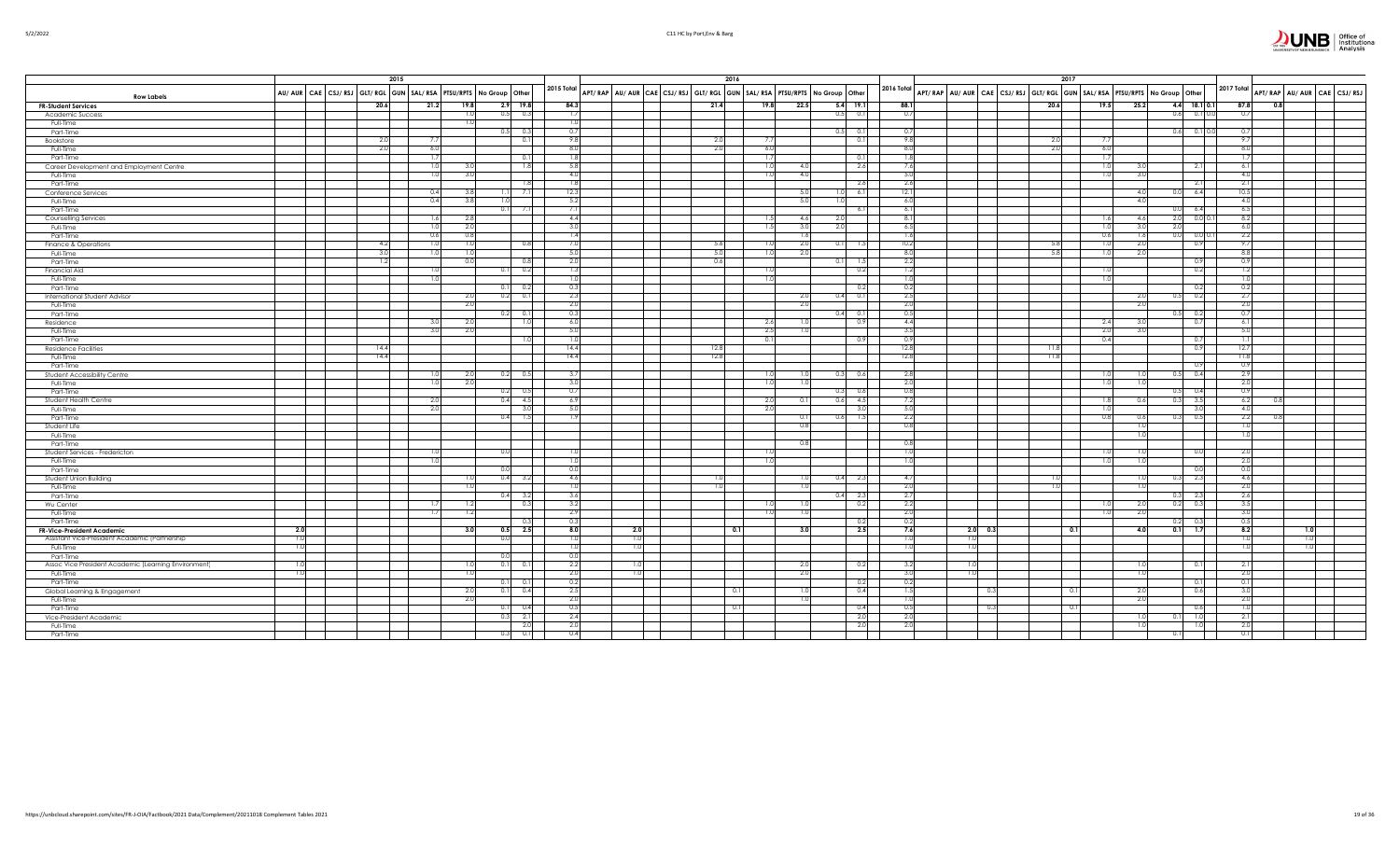

|  | 5/2/2022 |  |
|--|----------|--|
|  |          |  |

|                                                                              | 2015                                                                |                               |                          |                | 2016       |                  |                                                                         |               |      |            |      |            | 2017       |                                                                                                                                                                            |              |                          |                        |                                          |     |
|------------------------------------------------------------------------------|---------------------------------------------------------------------|-------------------------------|--------------------------|----------------|------------|------------------|-------------------------------------------------------------------------|---------------|------|------------|------|------------|------------|----------------------------------------------------------------------------------------------------------------------------------------------------------------------------|--------------|--------------------------|------------------------|------------------------------------------|-----|
| <b>Row Labels</b>                                                            | AU/ AUR CAE CSJ/ RSJ GLT/ RGL GUN SAL/ RSA PTSU/RPTS No Group Other |                               |                          |                |            | 2015 Total       | APT/RAP AU/AUR CAE CSJ/RSJ GLT/RGL GUN SAL/RSA PTSU/RPTS No Group Other |               |      |            |      |            |            | $\Big $ 2016 Total $\Big $ APT/RAP $\Big $ AU/AUR $\Big $ CAE $\Big $ CSJ/RSJ $\Big $ GLT/RGL $\Big $ GUN $\Big $ SAL/RSA $\Big $ PTSU/RPTS $\Big $ No Group $\Big $ Other |              |                          |                        | 2017 Total<br>APT/RAP AU/AUR CAE CSJ/RSJ |     |
| <b>FR-Student Services</b>                                                   | 20.6                                                                | 21.2                          | 19.8                     |                | $2.9$ 19.8 | 84.3             |                                                                         | 21.4          | 19.8 | 22.5       |      | $5.4$ 19.1 | 88.1       |                                                                                                                                                                            | 20.6<br>19.5 | 25.2                     | $4.4$ 18.1 0.1         | 87.8<br>$_{0.8}$                         |     |
| Academic Success                                                             |                                                                     |                               |                          | 0.5            | 0.3        | 1.7              |                                                                         |               |      |            | 0.5  | 0.1        | 0.7        |                                                                                                                                                                            |              | 0.6                      | $0.1$ 0.0              | 0.7                                      |     |
| Full-Time                                                                    |                                                                     |                               |                          |                |            | -1.0             |                                                                         |               |      |            |      |            |            |                                                                                                                                                                            |              |                          |                        |                                          |     |
| Part-Time                                                                    |                                                                     |                               |                          | 0.5            | 0.3        | 0.7              |                                                                         |               |      |            |      | 0.1        | 0.7        |                                                                                                                                                                            |              |                          | $0.6$ 0.1 0.0          | 0.7                                      |     |
| Bookstore                                                                    |                                                                     | -75                           |                          |                | 0.1        | 9.8              |                                                                         | $\mathcal{D}$ | 7.7  |            |      | 0.1        | 9.8        |                                                                                                                                                                            | 21<br>-7.7   |                          |                        | 9.7                                      |     |
| Full-Time                                                                    | -2.0                                                                |                               | 6.0                      |                |            | 8.0              |                                                                         | -2.0          | 6.0  |            |      |            | 8.0        |                                                                                                                                                                            | 6.0<br>-2.   |                          |                        | 8.0                                      |     |
| Part-Time                                                                    |                                                                     | 1.7                           |                          |                | 0.11       | 1.8              |                                                                         |               | 1.7  |            |      | 0.1        | 1.8        |                                                                                                                                                                            | 1.7          |                          |                        | 1.7                                      |     |
| Career Development and Employment Centre                                     |                                                                     |                               | 1.0<br>3.0               |                | 1.8        | 5.8              |                                                                         |               | 1.0  | 4.0I       |      | 2.6        | 7.6        |                                                                                                                                                                            | 1.0          | 3.0                      | 2.1                    | 6.1                                      |     |
| Full-Time                                                                    |                                                                     |                               | 1.0<br>3.0               |                |            | 4.0              |                                                                         |               | 1.0  | 4.0        |      |            | 5.0        |                                                                                                                                                                            | 1.0          | 3.0                      |                        | 4.0                                      |     |
| Part-Time                                                                    |                                                                     |                               |                          |                | 1.8        | 1.8              |                                                                         |               |      |            |      | 2.6        | 2.6        |                                                                                                                                                                            |              |                          | 2.1                    | 2.1                                      |     |
| Conference Services                                                          |                                                                     |                               | 0.4<br>-3.8              |                | 7.1        | 12.3             |                                                                         |               |      | 5.0        |      | 6.1        | 12.1       |                                                                                                                                                                            |              | 4.0<br>0.0               | 6.4                    | 10.5                                     |     |
| Full-Time                                                                    |                                                                     |                               | 3.8<br>0.4               |                |            | 5.2<br>7.1       |                                                                         |               |      | 5.0        |      |            | 6.0        |                                                                                                                                                                            |              | 4.0                      |                        | 4.0<br>6.5                               |     |
| Part-Time                                                                    |                                                                     |                               |                          |                |            |                  |                                                                         |               |      |            |      | 6.1        | 6.1        |                                                                                                                                                                            |              | U.U                      | 6.4                    |                                          |     |
| Counselling Services                                                         |                                                                     |                               | 1.6<br>-2.8              |                |            | 4.4              |                                                                         |               | 1.5  | 4.6        |      |            | 8.1        |                                                                                                                                                                            | 1.6          | -4.6                     | $2.0$ 0.0 0.1          | 8.2                                      |     |
| Full-Time                                                                    |                                                                     |                               | 2.0<br>1.0<br>0.6<br>0.8 |                |            | 3.0<br>1.4       |                                                                         |               | 1.5  | 3.0<br>1.6 | 2.0  |            | 6.5<br>1.6 |                                                                                                                                                                            | 1.0          | 3.0<br>2.0<br>1.6<br>0.0 | 0.0 0.1                | 6.0<br>2.2                               |     |
| Part-Time                                                                    | 4.2                                                                 |                               | 1.0                      |                |            | 7.0              |                                                                         | -5.6          | 1.01 |            |      |            | 10.2       |                                                                                                                                                                            | 0.6<br>1.0   |                          |                        | 9.7                                      |     |
| Finance & Operations                                                         |                                                                     |                               | 1.0<br>1.0               |                | 0.8        | 5.0              |                                                                         | -5.0          |      | 2.0        |      | 1.5        | 8.0        |                                                                                                                                                                            | -5.8         | 2.0<br>2.0               | 0.9                    |                                          |     |
| Full-Time                                                                    | 1.2                                                                 |                               | 0.0                      |                | 0.8        | 2.0              |                                                                         | 0.6           | 1.0  | 2.0        |      | 1.5        | 2.2        |                                                                                                                                                                            | 1.0          |                          | 0.9                    | 8.8<br>0.9                               |     |
| Part-Time<br>Financial Aid                                                   |                                                                     |                               |                          |                | 0.2        | 1.3              |                                                                         |               | 1.0  |            |      | 0.2        | 1.2        |                                                                                                                                                                            | 1.0          |                          | 0.2                    | 1.2                                      |     |
| Full-Time                                                                    |                                                                     | -1.0                          |                          |                |            | 1.0              |                                                                         |               | 1.0  |            |      |            | 1.0        |                                                                                                                                                                            | 1.0          |                          |                        | 1.0                                      |     |
| Part-Time                                                                    |                                                                     |                               |                          | 0.1            | 0.2        | 0.3              |                                                                         |               |      |            |      | 0.2        | 0.2        |                                                                                                                                                                            |              |                          | 0.2                    | 0.2                                      |     |
| International Student Advisor                                                |                                                                     |                               | 2.0                      | 0.2            | 0.1        | 2.3              |                                                                         |               |      | 2.0        |      | 0.1        | 2.5        |                                                                                                                                                                            |              | 2.0<br>0.5               | 0.2                    | 2.7                                      |     |
| Full-Time                                                                    |                                                                     |                               | -2.0                     |                |            | 2.0              |                                                                         |               |      | 2.0        |      |            | 2.0        |                                                                                                                                                                            |              | -2.0                     |                        | 2.0                                      |     |
| Part-Time                                                                    |                                                                     |                               |                          | 0.2            | 0.1        | 0.3              |                                                                         |               |      |            |      | 0.1        | 0.5        |                                                                                                                                                                            |              | 0.5                      | 0.2                    | 0.7                                      |     |
| Residence                                                                    |                                                                     | 3.0                           | - 2.0                    |                | 1.0        | 6.0              |                                                                         |               | 2.6  | 1.0        |      | 0.9        | 4.4        |                                                                                                                                                                            | 2.4          | 3.0                      | 0.7                    | 6.1                                      |     |
| Full-Time                                                                    |                                                                     |                               | 2.0                      |                |            | 5.0              |                                                                         |               | 2.5  |            |      |            | 3.5        |                                                                                                                                                                            | 2.0          |                          |                        | 5.0                                      |     |
| Part-Time                                                                    |                                                                     |                               |                          |                | 1.0        | 1.0              |                                                                         |               | 0.11 |            |      | 0.9        | 0.9        |                                                                                                                                                                            | 0.4          |                          | 0.7                    | 1.1                                      |     |
| <b>Residence Facilities</b>                                                  | 14.4                                                                |                               |                          |                |            | 14.4             |                                                                         | 12.8          |      |            |      |            | 12.8       |                                                                                                                                                                            | 11.8         |                          | 0.9                    | 12.7                                     |     |
| Full-Time                                                                    | 14.4                                                                |                               |                          |                |            | 14.4             |                                                                         | 12.8          |      |            |      |            | 12.8       |                                                                                                                                                                            | 11.8         |                          |                        | 11.8                                     |     |
| Part-Time                                                                    |                                                                     |                               |                          |                |            |                  |                                                                         |               |      |            |      |            |            |                                                                                                                                                                            |              |                          | 0.9                    | 0.9                                      |     |
| Student Accessibility Centre                                                 |                                                                     |                               | 1.0<br>2.0               | 0.2            | 0.5        | 3.7              |                                                                         |               | 1.0  | 1.0        | 0.3  | 0.6        | 2.8        |                                                                                                                                                                            | 1.0          | 0.5<br>1.0               | 0.4                    | 2.9                                      |     |
| Full-Time                                                                    |                                                                     |                               | 2.0<br>1.0               |                |            | 3.0              |                                                                         |               | 1.0  | 1.0        |      |            | 2.0        |                                                                                                                                                                            | 1.0          | 1.0                      |                        | 2.0                                      |     |
| Part-Time                                                                    |                                                                     |                               |                          |                | 0.5        | 0.7              |                                                                         |               |      |            |      | 0.6        | 0.8        |                                                                                                                                                                            |              | 0.5                      | 0.4                    | 0.9                                      |     |
| Student Health Centre                                                        |                                                                     | 2.0                           |                          | 0.4            | 4.5        | 6.9              |                                                                         |               | 2.0  | 0.11       |      | 4.5        | 7.2        |                                                                                                                                                                            | 1.8          | 0.3                      | 3.5                    | 6.2                                      |     |
| Full-Time                                                                    |                                                                     |                               | 2.0                      |                | 3.0        | 5.0              |                                                                         |               | 2.0  |            |      | 3.0        | 5.0        |                                                                                                                                                                            | 1.0          |                          | 3.0                    | 4.0                                      |     |
| Part-Time                                                                    |                                                                     |                               |                          | 0.4            | 1.5        | 1.9              |                                                                         |               |      | 0.11       | 0.6  | 1.5        | 2.2        |                                                                                                                                                                            | 0.8          | 0.6<br>0.3               | 0.5                    | 2.2                                      |     |
| Student Life                                                                 |                                                                     |                               |                          |                |            |                  |                                                                         |               |      | 0.8        |      |            | 0.8        |                                                                                                                                                                            |              | 1.C                      |                        | 1.0                                      |     |
| Full-Time                                                                    |                                                                     |                               |                          |                |            |                  |                                                                         |               |      |            |      |            |            |                                                                                                                                                                            |              | -1.0                     |                        | 1.0                                      |     |
| Part-Time                                                                    |                                                                     |                               |                          |                |            |                  |                                                                         |               |      | 0.8        |      |            | 0.8        |                                                                                                                                                                            |              |                          |                        |                                          |     |
| Student Services - Fredericton                                               |                                                                     | $\overline{1}$ $\overline{0}$ |                          |                |            | $\overline{1.0}$ |                                                                         |               | 1.0  |            |      |            | 1.0        |                                                                                                                                                                            | 1.0          |                          | 0.0                    | 2.0                                      |     |
| Full-Time                                                                    |                                                                     | -1.0                          |                          |                |            | 1.0              |                                                                         |               | 1.0  |            |      |            | 1.0        |                                                                                                                                                                            | 1.0          |                          |                        | 2.0                                      |     |
| Part-Time                                                                    |                                                                     |                               |                          |                |            | 0.0              |                                                                         |               |      |            |      |            |            |                                                                                                                                                                            |              |                          | 0.0                    | 0.0                                      |     |
| Student Union Building                                                       |                                                                     |                               | 1.0                      | 0.4            | 3.2        | 4.6              |                                                                         |               |      | 1.0        | 0.4  | 2.3        | 4.7        |                                                                                                                                                                            |              | 1.0<br>0.3               | 2.3                    | 4.6                                      |     |
| Full-Time                                                                    |                                                                     |                               |                          |                |            | 1.0              |                                                                         |               |      | 1.01       |      |            | 2.0        |                                                                                                                                                                            |              |                          |                        | 2.0                                      |     |
| Part-Time                                                                    |                                                                     | 1.7                           |                          | 0.4            | 3.2        | 3.6              |                                                                         |               |      | 1.0        | 0.41 | 2.3        | 2.7        |                                                                                                                                                                            |              |                          | $0.3$ 2.3<br>$0.2$ 0.3 | 2.6                                      |     |
| Wu Center                                                                    |                                                                     |                               | 1.2                      |                | 0.3        | 3.2<br>2.9       |                                                                         |               | 1.0  |            |      | 0.2        | 2.2<br>2.0 |                                                                                                                                                                            | 1.0          | 2.0<br>2.0               |                        | 3.5<br>3.0                               |     |
| Full-Time<br>Part-Time                                                       |                                                                     | 1.7                           | 1.2                      |                |            | 0.3              |                                                                         |               | 1.0  | 1.0        |      | 0.2        | 0.2        |                                                                                                                                                                            | 1.0          | 0.2                      | -0.3                   | 0.5                                      |     |
|                                                                              | 2.0                                                                 |                               | 3.0                      | 0.5            | 2.5        | 8.0              | 2.0                                                                     |               | 0.1  | 3.0        |      | 2.5        | 7.6        | $2.0\qquad 0.3$                                                                                                                                                            | 0.1          | 4.0                      | $0.1$ 1.7              | 8.2                                      | 1.0 |
| FR-Vice-President Academic<br>Assistant Vice-President Academic (Partnership | 1.0                                                                 |                               |                          | $\overline{0}$ |            | 1.0              | 1.0                                                                     |               |      |            |      |            | 1.0        | 1.0                                                                                                                                                                        |              |                          |                        | 1.0<br>1.0                               |     |
| Full-Time                                                                    | -1.0                                                                |                               |                          |                |            | 1.0              | 1.0                                                                     |               |      |            |      |            | 1.0        | 1.0                                                                                                                                                                        |              |                          |                        | 1.0<br>1.0                               |     |
| Part-Time                                                                    |                                                                     |                               |                          |                |            | 0.0              |                                                                         |               |      |            |      |            |            |                                                                                                                                                                            |              |                          |                        |                                          |     |
| Assoc Vice President Academic (Learning Environment)                         | 1.0                                                                 |                               | 1.0                      | 0.1            | 0.1        | 2.2              | 1.0                                                                     |               |      | 2.0        |      | 0.2        | 3.2        | 1.0                                                                                                                                                                        |              | 1.0                      | 0.1                    | 2.1                                      |     |
| Full-Time                                                                    | 1.0                                                                 |                               | $\overline{1.0}$         |                |            | 2.0              | 1.0                                                                     |               |      | 2.0        |      |            | 3.0        | 1.0                                                                                                                                                                        |              | 1.0                      |                        | 2.0                                      |     |
| Part-Time                                                                    |                                                                     |                               |                          | 0.1            | 0.11       | 0.2              |                                                                         |               |      |            |      | 0.2        | 0.2        |                                                                                                                                                                            |              |                          | 0.11                   | 0.1                                      |     |
| Global Learning & Engagement                                                 |                                                                     |                               | - 2.0                    | 0.1            | 0.4        | 2.5              |                                                                         |               | 0.1  | 1.0        |      | 0.4        | 1.5        | - 0.3                                                                                                                                                                      | 0.1          | 2.0                      | 0.6                    | 3.0                                      |     |
| Full-Time                                                                    |                                                                     |                               | 2.0                      |                |            | 2.0              |                                                                         |               |      | 1.0        |      |            | 1.0        |                                                                                                                                                                            |              | 2.0                      |                        | 2.0                                      |     |
| Part-Time                                                                    |                                                                     |                               |                          |                | 0.4        | 0.5              |                                                                         |               | 0.1  |            |      | 0.4        | 0.5        | 0.3                                                                                                                                                                        | 0.1          |                          | 0.6                    | 1.0                                      |     |
| Vice-President Academic                                                      |                                                                     |                               |                          | -0.3           | 2.1        | 2.4              |                                                                         |               |      |            |      | 2.0        | 2.0        |                                                                                                                                                                            |              | 1.0<br>$\Omega$ .        | 1.0                    | 2.1                                      |     |
| Full-Time                                                                    |                                                                     |                               |                          |                | 2.0        | 2.0              |                                                                         |               |      |            |      | 2.0        | 2.0        |                                                                                                                                                                            |              | 1.0                      | 1.0                    | 2.0                                      |     |
| Part-Time                                                                    |                                                                     |                               |                          | 0.3            | 0.1        | 0.4              |                                                                         |               |      |            |      |            |            |                                                                                                                                                                            |              | 0.1                      |                        | 0.1                                      |     |
|                                                                              |                                                                     |                               |                          |                |            |                  |                                                                         |               |      |            |      |            |            |                                                                                                                                                                            |              |                          |                        |                                          |     |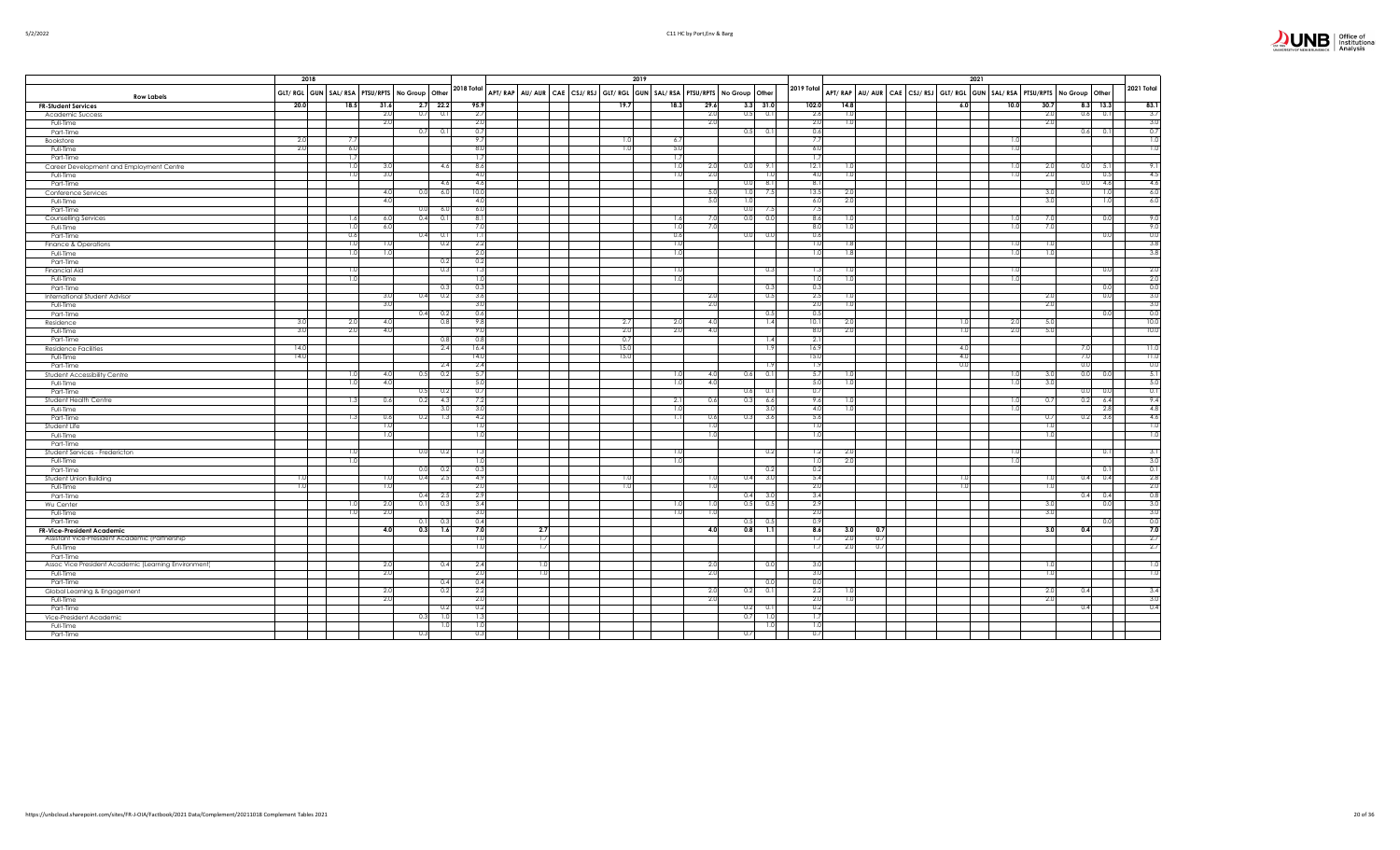|                             | Office of<br>Institutional<br>Analysis |
|-----------------------------|----------------------------------------|
| UNIVERSITY OF NEW BRUNSWICK |                                        |

|                                                      |                | 2018 |      |                                                        |                 |     |  |                  | 2019 |                  |                                                                         |                  |                       | 2021                                                                    |                         |          |            |                              |
|------------------------------------------------------|----------------|------|------|--------------------------------------------------------|-----------------|-----|--|------------------|------|------------------|-------------------------------------------------------------------------|------------------|-----------------------|-------------------------------------------------------------------------|-------------------------|----------|------------|------------------------------|
| <b>Row Labels</b>                                    |                |      |      | GLT/ RGL GUN   SAL/ RSA   PTSU/RPTS   No Group   Other | 2018 Total      |     |  |                  |      |                  | APT/RAP AU/AUR CAE CSJ/RSJ GLT/RGL GUN SAL/RSA PTSU/RPTS No Group Other | 2019 Total       |                       | APT/RAP AU/AUR CAE CSJ/RSJ GLT/RGL GUN SAL/RSA PTSU/RPTS No Group Other |                         |          |            | 2021 Total                   |
| <b>FR-Student Services</b>                           | 20.0           | 18.5 | 31.6 | $2.7$ 22.2                                             | 95.9            |     |  | 19.              |      | 18.3             | 29.6<br>$3.3$ $31.0$                                                    | 102.0            | 14.8                  | 6.0                                                                     | 10.0<br>30.7            |          | $8.3$ 13.3 | 83.1                         |
| Academic Success                                     |                |      | 2.0  | 0.7<br>0.1                                             | 2.7             |     |  |                  |      |                  | 2.0<br>0.5<br>0.1                                                       | 2.6              | 1.0                   |                                                                         | 2.0                     | 0.6      | 0.1        | 3.7                          |
| Full-Time                                            |                |      | 2.0  |                                                        | 2.0             |     |  |                  |      |                  | 2.0                                                                     | 2.0              | 1.01                  |                                                                         | 2.0                     |          |            | 3.0                          |
| Part-Time                                            |                |      |      | 0.7<br>0.1                                             | 0.7             |     |  |                  |      |                  | 0.5<br>0.1                                                              | 0.6              |                       |                                                                         |                         | 0.6      | 0.1        | 0.7                          |
| Bookstore                                            | 2.0            | 7.7  |      |                                                        | 9.7             |     |  |                  |      | 6.7              |                                                                         | $\overline{7}$   |                       |                                                                         |                         |          |            | $\overline{1.0}$             |
| Full-Time                                            | 2.0            | 6.0  |      |                                                        | 8.0             |     |  |                  |      | - 5.0            |                                                                         | 6.0              |                       |                                                                         | 1.0                     |          |            | $\overline{1.0}$             |
| Part-Time                                            |                | 1.7  |      |                                                        | 1.7             |     |  |                  |      | 1.7              |                                                                         | 1.7              |                       |                                                                         |                         |          |            |                              |
| Career Development and Employment Centre             |                | 1.0  | 3.0  | 4.6                                                    | 8.6             |     |  |                  |      | 1.0              | 2.0<br>0.0<br>9.11                                                      | 12.1             | 1.0                   |                                                                         | 2.0<br>1.C              | 0.0      | 5.1        | 9.1                          |
| Full-Time                                            |                | 1.0  | 3.0  |                                                        | 4.0             |     |  |                  |      | 1.0              | 2.0<br>1.0                                                              | 4.0              | 1.0                   |                                                                         | 2.0<br>- 1.0            |          | 0.5        | 4.5                          |
| Part-Time                                            |                |      |      | 4.6                                                    | 4.6             |     |  |                  |      |                  | 0.0<br>8.1                                                              | - 8.1            |                       |                                                                         |                         | $_{0.0}$ | 4.6        | 4.6                          |
| Conference Services                                  |                |      | 4.0  | 0.0<br>6.0                                             | 10.0            |     |  |                  |      |                  | 1.0<br>5.0<br>7.5                                                       | 13.5             | 2.0                   |                                                                         | 3.0                     |          | 1.0        | 6.0                          |
| Full-Time                                            |                |      | 4.0  |                                                        | 4.0             |     |  |                  |      |                  | 5.0<br>1.0                                                              | 6.0              | 2.0                   |                                                                         | 3.0                     |          | 1.0        | 6.0                          |
| Part-Time                                            |                |      |      | 0.0<br>6.0                                             | 6.0             |     |  |                  |      |                  | 0.0<br>7.5                                                              | 7.5              |                       |                                                                         |                         |          |            |                              |
| Counselling Services                                 |                | 1.6  | 6.0  | 0.4<br>0.1                                             | 8.1             |     |  |                  |      | 1.6              | 0.0<br>7.0<br>0.0                                                       | 8.6              | 1.0                   |                                                                         | 7.0<br>$\overline{1}$   |          | 0.0        | 9.0                          |
| Full-Time                                            |                | 1.0  | 6.0  |                                                        | 7.0             |     |  |                  |      | 1.0              | 7.0                                                                     | 8(               | 1.0                   |                                                                         | 7.0<br>1.0              |          |            | 9.0                          |
| Part-Time                                            |                | 0.6  |      | $0.4$ 0.1                                              | -1.1            |     |  |                  |      | 0.6              | 0.0<br>0.0                                                              | 0.6              |                       |                                                                         |                         |          | 0.0        | 0.0                          |
| Finance & Operations                                 |                | 1.0  | 1.0  | 0.2                                                    | 2.2             |     |  |                  |      | 1.0              |                                                                         | $\overline{10}$  | 1.8                   |                                                                         | 1.0<br>$\overline{1.0}$ |          |            | 3.8                          |
| Full-Time                                            |                | 1.0  | 1.0  |                                                        | 2.0             |     |  |                  |      | 1.0              |                                                                         | $\overline{1.0}$ | 1.8                   |                                                                         | 1.0<br>-1.0             |          |            | 3.8                          |
| Part-Time                                            |                |      |      | 0.2                                                    | 0.2             |     |  |                  |      |                  |                                                                         |                  |                       |                                                                         |                         |          |            |                              |
| Financial Aid                                        |                | 1.0  |      | 0.3                                                    | 1.3             |     |  |                  |      | 1.0              | 0.3                                                                     | 1.3              | 1.0                   |                                                                         | 1.0                     |          | 0.0        | 2.0                          |
| Full-Time                                            |                | 1.0  |      |                                                        | 1.0             |     |  |                  |      | 1.0              |                                                                         | 1.0              | 1.0                   |                                                                         | 1.0                     |          |            | 2.0                          |
| Part-Time                                            |                |      |      | 0.3                                                    | 0.3             |     |  |                  |      |                  | 0.3                                                                     | 0.3              |                       |                                                                         |                         |          | 0.0        | 0.0                          |
| <b>International Student Advisor</b>                 |                |      | 3.0  | 0.4<br>0.2                                             | 3.6             |     |  |                  |      |                  | 2.0<br>0.5                                                              | 2.5              | 1.0                   |                                                                         | 2.0                     |          | 0.0        | 3.0                          |
| Full-Time                                            |                |      | 3.0  |                                                        | 3.0             |     |  |                  |      |                  | 2.0                                                                     | 2.0              | 1.0                   |                                                                         | 2.0                     |          |            | 3.0                          |
| Part-Time                                            |                |      |      | 0.4<br>0.2                                             | 0.6             |     |  |                  |      |                  | 0.5                                                                     | 0.3              |                       |                                                                         |                         |          | 0.0        | 0.0                          |
| Residence                                            | 3.0            | 2.0  | 4.0  | 0.8                                                    | 9.8             |     |  | $\overline{2}$ . |      | 2.0              | 1.4<br>4.0                                                              | 10.1             | 2.0                   |                                                                         | 5.0<br>-2.0             |          |            | 10.0                         |
| Full-Time                                            | 3.0            | 2.0  | 4.0  |                                                        | 9.0             |     |  | 2.0              |      | 2.0              | 4.0                                                                     | 8.0              | 2.0                   | $\overline{1.0}$                                                        | 5.0<br>2.0              |          |            | 10.0                         |
| Part-Time                                            |                |      |      | 0.8                                                    | 0.8             |     |  | 0.               |      |                  | 1.4                                                                     | 2.1              |                       |                                                                         |                         |          |            |                              |
| <b>Residence Facilities</b>                          | 14.0           |      |      | 2.4                                                    | 16.4            |     |  | 15.0             |      |                  | 1.9                                                                     | 16.9             |                       | 4.0                                                                     |                         | 7.0      |            | 11.0                         |
| Full-Time                                            | 14.0           |      |      |                                                        | 14.0            |     |  | 15.0             |      |                  |                                                                         | 15.0             |                       | 4.0                                                                     |                         | 7.0      |            | $\overline{11.0}$            |
| Part-Time                                            |                |      |      | 2.4                                                    | 2.4             |     |  |                  |      |                  | 1.9                                                                     | 1.9              |                       | 0.0                                                                     |                         | 0.0      |            | 0.0                          |
| Student Accessibility Centre                         |                | 1.0  | 4.0  | 0.5<br>0.2                                             | 5.7             |     |  |                  |      | 1.0              | 0.6<br>4.0<br>0.1                                                       | 5.7              | 1.01                  |                                                                         | 3.0<br>1.0              | 0.0      | 0.0        | 5.1                          |
| Full-Time                                            |                | 1.0  | 4.0  |                                                        | 5(              |     |  |                  |      | 1.0              | 4.0                                                                     | 5.0              | 1.0                   |                                                                         | 3.0<br>1.0              |          |            | 5.0                          |
| Part-Time                                            |                |      |      | 0.5<br>0.2                                             | 0.7             |     |  |                  |      |                  | 0.6<br>0.1                                                              | 0.7              |                       |                                                                         |                         | 0.0      | 0.0        | 0.1                          |
| Student Health Centre                                |                | 1.3  | 0.6  | 0.2<br>4.3                                             | 7.2             |     |  |                  |      | 2.1              | 0.3<br>0.6<br>6.6                                                       | 9.6              | 1.01                  |                                                                         | 0.7<br>1.0              | 0.2      | 6.4        | 9.4                          |
| Full-Time                                            |                |      |      | 3.0                                                    | 3.0             |     |  |                  |      | 1.0              | 3.0                                                                     | -4.0             | 1.01                  |                                                                         | - 1.C                   |          | 2.8        | 4.8                          |
| Part-Time                                            |                | 1.3  | 0.6  | 0.2<br>1.3                                             | 4.2             |     |  |                  |      | $\overline{1.1}$ | 3.6<br>0.6<br>0.3                                                       | 5.6              |                       |                                                                         | 0.7                     | 0.2      | 3.6        | 4.6                          |
| Student Life                                         |                |      | 1.0  |                                                        | 1.0             |     |  |                  |      |                  | 1.0                                                                     | 17               |                       |                                                                         | 1.0                     |          |            | $\overline{1.0}$             |
| Full-Time                                            |                |      | 1.0  |                                                        | -1.0            |     |  |                  |      |                  | 1.0                                                                     | $\overline{1.0}$ |                       |                                                                         | 1.0                     |          |            | $\overline{\phantom{a}}$ 1.0 |
| Part-Time                                            |                |      |      |                                                        |                 |     |  |                  |      |                  |                                                                         |                  |                       |                                                                         |                         |          |            |                              |
| Student Services - Fredericton                       |                | 1.C  |      | 0.0<br>0.2                                             | 1.3             |     |  |                  |      | 1.0              | 0.2                                                                     | 1.2              | 2.0                   |                                                                         | - 1.0                   |          | 0.1        | 3.1                          |
| Full-Time                                            |                | 1.0  |      |                                                        | 1 <sub>0</sub>  |     |  |                  |      | 1.0              |                                                                         | $\frac{1}{2}$    | 2.0                   |                                                                         | -1.0                    |          |            | 3.0                          |
| Part-Time                                            |                |      |      | 0.0 0.2                                                | 0.3             |     |  |                  |      |                  | 0.2                                                                     | 0.2              |                       |                                                                         |                         |          | 0.1        | 0.1                          |
| Student Union Building                               | $\overline{1}$ |      | 1.0  | 0.4<br>2.5                                             | 4.9             |     |  |                  |      |                  | 3.0<br>1.0<br>0.4                                                       | 5.4              |                       |                                                                         | 1.0                     | 0.4      | 0.4        | 2.8                          |
| Full-Time                                            |                |      | 1.0  |                                                        | 2.0             |     |  |                  |      |                  | 1.0                                                                     | $\overline{2}$   |                       |                                                                         | 1.0                     |          |            | 2.0                          |
| Part-Time                                            |                |      |      | 0.4<br>2.5                                             | 2.9             |     |  |                  |      |                  | 0.4<br>3.0                                                              | 3.4              |                       |                                                                         |                         | 0.4      | 0.4        | 0.8                          |
| Wu Center                                            |                | 1.0  | 2.0  | 0.1<br>0.3                                             | 3.4             |     |  |                  |      | 1.0              | 0.5<br>0.5<br>1.0                                                       | 2.9              |                       |                                                                         | 3.0                     |          | 0.0        | 3.0                          |
| Full-Time                                            |                | 1.0  | 2.0  |                                                        | 3.0             |     |  |                  |      | 1.0              | 1.0                                                                     | 2(               |                       |                                                                         | 3.0                     |          |            | 3.0                          |
| Part-Time                                            |                |      |      | 0.1<br>-0.3                                            | 0.4             |     |  |                  |      |                  | 0.5<br>0.5                                                              | - 0.9            |                       |                                                                         |                         |          | 0.0        | 0.0                          |
| <b>FR-Vice-President Academic</b>                    |                |      | 4.0  | 0.3<br>1.6                                             | 7.0             | 2.7 |  |                  |      |                  | $0.8$ 1.1<br>4.0                                                        | 8.6              | 3.0<br>$\overline{0}$ |                                                                         | 3.0                     | 0.4      |            | 7.0                          |
| Assistant Vice-President Academic (Partnership       |                |      |      |                                                        | 1.0             | 1.7 |  |                  |      |                  |                                                                         | -1.              | 2.0<br>0.7            |                                                                         |                         |          |            | 2.7                          |
| Full-Time                                            |                |      |      |                                                        | $\overline{10}$ | 1.7 |  |                  |      |                  |                                                                         | T                | $\overline{0}$<br>2.0 |                                                                         |                         |          |            | 2.7                          |
| Part-Time                                            |                |      |      |                                                        |                 |     |  |                  |      |                  |                                                                         |                  |                       |                                                                         |                         |          |            |                              |
| Assoc Vice President Academic (Learning Environment) |                |      | 2.0  | 0.4                                                    | 2.4             | 1.0 |  |                  |      |                  | 2.0<br>0.0                                                              | 3(               |                       |                                                                         | 1.0                     |          |            | $\overline{1.0}$             |
| Full-Time                                            |                |      | 2.0  |                                                        | 2.0             | 1.0 |  |                  |      |                  | 2.0                                                                     | 3(               |                       |                                                                         | 1.0                     |          |            | $\overline{1.0}$             |
| Part-Time                                            |                |      |      | 0.4                                                    | 0.4             |     |  |                  |      |                  | 0.0                                                                     | 0.0              |                       |                                                                         |                         |          |            |                              |
| Global Learning & Engagement                         |                |      | 2.0  | 0.2                                                    | 2.2             |     |  |                  |      |                  | 2.0<br>0.2<br>0.1                                                       | 2.2              | 1.0                   |                                                                         | 2.0                     | 0.4      |            | 3.4                          |
| Full-Time                                            |                |      | 2.0  |                                                        | 2.0             |     |  |                  |      |                  | 2.0                                                                     | 2.0              | 1.0                   |                                                                         | 2.0                     |          |            | 3.0                          |
| Part-Time                                            |                |      |      | 0.2                                                    | 0.2             |     |  |                  |      |                  | $0.2\qquad 0.1$                                                         | 0.2              |                       |                                                                         |                         | 0.4      |            | 0.4                          |
| Vice-President Academic                              |                |      |      | 0.3<br>1.0                                             | 1.3             |     |  |                  |      |                  | 0.7<br>1.0                                                              | 1.7              |                       |                                                                         |                         |          |            |                              |
| Full-Time                                            |                |      |      | 1.0                                                    | 1.0             |     |  |                  |      |                  | 1.0                                                                     | $\overline{1.0}$ |                       |                                                                         |                         |          |            |                              |
| Part-Time                                            |                |      |      | 0.3                                                    | 0.3             |     |  |                  |      |                  | 0.7                                                                     | $\overline{0}$   |                       |                                                                         |                         |          |            |                              |
|                                                      |                |      |      |                                                        |                 |     |  |                  |      |                  |                                                                         |                  |                       |                                                                         |                         |          |            |                              |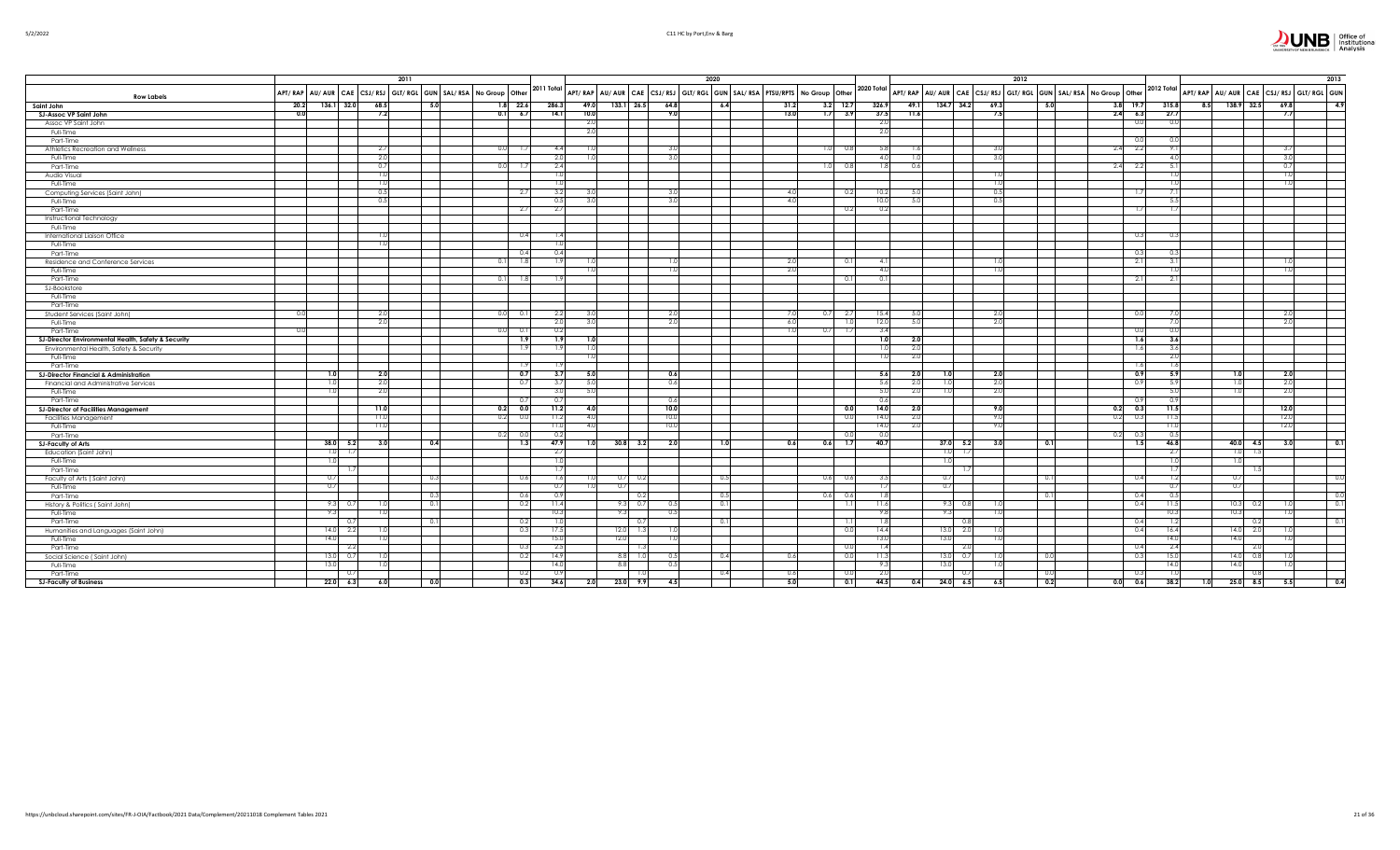| JN | Office of<br>Institutional<br>Analysis |
|----|----------------------------------------|
|----|----------------------------------------|

| 5/2/2022 |  |
|----------|--|

|                                                     | 2011<br>2020 |      |            |                  |            | 2012         |       |                |                        |      |                |     |      | 2013       |       |      |                  |      |  |          |                                                                                                                                                                                                                                |                 |                |     |                                        |      |          |
|-----------------------------------------------------|--------------|------|------------|------------------|------------|--------------|-------|----------------|------------------------|------|----------------|-----|------|------------|-------|------|------------------|------|--|----------|--------------------------------------------------------------------------------------------------------------------------------------------------------------------------------------------------------------------------------|-----------------|----------------|-----|----------------------------------------|------|----------|
| <b>Row Labels</b>                                   |              |      |            |                  |            |              |       |                |                        |      |                |     |      |            |       |      |                  |      |  |          | APT/ RAP AU/ AUR CAE CSJ/ RSJ GLT/ RGL GUN SAL/ RSA No Group Other 2011 Total APT/ RAP AU/ AUR CAE CSJ/ RSJ GLT/ RGL GUN SAL/ RSA NO Group Other 2012 Total APT/ RAP AU/ AUR CAE CSJ/ RSJ GLT/ RGL GUN SAL/ RSA NO Group Other |                 |                |     | APT/RAP AU/AUR CAE CSJ/RSJ GLT/RGL GUN |      |          |
| Saint John                                          | 20.2         |      | 136.1 32.0 | 68.5             | 5.0        | $1.8$ 22.6   | 286.3 | 49.0           | $133.1$ 26.5           | 64.8 |                | 6.4 | 31.2 | $3.2$ 12.7 | 326.9 | 49.1 | 134.7 34.2       | 69.3 |  | 5.0      |                                                                                                                                                                                                                                | $3.8$ 19.7      | 315.8          |     | $8.5$ 138.9 32.5                       | 69.8 | 4.9      |
| SJ-Assoc VP Saint John                              | 0.0          |      |            | 7.2              |            | 0.1 6.7      | 14.1  | 10.0           |                        |      | 9.0            |     | 13.0 | $1.7$ 3.9  | 37.5  | 11.6 |                  | 7.5  |  |          |                                                                                                                                                                                                                                | $2.4\quad 6.3$  | 27.7           |     |                                        | 7.7  |          |
| Assoc VP Saint John                                 |              |      |            |                  |            |              |       | 2.0            |                        |      |                |     |      |            | 2.0   |      |                  |      |  |          |                                                                                                                                                                                                                                | 0.0             | $\overline{0}$ |     |                                        |      |          |
| Full-Time                                           |              |      |            |                  |            |              |       | 2.0            |                        |      |                |     |      |            | 2.0   |      |                  |      |  |          |                                                                                                                                                                                                                                |                 |                |     |                                        |      |          |
| Part-Time                                           |              |      |            |                  |            |              |       |                |                        |      |                |     |      |            |       |      |                  |      |  |          |                                                                                                                                                                                                                                | 0.0             |                |     |                                        |      |          |
| Athletics Recreation and Wellness                   |              |      |            | -2.7             |            | 0.01<br>-1.7 | 4.4   |                |                        |      | 3(             |     |      | 0.8<br>1.0 | 5.8   | 1.6  |                  | 3.0  |  |          | 2.4                                                                                                                                                                                                                            | 2.2             |                |     |                                        | 3.7  |          |
| Full-Time                                           |              |      |            | 2.0              |            |              | 2.0   |                |                        |      | 3(             |     |      |            | 4.0   | 1.0  |                  | 3.0  |  |          |                                                                                                                                                                                                                                |                 | $\Delta$       |     |                                        | 3.0  |          |
| Part-Time                                           |              |      |            | 0.7              |            | 0.0<br>1.7   | 2.4   |                |                        |      |                |     |      | 1.0<br>0.8 | 1.8   | 0.6  |                  |      |  |          |                                                                                                                                                                                                                                | $2.4\qquad 2.2$ |                |     |                                        | 0.7  |          |
| Audio Visual                                        |              |      |            | -1.0             |            |              | 1.0   |                |                        |      |                |     |      |            |       |      |                  | 1.0  |  |          |                                                                                                                                                                                                                                |                 |                |     |                                        | 1.0  |          |
| Full-Time                                           |              |      |            |                  |            |              | 1.0   |                |                        |      |                |     |      |            |       |      |                  | 1.0  |  |          |                                                                                                                                                                                                                                |                 |                |     |                                        | 1.0  |          |
| Computing Services (Saint John)                     |              |      |            | 0.5              |            | 2.7          | 3.2   |                |                        | -3.  |                |     | -4.0 | 0.2        | 10.2  | 5.0  |                  | 0.5  |  |          |                                                                                                                                                                                                                                | 1.71            |                |     |                                        |      |          |
| Full-Time                                           |              |      |            | 0.5              |            |              | 0.5   |                |                        |      | 3.             |     | 4.0  |            | 10.0  | 5.0  |                  | 0.5  |  |          |                                                                                                                                                                                                                                |                 |                |     |                                        |      |          |
| Part-Time                                           |              |      |            |                  |            | 2.7          | 2.7   |                |                        |      |                |     |      | 0.2        | 0.2   |      |                  |      |  |          |                                                                                                                                                                                                                                | 1.71            |                |     |                                        |      |          |
| Instructional Technology                            |              |      |            |                  |            |              |       |                |                        |      |                |     |      |            |       |      |                  |      |  |          |                                                                                                                                                                                                                                |                 |                |     |                                        |      |          |
| Full-Time                                           |              |      |            |                  |            |              |       |                |                        |      |                |     |      |            |       |      |                  |      |  |          |                                                                                                                                                                                                                                |                 |                |     |                                        |      |          |
| International Liaison Office                        |              |      |            | $\overline{1.0}$ |            | 0.4          | 1.4   |                |                        |      |                |     |      |            |       |      |                  |      |  |          |                                                                                                                                                                                                                                | 0.3             |                |     |                                        |      |          |
|                                                     |              |      |            | $\overline{1.0}$ |            |              | 1.0   |                |                        |      |                |     |      |            |       |      |                  |      |  |          |                                                                                                                                                                                                                                |                 |                |     |                                        |      |          |
| Full-Time<br>Part-Time                              |              |      |            |                  |            | 0.4          | 0.4   |                |                        |      |                |     |      |            |       |      |                  |      |  |          |                                                                                                                                                                                                                                | 0.3             |                |     |                                        |      |          |
|                                                     |              |      |            |                  |            | 1.8<br>0.11  | 1.9   |                |                        |      | 1.0            |     | -2.0 |            | 4.1   |      |                  | -1.0 |  |          |                                                                                                                                                                                                                                | -2.11           | -3.            |     |                                        | -1.0 |          |
| Residence and Conference Services                   |              |      |            |                  |            |              |       |                |                        |      | $\mathbf{1}$ . |     | 2.0  | 0.1        |       |      |                  |      |  |          |                                                                                                                                                                                                                                |                 |                |     |                                        | 1.0  |          |
| Full-Time                                           |              |      |            |                  |            |              |       |                |                        |      |                |     |      |            | 4.0   |      |                  | 1.0  |  |          |                                                                                                                                                                                                                                |                 |                |     |                                        |      |          |
| Part-Time                                           |              |      |            |                  |            | 0.11<br>1.8  | 1.9   |                |                        |      |                |     |      | 0.1        | 0.1   |      |                  |      |  |          |                                                                                                                                                                                                                                | 2.1             | -2             |     |                                        |      |          |
| SJ-Bookstore                                        |              |      |            |                  |            |              |       |                |                        |      |                |     |      |            |       |      |                  |      |  |          |                                                                                                                                                                                                                                |                 |                |     |                                        |      |          |
| Full-Time                                           |              |      |            |                  |            |              |       |                |                        |      |                |     |      |            |       |      |                  |      |  |          |                                                                                                                                                                                                                                |                 |                |     |                                        |      |          |
| Part-Time                                           |              |      |            |                  |            |              |       |                |                        |      |                |     |      |            |       |      |                  |      |  |          |                                                                                                                                                                                                                                |                 |                |     |                                        |      |          |
| Student Services (Saint John)                       | - 0.1        |      |            | - 2.0            |            | 0.0<br>0.1   | 2.2   |                |                        |      | -2.0           |     | 7.0  | $0.7$ 2.7  | 15.4  | -5.0 |                  | 2.0  |  |          |                                                                                                                                                                                                                                | 0.0             |                |     |                                        | -2.0 |          |
| Full-Time                                           |              |      |            | -2.0             |            |              | 2.0   |                |                        |      | 2.0            |     | 6.0  | 1.0        | 12.0  | 5.0  |                  | 2.0  |  |          |                                                                                                                                                                                                                                |                 |                |     |                                        | 2.0  |          |
| Part-Time                                           | 0.           |      |            |                  |            | 0.0<br>0.1   | 0.2   |                |                        |      |                |     | 1.0  | 0.7<br>1.7 | 3.4   |      |                  |      |  |          |                                                                                                                                                                                                                                | 0.0             |                |     |                                        |      |          |
| SJ-Director Environmental Health, Safety & Security |              |      |            |                  |            | 1.9          | 1.9   |                |                        |      |                |     |      |            | 1.0   | 2.0  |                  |      |  |          |                                                                                                                                                                                                                                | 1.6             | 3.6            |     |                                        |      |          |
| Environmental Health, Safety & Security             |              |      |            |                  |            | 1.9          | 1.9   | 1.0            |                        |      |                |     |      |            | 1.01  | 2.0  |                  |      |  |          |                                                                                                                                                                                                                                | 1.6             | -3.6           |     |                                        |      |          |
| Full-Time                                           |              |      |            |                  |            |              |       | 1 <sub>0</sub> |                        |      |                |     |      |            | 1.0   | 2.0  |                  |      |  |          |                                                                                                                                                                                                                                |                 | 2.1            |     |                                        |      |          |
| Part-Time                                           |              |      |            |                  |            | -1.9         |       |                |                        |      |                |     |      |            |       |      |                  |      |  |          |                                                                                                                                                                                                                                | 1.6             | -1.6           |     |                                        |      |          |
| <b>SJ-Director Financial &amp; Administration</b>   |              |      |            | 2.0              |            | 0.7          | 3.7   | 5.0            |                        |      | 0.6            |     |      |            | 5.6   | 2.0  | 1.0              | 2.0  |  |          |                                                                                                                                                                                                                                | 0.9             | 5.9            |     | 1.0                                    | 2.0  |          |
| Financial and Administrative Services               |              |      |            | - 2.0            |            | 0.7          | 3.7   | 5.0            |                        |      | 0.6            |     |      |            | 5.6   | 2.0  | 1.0              | 2.0  |  |          |                                                                                                                                                                                                                                | 0.9             | -5.            |     | 1.01                                   | 2.0  |          |
| Full-Time                                           |              |      |            | -2.0             |            |              | 3.0   | 5.0            |                        |      |                |     |      |            | 5.0   | 2.0  | 1.0              | 2.0  |  |          |                                                                                                                                                                                                                                |                 |                |     | 1.0                                    | 2.0  |          |
| Part-Time                                           |              |      |            |                  |            | 0.7          | - 0.7 |                |                        |      | 0.6            |     |      |            | 0.6   |      |                  |      |  |          |                                                                                                                                                                                                                                | 0.9             |                |     |                                        |      |          |
| <b>SJ-Director of Facilities Management</b>         |              |      |            | 11.0             |            | 0.0<br>0.2   | 11.2  |                |                        |      | 10.0           |     |      | 0.0        | 14.0  | 2.0  |                  | 9.0  |  |          | 0.2                                                                                                                                                                                                                            | 0.3             | 11.5           |     |                                        | 12.0 |          |
| Facilities Management                               |              |      |            | 11.0             |            | 0.0<br>0.2   | 11.2  | 4.0            |                        | 10.0 |                |     |      | 0.0        | 14.0  | 2.0  |                  | 9.0  |  |          | 0.2                                                                                                                                                                                                                            | 0.3             | -11.           |     |                                        | 12.0 |          |
| Full-Time                                           |              |      |            | 11.0             |            |              | 11.0  | 40             |                        | 10.0 |                |     |      |            | 14.0  | 2.0  |                  | 9.0  |  |          |                                                                                                                                                                                                                                |                 |                |     |                                        | 12.0 |          |
| Part-Time                                           |              |      |            |                  |            | 0.2<br>0.0   | 0.2   |                |                        |      |                |     |      | 0.0        | 0.0   |      |                  |      |  |          | 0.2                                                                                                                                                                                                                            | - 0.3           |                |     |                                        |      |          |
| <b>SJ-Faculty of Arts</b>                           |              | 38.0 | 5.2        | 3.0              | 0.4        | 1.3          | 47.9  | 1.0            | $30.8$ 3.2             |      | 2.0            | 1.0 | 0.6  | 1.7<br>0.6 | 40.7  |      | $37.0$ 5.2       | 3.0  |  | 0.1      |                                                                                                                                                                                                                                | 1.5             | 46.8           |     | $40.0$ 4.5                             | 3.0  | 0.1      |
| Education (Saint John)                              |              |      |            |                  |            |              | -2.7  |                |                        |      |                |     |      |            |       |      | 1.0<br>- 13      |      |  |          |                                                                                                                                                                                                                                |                 |                |     | $1.0$ 1.5                              |      |          |
| Full-Time                                           |              |      |            |                  |            |              | 1.0   |                |                        |      |                |     |      |            |       |      | 1.0              |      |  |          |                                                                                                                                                                                                                                |                 |                |     | 1.0                                    |      |          |
| Part-Time                                           |              |      | - 1.7      |                  |            |              | -1.7  |                |                        |      |                |     |      |            |       |      |                  |      |  |          |                                                                                                                                                                                                                                |                 |                |     | 1.5                                    |      |          |
| Faculty of Arts (Saint John)                        |              |      |            | 0.               |            | 0.6          | 1.6   |                | 0.7<br>- 0.2           |      |                | 0.5 |      | 0.6<br>0.6 | 3.5   |      | 0.7              |      |  | $\Omega$ |                                                                                                                                                                                                                                | 0.4             |                |     | 0.7                                    |      | 0.0      |
| Full-Time                                           |              | 0.   |            |                  |            |              | 0.7   |                | - 0.7                  |      |                |     |      |            | 1.7   |      | 0.7              |      |  |          |                                                                                                                                                                                                                                |                 |                |     | 0.7                                    |      |          |
| Part-Time                                           |              |      |            |                  | $\Omega$ : | 0.6          | 0.9   |                |                        | 0.2  |                | 0.5 |      | 0.6<br>0.6 | 1.8   |      |                  |      |  | -0.1     |                                                                                                                                                                                                                                | 0.4             |                |     |                                        |      | 0.0      |
| History & Politics (Saint John)                     |              | -9   | - 0.7      |                  | 0.1        | 0.2          | 11.4  |                | $_{0.7}$<br>-9.3       |      | -0.5           | 0.1 |      | 1.1        | 11.6  |      | 9.3<br>- 0.8     |      |  |          |                                                                                                                                                                                                                                | 0.4             | -11.           |     | $10.3$ 0.2                             |      | 0.1      |
| Full-Time                                           |              |      |            | $\overline{1}$   |            |              | 10.3  |                | 9.3                    | 0.5  |                |     |      |            | 9.8   |      | 9.3              |      |  |          |                                                                                                                                                                                                                                |                 | 10.3           |     | 10.3                                   | 1.0  |          |
| Part-Time                                           |              |      | 0.7        |                  | 0.1        | 0.2          | 1.0   |                | - 0.                   |      |                | 0.1 |      | - 1.11     | 1.8   |      | 0.8              |      |  |          |                                                                                                                                                                                                                                | 0.4             |                |     | 0.2                                    |      | $_{0.1}$ |
| Humanities and Languages (Saint John)               |              | 14.0 | 2.2        |                  |            | 0.3          | 17.5  |                | 12.0<br>$\overline{1}$ | -1.  |                |     |      | 0.0        | 14.4  |      | 13.0<br>2.0      |      |  |          |                                                                                                                                                                                                                                | 0.4             | 16.4           |     | $14.0$ 2.0                             | 1.0  |          |
| Full-Time                                           |              | 14.0 |            | 1.0              |            |              | 15.0  |                | 12.0                   |      | 1.0            |     |      |            | 13.0  |      | 13.0             | 1.0  |  |          |                                                                                                                                                                                                                                |                 | 14.            |     | 14.0                                   | 1.0  |          |
| Part-Time                                           |              |      | - 2.2      |                  |            | 0.3          | 2.5   |                |                        |      |                |     |      | 0.0        | 1.4   |      |                  |      |  |          |                                                                                                                                                                                                                                | 0.4             | -2.            |     | - 2.0                                  |      |          |
| Social Science (Saint John)                         |              | 13.0 | 0.7        |                  |            | 0.2          | 14.9  |                | -8.8                   |      | -0.5           | 0.4 | 0.6  | 0.0        | 11.3  |      | $13.0\qquad 0.7$ | 1.0  |  | - 0.0    |                                                                                                                                                                                                                                | 0.3             | -15.           |     | $14.0\ 0.8$                            |      |          |
| Full-Time                                           |              | 13.0 |            | 1.0              |            |              | 14.0  |                | 8.8                    |      | 0.5            |     |      |            | 9.3   |      | 13.0             | 1.0  |  |          |                                                                                                                                                                                                                                |                 | 14.            |     | 14.0                                   | 1.0  |          |
| Part-Time                                           |              |      |            |                  |            | 0.2          | 0.9   |                |                        |      |                | 0.4 | 0.6  | 0.0        | 2.0   |      | 0.               |      |  | 0.       |                                                                                                                                                                                                                                |                 |                |     | 0.8                                    |      |          |
| <b>SJ-Faculty of Business</b>                       |              | 22.0 | 6.3        | 6.0              | 0.0        | 0.3          | 34.6  | 2.0            | 23.0                   | 9.9  | 4.5            |     | 5.0  | 0.1        | 44.5  | 0.4  | $24.0\quad 6.5$  | 6.5  |  | 0.2      | 0.0                                                                                                                                                                                                                            | 0.6             | 38.2           | 1.0 | $25.0$ 8.5                             | 5.5  | 0.4      |
|                                                     |              |      |            |                  |            |              |       |                |                        |      |                |     |      |            |       |      |                  |      |  |          |                                                                                                                                                                                                                                |                 |                |     |                                        |      |          |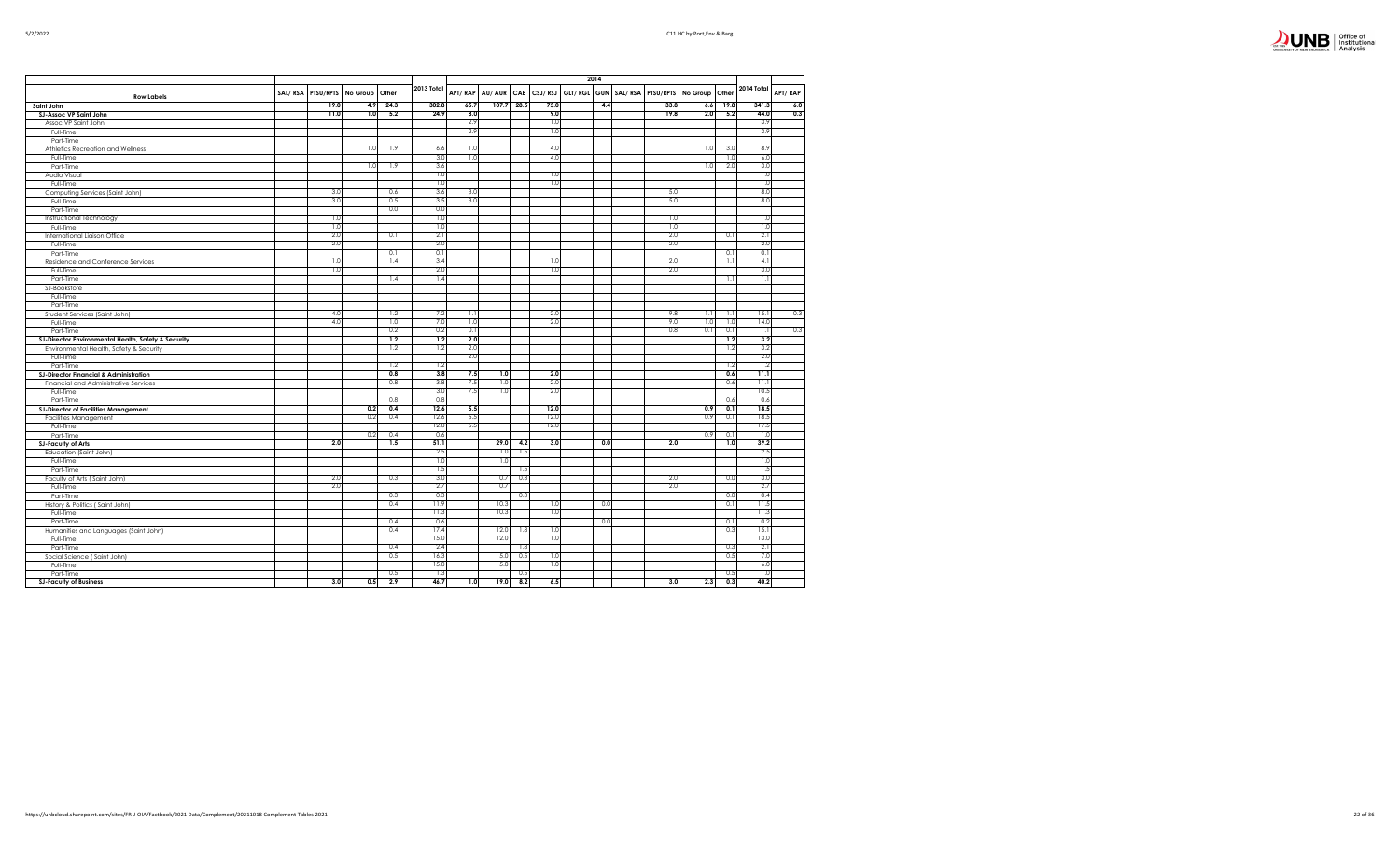

|                                                     |         |      |                          |      |            |         |              |           |      | 2014 |      |                                                          |      |                  |         |
|-----------------------------------------------------|---------|------|--------------------------|------|------------|---------|--------------|-----------|------|------|------|----------------------------------------------------------|------|------------------|---------|
| <b>Row Labels</b>                                   | SAL/RSA |      | PTSU/RPTS No Group Other |      | 2013 Total | APT/RAP | AU/AUR       |           |      |      |      | CAE CSJ/RSJ GLT/RGL GUN SAL/RSA PTSU/RPTS No Group Other |      | 2014 Total       | APT/RAP |
| Saint John                                          |         | 19.0 | 4.9                      | 24.3 | 302.8      | 65.7    |              | 107.728.5 | 75.0 | 4.4  | 33.8 | 6.6                                                      | 19.8 | 341.3            | 6.0     |
| SJ-Assoc VP Saint John                              |         | 11.0 | 1.0                      | 5.2  | 24.9       | 8.0     |              |           | 9.0  |      | 19.8 | 2.0                                                      | 5.2  | 44.0             | 0.3     |
| Assoc VP Saint John                                 |         |      |                          |      |            | 2.9     |              |           | 1.0  |      |      |                                                          |      | 3.9              |         |
| Full-Time                                           |         |      |                          |      |            | 2.9     |              |           | 1.0  |      |      |                                                          |      | 3.9              |         |
| Part-Time                                           |         |      |                          |      |            |         |              |           |      |      |      |                                                          |      |                  |         |
| Athletics Recreation and Wellness                   |         |      | 1.0                      | 1.9  | 6.6        | 1.0     |              |           | 4.0  |      |      | 1.0                                                      | 3.0  | 8.9              |         |
| Full-Time                                           |         |      |                          |      | 3.0        | 1.0     |              |           | 4.0  |      |      |                                                          | 1.0  | 6.0              |         |
| Part-Time                                           |         |      | 1.0                      | 1.9  | 3.6        |         |              |           |      |      |      | 1.0                                                      | 2.0  | 3.0              |         |
| Audio Visual                                        |         |      |                          |      | 1.0        |         |              |           | 1.0  |      |      |                                                          |      | 1.0              |         |
| Full-Time                                           |         |      |                          |      | 1.0        |         |              |           | 1.0  |      |      |                                                          |      | 1.0              |         |
| Computing Services (Saint John)                     |         | 3.0  |                          | 0.6  | 3.6        | 3.0     |              |           |      |      | 5.0  |                                                          |      | 8.0              |         |
| Full-Time                                           |         | 3.0  |                          | 0.5  | 3.5        | 3.0     |              |           |      |      | 5.0  |                                                          |      | 8.0              |         |
| Part-Time                                           |         |      |                          | 0.0  | 0.0        |         |              |           |      |      |      |                                                          |      |                  |         |
| Instructional Technology                            |         | 1.0  |                          |      | 1.0        |         |              |           |      |      | 1.0  |                                                          |      | 1.0              |         |
| Full-Time                                           |         | 1.0  |                          |      | 1.0        |         |              |           |      |      | 1.0  |                                                          |      | 1.0              |         |
| International Liaison Office                        |         | 2.0  |                          | 0.1  | 2.1        |         |              |           |      |      | 2.0  |                                                          | 0.1  | 2.1              |         |
| Full-Time                                           |         | 2.0  |                          |      | 2.0        |         |              |           |      |      | 2.0  |                                                          |      | 2.0              |         |
| Part-Time                                           |         |      |                          | 0.1  | 0.1        |         |              |           |      |      |      |                                                          | 0.1  | 0.1              |         |
| Residence and Conference Services                   |         | 1.0  |                          | 1.4  | 3.4        |         |              |           | 1.0  |      | 2.0  |                                                          | 1.1  | 4.1              |         |
| Full-Time                                           |         | 1.0  |                          |      | 2.0        |         |              |           | 1.0  |      | 2.0  |                                                          |      | 3.0              |         |
| Part-Time                                           |         |      |                          | 1.4  | 1.4        |         |              |           |      |      |      |                                                          | 1.1  | 1.1              |         |
| SJ-Bookstore                                        |         |      |                          |      |            |         |              |           |      |      |      |                                                          |      |                  |         |
| Full-Time                                           |         |      |                          |      |            |         |              |           |      |      |      |                                                          |      |                  |         |
| Part-Time                                           |         |      |                          |      |            |         |              |           |      |      |      |                                                          |      |                  |         |
| Student Services (Saint John)                       |         | 4.0  |                          | 1.2  | 7.2        | 1.1     |              |           | 2.0  |      | 9.8  | -1.1                                                     | 1.1  | 15.1             | 0.3     |
| Full-Time                                           |         | 4.0  |                          | 1.0  | 7.0        | 1.0     |              |           | 2.0  |      | 9.0  | 1.0                                                      | 1.0  | 14.0             |         |
| Part-Time                                           |         |      |                          | 0.2  | 0.2        | 0.1     |              |           |      |      | 0.8  | 0.1                                                      | 0.1  | $\overline{1.1}$ | 0.3     |
| SJ-Director Environmental Health, Safety & Security |         |      |                          | 1.2  | 1.2        | 2.0     |              |           |      |      |      |                                                          | 1.2  | 3.2              |         |
| Environmental Health, Safety & Security             |         |      |                          | 1.2  | 1.2        | 2.0     |              |           |      |      |      |                                                          | 1.2  | 3.2              |         |
| Full-Time                                           |         |      |                          |      |            | 2.0     |              |           |      |      |      |                                                          |      | 2.0              |         |
| Part-Time                                           |         |      |                          | 1.2  | 1.2        |         |              |           |      |      |      |                                                          | 1.2  | 1.2              |         |
| <b>SJ-Director Financial &amp; Administration</b>   |         |      |                          | 0.8  | 3.8        | 7.5     | 1.0          |           | 2.0  |      |      |                                                          | 0.6  | 11.1             |         |
| Financial and Administrative Services               |         |      |                          | 0.8  | 3.8        | 7.5     | 1.0          |           | 2.0  |      |      |                                                          | 0.6  | 11.1             |         |
| Full-Time                                           |         |      |                          |      | 3.0        | 7.5     | 1.0          |           | 2.0  |      |      |                                                          |      | 10.5             |         |
| Part-Time                                           |         |      |                          | 0.8  | 0.8        |         |              |           |      |      |      |                                                          | 0.6  | 0.6              |         |
| <b>SJ-Director of Facilities Management</b>         |         |      | 0.2                      | 0.4  | 12.6       | 5.5     |              |           | 12.0 |      |      | 0.9                                                      | 0.1  | 18.5             |         |
| Facilities Management                               |         |      | 0.2                      | 0.4  | 12.6       | 5.5     |              |           | 12.0 |      |      | 0.9                                                      | 0.1  | 18.5             |         |
| Full-Time                                           |         |      |                          |      | 12.0       | 5.5     |              |           | 12.0 |      |      |                                                          |      | 17.5             |         |
| Part-Time                                           |         |      | 0.2                      | 0.4  | 0.6        |         |              |           |      |      |      | 0.9                                                      | 0.1  | 1.0              |         |
| <b>SJ-Faculty of Arts</b>                           |         | 2.0  |                          | 1.5  | 51.1       |         | 29.0         | 4.2       | 3.0  | 0.0  | 2.0  |                                                          | 1.0  | 39.2             |         |
|                                                     |         |      |                          |      | 2.5        |         | 1.0          | 1.5       |      |      |      |                                                          |      | 2.5              |         |
| Education (Saint John)                              |         |      |                          |      | 1.0        |         | 1.0          |           |      |      |      |                                                          |      | 1.0              |         |
| Full-Time                                           |         |      |                          |      | 1.5        |         |              | 1.5       |      |      |      |                                                          |      | 1.5              |         |
| Part-Time                                           |         | 2.0  |                          | 0.3  | 3.0        |         | 0.7          | 0.3       |      |      | 2.0  |                                                          | 0.0  | 3.0              |         |
| Faculty of Arts (Saint John)                        |         | 2.0  |                          |      | 2.7        |         | 0.7          |           |      |      | 2.0  |                                                          |      | 2.7              |         |
| Full-Time                                           |         |      |                          |      | 0.3        |         |              |           |      |      |      |                                                          |      | 0.4              |         |
| Part-Time                                           |         |      |                          | 0.3  |            |         |              | 0.3       |      |      |      |                                                          | 0.0  |                  |         |
| History & Politics (Saint John)                     |         |      |                          | 0.4  | 11.9       |         | 10.3<br>10.3 |           | 1.0  | 0.0  |      |                                                          | 0.1  | 11.5             |         |
| Full-Time                                           |         |      |                          |      | 11.3       |         |              |           | 1.0  |      |      |                                                          |      | 11.3             |         |
| Part-Time                                           |         |      |                          | 0.4  | 0.6        |         |              |           |      | 0.0  |      |                                                          | 0.1  | 0.2              |         |
| Humanities and Languages (Saint John)               |         |      |                          | 0.4  | 17.4       |         | 12.0         | 1.8       | 1.0  |      |      |                                                          | 0.3  | 15.1             |         |
| Full-Time                                           |         |      |                          |      | 15.0       |         | 12.0         |           | 1.0  |      |      |                                                          |      | 13.0             |         |
| Part-Time                                           |         |      |                          | 0.4  | 2.4        |         |              | 1.8       |      |      |      |                                                          | 0.3  | 2.1              |         |
| Social Science (Saint John)                         |         |      |                          | 0.5  | 16.3       |         | 5.0          | 0.5       | 1.0  |      |      |                                                          | 0.5  | 7.0              |         |
| Full-Time                                           |         |      |                          |      | 15.0       |         | 5.0          |           | 1.0  |      |      |                                                          |      | 6.0              |         |
| Part-Time                                           |         |      |                          | 0.5  | 1.3        |         |              | 0.5       |      |      |      |                                                          | 0.5  | 1.0              |         |
| <b>SJ-Faculty of Business</b>                       |         | 3.0  | 0.5                      | 2.9  | 46.7       | 1.0     | 19.0         | 8.2       | 6.5  |      | 3.0  | 2.3                                                      | 0.3  | 40.2             |         |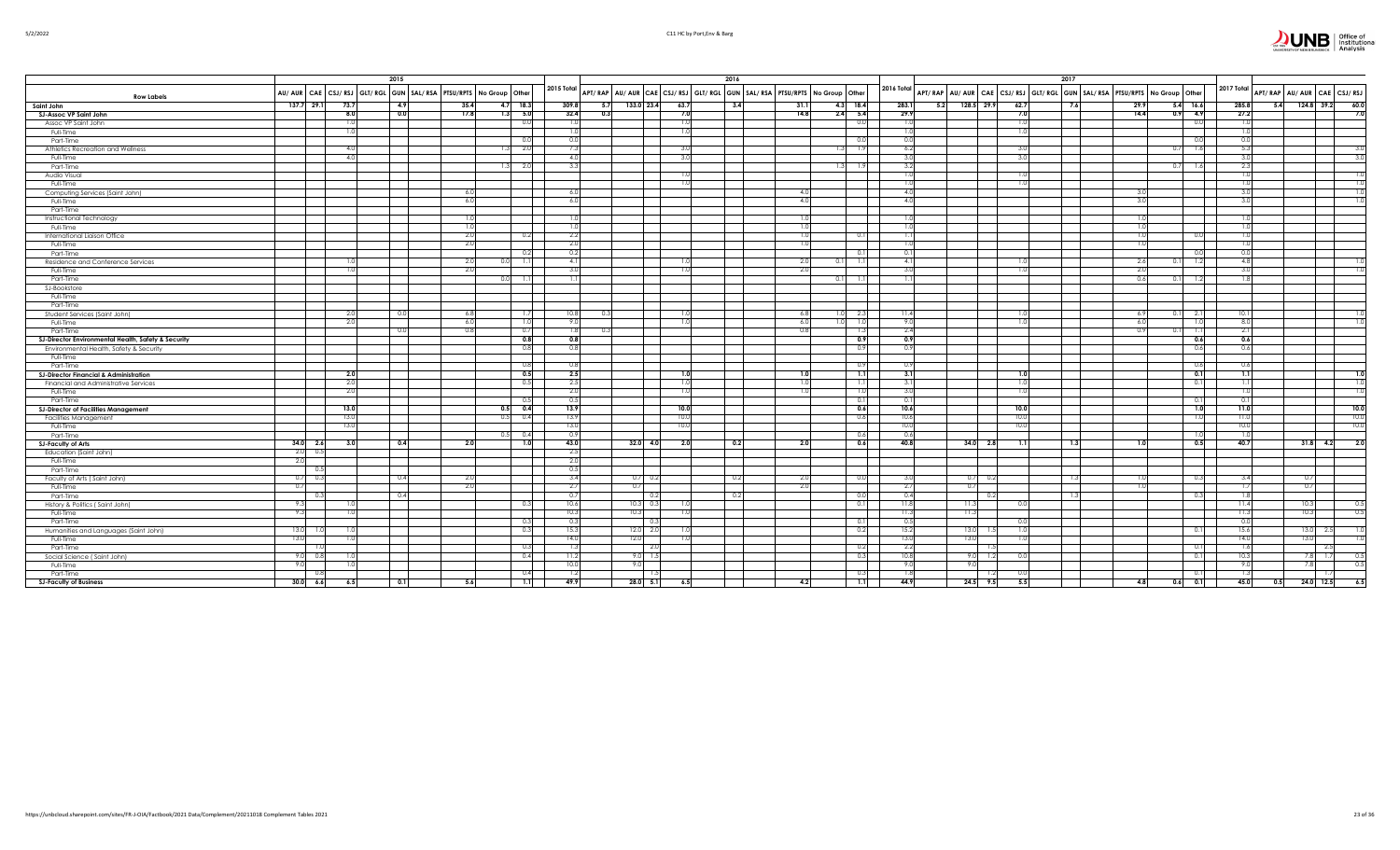| 11111 |  |
|-------|--|
|-------|--|

|                                                     | 2015                    |                                                                     |             |            |            |                   |                   | 2016                                                                    |                 |               |            |                                                                         | 2017             |                  |             |                |                             |
|-----------------------------------------------------|-------------------------|---------------------------------------------------------------------|-------------|------------|------------|-------------------|-------------------|-------------------------------------------------------------------------|-----------------|---------------|------------|-------------------------------------------------------------------------|------------------|------------------|-------------|----------------|-----------------------------|
| <b>Row Labels</b>                                   |                         | AU/ AUR CAE CSJ/ RSJ GLT/ RGL GUN SAL/ RSA PTSU/RPTS No Group Other |             |            | 2015 Total |                   |                   | APT/RAP AU/AUR CAE CSJ/RSJ GLT/RGL GUN SAL/RSA PTSU/RPTS No Group Other |                 |               | 2016 Total | APT/RAP AU/AUR CAE CSJ/RSJ GLT/RGL GUN SAL/RSA PTSU/RPTS No Group Other |                  |                  |             | 2017 Total     | APT/RAP AU/AUR CAE CSJ/RSJ  |
| Saint John                                          | 137.729.1<br>73.7       | 4.9                                                                 | 35.4        | $4.7$ 18.3 | 309.8      | 133.0 23.4<br>5.7 |                   | 63.7<br>3.4                                                             | 31.             | $4.3$ 18.4    | 283.1      | $5.2$ 128.5 29.9<br>62.                                                 | 7.6              | 29.9             | $5.4$ 16.6  | 285.8          | 60.0<br>$124.8$ 39.2<br>5.4 |
| SJ-Assoc VP Saint John                              | 8.0                     | 0.0                                                                 | 17.8<br>1.3 | 5.0        | 32.4       | 0.3               |                   | 7.0                                                                     | 14.8            | $2.4$ 5.4     | 29.9       | 7.0                                                                     |                  | 14.4             | 4.9<br>0.9  | 27.2           | 7.0                         |
| Assoc VP Saint John                                 | 1.0                     |                                                                     |             | 0.0        | 1.0        |                   |                   | 1.0                                                                     |                 | 0.0           | 1.0        |                                                                         |                  |                  | 0.0         | 1.0            |                             |
| Full-Time                                           | 1.0                     |                                                                     |             |            | 1.0        |                   |                   | 1.0                                                                     |                 |               | 1.0        |                                                                         |                  |                  |             |                |                             |
| Part-Time                                           |                         |                                                                     |             | 0.0        | 0.0        |                   |                   |                                                                         |                 | 0.0           | 0.0        |                                                                         |                  |                  | 0.0         | 0.0            |                             |
| Athletics Recreation and Wellness                   | 4.0                     |                                                                     |             | 2.0        | 7.3        |                   |                   | 3.0                                                                     |                 | 1.91<br>13    | 6.2        |                                                                         |                  |                  | 1.6<br>0.7  | 5.3            | 3(                          |
| Full-Time                                           | 4.0                     |                                                                     |             |            | 4.0        |                   |                   | 3.0                                                                     |                 |               | 3.0        |                                                                         |                  |                  |             | 3.0            | 3.0                         |
| Part-Time                                           |                         |                                                                     |             | 2.0        | 3.3        |                   |                   |                                                                         |                 | 1.31<br>-1.9  | 3.2        |                                                                         |                  |                  | 0.7<br>1.6  | 2.3            |                             |
| Audio Visual                                        |                         |                                                                     |             |            |            |                   |                   | 1.0                                                                     |                 |               | 1.0        |                                                                         |                  |                  |             | 1.0            | 1.0                         |
| Full-Time                                           |                         |                                                                     |             |            |            |                   |                   | <b>U.U</b>                                                              |                 |               | 1.0        |                                                                         |                  |                  |             |                |                             |
| Computing Services (Saint John)                     |                         |                                                                     | 6.0         |            | 6.0        |                   |                   |                                                                         | $-4($           |               | 4.0        |                                                                         |                  |                  |             | -3.C           | 1.0                         |
| Full-Time                                           |                         |                                                                     | 6.0         |            | 6.0        |                   |                   |                                                                         | -4.0            |               | 4.0        |                                                                         |                  | 3.0              |             | 3.0            |                             |
| Part-Time                                           |                         |                                                                     |             |            |            |                   |                   |                                                                         |                 |               |            |                                                                         |                  |                  |             |                |                             |
| Instructional Technology                            |                         |                                                                     | -1.C        |            | 1.0        |                   |                   |                                                                         |                 |               | 1.0        |                                                                         |                  |                  |             |                |                             |
| Full-Time                                           |                         |                                                                     | 1.0         |            | 1.0        |                   |                   |                                                                         |                 |               | 1.0        |                                                                         |                  | 1.01             |             |                |                             |
| International Liaison Office                        |                         |                                                                     | 2.0         | 0.2        | 2.2        |                   |                   |                                                                         | $\overline{16}$ | 0.1           | 1.1        |                                                                         |                  | 1 <sub>0</sub>   | 0.0         | 1.0            |                             |
| Full-Time                                           |                         |                                                                     | 2.0         |            | 2.0        |                   |                   |                                                                         |                 |               | 1.0        |                                                                         |                  |                  |             |                |                             |
| Part-Time                                           |                         |                                                                     |             | 0.2        | 0.2        |                   |                   |                                                                         |                 | 0.1           | 0.1        |                                                                         |                  |                  | 0.0         | 0 <sub>0</sub> |                             |
| Residence and Conference Services                   | 1.0                     |                                                                     | -2.0        | 1.1        | -4.1       |                   |                   | -1.0                                                                    | -21             | 0.11<br>- 1.1 | 4.1        |                                                                         |                  | -2.6             | 1.2<br>0.1. | 4.8            |                             |
| Full-Time                                           | 1.0                     |                                                                     | 2.0         |            | 3.0        |                   |                   | 1.0                                                                     | -2.0            |               | 3.0        |                                                                         |                  | 2.0              |             | 3.0            |                             |
| Part-Time                                           |                         |                                                                     |             | 1.1        |            |                   |                   |                                                                         |                 | 0.11          | 1.1        |                                                                         |                  | 0.6              | 1.2         | 1.8            |                             |
| <b>SJ-Bookstore</b>                                 |                         |                                                                     |             |            |            |                   |                   |                                                                         |                 |               |            |                                                                         |                  |                  |             |                |                             |
| Full-Time                                           |                         |                                                                     |             |            |            |                   |                   |                                                                         |                 |               |            |                                                                         |                  |                  |             |                |                             |
| Part-Time                                           |                         |                                                                     |             |            |            |                   |                   |                                                                         |                 |               |            |                                                                         |                  |                  |             |                |                             |
| Student Services (Saint John)                       | 2.0                     | 0.0                                                                 | 6.8         | 1.7        | 10.8       | -0.3              |                   | 1.0                                                                     | 6.8             | 1.01<br>2.3   | 11.4       |                                                                         |                  | -6.9             | 2.1<br>0.11 | 10.1           |                             |
| Full-Time                                           | 2.0                     |                                                                     | 6.0         | 1.0        | 9.0        |                   |                   | 1.0                                                                     | 6.0             | 1.0<br>1.0    | 9.0        |                                                                         |                  | 6.0              | 1.0         | 8.0            | $\overline{1.0}$            |
| Part-Time                                           |                         |                                                                     | 0.8         | 0.7        | 1.81       |                   |                   |                                                                         |                 | 1.3           | 2.4        |                                                                         |                  |                  | 1.1         | 2.             |                             |
| SJ-Director Environmental Health, Safety & Security |                         |                                                                     |             | 0.8        | 0.8        |                   |                   |                                                                         |                 | 0.9           | 0.9        |                                                                         |                  |                  | 0.6         | 0.6            |                             |
| Environmental Health, Safety & Security             |                         |                                                                     |             | 0.8        | 0.8        |                   |                   |                                                                         |                 | 0.9           | 0.9        |                                                                         |                  |                  | 0.6         | 0.6            |                             |
| Full-Time                                           |                         |                                                                     |             |            |            |                   |                   |                                                                         |                 |               |            |                                                                         |                  |                  |             |                |                             |
| Part-Time                                           |                         |                                                                     |             | 0.8        | 0.8        |                   |                   |                                                                         |                 | 0.9           | 0.9        |                                                                         |                  |                  | 0.6         | 0.6            |                             |
| <b>SJ-Director Financial &amp; Administration</b>   | 2.0                     |                                                                     |             | 0.5        | 2.5        |                   |                   | 1.0                                                                     | 1 <sup>1</sup>  | 1.1           | 3.1        |                                                                         |                  |                  | 0.1         | 1.1            | 1.0                         |
| Financial and Administrative Services               | 2.0                     |                                                                     |             | 0.5        | 2.5        |                   |                   | 1.0                                                                     |                 | 1.1           | 3.1        |                                                                         |                  |                  | 0.1         | -1.1           | $\overline{1.0}$            |
| Full-Time                                           | 2.0                     |                                                                     |             |            | 2.0        |                   |                   | 1.0                                                                     |                 | 1.0           | 3.0        |                                                                         |                  |                  |             | 1.0            |                             |
| Part-Time                                           |                         |                                                                     |             |            | 0.5        |                   |                   |                                                                         |                 | 0.1           | 0.1        |                                                                         |                  |                  | 0.1         |                |                             |
| <b>SJ-Director of Facilities Management</b>         | 13.0                    |                                                                     | 0.5         | 0.4        | 13.9       |                   |                   | 10.0                                                                    |                 | 0.6           | 10.6       | 10.0                                                                    |                  |                  | 1.0         | 11.0           | 10.0                        |
| <b>Facilities Management</b>                        | 13.0                    |                                                                     | 0.5         | 0.4        | 13.9       |                   |                   | 10.0                                                                    |                 | 0.6           | 10.6       | 10.1                                                                    |                  |                  | 1.0         | 11.0           | 10.0                        |
| Full-Time                                           | 13.0                    |                                                                     |             |            | 13.0       |                   |                   | 10.0                                                                    |                 |               | 10.0       | 10.0                                                                    |                  |                  |             | 10.0           | 10.0                        |
| Part-Time                                           |                         |                                                                     |             | 0.4        | 0.9        |                   |                   |                                                                         |                 | 0.6           | 0.6        |                                                                         |                  |                  | 1.01        |                |                             |
| <b>SJ-Faculty of Arts</b>                           | $34.0\qquad 2.6$<br>3.0 | 0.4                                                                 | 2.0         | 1.0        | 43.0       | $32.0$ 4.0        |                   | 2.0<br>0.2                                                              | - 2.0           | 0.6           | 40.8       | $34.0\ 2.8$                                                             | $\overline{1.3}$ | 1.0 <sub>1</sub> | 0.5         | 40.7           | $31.8$ 4.2<br>2.0           |
| Education (Saint John)                              | 2.0<br>0.5              |                                                                     |             |            | 2.5        |                   |                   |                                                                         |                 |               |            |                                                                         |                  |                  |             |                |                             |
| Full-Time                                           | 2.0                     |                                                                     |             |            | 2.0        |                   |                   |                                                                         |                 |               |            |                                                                         |                  |                  |             |                |                             |
| Part-Time                                           | 0.5                     |                                                                     |             |            | 0.5        |                   |                   |                                                                         |                 |               |            |                                                                         |                  |                  |             |                |                             |
| Faculty of Arts (Saint John)                        | 0.3<br>0.7              | 0.4                                                                 | 2.0         |            | 3.4        | $0.7 \ 0.2$       |                   | 0.2                                                                     | 2.0             | 0.0           | 3.0        | $0.7\ 0.2$                                                              |                  |                  | 0.3         | 3.4            | 0.7                         |
| Full-Time                                           | 0.7                     |                                                                     | 2.0         |            | 2.7        | 0.7               |                   |                                                                         | 2.1             |               | 2.7        | 0.7                                                                     |                  |                  |             |                | 0.7                         |
| Part-Time                                           | 0.3                     | 0.4                                                                 |             |            | 0.7        |                   | $\vert 0.2 \vert$ | 0.2                                                                     |                 | 0.0           | 0.4        | 0.2                                                                     | 1.3              |                  | 0.3         | 1.8            |                             |
| History & Politics (Saint John)                     | 9.3<br>1.0              |                                                                     |             | 0.3        | 10.6       | $10.3$ 0.3        |                   | 1.0                                                                     |                 | 0.1           | 11.8       | 11.3                                                                    |                  |                  |             | 11.4           | 10.3<br>0.5                 |
| Full-Time                                           | 9.3<br>1.0              |                                                                     |             |            | 10.3       | 10.3              |                   | 1.0                                                                     |                 |               | 11.3       | 11.3                                                                    |                  |                  |             | 11.3           | 10.3<br>0.5                 |
| Part-Time                                           |                         |                                                                     |             | 0.3        | 0.3        | -0                |                   |                                                                         |                 | 0.1           | 0.5        |                                                                         |                  |                  |             | 0.0            |                             |
| Humanities and Languages (Saint John)               | 13.0<br>- 1.0<br>1.0    |                                                                     |             | 0.3        | 15.3       | 12.0 2.0          |                   | -1.0                                                                    |                 | 0.2           | 15.2       | 13.0<br>-1.5                                                            |                  |                  | 0.1         | 15.6           | $13.0$ 2.5                  |
| Full-Time                                           | 13.0<br>1.0             |                                                                     |             |            | 14.0       | 12.0              |                   | 1.0                                                                     |                 |               | 13.0       | 13.0                                                                    |                  |                  |             | 14.0           | 13.0                        |
| Part-Time                                           |                         |                                                                     |             | 0.3        | 1.3        |                   | 2.0               |                                                                         |                 | 0.2           | 2.2        |                                                                         |                  |                  | 0.1         | -1.6           | 2.5                         |
| Social Science (Saint John)                         | 9.0<br>0.8<br>1.0       |                                                                     |             | 0.4        | 11.2       | $9.0$ 1.          |                   |                                                                         |                 | 0.3           | 10.8       | 9.0                                                                     |                  |                  | 0.1         | 10.3           | 7.8<br>1.7<br>0.5           |
| Full-Time                                           | 9.0<br>1.0              |                                                                     |             |            | 10.0       | 9.0               |                   |                                                                         |                 |               | 9.0        | 9.0                                                                     |                  |                  |             | 9.0            | 0.5<br>7.8                  |
| Part-Time                                           | 0.8                     |                                                                     |             | 0.4        | 1.2        |                   |                   |                                                                         |                 | 0.3           | 1.8        |                                                                         |                  |                  | 0.1         | 1.3            |                             |
| <b>SJ-Faculty of Business</b>                       | 30.0<br>6.6<br>6.5      | 0.1                                                                 | 5.6         | 1.1        | 49.9       | $28.0$ 5.1        |                   | 6.5                                                                     | 4.2             | 1.1           | 44.9       | $24.5$ 9.5<br>5.5                                                       |                  | 4.8              | 0.1<br>0.6  | 45.0           | 24.0 12.5<br>0.5<br>6.5     |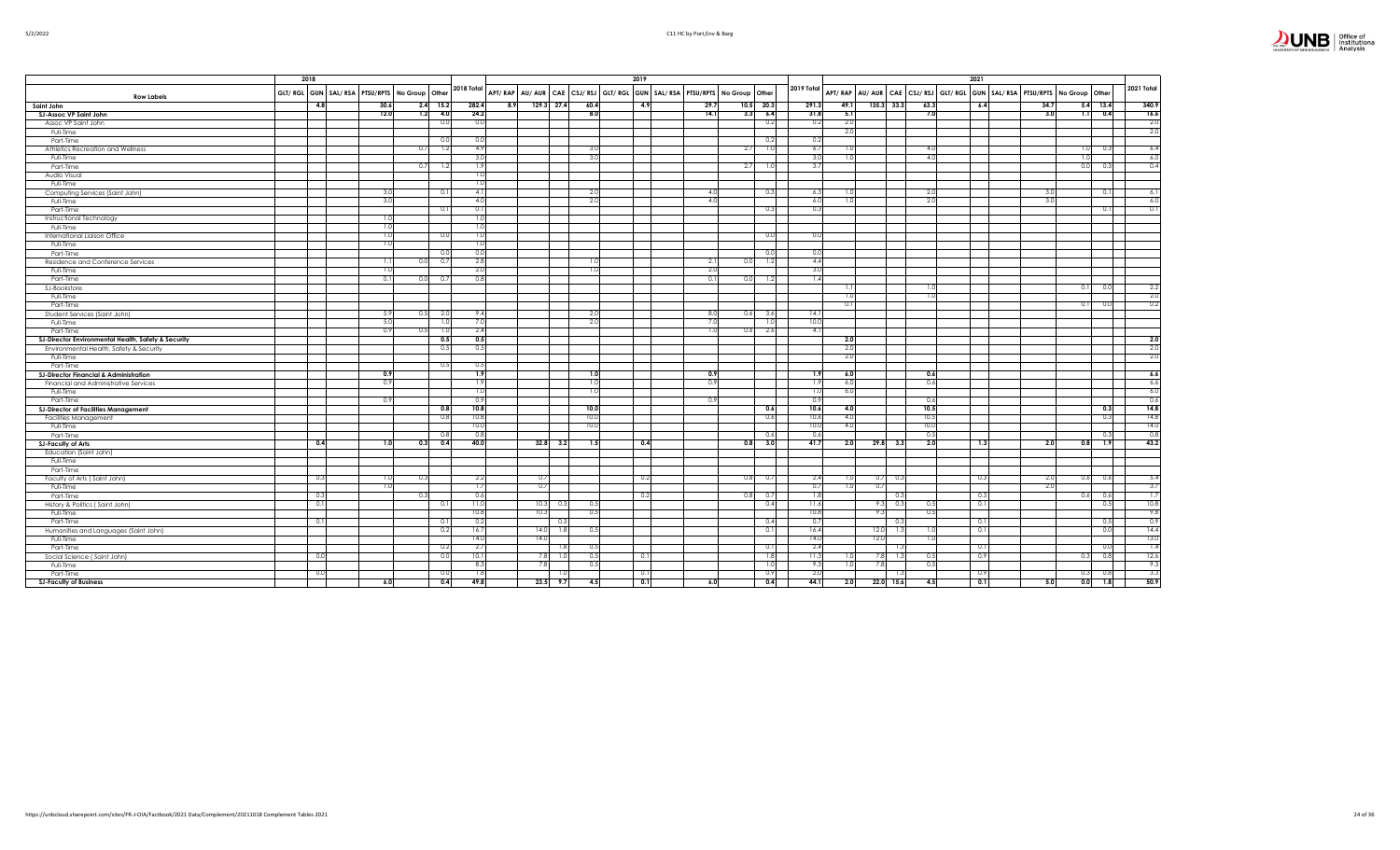|                                                     | 2018 |                                                        |      |            | 2018 Total       |      |      |              |      | 2019                                                                                      |      |      |                  |            |      |              |                 |      | 2021     |                                                                   |       |      | 2021 Total |
|-----------------------------------------------------|------|--------------------------------------------------------|------|------------|------------------|------|------|--------------|------|-------------------------------------------------------------------------------------------|------|------|------------------|------------|------|--------------|-----------------|------|----------|-------------------------------------------------------------------|-------|------|------------|
| <b>Row Labels</b>                                   |      | GLT/ RGL GUN   SAL/ RSA   PTSU/RPTS   No Group   Other |      |            |                  |      |      |              |      | APT/RAP   AU/AUR   CAE   CSJ/RSJ   GLT/RGL   GUN   SAL/RSA   PTSU/RPTS   No Group   Other |      |      |                  | 2019 Total |      |              |                 |      |          | APT/RAP AU/AUR CAE CSJ/RSJ GLT/RGL GUN SAL/RSA PTSU/RPTS No Group | Other |      |            |
| Saint John                                          | 4.8  |                                                        | 30.6 | $2.4$ 15.2 | 282.4            |      | 8.9  | 129.3 27.4   | 60.4 | 4.9                                                                                       | 29.7 | 10.5 | 20.3             | 291.3      | 49.1 | $135.3$ 33.3 |                 | 63.3 | 6.4      | 34.7                                                              | 5.4   | 13.4 | 340.9      |
| SJ-Assoc VP Saint John                              |      |                                                        | 12.0 | 1.2        | 4.0              | 24.2 |      |              | 8.0  |                                                                                           | 14.1 | 3.3  | 6.4              | 31.8       | 5.1  |              |                 | 7.0  |          | 3.0                                                               | 1.1   | 0.4  | 16.6       |
| Assoc VP Saint John                                 |      |                                                        |      |            | 0.0              | 0.0  |      |              |      |                                                                                           |      |      | 0.2              | 0.2        | 2.0  |              |                 |      |          |                                                                   |       |      | 2.0        |
| Full-Time                                           |      |                                                        |      |            |                  |      |      |              |      |                                                                                           |      |      |                  |            | 2.0  |              |                 |      |          |                                                                   |       |      | 2.0        |
| Part-Time                                           |      |                                                        |      |            | 0.0              | 0.0  |      |              |      |                                                                                           |      |      | 0.2 <sub>1</sub> | 0.2        |      |              |                 |      |          |                                                                   |       |      |            |
| Athletics Recreation and Wellness                   |      |                                                        |      | 0.7        |                  | 4.9  |      |              | 3.0  |                                                                                           |      | 2.7  | 1.01             | 6.7        | 1.0  |              |                 | 4.0  |          |                                                                   |       | 0.3  | 6.4        |
| Full-Time                                           |      |                                                        |      |            |                  | 3.0  |      |              | 3.0  |                                                                                           |      |      |                  | 3.0        | 1.0  |              |                 | 4.0  |          |                                                                   | -1.6  |      | 6.0        |
| Part-Time                                           |      |                                                        |      | 0.71       |                  | 1.9  |      |              |      |                                                                                           |      | 2.7  | 1.0              | 3.7        |      |              |                 |      |          |                                                                   | 0.0   | 0.3  | 0.4        |
| Audio Visual                                        |      |                                                        |      |            |                  | 1.0  |      |              |      |                                                                                           |      |      |                  |            |      |              |                 |      |          |                                                                   |       |      |            |
| Full-Time                                           |      |                                                        |      |            |                  | 1.0  |      |              |      |                                                                                           |      |      |                  |            |      |              |                 |      |          |                                                                   |       |      |            |
| Computing Services (Saint John)                     |      |                                                        | 3.0  |            | 0.1              | 4.1  |      |              | 2.0  |                                                                                           | 4.0  |      | 0.3              | 6.3        | 1.0  |              |                 | 2.0  |          | $\mathcal{B}$                                                     |       | 0.1  | 6.1        |
| Full-Time                                           |      |                                                        | 3.0  |            |                  | 4.0  |      |              | 2.0  |                                                                                           | 4.0  |      |                  | 6.0        | 1.0  |              |                 | 2.0  |          | $\overline{3}$                                                    |       |      | 6.0        |
| Part-Time                                           |      |                                                        |      |            | . O. I           | 0.1  |      |              |      |                                                                                           |      |      | 0.31             | 0.3        |      |              |                 |      |          |                                                                   |       | 0.1  | 0.1        |
| Instructional Technology                            |      |                                                        | 1.0  |            |                  | 1.0  |      |              |      |                                                                                           |      |      |                  |            |      |              |                 |      |          |                                                                   |       |      |            |
| Full-Time                                           |      |                                                        | 1.0  |            |                  | 1.0  |      |              |      |                                                                                           |      |      |                  |            |      |              |                 |      |          |                                                                   |       |      |            |
| International Liaison Office                        |      |                                                        | 1.0  |            | $\Omega$         | 1.0  |      |              |      |                                                                                           |      |      | 0.01             | 0.0        |      |              |                 |      |          |                                                                   |       |      |            |
| Full-Time                                           |      |                                                        | 1.0  |            |                  | 1.0  |      |              |      |                                                                                           |      |      |                  |            |      |              |                 |      |          |                                                                   |       |      |            |
| Part-Time                                           |      |                                                        |      |            | $\bigcap$        | 0.0  |      |              |      |                                                                                           |      |      | 0.0              | 0.0        |      |              |                 |      |          |                                                                   |       |      |            |
| Residence and Conference Services                   |      |                                                        | 1.1  | 0.0        | $\Omega$         | 2.8  |      |              | 1.0  |                                                                                           | 2.1  | 0.0  | 1.2              | 4.4        |      |              |                 |      |          |                                                                   |       |      |            |
| Full-Time                                           |      |                                                        | 1.0  |            |                  | 2.0  |      |              | 1.0  |                                                                                           | 2.0  |      |                  | 3.0        |      |              |                 |      |          |                                                                   |       |      |            |
| Part-Time                                           |      |                                                        | 0.1  | 0.0        | - 0.7            | 0.8  |      |              |      |                                                                                           | 0.1  | 0.0  | 1.2              | 1.4        |      |              |                 |      |          |                                                                   |       |      |            |
| SJ-Bookstore                                        |      |                                                        |      |            |                  |      |      |              |      |                                                                                           |      |      |                  |            | 1.1  |              |                 | 1.0  |          |                                                                   | 0.1   | 0.0  | 2.2        |
| Full-Time                                           |      |                                                        |      |            |                  |      |      |              |      |                                                                                           |      |      |                  |            | 1.0  |              |                 | 1.0  |          |                                                                   |       |      | 2.0        |
| Part-Time                                           |      |                                                        |      |            |                  |      |      |              |      |                                                                                           |      |      |                  |            | 0.1  |              |                 |      |          |                                                                   | 0.    | 0.0  | 0.2        |
| Student Services (Saint John)                       |      |                                                        | 5.9  | 0.5        | 2.0              | 9.4  |      |              | 2.0  |                                                                                           | 8.0  | 0.6  | 3.6              | 14.1       |      |              |                 |      |          |                                                                   |       |      |            |
| Full-Time                                           |      |                                                        | 5.0  |            |                  | 7.0  |      |              | 2.0  |                                                                                           | 7.0  |      | 1.0              | 10.0       |      |              |                 |      |          |                                                                   |       |      |            |
| Part-Time                                           |      |                                                        | 0.9  | 0.5        | $\overline{1.0}$ | 2.4  |      |              |      |                                                                                           | 1.0  | 0.6  | 2.6              | 4.1        |      |              |                 |      |          |                                                                   |       |      |            |
| SJ-Director Environmental Health, Safety & Security |      |                                                        |      |            | 0.5              | 0.5  |      |              |      |                                                                                           |      |      |                  |            | 2.0  |              |                 |      |          |                                                                   |       |      | 2.0        |
| Environmental Health, Safety & Security             |      |                                                        |      |            | 0.5              | 0.5  |      |              |      |                                                                                           |      |      |                  |            | 2.0  |              |                 |      |          |                                                                   |       |      | 2.0        |
| Full-Time                                           |      |                                                        |      |            |                  |      |      |              |      |                                                                                           |      |      |                  |            | 2.0  |              |                 |      |          |                                                                   |       |      | 2.0        |
| Part-Time                                           |      |                                                        |      |            | 0.5              | 0.5  |      |              |      |                                                                                           |      |      |                  |            |      |              |                 |      |          |                                                                   |       |      |            |
| <b>SJ-Director Financial &amp; Administration</b>   |      |                                                        | 0.9  |            |                  | 1.9  |      |              | 1.0  |                                                                                           | 0.9  |      |                  | 1.9        | 6.0  |              |                 | 0.6  |          |                                                                   |       |      | 6.6        |
| Financial and Administrative Services               |      |                                                        | 0.9  |            |                  | 1.9  |      |              | 1.0  |                                                                                           | 0.9  |      |                  | 1.9        | 6.0  |              |                 | 0.6  |          |                                                                   |       |      | 6.6        |
| Full-Time                                           |      |                                                        |      |            |                  | 1.0  |      |              | 1.0  |                                                                                           |      |      |                  | 1.0        | 6.0  |              |                 |      |          |                                                                   |       |      | 6.0        |
| Part-Time                                           |      |                                                        | 0.9  |            |                  | -0.9 |      |              |      |                                                                                           | 0.9  |      |                  | 0.9        |      |              |                 | 0.6  |          |                                                                   |       |      | 0.6        |
| <b>SJ-Director of Facilities Management</b>         |      |                                                        |      |            | 0.8              | 10.8 |      |              | 10.0 |                                                                                           |      |      | 0.6              | 10.6       | 4.0  |              |                 | 10.5 |          |                                                                   |       | 0.3  | 14.8       |
| Facilities Management                               |      |                                                        |      |            | 0.8              | 10.8 |      |              | 10.0 |                                                                                           |      |      | 0.6              | 10.6       | 4.0  |              |                 | 10.5 |          |                                                                   |       | 0.3  | 14.8       |
| Full-Time                                           |      |                                                        |      |            |                  | 10.0 |      |              | 10.0 |                                                                                           |      |      |                  | 10.0       | 4.0  |              |                 | 10.0 |          |                                                                   |       |      | 14.0       |
| Part-Time                                           |      |                                                        |      |            | 0.8              | 0.8  |      |              |      |                                                                                           |      |      | 0.6              | 0.6        |      |              |                 | 0.5  |          |                                                                   |       | 0.3  | 0.8        |
| <b>SJ-Faculty of Arts</b>                           | 0.4  |                                                        | 1.0  | 0.3        | 0.4              | 40.0 |      | $32.8$ $3.2$ | 1.5  | 0.4                                                                                       |      | 0.8  | 3.0              | 41.7       | 2.0  |              | $29.8$ 3.3      | 2.0  | 1.3      | 2.0                                                               | 0.8   | 1.9  | 43.2       |
| Education (Saint John)                              |      |                                                        |      |            |                  |      |      |              |      |                                                                                           |      |      |                  |            |      |              |                 |      |          |                                                                   |       |      |            |
| Full-Time                                           |      |                                                        |      |            |                  |      |      |              |      |                                                                                           |      |      |                  |            |      |              |                 |      |          |                                                                   |       |      |            |
| Part-Time                                           |      |                                                        |      |            |                  |      |      |              |      |                                                                                           |      |      |                  |            |      |              |                 |      |          |                                                                   |       |      |            |
| Faculty of Arts (Saint John)                        | 0.3  |                                                        | 1.0  | 0.3        |                  | 2.2  | 0.7  |              |      | 0.2                                                                                       |      | 0.8  | 0.7              | 2.4        | 1.0  |              | $0.7\ 0.3$      |      | 0.3      | 2.0                                                               | 0.6   | 0.6  | 5.4        |
| Full-Time                                           |      |                                                        | 1.0  |            |                  | 1.7  | 0.7  |              |      |                                                                                           |      |      |                  | 0.7        | 1.0  | 0.7          |                 |      |          | $-2.0$                                                            |       |      | 3.7        |
| Part-Time                                           | 0.3  |                                                        |      | 0.3        |                  | 0.6  |      |              |      | 0.2                                                                                       |      | 0.8  | 0.7              | 1.8        |      |              | 0.3             |      | 0.3      |                                                                   | 0.6   | 0.6  | 1.7        |
| History & Politics (Saint John)                     | 0.1  |                                                        |      |            | 0.1              | 11.0 | 10.3 | 0.3          | 0.5  |                                                                                           |      |      | 0.4              | 11.6       |      |              | $9.3\qquad 0.3$ | 0.5  | 0.       |                                                                   |       | 0.5  | 10.8       |
| Full-Time                                           |      |                                                        |      |            |                  | 10.8 | 10.3 |              | 0.5  |                                                                                           |      |      |                  | 10.8       |      | 9.3          |                 | 0.5  |          |                                                                   |       |      | 9.8        |
| Part-Time                                           | 0.1  |                                                        |      |            | . O.             | 0.2  |      | -0.3         |      |                                                                                           |      |      | 0.4              | 0.7        |      |              | 0.3             |      | 0.1      |                                                                   |       | 0.5  | 0.9        |
| Humanities and Languages (Saint John)               |      |                                                        |      |            | 0.2              | 16.7 | 14.0 |              | 0.5  |                                                                                           |      |      | 0.1              | 16.4       |      | 12.0         | 1.3             | 1.0  | 0.1      |                                                                   |       | 0.0  | 14.4       |
| Full-Time                                           |      |                                                        |      |            |                  | 14.0 | 14.0 |              |      |                                                                                           |      |      |                  | 14.0       |      | 12.0         |                 | 1.0  |          |                                                                   |       |      | 13.0       |
| Part-Time                                           |      |                                                        |      |            | 0.2              | 2.7  |      |              | 0.5  |                                                                                           |      |      | 0.1              | 2.4        |      |              |                 |      | $\Omega$ |                                                                   |       | 0.0  | 1.4        |
| Social Science (Saint John)                         | 0.0  |                                                        |      |            | 0.0              | 10.1 | 7.8  |              | 0.5  | 0.1                                                                                       |      |      | 1.8              | 11.3       | 1.0  | 7.8          | 1.3             | 0.5  | 0.9      |                                                                   | 0.3   | 0.8  | 12.6       |
| Full-Time                                           |      |                                                        |      |            |                  | 8.3  | 7.8  |              | 0.5  |                                                                                           |      |      | 1.0              | 9.3        | 1.0  | 7.8          |                 | 0.5  |          |                                                                   |       |      | 9.3        |
| Part-Time                                           | 0.0  |                                                        |      |            | $\Omega$         | 1.8  |      |              |      | 0.1                                                                                       |      |      | 0.9              | 2.0        |      |              |                 |      | 0.9      |                                                                   | 0.3   | 0.8  | 3.3        |
| <b>SJ-Faculty of Business</b>                       |      |                                                        | 6.0  |            | 0.4              | 49.8 |      | $23.5$ 9.7   | 4.5  | 0.1                                                                                       | 6.0  |      | 0.4              | 44.1       | 2.0  |              | 22.0 15.6       | 4.5  | 0.1      | 5.0                                                               | 0.0   | 1.8  | 50.9       |

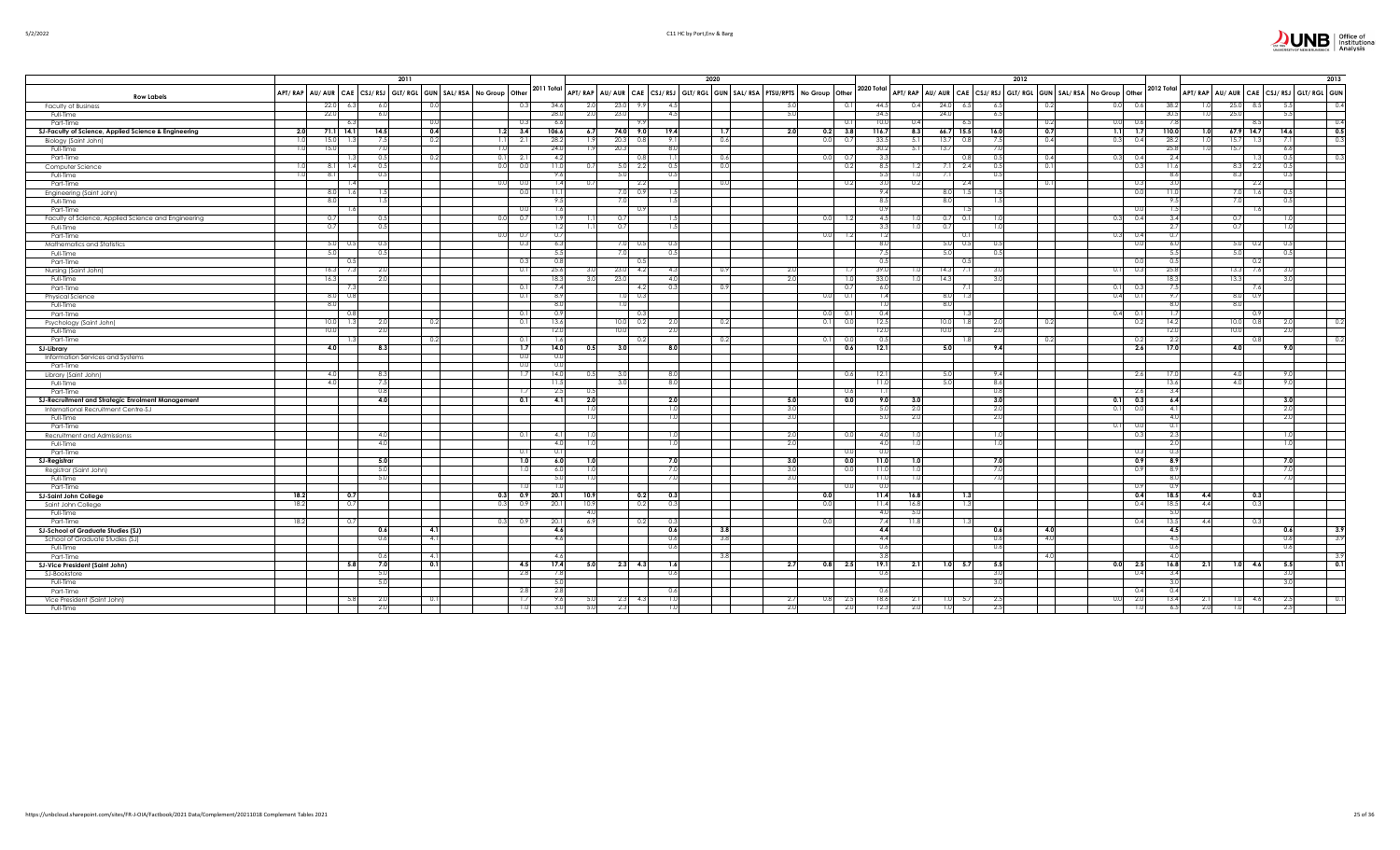| JNB | Office of<br>Institutional<br>Analysis |
|-----|----------------------------------------|
|     |                                        |

|  | 5/2/2022 |  |
|--|----------|--|

|                                                             |      |                 | 2011       |     |                                                               |                |      |                 |      | 2020 |     |                                                                         |                |                |                                                                               |                  | 2012 |      |      |         |                  |      |                 |                  | 2013                                   |
|-------------------------------------------------------------|------|-----------------|------------|-----|---------------------------------------------------------------|----------------|------|-----------------|------|------|-----|-------------------------------------------------------------------------|----------------|----------------|-------------------------------------------------------------------------------|------------------|------|------|------|---------|------------------|------|-----------------|------------------|----------------------------------------|
| <b>Row Labels</b>                                           |      |                 |            |     | APT/RAP AU/AUR CAE CSJ/RSJ GLT/RGL GUN SAL/RSA No Group Other | 2011 Total     |      |                 |      |      |     | APT/RAP AU/AUR CAE CSJ/RSJ GLT/RGL GUN SAL/RSA PTSU/RPTS No Group Other |                | 2020 Total     | APT/RAP   AU/AUR   CAE   CSJ/RSJ   GLT/RGL   GUN   SAL/RSA   No Group   Other |                  |      |      |      |         | 2012 Total       |      |                 |                  | APT/RAP AU/AUR CAE CSJ/RSJ GLT/RGL GUN |
| <b>Faculty of Business</b>                                  | 22.0 | 6.3             | 6.0        | 0.0 | 0.3                                                           | 34.6           | 2.0  | 23.0            | 4.5  |      |     |                                                                         | 0.1            | 44.5           | 24.0<br>6.5<br>0.4                                                            | 6.5              |      | 0.2  | 0.0  | 0.6     | 38.2             |      | 25.0            | 8.5              | 0.4<br>5.5                             |
| Full-Time                                                   | 22.0 |                 | 6.0        |     |                                                               | 28.0           | 2.0  | 23.0            | 4.5  |      |     | 5.0                                                                     |                | 34.5           | 24.0                                                                          | 6.5              |      |      |      |         | 30.5             |      | 25.0            |                  | 5.5                                    |
| Part-Time                                                   |      |                 |            | 0.0 | 0.3                                                           | 6.6            |      |                 |      |      |     |                                                                         |                | 10.0           | 0.41<br>- 6.5                                                                 |                  |      | 0.2  | 0.01 |         | 7.8              |      |                 |                  | 0.4                                    |
| SJ-Faculty of Science, Applied Science & Engineering<br>2.0 |      | $71.1$ 14.1     | 14.5       | 0.4 | $1.2$ 3.4                                                     | 106.6          | 6.7  | 74.0<br>9.0     | 19.4 |      | 1.7 | 2.0<br>0.2                                                              | 3.8            | 116.7          | 8.3<br>$66.7$ 15.5                                                            | 16.0             |      | 0.7  | 1.1  | 1.7     | 110.0            |      | $67.9$ 14.7     |                  | 0.5<br>14.6                            |
| Biology (Saint John)<br>1.0                                 | 15.0 | - 1.3           | 7.5        | 0.2 | 1.1<br>2.1                                                    | 28.2           | 1.9  | 20.3<br>0.8     | 9.1  |      | 0.6 | 0.0                                                                     | 0.7            | 33.5           | 13.7<br>5.1<br>- 0.8                                                          | 7.5              |      | 0.4  | 0.3  | 0.4     | 28.2             | -1.0 | 15.7            | -11              | $-0.3$<br>- 7.11                       |
| Full-Time<br>1.0                                            | 15.0 |                 | 7.0        |     | 1.0                                                           | 24.0           | 1.9  | 20.3            | 8.0  |      |     |                                                                         |                | 30.2           | 13.7<br>-5.11                                                                 | 7.0              |      |      |      |         | 25.8             | 1.0  | 15.7            |                  | 6.6                                    |
| Part-Time                                                   |      | 1.3             | 0.5        | 0.2 | 0.1<br>2.1                                                    | $-4.2$         |      | 0.8             |      |      | 0.6 |                                                                         | - 0.7          | 3.3            | -0.8                                                                          | 0.5              |      | 0.4  | 0.3  | 04      | 2.4              |      |                 |                  | 0.3<br>0.5                             |
| Computer Science<br>1.0                                     | 8.1  | 1.4             | 0.5        |     | 0.0<br>0.0                                                    | 11.0           | 0.7  | $5.0\quad 2.2$  | 0.5  |      | 0.0 |                                                                         | 0.2            | 8.5            | 1.2<br>$7.1\quad 2.4$                                                         | 0.5              |      | 0.1  |      |         | 11.6             |      | 8.3             | - 2.2            | 0.5                                    |
| Full-Time<br>-1.0                                           | 8.1  |                 | 0.5        |     |                                                               | 9.6            |      | 5.0             | 0.5  |      |     |                                                                         |                | 5.5            | 1.0<br>7.1                                                                    | 0.5              |      |      |      |         | 8.6              |      | 8.3             |                  | 0.5                                    |
| Part-Time                                                   |      |                 |            |     | 0.0<br>0.0                                                    |                | 0.7  | 2.2             |      |      | 0.0 |                                                                         | - 0.2          | 3.0            | 0.2<br>- 2.4                                                                  |                  |      | -0.1 |      |         | 3.0              |      |                 | -2.2             |                                        |
|                                                             | 8.0  | 1.6             | 1.5        |     | 0.0                                                           | 11.1           |      | $7.0\qquad0.9$  | -1.5 |      |     |                                                                         |                | 9.4            | $8.0$ 1.5                                                                     | 1.5 <sub>1</sub> |      |      |      | 0.0     | 11.0             |      | 7.01            | 1.6              | 0.5                                    |
| Engineering (Saint John)<br>Full-Time                       | 8.0  |                 | 1.5        |     |                                                               | 9.             |      |                 |      |      |     |                                                                         |                | 8.5            | 8.0                                                                           | 1.5              |      |      |      |         | 9.5              |      | 7.0             |                  | 0.5                                    |
|                                                             |      |                 |            |     |                                                               |                |      | 7.0             |      |      |     |                                                                         |                | 0.9            |                                                                               |                  |      |      |      |         | 1.5              |      |                 |                  |                                        |
| Part-Time                                                   |      | 1.6             | 0.5        |     | 0.0<br>0.7                                                    |                |      | -0.9<br>0.7     |      |      |     |                                                                         |                | 4.5            |                                                                               |                  |      |      | 0.3  | 0.4     | 3.4              |      | 0.7             |                  |                                        |
| Faculty of Science, Applied Science and Engineering         | 0.7  |                 |            |     | 0.0                                                           |                |      |                 |      |      |     |                                                                         |                |                | 0.7<br>- 0.                                                                   | 1.0              |      |      |      |         |                  |      |                 |                  |                                        |
| Full-Time                                                   | 0.7  |                 | 0.5        |     |                                                               | 14             | 1.1. | 0.7             | -1.5 |      |     |                                                                         |                | 3.3            | 0.7<br>1.01                                                                   | 1.0              |      |      |      |         | 2.7              |      | 0.7             |                  | 1.01                                   |
| Part-Time                                                   |      |                 |            |     | 0.0<br>0.7                                                    | 0.7            |      |                 |      |      |     | 0.0                                                                     | -1.2           | 1.2            | 0.                                                                            |                  |      |      | 0.3  |         | 0.71             |      |                 |                  |                                        |
| Mathematics and Statistics                                  | 5.0  | 0.5             | 0.5        |     | 0.3                                                           | 6.3            |      | 7.0 0.5         | 0.5  |      |     |                                                                         |                | 8.0            | 5.0 0.5                                                                       | 0.5              |      |      |      |         | 6.0              |      | 5.0             | 0.2              | 0.5                                    |
| Full-Time                                                   | 5.0  |                 | 0.5        |     |                                                               | - 5.5          |      | 7.0             | 0.5  |      |     |                                                                         |                | 7.5            | 5.0                                                                           | 0.5              |      |      |      |         | 5.5              |      | 5.0             |                  | 0.5                                    |
| Part-Time                                                   |      | 0.5             |            |     | 0.3                                                           | $^{\circ}$     |      |                 |      |      |     |                                                                         |                | 0.5            |                                                                               |                  |      |      |      |         | 0.5              |      |                 |                  |                                        |
| Nursing (Saint John)                                        | 16.3 | 7.3             | 2.0        |     | 0.1                                                           | 25.6           | 3.0  | 23.0<br>4.2     | 4.3  |      | 0.9 | 2.0                                                                     |                | 39.0           | 14.3                                                                          | 3.0              |      |      | 0.1  |         | 25.8             |      | 13.3            | 7.6              | -3.0                                   |
| Full-Time                                                   | 16.3 |                 | 2.0        |     |                                                               | 18.3           | 3.0  | 23.0            | 4.0  |      |     | 2.0                                                                     | -1.            | 33.0           | 14.3<br>1.0                                                                   | 3.0              |      |      |      |         | 18.3             |      | 13.3            |                  | 3.0                                    |
| Part-Time                                                   |      | -7.3            |            |     | 0.1                                                           | 7.4            |      | 4.2             | 0.3  |      | 0.9 |                                                                         | $\Omega$       | 6.0            | 7.                                                                            |                  |      |      | 0.1  |         | 7.5              |      |                 |                  |                                        |
| Physical Science                                            |      | $8.0\qquad 0.8$ |            |     | 0.1                                                           | -8.9           |      | $1.0$ 0.3       |      |      |     |                                                                         | 0.1            | 1.4            | $8.0$ 1.3                                                                     |                  |      |      | 0.4  |         | 9.71             |      | $8.0\qquad 0.9$ |                  |                                        |
| Full-Time                                                   | 8.0  |                 |            |     |                                                               | 8.0            |      | 1.0             |      |      |     |                                                                         |                | 1.0            | 8.0                                                                           |                  |      |      |      |         | 8.0              |      | 8.0             |                  |                                        |
| Part-Time                                                   |      | 0.8             |            |     | 0.1                                                           | 0.9            |      |                 |      |      |     | 0.0                                                                     | - 0.           | 0.4            | - 1.3                                                                         |                  |      |      | 0.4  |         | 1.7              |      |                 | 0.9              |                                        |
| Psychology (Saint John)                                     | 10.0 | 1.3             | 2.0        | 0.2 | 0.1                                                           | 13.6           |      | 10.0<br>0.2     | 2.0  |      | 0.2 | 0.11                                                                    | $\Omega$       | 12.5           | $10.0$ 1.8                                                                    | 2.0              |      | 0.2  |      |         | 14.2             |      | 10.0            | 0.8              | 0.2<br>2.0                             |
| Full-Time                                                   | 10.0 |                 | 2.0        |     |                                                               | 12.0           |      | 10.0            | 2.0  |      |     |                                                                         |                | 12.0           | 10.0                                                                          | 2.0              |      |      |      |         | 12.0             |      | 10.0            |                  | 2.0                                    |
| Part-Time                                                   |      |                 |            | 0.2 | 0.1                                                           |                |      | -0.2            |      |      | 0.2 |                                                                         | -0.            | 0.5            |                                                                               |                  |      | 0.2  |      |         | 2.2              |      |                 |                  |                                        |
| SJ-Library                                                  | 4.0  |                 | 8.3        |     | 1.7                                                           | 14.0           | 0.5  | 3.0             | 8.0  |      |     |                                                                         | 0.6            | 12.1           | 5.0                                                                           | 9.4              |      |      |      | 2.6     | 17.0             |      | 4.0             |                  | 9.0                                    |
| Information Services and Systems                            |      |                 |            |     | 0.0                                                           | $\overline{0}$ |      |                 |      |      |     |                                                                         |                |                |                                                                               |                  |      |      |      |         |                  |      |                 |                  |                                        |
| Part-Time                                                   |      |                 |            |     | 0.0                                                           |                |      |                 |      |      |     |                                                                         |                |                |                                                                               |                  |      |      |      |         |                  |      |                 |                  |                                        |
| Library (Saint John)                                        | 4.0  |                 | 8.3        |     | 1.7                                                           | 14.0           | 0.5  | 3.0             | 8.0  |      |     |                                                                         | 0.6            | 12.1           | 5.0                                                                           | 9.4              |      |      |      | 2.6     | 17.0             |      | 4.0             |                  | 9.0                                    |
| Full-Time                                                   | 4.0  |                 | 7.5        |     |                                                               | 11.5           |      |                 | 8.0  |      |     |                                                                         |                | 11.0           | 5.0                                                                           | 8.6              |      |      |      |         | 13.6             |      | 4.0             |                  | 9.0                                    |
| Part-Time                                                   |      |                 | 0.8        |     | -1.7                                                          | -2.5           | 0.5  |                 |      |      |     |                                                                         | - 0.6          | 1.1            |                                                                               | 0.8              |      |      |      | -2.6    | 3.4              |      |                 |                  |                                        |
| SJ-Recruitment and Strategic Enrolment Management           |      |                 | 4.0        |     | 0.1                                                           | $-4.1$         | 2.0  |                 | 2.0  |      |     | 5.0                                                                     | 0.0            | 9.0            | 3.0                                                                           | 3.0              |      |      | 0.1  | 0.3     | 6.4              |      |                 |                  | 3.0                                    |
| International Recruitment Centre-SJ                         |      |                 |            |     |                                                               |                | 1.0  |                 | 1.0  |      |     | 3.C                                                                     |                | 5.0            | 2.0                                                                           | 2.0              |      |      | 0.1  |         | 4.1              |      |                 |                  | 2.0                                    |
| Full-Time                                                   |      |                 |            |     |                                                               |                | 1.0  |                 | 1.0  |      |     | -3.0                                                                    |                | 5.0            | 2.0                                                                           | 2.0              |      |      |      |         | 4.0              |      |                 |                  | 2.0                                    |
| Part-Time                                                   |      |                 |            |     |                                                               |                |      |                 |      |      |     |                                                                         |                |                |                                                                               |                  |      |      | -0.1 |         | 0.11             |      |                 |                  |                                        |
| <b>Recruitment and Admissionss</b>                          |      |                 | 4.0        |     | 0.1                                                           | $-4.1$         | 1.0  |                 | -1.0 |      |     | -2.0                                                                    | - 0.0          | 4.0            |                                                                               | 1.0              |      |      |      |         | 2.3              |      |                 |                  | 1.01                                   |
| Full-Time                                                   |      |                 | 4.0        |     |                                                               | 4.0            | 1.0  |                 | 1.0  |      |     | 2.0                                                                     |                | 4.0            | 1.0                                                                           | 1.0              |      |      |      |         | 2.0              |      |                 |                  | 1.0                                    |
| Part-Time                                                   |      |                 |            |     | 0.1                                                           | 0.             |      |                 |      |      |     |                                                                         | $\Omega$       | 0 <sub>c</sub> |                                                                               |                  |      |      |      |         | 0.3              |      |                 |                  |                                        |
| SJ-Registrar                                                |      |                 | 5.0        |     | 1.0                                                           | 6.0            | 1.01 |                 | 7.0  |      |     | 3.0                                                                     | 0.0            | 11.0           | 1.0                                                                           | 7.0              |      |      |      | 0.5     | 8.9              |      |                 |                  | 7.0                                    |
| Registrar (Saint John)                                      |      |                 | 5.0        |     | 1.0                                                           | -6.0           | 1.0  |                 | 7.0  |      |     | 3.0                                                                     | $\overline{0}$ | 11.0           | 1.0                                                                           | 7.0              |      |      |      | ΩS      | 8.9              |      |                 |                  | 7.0                                    |
| Full-Time                                                   |      |                 | 5.0        |     |                                                               | 5.0            | 1.0  |                 | 7.0  |      |     | 3(                                                                      |                | 11.0           | 1.0                                                                           | 7.0              |      |      |      |         | 8.0              |      |                 |                  |                                        |
| Part-Time                                                   |      |                 |            |     | 1.0                                                           |                |      |                 |      |      |     |                                                                         | -0.            | 0.0            |                                                                               |                  |      |      |      |         | 0.91             |      |                 |                  |                                        |
| 18.2<br><b>SJ-Saint John College</b>                        |      | 0.7             |            |     | 0.3 0.9                                                       | 20.1           | 10.9 | 0.2             | 0.3  |      |     | 0.0                                                                     |                | 11.4           | 16.8<br>1.3                                                                   |                  |      |      |      | 0.4     | 18.5             | 4.4  |                 | $\overline{0.3}$ |                                        |
| 18.2<br>Saint John College                                  |      | 0.7             |            |     | 0.3<br>0.9                                                    | 20.1           | 10.9 | 0.2             | 0.3  |      |     |                                                                         |                | 11.4           | 16.8<br>1.3                                                                   |                  |      |      |      | 0.4     | 18.5             | 4.4  |                 | 0.3              |                                        |
| Full-Time                                                   |      |                 |            |     |                                                               |                | 4.0  |                 |      |      |     |                                                                         |                | 4.0            | 5.0                                                                           |                  |      |      |      |         | 5.0              |      |                 |                  |                                        |
| 18.2<br>Part-Time                                           |      | 0.7             |            |     | 0.3<br>0.9                                                    | 20.1           | 6.9  | 0.2             | -0.3 |      |     |                                                                         |                | 7.4            | 11.8<br>-1.3                                                                  |                  |      |      |      | 0.4     | 13.5             | 4.4  |                 | -0.3             |                                        |
| SJ-School of Graduate Studies (SJ)                          |      |                 | 0.6        | 4.1 |                                                               | 4.6            |      |                 | 0.6  |      | 3.8 |                                                                         |                | 4.4            |                                                                               | 0.6              |      | 4.0  |      |         | 4.5              |      |                 |                  | $-3.9$<br>0.6                          |
| School of Graduate Studies (SJ)                             |      |                 | 0.6        | 4.1 |                                                               | 4.6            |      |                 | 0.6  |      | 3.8 |                                                                         |                | 4.4            |                                                                               | 0.6              |      | 4.0  |      |         | 4.5              |      |                 |                  | 3.9<br>0.6                             |
| Full-Time                                                   |      |                 |            |     |                                                               |                |      |                 | 0.6  |      |     |                                                                         |                | 0.6            |                                                                               | 0.6              |      |      |      |         | 0.6              |      |                 |                  | 0.6                                    |
| Part-Time                                                   |      |                 | 0.6        | 4.1 |                                                               | 4.6            |      |                 |      |      | 3.8 |                                                                         |                | 3.8            |                                                                               |                  |      | 4.0  |      |         | 4.0              |      |                 |                  | 3.9                                    |
|                                                             |      | 5.8             | 7.0        | 0.1 | 4.5                                                           | 17.4           | 5.0  | $2.3$ 4.3       | 1.6  |      |     | 2.7                                                                     | $0.8$ 2.5      | 19.1           | 2.1<br>1.0 5.7                                                                | 5.5              |      |      |      | 0.0 2.5 | 16.8             | 2.1  |                 | $1.0$ 4.6        | $\overline{0.1}$<br>5.5                |
| SJ-Vice President (Saint John)                              |      |                 | 5.0        |     | 2.8                                                           | -73            |      |                 | 0.6  |      |     |                                                                         |                | 0.6            |                                                                               | 3.0              |      |      |      | 0.4     | 3.4              |      |                 |                  | 3.0                                    |
| SJ-Bookstore                                                |      |                 | 5.0        |     |                                                               | -5.0           |      |                 |      |      |     |                                                                         |                |                |                                                                               | 3.0              |      |      |      |         | 3.0 <sub>1</sub> |      |                 |                  | 3.0                                    |
| Full-Time                                                   |      |                 |            |     |                                                               |                |      |                 |      |      |     |                                                                         |                |                |                                                                               |                  |      |      |      |         | 0.4              |      |                 |                  |                                        |
| Part-Time                                                   |      |                 |            |     | 2.8                                                           | 2.8            |      |                 | 0.6  |      |     |                                                                         |                | 0.6            |                                                                               |                  |      |      |      |         | 13.4             |      |                 |                  |                                        |
| Vice President (Saint John)                                 |      | 5.8             | 2.0<br>2.0 | 0.1 | 1.7                                                           | 9.6            | 5.U  | $2.3\qquad 4.3$ |      |      |     | 2.7<br>0.81                                                             | - 2.           | 18.6<br>12.3   | 1.0<br>2.1<br>- 5.                                                            | 2.5              |      |      | 0.0  | -2.0    |                  | 2.1  | 1.0             | 4.6              | 0.1<br>2.5                             |
| Full-Time                                                   |      |                 |            |     | 1.0                                                           |                |      |                 |      |      |     | 2.0                                                                     | 2.             |                | 2.0<br>1.0                                                                    | 2.5              |      |      |      |         | 6.5              | 2.0  |                 |                  | 2.5                                    |
|                                                             |      |                 |            |     |                                                               |                |      |                 |      |      |     |                                                                         |                |                |                                                                               |                  |      |      |      |         |                  |      |                 |                  |                                        |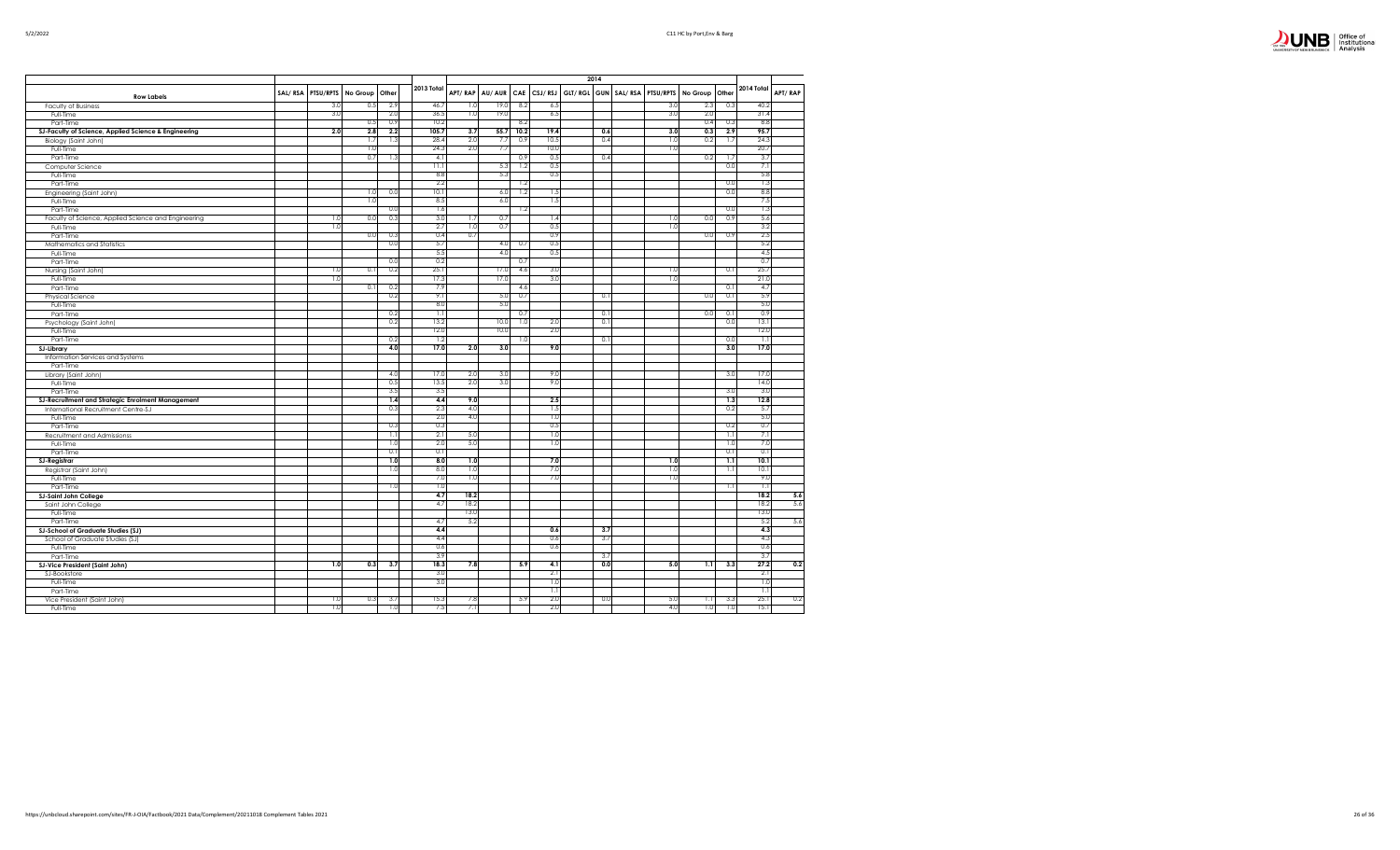

|                                                      |         |           |          |       |            |         |                 |      |             | 2014 |                                     |                |                  |            |         |
|------------------------------------------------------|---------|-----------|----------|-------|------------|---------|-----------------|------|-------------|------|-------------------------------------|----------------|------------------|------------|---------|
| <b>Row Labels</b>                                    | SAL/RSA | PTSU/RPTS | No Group | Other | 2013 Total | APT/RAP | AU/AUR          |      | CAE CSJ/RSJ |      | GLT/ RGL GUN   SAL/ RSA   PTSU/RPTS | No Group Other |                  | 2014 Total | APT/RAP |
| <b>Faculty of Business</b>                           |         | 3.0       | 0.5      | 2.9   | 46.7       | 1.0     | 19.0            | 8.2  | 6.5         |      | 3.0                                 | 2.3            | 0.3              | 40.2       |         |
| Full-Time                                            |         | 3.0       |          | 2.0   | 36.5       | 1.0     | 19 <sub>c</sub> |      | 6.5         |      | 3.0                                 | 2.0            |                  | 31.4       |         |
| Part-Time                                            |         |           | 0.5      | 0.9   | 10.2       |         |                 | 8.2  |             |      |                                     | 0.4            | 0.3              | 8.8        |         |
| SJ-Faculty of Science, Applied Science & Engineering |         | 2.0       | 2.8      | 2.2   | 105.7      | 3.7     | 55.7            | 10.2 | 19.4        | 0.6  | 3.0                                 | 0.3            | 2.9              | 95.7       |         |
| Biology (Saint John)                                 |         |           | 1.7      | 1.3   | 28.4       | 2.0     | 7.7             | 0.9  | 10.5        | 0.4  | 1.0                                 | 0.2            | 1.7              | 24.3       |         |
| Full-Time                                            |         |           | 1.0      |       | 24.3       | 2.0     | 7.7             |      | 10.0        |      | 1.0                                 |                |                  | 20.7       |         |
| Part-Time                                            |         |           | 0.7      | 1.3   | $-4.1$     |         |                 | 0.9  | 0.5         | 0.4  |                                     | 0.2            | 1.7              | 3.7        |         |
| Computer Science                                     |         |           |          |       | 11.1       |         | 5.3             | 1.2  | 0.5         |      |                                     |                | 0.0              | 7.1        |         |
| Full-Time                                            |         |           |          |       | 8.8        |         | 5.3             |      | 0.5         |      |                                     |                |                  | 5.8        |         |
| Part-Time                                            |         |           |          |       | 2.2        |         |                 | 1.2  |             |      |                                     |                | 0.0              | 1.3        |         |
| Engineering (Saint John)                             |         |           | 1.0      | 0.0   | 10.1       |         | 6.0             | 1.2  | 1.5         |      |                                     |                | 0.0              | 8.8        |         |
| Full-Time                                            |         |           | 1.0      |       | 8.5        |         | 6.0             |      | 1.5         |      |                                     |                |                  | 7.5        |         |
| Part-Time                                            |         |           |          | 0.0   | 1.6        |         |                 | 1.2  |             |      |                                     |                | 0.0              | 1.3        |         |
| Faculty of Science, Applied Science and Engineering  |         | 1.0       | 0.0      | 0.3   | 3.0        | 1.7     | 0.7             |      | 1.4         |      | 1.0                                 | 0.0            | 0.9              | 5.6        |         |
| Full-Time                                            |         | 1.0       |          |       | 2.7        | 1.0     | 0.7             |      | 0.5         |      | 1.0                                 |                |                  | 3.2        |         |
| Part-Time                                            |         |           | 0.0      | 0.3   | 0.4        | 0.7     |                 |      | 0.9         |      |                                     | 0.0            | 0.9              | 2.5        |         |
| Mathematics and Statistics                           |         |           |          | 0.0   | 5.7        |         | 4.0             | 0.7  | 0.5         |      |                                     |                |                  | 5.2        |         |
| Full-Time                                            |         |           |          |       | 5.5        |         | 4.0             |      | 0.5         |      |                                     |                |                  | 4.5        |         |
| Part-Time                                            |         |           |          | 0.0   | 0.2        |         |                 | 0.7  |             |      |                                     |                |                  | 0.7        |         |
| Nursing (Saint John)                                 |         | 1.0       | 0.1      | 0.2   | 25.1       |         | 17.0            | 4.6  | 3.0         |      | 1.0                                 |                | 0.1              | 25.7       |         |
| Full-Time                                            |         | 1.0       |          |       | 17.3       |         | 17.0            |      | 3.0         |      | 1.0                                 |                |                  | 21.0       |         |
| Part-Time                                            |         |           | 0.1      | 0.2   | 7.9        |         |                 | 4.6  |             |      |                                     |                | 0.1              | 4.7        |         |
| Physical Science                                     |         |           |          | 0.2   | 9.1        |         | 5.0             | 0.7  |             | 0.1  |                                     | 0.0            | 0.1              | 5.9        |         |
| Full-Time                                            |         |           |          |       | 8.0        |         | 5.0             |      |             |      |                                     |                |                  | 5.0        |         |
| Part-Time                                            |         |           |          | 0.2   | 1.1        |         |                 | 0.7  |             | 0.1  |                                     | 0.0            | 0.1              | 0.9        |         |
| Psychology (Saint John)                              |         |           |          | 0.2   | 13.2       |         | 10.0            | 1.0  | 2.0         | 0.1  |                                     |                | 0.0              | 13.1       |         |
| Full-Time                                            |         |           |          |       | 12.0       |         | 10 <sub>c</sub> |      | 2.0         |      |                                     |                |                  | 12.0       |         |
| Part-Time                                            |         |           |          | 0.2   | 1.2        |         |                 | 1.0  |             | 0.1  |                                     |                | 0.0              | 1.1        |         |
| <b>SJ-Library</b>                                    |         |           |          | 4.0   | 17.0       | 2.0     | 3.0             |      | 9.0         |      |                                     |                | 3.0              | 17.0       |         |
| Information Services and Systems                     |         |           |          |       |            |         |                 |      |             |      |                                     |                |                  |            |         |
| Part-Time                                            |         |           |          |       |            |         |                 |      |             |      |                                     |                |                  |            |         |
| Library (Saint John)                                 |         |           |          | 4.0   | 17.0       | 2.0     | 3.0             |      | 9.0         |      |                                     |                | 3.0              | 17.0       |         |
| Full-Time                                            |         |           |          | 0.5   | 13.5       | 2.0     | 3.0             |      | 9.0         |      |                                     |                |                  | 14.0       |         |
| Part-Time                                            |         |           |          | 3.5   | 3.5        |         |                 |      |             |      |                                     |                | 3.0              | 3.0        |         |
| SJ-Recruitment and Strategic Enrolment Management    |         |           |          | 1.4   | 4.4        | 9.0     |                 |      | 2.5         |      |                                     |                | 1.3              | 12.8       |         |
| International Recruitment Centre-SJ                  |         |           |          | 0.3   | 2.3        | 4.0     |                 |      | 1.5         |      |                                     |                | 0.2              | 5.7        |         |
| Full-Time                                            |         |           |          |       | 2.0        | 4.0     |                 |      | 1.0         |      |                                     |                |                  | 5.0        |         |
| Part-Time                                            |         |           |          | 0.3   | 0.3        |         |                 |      | 0.5         |      |                                     |                | 0.2              | 0.7        |         |
| Recruitment and Admissionss                          |         |           |          | 1.1   | 2.1        | 5.0     |                 |      | 1.0         |      |                                     |                | 1.1              | 7.1        |         |
| Full-Time                                            |         |           |          | 1.0   | 2.0        | 5.0     |                 |      | 1.0         |      |                                     |                | 1.0              | 7.0        |         |
| Part-Time                                            |         |           |          | 0.1   | 0.1        |         |                 |      |             |      |                                     |                | 0.1              | 0.1        |         |
| <b>SJ-Registrar</b>                                  |         |           |          | 1.0   | 8.0        | 1.0     |                 |      | 7.0         |      | 1.0                                 |                | $\overline{1,1}$ | 10.1       |         |
| Registrar (Saint John)                               |         |           |          | 1.0   | 8.0        | 1.0     |                 |      | 7.0         |      | 1.0                                 |                | 1.1              | 10.1       |         |
| Full-Time                                            |         |           |          |       | 7.0        | 1.0     |                 |      | 7.0         |      | 1.0                                 |                |                  | 9.0        |         |
| Part-Time                                            |         |           |          | 1.0   | 1.0        |         |                 |      |             |      |                                     |                | 1.1              | 1.1        |         |
| <b>SJ-Saint John College</b>                         |         |           |          |       | 4.7        | 18.2    |                 |      |             |      |                                     |                |                  | 18.2       | 5.6     |
| Saint John College                                   |         |           |          |       | 4.7        | 18.2    |                 |      |             |      |                                     |                |                  | 18.2       | 5.6     |
| Full-Time                                            |         |           |          |       |            | 13.0    |                 |      |             |      |                                     |                |                  | 13.0       |         |
| Part-Time                                            |         |           |          |       | 4.7        | 5.2     |                 |      |             |      |                                     |                |                  | 5.2        | 5.6     |
| <b>SJ-School of Graduate Studies (SJ)</b>            |         |           |          |       | 4.4        |         |                 |      | 0.6         | 3.7  |                                     |                |                  | 4.3        |         |
| School of Graduate Studies (SJ)                      |         |           |          |       | 4.4        |         |                 |      | 0.6         | 3.7  |                                     |                |                  | 4.3        |         |
| Full-Time                                            |         |           |          |       | 0.6        |         |                 |      | 0.6         |      |                                     |                |                  | 0.6        |         |
| Part-Time                                            |         |           |          |       | 3.9        |         |                 |      |             | 3.7  |                                     |                |                  | 3.7        |         |
| SJ-Vice President (Saint John)                       |         | 1.0       | 0.3      | 3.7   | 18.3       | 7.8     |                 | 5.9  | 4.1         | 0.0  | 5.0                                 | 1.1            | 3.3              | 27.2       | 0.2     |
| SJ-Bookstore                                         |         |           |          |       | 3.0        |         |                 |      | 2.1         |      |                                     |                |                  | 2.1        |         |
| Full-Time                                            |         |           |          |       | 3.0        |         |                 |      | 1.0         |      |                                     |                |                  | 1.0        |         |
| Part-Time                                            |         |           |          |       |            |         |                 |      | 1.1         |      |                                     |                |                  | 1.1        |         |
| Vice President (Saint John)                          |         | 1.0       | 0.3      | 3.7   | 15.3       | 7.8     |                 | 5.9  | 2.0         | 0.0  | 5.0                                 | 1.1            | 3.3              | 25.1       | 0.2     |
| Full-Time                                            |         | 1.0       |          | 1.0   | 7.5        | 7.1     |                 |      | 2.0         |      | 4.0                                 | 1.0            | 1.0              | 15.1       |         |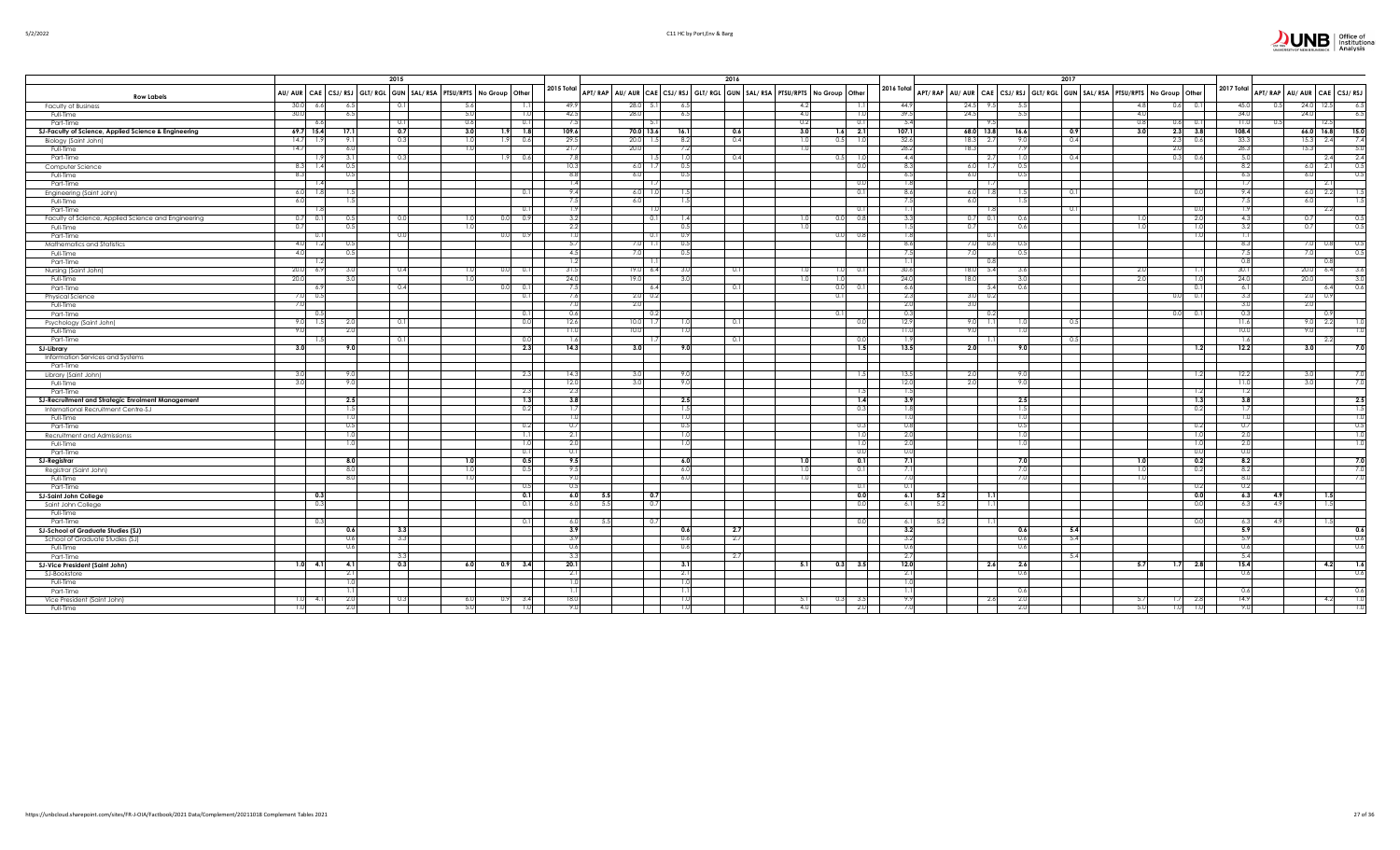|                                                      |             |            | 2015       |      |                                                                     |                  |                                                                         | 2016 |      |                         |            |             |                 |                  | 2017 |                                                                         |                         |            |      |                |                            |                          |
|------------------------------------------------------|-------------|------------|------------|------|---------------------------------------------------------------------|------------------|-------------------------------------------------------------------------|------|------|-------------------------|------------|-------------|-----------------|------------------|------|-------------------------------------------------------------------------|-------------------------|------------|------|----------------|----------------------------|--------------------------|
| <b>Row Labels</b>                                    |             |            |            |      | AU/ AUR CAE CSJ/ RSJ GLT/ RGL GUN SAL/ RSA PTSU/RPTS No Group Other | 2015 Total       | APT/RAP AU/AUR CAE CSJ/RSJ GLT/RGL GUN SAL/RSA PTSU/RPTS No Group Other |      |      |                         | 2016 Total |             |                 |                  |      | APT/RAP AU/AUR CAE CSJ/RSJ GLT/RGL GUN SAL/RSA PTSU/RPTS No Group Other |                         | 2017 Total |      |                | APT/RAP AU/AUR CAE CSJ/RSJ |                          |
| <b>Faculty of Business</b>                           | 30.0<br>6.6 | 6.5        | 0.1        | 5.6  |                                                                     | 49.9             | $28.0$ 5.<br>6.5                                                        |      | 4.2  | 1.1                     |            | 44.9        | $24.5$ 9.       | -5.              |      | 4.8                                                                     | $0.6$ 0.1               | 45.0       |      | 24.0           | 12.5                       | - 6.5                    |
| Full-Time                                            | 30.0        | 6.5        |            | 5.0  | 1.0                                                                 | 42.5             | 28.0<br>6.5                                                             |      | 4.0  | 1.0                     |            | 39.5        | 24.5            | 5.5              |      | 4.0                                                                     |                         | 34.0       |      | 24.0           |                            | 6.5                      |
| Part-Time                                            | 6.6         |            | $\Omega$ . | 0.6  | 0.11                                                                | 7.5              |                                                                         |      | 0.2  | 0.1                     |            | 5.4         | - 9             |                  |      | 0.8                                                                     | $0.6$ 0.1               | 11.0       |      |                | 12.                        |                          |
| SJ-Faculty of Science, Applied Science & Engineering | $69.7$ 15.4 | 17.1       | 0.7        | 3.0  | 1.8<br>1.91                                                         | 109.6            | 70.0 13.6<br>16.1                                                       | 0.6  | 3.0  | $1.6 - 2.1$             |            | 107.1       | 68.0 13.8       | 16.6             | 0.9  | 3.0                                                                     | $2.3$ $3.8$             | 108.4      |      | $66.0$ 16.8    |                            | 15.0                     |
| Biology (Saint John)                                 | 14.7<br>1.9 | 9.1        | 0.3        | 1.0  | 1.9<br>0.6                                                          | 29.5             | 20.0<br>8.2                                                             | 0.4  | -1.0 | 0.5<br>1.0              |            | 32.6        | $18.3$ 2.       | 9                | 0.4  |                                                                         | 2.3<br>0.6              | 33.3       |      | 15.3           | 2.4                        | 7.4                      |
| Full-Time                                            | 14.7        | 6.0        |            | 1.0  |                                                                     | 21.7             | 20.0<br>7.2                                                             |      |      |                         |            | 28.2        | 18.3            | 7.5              |      |                                                                         | 2.0                     | 28.3       |      | 15.3           |                            | 5.0                      |
| Part-Time                                            |             | -3.1       | 0.3        |      | 0.6<br>1.91                                                         | 7.8              | 1.0                                                                     | 0.4  |      | 1.0                     |            | 4.4         | - 2             |                  | 0.4  |                                                                         | 0.3 <sub>1</sub><br>0.6 | 5.0        |      |                | 2.4                        | 2.4                      |
| Computer Science                                     | $8.3$ 1.4   | 0.5        |            |      |                                                                     | 10.3             | 0.5<br>$6.0\quad 1.$                                                    |      |      | 0.0                     |            | 8.3         | $6.0\quad 1.3$  | 0.5              |      |                                                                         |                         | 8.2        |      | $6.0\qquad2.1$ |                            | 0.5                      |
| Full-Time                                            | 8.3         | 0.5        |            |      |                                                                     | 8.8              | 6.0<br>0.5                                                              |      |      |                         |            | 6.5         | 6.0             | 0.5              |      |                                                                         |                         | 6.5        |      | 6.0            |                            | 0.5                      |
| Part-Time                                            |             |            |            |      |                                                                     | $\overline{1.4}$ |                                                                         |      |      | 0.0                     |            | 1.8         |                 |                  |      |                                                                         |                         | 1.7        |      |                | - 2.                       |                          |
| Engineering (Saint John)                             | 6.0<br>-1.8 | 1.5        |            |      | 0.11                                                                | 9.4              | $6.0$ 1.<br>1.5                                                         |      |      | 0.1                     |            | 8.6         | $6.0$ 1.8       | 14               | 0.1  |                                                                         | 0.0                     | 9.4        |      | $6.0\quad 2.2$ |                            | 1.5                      |
| Full-Time                                            | 6.0         |            |            |      |                                                                     | 7.5              | 6.0<br>1.5                                                              |      |      |                         |            | 7.5         | 6.0             |                  |      |                                                                         |                         | 7.5        |      | 6.0            |                            |                          |
| Part-Time                                            |             |            |            |      | 0.11                                                                | 1.9              |                                                                         |      |      | 0.1                     |            | 1.11        |                 |                  | 0.1  |                                                                         | 0.0                     | 1.9        |      |                | - 2.                       |                          |
| Faculty of Science, Applied Science and Engineering  | $0.7\ 0.1$  | 0.5        | 0.0        | 1.0  | 0.0 0.9                                                             | 3.2              | $\Omega$<br>1.4                                                         |      | 1.0  | 0.8<br>0.01             |            | 3.3         | 0.7             | 0.6              |      | 1.0                                                                     | 2.0                     | 4.3        |      | 0.7            |                            | 0.5                      |
| Full-Time                                            | 0.7         | 0.5        |            | 1.0  |                                                                     | 2.2              | 0.5                                                                     |      |      |                         |            | 1.5         | 0.7             | 0.6              |      | 1.0                                                                     | 1.0                     | 3.2        |      | 0.7            |                            | 0.5                      |
| Part-Time                                            | 0.1         |            | 0.0        |      | 0.0<br>0.9                                                          | 1.0              | 0.9<br>- 0.                                                             |      |      | 0.0<br>0.8              |            | 1.8         | - 0.            |                  |      |                                                                         | 1.0                     | 1.1        |      |                |                            |                          |
| Mathematics and Statistics                           | 4.0<br>1.2  | 0.5        |            |      |                                                                     | 5.7              | 0.5<br>$7.0$ 1.                                                         |      |      |                         |            | 8.6         | $7.0\quad 0.$   | 0.               |      |                                                                         |                         | 8.3        |      | 7.0            | - 01                       | 0.5                      |
| Full-Time                                            | 4.0         | 0.5        |            |      |                                                                     | 4.5              | 0.5<br>7.0                                                              |      |      |                         |            | 7.5         | 7.0             | 0.5              |      |                                                                         |                         | 7.5        |      | -7.0           |                            | 0.5                      |
| Part-Time                                            | 1.2         |            |            |      |                                                                     | 1.2              |                                                                         |      |      |                         |            | 1.1         |                 |                  |      |                                                                         |                         | 0.8        |      |                |                            |                          |
| Nursing (Saint John)                                 | 20.0<br>6.9 | -3.0       | 0.4        | 1.0  | $0.0 \square$<br>0.1                                                | 31.5             | 19.06<br>3.0                                                            | 0.1  | 1.0  | 0.1<br>1.01             |            | 30.6        | $18.0$ 5.       | 3.6              |      | 2.0                                                                     | 1.11                    | 30.1       |      | 20.0           | 6.4                        | 3.6                      |
| Full-Time                                            | 20.0        | 3.0        |            | 1.0  |                                                                     | 24.0             | 19.0<br>3.0                                                             |      | -1.0 | 1.01                    |            | 24.0        | 18.0            | 3.               |      | 2.0                                                                     | 1.0                     | 24.0       |      | 20.0           |                            | 3.0                      |
|                                                      | 6.9         |            | 0.4        |      | 0 <sup>0</sup><br>0.1                                               | 7.5              | - 6.4                                                                   | 0.1  |      | 0.0<br>0.1              |            | 6.6         | - 5.            | $0.\ell$         |      |                                                                         | 0.1                     | 6.1        |      |                | -6.4                       | 0.6                      |
| Part-Time<br>Physical Science                        | $7.0$ 0.5   |            |            |      | 0.1                                                                 | 7.6              | $2.0\degree$ 0.                                                         |      |      | 0.1                     |            | 2.3         | $3.0\degree$ 0. |                  |      |                                                                         | 0.1                     | 3.3        |      | 2.0            |                            |                          |
| Full-Time                                            | 7.0         |            |            |      |                                                                     | 7.0              | 2.0                                                                     |      |      |                         |            | 2.0         | 3.0             |                  |      |                                                                         |                         | 3.0        |      | 2.0            |                            |                          |
| Part-Time                                            | 0.5         |            |            |      | 0.11                                                                | 0.6              | 0.                                                                      |      |      | 0.                      |            | 0.3         | 0.              |                  |      |                                                                         | 0.1<br>0.0              | 0.3        |      |                | $\Omega$                   |                          |
|                                                      | 9.0<br>1.5  |            | 0.1        |      | 0.0                                                                 | 12.6             | $10.0$ 1.                                                               | 0.1  |      |                         |            | 12.9        | $9.0\quad 1.$   |                  | 0.5  |                                                                         |                         | 11.6       |      |                | $-2.2$                     |                          |
| Psychology (Saint John)                              | 9.01        | 2.0<br>2.0 |            |      |                                                                     | 11.0             | 10.0<br>1.0                                                             |      |      | 0.0                     |            | 11.0        | 9.0             |                  |      |                                                                         |                         | 10.0       |      | 9.0<br>9.0     |                            |                          |
| Full-Time                                            |             |            | 0.1        |      |                                                                     | 1.6              |                                                                         |      |      |                         |            | 1.9         |                 |                  |      |                                                                         |                         | 1.6        |      |                |                            |                          |
| Part-Time                                            | 3.0         | 9.0        |            |      | 0.0<br>2.3                                                          | 14.3             | 3.0<br>9.0                                                              |      |      | 0.0<br>1.5              |            | 13.5        | 2.0             | 9.0              | 0.5  |                                                                         | 1.2                     | 12.2       |      | 3.0            | -2.                        | 7.0                      |
| <b>SJ-Library</b>                                    |             |            |            |      |                                                                     |                  |                                                                         |      |      |                         |            |             |                 |                  |      |                                                                         |                         |            |      |                |                            |                          |
| Information Services and Systems                     |             |            |            |      |                                                                     |                  |                                                                         |      |      |                         |            |             |                 |                  |      |                                                                         |                         |            |      |                |                            |                          |
| Part-Time                                            | 3.0         | 9.0        |            |      |                                                                     | 14.3             | 3.0<br>9.0                                                              |      |      |                         |            |             | 2.0             | $\overline{Q}$   |      |                                                                         |                         |            |      | -3.0           |                            |                          |
| Library (Saint John)                                 |             |            |            |      | 2.3                                                                 | 12.0             |                                                                         |      |      | 1.5                     |            | 13.5        |                 |                  |      |                                                                         | 1.2                     | 12.2       |      |                |                            | 7.0                      |
| Full-Time                                            | 3.0         | 9.0        |            |      |                                                                     |                  | 9.0                                                                     |      |      |                         |            | 12.0        | 2.0             | 9.               |      |                                                                         |                         | 11.0       |      |                |                            | 7.0                      |
| Part-Time                                            |             |            |            |      | 2.3                                                                 | 2.3<br>3.8       |                                                                         |      |      | 1.5<br>1.4              |            | 1.5<br>3.9  |                 | 2.5              |      |                                                                         | 1.2                     | 1.2<br>3.8 |      |                |                            |                          |
| SJ-Recruitment and Strategic Enrolment Management    |             | 2.5        |            |      | 1.3                                                                 |                  | 2.5                                                                     |      |      |                         |            |             |                 |                  |      |                                                                         | 1.3                     |            |      |                |                            | $-2.5$                   |
| International Recruitment Centre-SJ                  |             | -1.5       |            |      | 0.2                                                                 | 1.7              | 1.5                                                                     |      |      | 0.3                     |            | 1.8         |                 |                  |      |                                                                         | 0.2                     | 1.7        |      |                |                            | -13                      |
| Full-Time                                            |             | 1.0        |            |      |                                                                     | 1.0              | 1.0                                                                     |      |      |                         |            | 1.0         |                 |                  |      |                                                                         |                         | 1.0        |      |                |                            | ).(                      |
| Part-Time                                            |             | 0.5        |            |      | 0.2                                                                 | 0.7              | 0.5                                                                     |      |      | 0.3                     |            | 0.8         |                 | 0.               |      |                                                                         | 0.2                     | 0.7        |      |                |                            | 0.5                      |
| Recruitment and Admissionss                          |             | 1.0        |            |      | 1.1                                                                 | 2.1              | 1.0                                                                     |      |      | 1.0                     |            | 2.0         |                 | -11              |      |                                                                         | 1.0                     | 2.0        |      |                |                            | $\overline{\phantom{a}}$ |
| Full-Time                                            |             | 1.0        |            |      | 1.0                                                                 | 2.0              | 1.0                                                                     |      |      | 1.0                     |            | 2.0         |                 | $\overline{1.0}$ |      |                                                                         | 1.0                     | 2.0        |      |                |                            | $\overline{\phantom{a}}$ |
| Part-Time                                            |             |            |            |      | 0.11                                                                | 0.1              |                                                                         |      |      | 0.0                     |            | 0.0         |                 |                  |      |                                                                         | 0.0                     | 0.0        |      |                |                            |                          |
| <b>SJ-Registrar</b>                                  |             | 8.0        |            | 1.0  | 0.5                                                                 | 9.5              | 6.0                                                                     |      | 1.0  | 0.1                     |            | 7.1         |                 | 7.0              |      | 1.0                                                                     | 0.2                     | 8.2        |      |                |                            | 7.0                      |
| Registrar (Saint John)                               |             | 8.0        |            | 1.0  | 0.5                                                                 | 9.5              | 6.0                                                                     |      |      | 0.1                     |            | 7.1         |                 |                  |      |                                                                         | 0.2                     | 8.2        |      |                |                            | 7.0                      |
| Full-Time                                            |             | -8.0       |            | 1.01 |                                                                     | 9.0              | 6.0                                                                     |      | -1.0 |                         |            | 7.0         |                 |                  |      | 1.0                                                                     |                         | 8.0        |      |                |                            | 7.0                      |
| Part-Time                                            |             |            |            |      | 0.5                                                                 | 0.5              |                                                                         |      |      | 0.11                    |            | 0.11        |                 |                  |      |                                                                         | 0.2                     | 0.2        |      |                |                            |                          |
| <b>SJ-Saint John College</b>                         | 0.3         |            |            |      | 0.1                                                                 | 6.0              | $\overline{0.7}$<br>5.5                                                 |      |      | 0.0                     |            | 6.1<br>5.2  | $-1.1$          |                  |      |                                                                         | 0.0                     | 6.3        |      |                |                            |                          |
| Saint John College                                   | 0.3         |            |            |      | 0.1                                                                 | 6.0              | 5.5<br>$\overline{0}$ .                                                 |      |      | 0.0                     |            | 6.1<br>5.2  | - 1.            |                  |      |                                                                         | 0.0                     | 6.3        | -4.9 |                |                            |                          |
| Full-Time                                            |             |            |            |      |                                                                     |                  |                                                                         |      |      |                         |            |             |                 |                  |      |                                                                         |                         |            |      |                |                            |                          |
| Part-Time                                            | 0.31        |            |            |      | 0.1                                                                 | -6.C             | 5.5                                                                     |      |      | 0.0                     |            | 5.2<br>-6.1 |                 |                  |      |                                                                         | 0.0                     | -6.3       |      |                |                            |                          |
| <b>SJ-School of Graduate Studies (SJ)</b>            |             | 0.6        | 3.3        |      |                                                                     | 3.9              | 0.6                                                                     | 2.7  |      |                         |            | 3.2         |                 | 0.6              | 5.4  |                                                                         |                         | 5.9        |      |                |                            | 0.6                      |
| School of Graduate Studies (SJ)                      |             | 0.6        | 3.3        |      |                                                                     | 3.9              | 0.6                                                                     | 2.7  |      |                         |            | 3.2         |                 | 0.6              | 5.4  |                                                                         |                         | 5.9        |      |                |                            | 0.6                      |
| Full-Time                                            |             | 0.6        |            |      |                                                                     | 0.6              | 0.6                                                                     |      |      |                         |            | 0.6         |                 | 0.6              |      |                                                                         |                         | 0.6        |      |                |                            | 0.6                      |
| Part-Time                                            |             |            | 3.3        |      |                                                                     | 3.3              |                                                                         | 2.7  |      |                         |            | 2.7         |                 |                  | 5.4  |                                                                         |                         | 5.4        |      |                |                            |                          |
| SJ-Vice President (Saint John)                       | $1.0$ 4.1   | 4.1        | 0.3        | 6.0  | 3.4<br>0.9                                                          | 20.1             | 3.1                                                                     |      | 5.11 | 3.5<br>0.3              |            | 12.0        | 2.6             | 2.6              |      | 5.7                                                                     | $1.7$ 2.8               | 15.4       |      |                | 4.2                        | $\overline{1}$           |
| SJ-Bookstore                                         |             | 2.1        |            |      |                                                                     | 2.1              | 2.1                                                                     |      |      |                         |            | 2.1         |                 | 0.6              |      |                                                                         |                         | 0.6        |      |                |                            | 0.6                      |
| Full-Time                                            |             | 1.0        |            |      |                                                                     | 1.0              | 1.0                                                                     |      |      |                         |            | 1.0         |                 |                  |      |                                                                         |                         |            |      |                |                            |                          |
| Part-Time                                            |             | -1.1       |            |      |                                                                     | -1.1             | -1.1                                                                    |      |      |                         |            | -1.1        |                 | 0.6              |      |                                                                         |                         | 0.6        |      |                |                            | 0.6                      |
| Vice President (Saint John)                          | $1.0$ 4.1   | 2.0        | 0.3        | 6.0  | 0.9<br>3.4                                                          | 18.0             | 1.0                                                                     |      | 5.11 | 0.3 <sup>1</sup><br>3.5 |            | 9.9         | - 2.6           | 21               |      | 5.7                                                                     | 1.7<br>2.8              | 14.9       |      |                | -4.2                       | $\overline{1.0}$         |
| Full-Time                                            |             |            |            | 5.0  |                                                                     |                  |                                                                         |      | 4.0  | 2.0                     |            |             |                 |                  |      | 5.0                                                                     | 1.0                     |            |      |                |                            |                          |

 $\overline{\mathbf{r}}$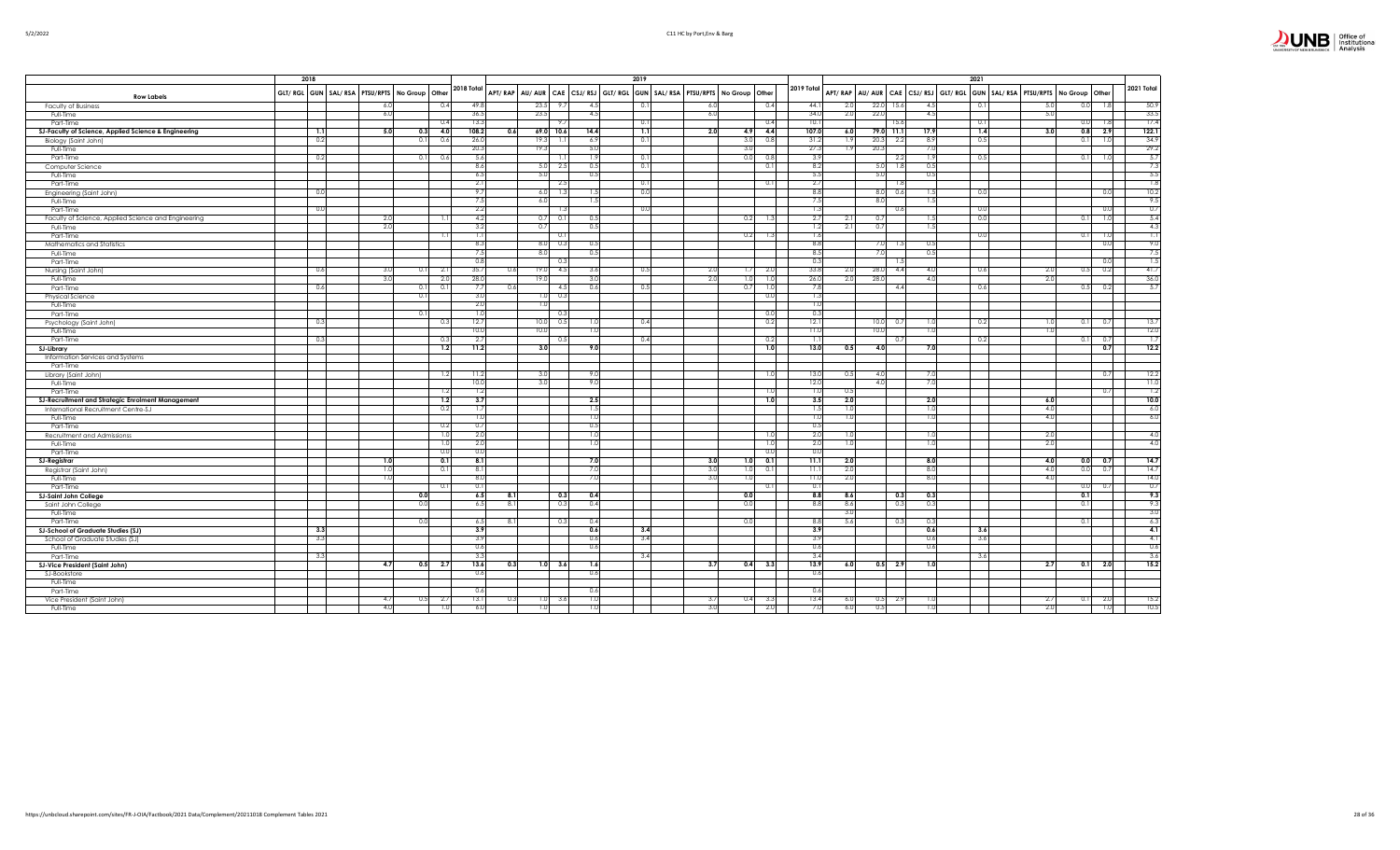|                                                      | 2018 |     |                                                        |            |     |                |         |            | 2019             |                                                                         |      |                  |            |            |     |             |                                                                         | 2021   |      |            |                |                  |
|------------------------------------------------------|------|-----|--------------------------------------------------------|------------|-----|----------------|---------|------------|------------------|-------------------------------------------------------------------------|------|------------------|------------|------------|-----|-------------|-------------------------------------------------------------------------|--------|------|------------|----------------|------------------|
|                                                      |      |     |                                                        | 2018 Total |     |                |         |            |                  |                                                                         |      |                  | 2019 Total |            |     |             |                                                                         |        |      |            |                | 2021 Total       |
| <b>Row Labels</b>                                    |      |     | GLT/ RGL GUN   SAL/ RSA   PTSU/RPTS   No Group   Other |            |     |                |         |            |                  | APT/RAP AU/AUR CAE CSJ/RSJ GLT/RGL GUN SAL/RSA PTSU/RPTS No Group Other |      |                  |            |            |     |             | APT/RAP AU/AUR CAE CSJ/RSJ GLT/RGL GUN SAL/RSA PTSU/RPTS No Group Other |        |      |            |                |                  |
| Faculty of Business                                  |      | 6.0 | 0.4                                                    | 49.8       |     | 23.5           | $\circ$ | 4.5        | 0.1              | 6.0                                                                     |      | 0.4              |            | 44.1       | 2.0 | 22.0        | 4.5<br>15.6                                                             | $\sim$ | -5.0 | 0.0        | 1.8            | 50.9             |
| Full-Time                                            |      | 6.0 |                                                        | 36.5       |     | 23.5           |         | 4.5        |                  | 6.0                                                                     |      |                  |            | 34.0       | 2.0 | 22.0        | 4.5                                                                     |        | 5.0  |            |                | 33.5             |
| Part-Time                                            |      |     | 0.4                                                    | 13.3       |     |                |         |            | 0.1              |                                                                         |      | 0.4              |            | 10.1       |     |             | 15.6                                                                    | 0.1    |      | 0.0        |                | 17.4             |
| SJ-Faculty of Science, Applied Science & Engineering | 1.1  | 5.0 | 4.0<br>0.3                                             | 108.2      | 0.6 | 69.0           | 10.6    | 14.4       | $\overline{1.1}$ | 2.0                                                                     | 4.9  | 4.4              |            | 107.0      | 6.0 | 79.0 11.1   | 17.9                                                                    | 1.4    | 3.0  | 0.8        | 2.9            | 122.1            |
| Biology (Saint John)                                 | 0.2  |     | 0.6<br>0.1                                             | 26.0       |     | 19.            |         | 6.9        | 0.1              |                                                                         | 3.0  | $\Omega$         |            | 31.2       | 1.9 | 20.3        | .8.9<br>- 2.2                                                           | 0.5    |      | 0.1        |                | 34.9             |
| Full-Time                                            |      |     |                                                        | 20.3       |     | 19.3           |         | 5.0        |                  |                                                                         | 3.01 |                  |            | 27.3       | 1.9 | 20.3        | 7.0                                                                     |        |      |            |                | 29.2             |
| Part-Time                                            | 0.2  |     | 0.6<br>0.1                                             | 5.6        |     |                |         | <b>1.5</b> | 0.1              |                                                                         | 0.0  | $\Omega$         |            | 3.9        |     |             | 2.2<br>1.9                                                              | 0.5    |      | 0.1        |                | 5.7              |
| Computer Science                                     |      |     |                                                        | 8.6        |     | -5.0           | 2.5     | 0.5        | 0.1              |                                                                         |      | 0.               |            | 8.2        |     | 5.0         | 1.8<br>0.5                                                              |        |      |            |                | 7.3              |
| Full-Time                                            |      |     |                                                        | 6.5        |     | 5.             |         | 0.5        |                  |                                                                         |      |                  |            | 5.5        |     | 5.0         | 0.5                                                                     |        |      |            |                | 5.5              |
| Part-Time                                            |      |     |                                                        | 2.1        |     |                | 2.5     |            | 0.1              |                                                                         |      | U.               |            | 2.7        |     |             | - 1.8                                                                   |        |      |            |                | 1.8              |
| Engineering (Saint John)                             | 0.0  |     |                                                        | 9.7        |     | 6.0            | 1.3     | 15         | 0.0              |                                                                         |      |                  |            | 8.8        |     | 8.0         | 0.6<br>1.5                                                              | 0.0    |      |            | 0.0            | 10.2             |
| Full-Time                                            |      |     |                                                        | 7.5        |     | 6.1            |         | 1.5        |                  |                                                                         |      |                  |            | 7.5        |     | 8.0         | 1.5                                                                     |        |      |            |                | 9.5              |
| Part-Time                                            | 0.0  |     |                                                        | 2.2        |     |                | 1.3     |            | 0.0              |                                                                         |      |                  |            | 1.3        |     |             | 0.6                                                                     | - 0.0  |      |            | 0.0            | 0.7              |
| Faculty of Science, Applied Science and Engineering  |      | 2.0 | 1.1                                                    | 4.2        |     | 0.7            | 0.1     | 0.5        |                  |                                                                         | 0.2  |                  |            | 2.7        | 2.1 | 0.7         | 1.5                                                                     | 0.0    |      | 0.1        |                | 5.4              |
| Full-Time                                            |      | 2.0 |                                                        | 3.2        |     | 0.             |         | 0.5        |                  |                                                                         |      |                  |            | 1.2        | 2.1 | 0.7         | 1.5                                                                     |        |      |            |                | 4.3              |
| Part-Time                                            |      |     | 1.1                                                    | 1.1        |     |                | 0.1     |            |                  |                                                                         | 0.2  |                  |            | 1.6        |     |             |                                                                         | 0.0    |      | 0.1        |                | $\overline{1.1}$ |
| Mathematics and Statistics                           |      |     |                                                        | 8.3        |     | 8.1            | 0.3     | 0.5        |                  |                                                                         |      |                  |            | 8.8        |     | 7.0         | 0.5                                                                     |        |      |            | 0 <sub>0</sub> | 9.0              |
| Full-Time                                            |      |     |                                                        | 7.5        |     | 81             |         | 0.5        |                  |                                                                         |      |                  |            | 8.5        |     | 7.0         | 0.5                                                                     |        |      |            |                | 7.5              |
| Part-Time                                            |      |     |                                                        | 0.8        |     |                | 0.3     |            |                  |                                                                         |      |                  |            | 0.3        |     |             | 1.5                                                                     |        |      |            | 0.C            | 1.5              |
| Nursing (Saint John)                                 | 0.6  | 3.0 | 2.1<br>0.1                                             | 35.7       | 0.6 | 19.            | 4.5     | 3.6        | 0.5              | 2.0                                                                     | 1.7  | 2.0              |            | 33.8       | 2.0 | 28.0        | 4.4<br>4.0                                                              | 0.6    | 2.0  | 0.5        | 0.2            | 41.7             |
| Full-Time                                            |      | 3.0 | 2.0                                                    | 28.0       |     | 19.            |         | 3.0        |                  | 2.0                                                                     | 1.0  |                  |            | 26.0       | 2.0 | 28.0        | 4.0                                                                     |        | 2.0  |            |                | 36.0             |
| Part-Time                                            | 0.6  |     | 0.11<br>0.1                                            | 7.7        | 0.6 |                | 4.5     | 0.6        | 0.5              |                                                                         | 0.71 |                  |            | 7.8        |     |             | 4.4                                                                     | 0.6    |      | 0.5        | 0.2            | 5.7              |
| Physical Science                                     |      |     | $^{\circ}$                                             | 3.0        |     |                | 0.3     |            |                  |                                                                         |      | 0.1              |            | 1.3        |     |             |                                                                         |        |      |            |                |                  |
| Full-Time                                            |      |     |                                                        | 2.0        |     | 1.0            |         |            |                  |                                                                         |      |                  |            | 1.0        |     |             |                                                                         |        |      |            |                |                  |
| Part-Time                                            |      |     | $\Omega$                                               | 1.0        |     |                | 0.3     |            |                  |                                                                         |      | 0(               |            | 0.3        |     |             |                                                                         |        |      |            |                |                  |
| Psychology (Saint John)                              | 0.3  |     | 0.3                                                    | 12.7       |     | 10.0           | 0.5     | 1.0        | 0.4              |                                                                         |      | 0.2              |            | 12.1       |     | 10.0<br>0.7 | 1.0                                                                     | - 0.2  | 1.0  | 0.1        | 0.7            | 13.7             |
| Full-Time                                            |      |     |                                                        | 10.0       |     | 10.0           |         | 1.0        |                  |                                                                         |      |                  |            | 11.0       |     | 10.0        | 1.0                                                                     |        | 1.0  |            |                | 12.0             |
| Part-Time                                            | 0.3  |     | 0.3                                                    | 2.7        |     |                | 0.5     |            | 0.4              |                                                                         |      | 0.2              |            | -1.1       |     |             | 0.7                                                                     | 0.2    |      | 0.1        | 0.7            | 1.7              |
| <b>SJ-Library</b>                                    |      |     | 1.2                                                    | 11.2       |     | 3.0            |         | 9.0        |                  |                                                                         |      | 1.0              |            | 13.0       | 0.5 | 4.0         | 7.0                                                                     |        |      |            | 0.7            | 12.2             |
| Information Services and Systems                     |      |     |                                                        |            |     |                |         |            |                  |                                                                         |      |                  |            |            |     |             |                                                                         |        |      |            |                |                  |
| Part-Time                                            |      |     |                                                        |            |     |                |         |            |                  |                                                                         |      |                  |            |            |     |             |                                                                         |        |      |            |                |                  |
| Library (Saint John)                                 |      |     | 1.2                                                    | 11.2       |     | 3.1            |         | 9.0        |                  |                                                                         |      | -1.0             |            | 13.0       | 0.5 | 4.0         | 7.C                                                                     |        |      |            | 0.7            | 12.2             |
| Full-Time                                            |      |     |                                                        | 10.0       |     | $\overline{3}$ |         | 9.0        |                  |                                                                         |      |                  |            | 12.0       |     | 4.0         | 7.0                                                                     |        |      |            |                | 11.0             |
| Part-Time                                            |      |     | 1.2                                                    | 1.2        |     |                |         |            |                  |                                                                         |      |                  |            | 1.0        | 0.5 |             |                                                                         |        |      |            | 0.7            | 1.2              |
| SJ-Recruitment and Strategic Enrolment Management    |      |     | 1.2                                                    | 3.7        |     |                |         | 2.5        |                  |                                                                         |      | 1.0              |            | 3.5        | 2.0 |             | 2.0                                                                     |        | 6.0  |            |                | 10.0             |
| International Recruitment Centre-SJ                  |      |     | 0.2                                                    | 1.7        |     |                |         | 1.5        |                  |                                                                         |      |                  |            | 1.5        | 1.0 |             | 1.0                                                                     |        | 4.0  |            |                | 6.0              |
| Full-Time                                            |      |     |                                                        | 1.0        |     |                |         |            |                  |                                                                         |      |                  |            | 1.0        | 1.0 |             |                                                                         |        | 4.0  |            |                | 6.0              |
| Part-Time                                            |      |     | 0.2                                                    | 0.7        |     |                |         | 0.5        |                  |                                                                         |      |                  |            | 0.5        |     |             |                                                                         |        |      |            |                |                  |
|                                                      |      |     | 1.0                                                    | 2.0        |     |                |         | 1.0        |                  |                                                                         |      |                  |            | 2.0        | 1.0 |             |                                                                         |        | 2.0  |            |                | 4.0              |
| Recruitment and Admissionss<br>Full-Time             |      |     | 1.0                                                    | 2.0        |     |                |         | 1.0        |                  |                                                                         |      | 1.0              |            | 2.0        | 1.0 |             | 1.0                                                                     |        | 2.0  |            |                | 4.0              |
|                                                      |      |     | 0.0                                                    | 0.0        |     |                |         |            |                  |                                                                         |      | $\sqrt{ }$       |            | 0.0        |     |             |                                                                         |        |      |            |                |                  |
| Part-Time                                            |      | 1.0 | 0.1                                                    | 8.1        |     |                |         | 7.0        |                  | 3.0                                                                     | 1.0  | $\overline{0.1}$ |            | 11.1       | 2.0 |             | 8.0                                                                     |        | 4.0  | 0.0        | 0.7            | 14.7             |
| SJ-Registrar                                         |      | 1.0 | 0.1                                                    | 8.1        |     |                |         | 7.0        |                  | 3.0                                                                     | 1.0  | 0.               |            | 11.1       | 2.0 |             | 8.0                                                                     |        | 4.0  | 0.0        | 0.7            | 14.7             |
| Registrar (Saint John)                               |      | 1.0 |                                                        | 8.0        |     |                |         | 7.0        |                  | 3.0                                                                     | 1.0  |                  |            | 11.0       | 2.0 |             | 8.0                                                                     |        | 4.0  |            |                | 14.0             |
| Full-Time                                            |      |     |                                                        | 0.1        |     |                |         |            |                  |                                                                         |      |                  |            |            |     |             |                                                                         |        |      |            |                | 0.7              |
| Part-Time                                            |      |     | 0.1<br>0.0                                             |            | -8. |                |         | 0.4        |                  |                                                                         | 0.0  | O.               |            | 0.1<br>8.8 | 8.6 |             | 0.3<br>0.3                                                              |        |      | 0.0<br>0.1 | 0.7            | 9.3              |
| <b>SJ-Saint John College</b>                         |      |     |                                                        | 6.5        |     |                | 0.3     |            |                  |                                                                         |      |                  |            |            |     |             |                                                                         |        |      |            |                |                  |
| Saint John College                                   |      |     | 0.0                                                    | 6.5        | 8.1 |                | 0.3     | 0.4        |                  |                                                                         | 0.0  |                  |            | 8.8        | 8.6 |             | 0.3<br>0.3                                                              |        |      | 0.1        |                | 9.3<br>3.0       |
| Full-Time                                            |      |     |                                                        |            | -8  |                |         |            |                  |                                                                         |      |                  |            |            | 3.0 |             | 0.3                                                                     |        |      |            |                |                  |
| Part-Time                                            |      |     |                                                        | 6.5        |     |                | 0.3     | 0.4        |                  |                                                                         | 0.0  |                  |            | 8.8        | 5.6 |             | 0.3                                                                     |        |      | 0.         |                | 6.3              |
| <b>SJ-School of Graduate Studies (SJ)</b>            | 3.3  |     |                                                        | 3.9        |     |                |         | 0.6        | 3.4              |                                                                         |      |                  |            | 3.9        |     |             | 0.6                                                                     | 3.6    |      |            |                | 4.1              |
| School of Graduate Studies (SJ)                      | 3.3  |     |                                                        | 3.9        |     |                |         | 0.6        | 3.4              |                                                                         |      |                  |            | 3.9        |     |             | 0.6                                                                     | 3.6    |      |            |                | 4.1              |
| Full-Time                                            |      |     |                                                        | 0.6        |     |                |         | 0.6        |                  |                                                                         |      |                  |            | 0.6        |     |             | 0.6                                                                     |        |      |            |                | 0.6              |
| Part-Time                                            | 3.3  |     |                                                        | 3.3        |     |                |         |            | 3.4              |                                                                         |      |                  |            | 3.4        |     |             |                                                                         | 3.6    |      |            |                | 3.6              |
| SJ-Vice President (Saint John)                       |      | 4.7 | 0.5<br>2.7                                             | 13.6       | 0.3 | 1.0            | 3.6     | 14         |                  | 3.7                                                                     | 0.4  | 3.3              |            | 13.9       | 6.0 | $0.5$ 2.9   | 1.0                                                                     |        | 2.7  | 0.1        | 2.0            | 15.2             |
| SJ-Bookstore                                         |      |     |                                                        | 0.6        |     |                |         | 0.6        |                  |                                                                         |      |                  |            | 0.6        |     |             |                                                                         |        |      |            |                |                  |
| Full-Time                                            |      |     |                                                        |            |     |                |         |            |                  |                                                                         |      |                  |            |            |     |             |                                                                         |        |      |            |                |                  |
| Part-Time                                            |      |     |                                                        | 0.6        |     |                |         | 0.6        |                  |                                                                         |      |                  |            | 0.6        |     |             |                                                                         |        |      |            |                |                  |
| Vice President (Saint John)                          |      | 4.7 | 0.5<br>2.7                                             | 13.1       | 0.3 |                | 3.6     |            |                  | 3.7                                                                     | 0.4  | -3.              |            | 13.4       | 6.0 | 0.5         | - 2.9                                                                   |        | 2.7  | 0.1        | 2.0            | 15.2             |
| Full-Time                                            |      | 4.0 | 1.0                                                    | 6.0        |     |                |         |            |                  | 3.0                                                                     |      | -2.1             |            | 7.0        | 6.0 | 0.5         |                                                                         |        | 2.0  |            | 1.0            | 10.5             |

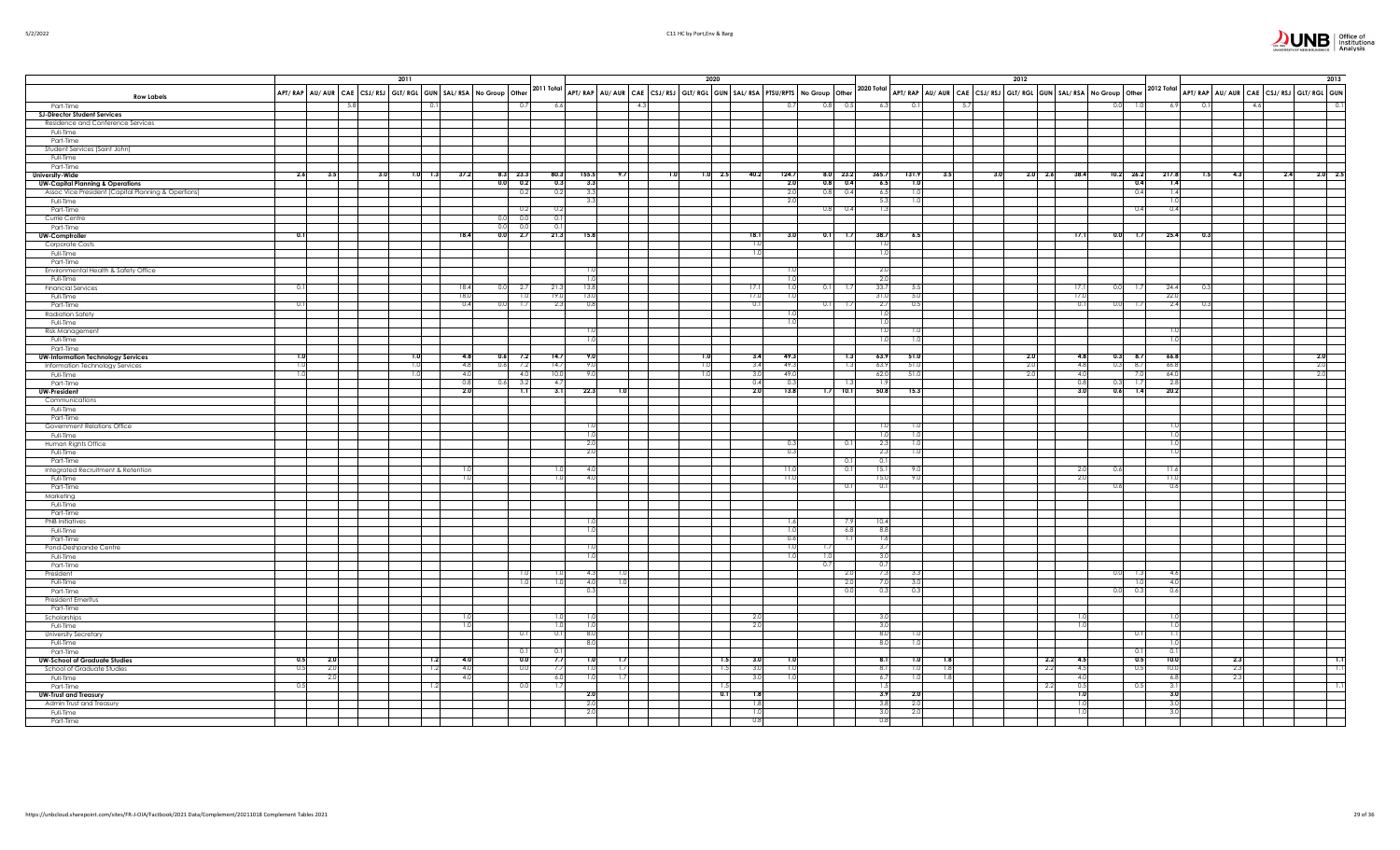|                                                                |      |           |     | 2011      |                                                                                                                                                             |                       |                         |             |     |     | 2020       |                |                |                    |              |                                                                                                                                     | 2012 |                 |                                   |                          |              |     |     |     | 2013            |
|----------------------------------------------------------------|------|-----------|-----|-----------|-------------------------------------------------------------------------------------------------------------------------------------------------------------|-----------------------|-------------------------|-------------|-----|-----|------------|----------------|----------------|--------------------|--------------|-------------------------------------------------------------------------------------------------------------------------------------|------|-----------------|-----------------------------------|--------------------------|--------------|-----|-----|-----|-----------------|
|                                                                |      |           |     |           | APT/RAP AU/AUR CAE CSJ/RSJ GLT/RGL GUN SAL/RSA NO Group Other <sup>2011 Total</sup> APT/RAP AU/AUR CAE CSJ/RSJ GLT/RGL GUN SAL/RSA PTSU/RPTS NO Group Other |                       |                         |             |     |     |            |                |                |                    |              | 2020 Total APT/ RAP AU/ AUR CAE CSJ/ RSJ GLT/ RGL GUN SAL/ RSA No Group Other 2012 Total APT/ RAP AU/ AUR CAE CSJ/ RSJ GLT/ RGL GUN |      |                 |                                   |                          |              |     |     |     |                 |
| <b>Row Labels</b><br>Part-Time                                 |      |           |     |           |                                                                                                                                                             |                       | 6.6                     |             | 4.3 |     |            |                | 0.7            | 0.8<br>0.5         | 6.3          | 5.7                                                                                                                                 |      |                 |                                   | 0.0                      | 6.9          |     |     |     |                 |
| <b>SJ-Director Student Services</b>                            |      |           |     |           |                                                                                                                                                             |                       |                         |             |     |     |            |                |                |                    |              |                                                                                                                                     |      |                 |                                   |                          |              |     |     |     |                 |
| Residence and Conference Services                              |      |           |     |           |                                                                                                                                                             |                       |                         |             |     |     |            |                |                |                    |              |                                                                                                                                     |      |                 |                                   |                          |              |     |     |     |                 |
| Full-Time<br>Part-Time                                         |      |           |     |           |                                                                                                                                                             |                       |                         |             |     |     |            |                |                |                    |              |                                                                                                                                     |      |                 |                                   |                          |              |     |     |     |                 |
| Student Services (Saint John)                                  |      |           |     |           |                                                                                                                                                             |                       |                         |             |     |     |            |                |                |                    |              |                                                                                                                                     |      |                 |                                   |                          |              |     |     |     |                 |
| Full-Time                                                      |      |           |     |           |                                                                                                                                                             |                       |                         |             |     |     |            |                |                |                    |              |                                                                                                                                     |      |                 |                                   |                          |              |     |     |     |                 |
| Part-Time                                                      |      |           |     | $1.0$ 1.3 |                                                                                                                                                             |                       |                         | 155.5       | 9.7 |     |            |                | 124.7          | 8.0 23.2           |              |                                                                                                                                     |      |                 |                                   | $10.2$ 26.2              | 217.8        | 1.5 |     |     |                 |
| University-Wide<br><b>UW-Capital Planning &amp; Operations</b> | 2.6  | 3.5       | 3.0 |           | 37.2                                                                                                                                                        | $8.3$ 23.3<br>0.0 0.2 | 80.3<br>0.3             | 3.3         |     | 1.0 | 1.0 2.5    | 40.2           | 2.0            | $0.8$ 0.4          | 365.7<br>6.5 | 131.9<br>3.5<br>1.0                                                                                                                 | 3.0  | $2.0\qquad 2.6$ | 38.4                              | 0.4                      | 1.4          |     | 4.3 | 2.4 | $2.0\qquad 2.5$ |
| Assoc Vice President (Capital Planning & Opertions)            |      |           |     |           |                                                                                                                                                             | 0.2                   | 0.2                     | 3.3         |     |     |            |                | 2.0            | 0.8<br>0.4         | 6.5          |                                                                                                                                     |      |                 |                                   | 0.4                      | 1.4          |     |     |     |                 |
| Full-Time                                                      |      |           |     |           |                                                                                                                                                             |                       |                         | 3.3         |     |     |            |                | 2.0            |                    | 5.3          | 1.0                                                                                                                                 |      |                 |                                   |                          | 1.0          |     |     |     |                 |
| Part-Time<br>Currie Centre                                     |      |           |     |           | 0.0                                                                                                                                                         | 0.2<br>0(             | 0.2<br>0.1              |             |     |     |            |                |                | 0.8<br>0.4         | 1.3          |                                                                                                                                     |      |                 |                                   | 0.4                      | 0.4          |     |     |     |                 |
| Part-Time                                                      |      |           |     |           | 0(                                                                                                                                                          | 0 <sup>0</sup>        |                         |             |     |     |            |                |                |                    |              |                                                                                                                                     |      |                 |                                   |                          |              |     |     |     |                 |
| <b>UW-Comptroller</b>                                          | 0.1  |           |     |           | 18.4<br>0.0                                                                                                                                                 | 2.7                   | 21.3                    | 15.8        |     |     |            | 18.1           | 3.0            | 0.1<br>1.7         | 38.7         | 6.5                                                                                                                                 |      |                 | 17.1                              | 0.0<br>1.7               | 25.4         | 0.3 |     |     |                 |
| Corporate Costs                                                |      |           |     |           |                                                                                                                                                             |                       |                         |             |     |     |            | $\frac{1}{2}$  |                |                    | 1.C          |                                                                                                                                     |      |                 |                                   |                          |              |     |     |     |                 |
| Full-Time                                                      |      |           |     |           |                                                                                                                                                             |                       |                         |             |     |     |            | 1.0            |                |                    | 1.0          |                                                                                                                                     |      |                 |                                   |                          |              |     |     |     |                 |
| Part-Time<br>Environmental Health & Safety Office              |      |           |     |           |                                                                                                                                                             |                       |                         |             |     |     |            |                |                |                    | 2.0          |                                                                                                                                     |      |                 |                                   |                          |              |     |     |     |                 |
| Full-Time                                                      |      |           |     |           |                                                                                                                                                             |                       |                         | 10          |     |     |            |                | 1 <sub>0</sub> |                    | 2.0          |                                                                                                                                     |      |                 |                                   |                          |              |     |     |     |                 |
| <b>Financial Services</b>                                      | 0.1  |           |     |           | 18.4<br>0.0                                                                                                                                                 | - 2.7                 | 21.3                    | 13.8        |     |     |            | 17.1           | 1.0            | 0.11<br>- 1.7      | 33.7         | - 5.5                                                                                                                               |      |                 | 17.                               | 0.01<br>- 1.7            | 24.4         |     |     |     |                 |
| Full-Time                                                      | 0.11 |           |     |           | 18.0<br>0.4                                                                                                                                                 | 1.0<br>-17            | 19 <sub>0</sub><br>-2.3 | 13.0<br>0.8 |     |     |            | 17.0<br>$-0.1$ | 1.0            | 0.11<br>- 1.7      | 31.0<br>2.7  | 5.0<br>0.5                                                                                                                          |      |                 | $\overline{17}$<br>$\overline{0}$ | 0.0<br>-1.7              | 22.0<br>2.4  |     |     |     |                 |
| Part-Time<br>Radiation Safety                                  |      |           |     |           |                                                                                                                                                             |                       |                         |             |     |     |            |                | 1.0            |                    | 1.0          |                                                                                                                                     |      |                 |                                   |                          |              |     |     |     |                 |
| Full-Time                                                      |      |           |     |           |                                                                                                                                                             |                       |                         |             |     |     |            |                | 1.0            |                    | 1.0          |                                                                                                                                     |      |                 |                                   |                          |              |     |     |     |                 |
| Risk Management                                                |      |           |     |           |                                                                                                                                                             |                       |                         | 1.0         |     |     |            |                |                |                    | 1.0          | 1.0                                                                                                                                 |      |                 |                                   |                          | 1.0          |     |     |     |                 |
| Full-Time                                                      |      |           |     |           |                                                                                                                                                             |                       |                         | 1.0         |     |     |            |                |                |                    | 1.0          | 1.0                                                                                                                                 |      |                 |                                   |                          | 1.0          |     |     |     |                 |
| Part-Time<br><b>UW-Information Technology Services</b>         | 1.0  |           |     | 1.0       | 4.8<br>0.6                                                                                                                                                  | 7.2                   | 14.7                    | 9.0         |     |     | 1.0        | 3.4            | 49.3           | 1.3                | 63.9         | 51.0                                                                                                                                |      | 2.0             | 4.8                               | $0.3$ 8.7                | 66.8         |     |     |     | 2.0             |
| Information Technology Services                                | 1.0  |           |     | 1.0       | 4.8<br>0.6                                                                                                                                                  | 7.2                   | 14.7                    | 9.0         |     |     |            | 3.4            | 49.3           | 1.3                | 63.9         | 51.0                                                                                                                                |      | 2.0             | 4.8                               | 0.3<br>8.7               | 66.8         |     |     |     | 2.0             |
| Full-Time                                                      | 1.0  |           |     | 1.0       | 4.0                                                                                                                                                         | 4.0                   | 10.0                    | 9.0         |     |     | 1.0        | 3.0            | 49.0           |                    | 62.0         | 51.0                                                                                                                                |      | 2.0             | 4.0                               | 7.0                      | 64.0         |     |     |     | 2.0             |
| Part-Time<br><b>UW-President</b>                               |      |           |     |           | 0.8<br>0.6<br>2.0                                                                                                                                           | 3.2<br>7.1            | 4.7<br>3.1              | 22.3        | 1.0 |     |            | 0.4<br>2.0     | 0.3<br>13.8    | 1.3<br>10.1<br>1.7 | 1.9<br>50.8  | 15.3                                                                                                                                |      |                 | 0.8<br>3.0                        | 0.3<br>1.7<br>0.6<br>1.4 | 2.8<br>20.2  |     |     |     |                 |
| Communications                                                 |      |           |     |           |                                                                                                                                                             |                       |                         |             |     |     |            |                |                |                    |              |                                                                                                                                     |      |                 |                                   |                          |              |     |     |     |                 |
| Full-Time                                                      |      |           |     |           |                                                                                                                                                             |                       |                         |             |     |     |            |                |                |                    |              |                                                                                                                                     |      |                 |                                   |                          |              |     |     |     |                 |
| Part-Time                                                      |      |           |     |           |                                                                                                                                                             |                       |                         |             |     |     |            |                |                |                    |              |                                                                                                                                     |      |                 |                                   |                          |              |     |     |     |                 |
| Government Relations Office<br>Full-Time                       |      |           |     |           |                                                                                                                                                             |                       |                         | 1.0<br>1.0  |     |     |            |                |                |                    | 1.0<br>1.0   | 1.0<br>1.0                                                                                                                          |      |                 |                                   |                          | 1.0<br>1.0   |     |     |     |                 |
| Human Rights Office                                            |      |           |     |           |                                                                                                                                                             |                       |                         | 2.0         |     |     |            |                | 0.3            | 0.1                | 2.3          | 1.0                                                                                                                                 |      |                 |                                   |                          | 1.0          |     |     |     |                 |
| Full-Time                                                      |      |           |     |           |                                                                                                                                                             |                       |                         | 2.0         |     |     |            |                | 0.3            |                    | 2.3          | 1.0                                                                                                                                 |      |                 |                                   |                          | 1.0          |     |     |     |                 |
| Part-Time                                                      |      |           |     |           |                                                                                                                                                             |                       |                         |             |     |     |            |                |                | 0.1                | 0.1          |                                                                                                                                     |      |                 |                                   |                          |              |     |     |     |                 |
| Integrated Recruitment & Retention<br>Full-Time                |      |           |     |           | 1.0<br>1.0                                                                                                                                                  |                       | 1.0                     | 4.0<br>4.0  |     |     |            |                | 11.0<br>11.0   | 0.1                | 15.1<br>15.0 | 9.0<br>9.0                                                                                                                          |      |                 | -2.0                              | 0.6                      | 11.6<br>11.0 |     |     |     |                 |
| Part-Time                                                      |      |           |     |           |                                                                                                                                                             |                       |                         |             |     |     |            |                |                | 0.1                | 0.1          |                                                                                                                                     |      |                 |                                   | 0.6                      | 0.6          |     |     |     |                 |
| Marketing                                                      |      |           |     |           |                                                                                                                                                             |                       |                         |             |     |     |            |                |                |                    |              |                                                                                                                                     |      |                 |                                   |                          |              |     |     |     |                 |
| Full-Time                                                      |      |           |     |           |                                                                                                                                                             |                       |                         |             |     |     |            |                |                |                    |              |                                                                                                                                     |      |                 |                                   |                          |              |     |     |     |                 |
| Part-Time<br><b>PNB</b> Initiatives                            |      |           |     |           |                                                                                                                                                             |                       |                         | 1.0         |     |     |            |                | 1.6            | - 7.9              | 10.4         |                                                                                                                                     |      |                 |                                   |                          |              |     |     |     |                 |
| Full-Time                                                      |      |           |     |           |                                                                                                                                                             |                       |                         | 1.0         |     |     |            |                | 1.0            | 6.8                | 8.8          |                                                                                                                                     |      |                 |                                   |                          |              |     |     |     |                 |
| Part-Time                                                      |      |           |     |           |                                                                                                                                                             |                       |                         |             |     |     |            |                | 0.6            | $\overline{1.1}$   | 1.6          |                                                                                                                                     |      |                 |                                   |                          |              |     |     |     |                 |
| Pond-Deshpande Centre                                          |      |           |     |           |                                                                                                                                                             |                       |                         |             |     |     |            |                | 1.0            |                    | 3.7          |                                                                                                                                     |      |                 |                                   |                          |              |     |     |     |                 |
| Full-Time<br>Part-Time                                         |      |           |     |           |                                                                                                                                                             |                       |                         | 1.0         |     |     |            |                | 1.0            | 0.0<br>0.71        | 3.0<br>0.7   |                                                                                                                                     |      |                 |                                   |                          |              |     |     |     |                 |
| President                                                      |      |           |     |           |                                                                                                                                                             |                       |                         | 4.3         |     |     |            |                |                | 2.0                | 7.3          | 3.3                                                                                                                                 |      |                 |                                   | 0.0<br>1.3               | 4.6          |     |     |     |                 |
| Full-Time                                                      |      |           |     |           |                                                                                                                                                             | 1.0                   | 1.0                     | 4.0         | 1.0 |     |            |                |                | 2.0                | 7.0          | 3.0                                                                                                                                 |      |                 |                                   |                          | 4.0          |     |     |     |                 |
| Part-Time                                                      |      |           |     |           |                                                                                                                                                             |                       |                         | 0.3         |     |     |            |                |                | 0.0                | 0.3          | 0.3                                                                                                                                 |      |                 |                                   | 0.3<br>0.0               | 0.6          |     |     |     |                 |
| President Emeritus<br>Part-Time                                |      |           |     |           |                                                                                                                                                             |                       |                         |             |     |     |            |                |                |                    |              |                                                                                                                                     |      |                 |                                   |                          |              |     |     |     |                 |
| Scholarships                                                   |      |           |     |           | 1.0                                                                                                                                                         |                       |                         |             |     |     |            | 2.0            |                |                    | 3.0          |                                                                                                                                     |      |                 |                                   |                          |              |     |     |     |                 |
| Full-Time                                                      |      |           |     |           | 1.0                                                                                                                                                         |                       | 1.0                     | 1.0         |     |     |            | 2.0            |                |                    | 3.0          |                                                                                                                                     |      |                 |                                   |                          | 1.0          |     |     |     |                 |
| <b>University Secretary</b>                                    |      |           |     |           |                                                                                                                                                             | 0.1                   | 0.1                     | 8.0         |     |     |            |                |                |                    | 8.0          | 1.0                                                                                                                                 |      |                 |                                   | 0.1                      | 1.1          |     |     |     |                 |
| Full-Time<br>Part-Time                                         |      |           |     |           |                                                                                                                                                             |                       | 01                      | 8.0         |     |     |            |                |                |                    | 8.0          | 1.0                                                                                                                                 |      |                 |                                   | 0.1                      | 1.0<br>0.1   |     |     |     |                 |
| <b>UW-School of Graduate Studies</b>                           | 0.5  | <b>20</b> |     | 1.2       | 4.0                                                                                                                                                         | 0.0                   | 7.7                     | 1.0         | 1.7 |     | 1.5        | 3.0            | 10             |                    | 8.1          | 1.0<br>1.8                                                                                                                          |      | 2.2             | 45                                | 0.5                      | 10.0         |     | 2.3 |     | 1.1             |
| School of Graduate Studies                                     | 0.5  | 2.0       |     | 1.2       | 4.0                                                                                                                                                         | 0.0                   | 7.7                     | 1.0         | 1.7 |     | 1.5        | 3.0            | 1.0            |                    | 8.1          | 1.0<br>1.8                                                                                                                          |      | 2.2             | 4.5                               | 0.5                      | 10.0         |     | 2.3 |     | T.I             |
| Full-Time                                                      |      | 2.0       |     |           | 4.0                                                                                                                                                         |                       | 6.0                     | 1.0         | 1.7 |     |            | 3.0            | 1.0            |                    | 6.7          | 1.0<br>1.8                                                                                                                          |      |                 | 4C                                |                          | 6.8          |     | 2.3 |     |                 |
| Part-Time<br><b>UW-Trust and Treasury</b>                      | 0.5  |           |     | 1.2       |                                                                                                                                                             | 00                    | 1.7                     | 2.0         |     |     | 1.5<br>0.1 | 1.8            |                |                    | 1.5<br>3.9   | 2.0                                                                                                                                 |      | 2.2             | 05<br>1.0                         | 0.5                      | 3.1<br>3.0   |     |     |     |                 |
| Admin Trust and Treasury                                       |      |           |     |           |                                                                                                                                                             |                       |                         | 2.0         |     |     |            | 1.8            |                |                    | 3.8          | 2.0                                                                                                                                 |      |                 | 1.0                               |                          | 3.0          |     |     |     |                 |
| Full-Time                                                      |      |           |     |           |                                                                                                                                                             |                       |                         | 2.0         |     |     |            | 1.0            |                |                    | 3.0          | 2.0                                                                                                                                 |      |                 |                                   |                          | 3.0          |     |     |     |                 |
| Part-Time                                                      |      |           |     |           |                                                                                                                                                             |                       |                         |             |     |     |            | 0.8            |                |                    | 0.8          |                                                                                                                                     |      |                 |                                   |                          |              |     |     |     |                 |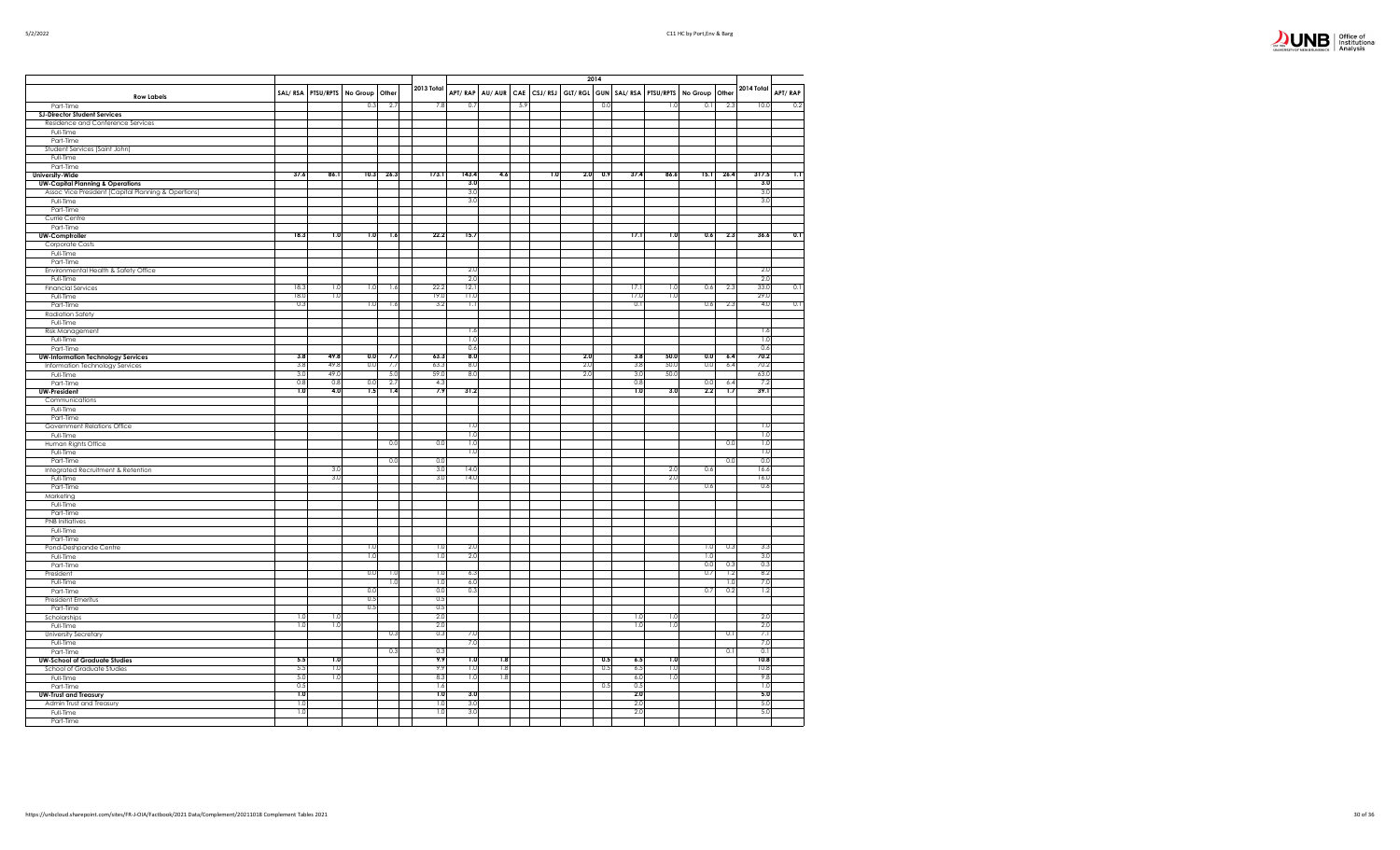| Office of<br>Institutional<br>Analysis |
|----------------------------------------|

|                                                     |            |                   |            |            |             |                  |        |            |         |             | 2014 |                 |      |                          |      |             |                  |
|-----------------------------------------------------|------------|-------------------|------------|------------|-------------|------------------|--------|------------|---------|-------------|------|-----------------|------|--------------------------|------|-------------|------------------|
|                                                     |            | SAL/RSA PTSU/RPTS | No Group   | Other      | 2013 Total  | APT/RAP          | AU/AUR | <b>CAE</b> | CSJ/RSJ | GLT/RGL GUN |      | SAL/RSA         |      | PTSU/RPTS No Group Other |      | 2014 Total  | APT/RAP          |
| <b>Row Labels</b>                                   |            |                   | 0.3        | 2.7        |             | 0.7              |        | 5.9        |         |             | 0.0  |                 | 1.0  | 0.1                      |      | 10.0        | 0.2              |
| Part-Time<br><b>SJ-Director Student Services</b>    |            |                   |            |            | 7.8         |                  |        |            |         |             |      |                 |      |                          | 2.3  |             |                  |
| Residence and Conference Services                   |            |                   |            |            |             |                  |        |            |         |             |      |                 |      |                          |      |             |                  |
| Full-Time                                           |            |                   |            |            |             |                  |        |            |         |             |      |                 |      |                          |      |             |                  |
| Part-Time                                           |            |                   |            |            |             |                  |        |            |         |             |      |                 |      |                          |      |             |                  |
| Student Services (Saint John)<br>Full-Time          |            |                   |            |            |             |                  |        |            |         |             |      |                 |      |                          |      |             |                  |
| Part-Time                                           |            |                   |            |            |             |                  |        |            |         |             |      |                 |      |                          |      |             |                  |
| <b>University-Wide</b>                              | 37.6       | 86.1              | 10.3       | 26.3       | 173.1       | 143.4            | 4.6    |            | 1.0     | 2.0         | 0.9  | 37.4            | 86.6 | 15.1                     | 26.4 | 317.5       | $\overline{1.1}$ |
| <b>UW-Capital Planning &amp; Operations</b>         |            |                   |            |            |             | 3.0              |        |            |         |             |      |                 |      |                          |      | 3.0         |                  |
| Assoc Vice President (Capital Planning & Opertions) |            |                   |            |            |             | 3.0              |        |            |         |             |      |                 |      |                          |      | 3.0         |                  |
| Full-Time                                           |            |                   |            |            |             | 3.0              |        |            |         |             |      |                 |      |                          |      | 3.0         |                  |
| Part-Time<br>Currie Centre                          |            |                   |            |            |             |                  |        |            |         |             |      |                 |      |                          |      |             |                  |
| Part-Time                                           |            |                   |            |            |             |                  |        |            |         |             |      |                 |      |                          |      |             |                  |
| <b>UW-Comptroller</b>                               | 18.3       | 1.0               | 1.0        | 1.6        | 22.2        | 15.7             |        |            |         |             |      | 17.1            | 1.0  | 0.6                      | 2.3  | 36.6        | 0.1              |
| Corporate Costs                                     |            |                   |            |            |             |                  |        |            |         |             |      |                 |      |                          |      |             |                  |
| Full-Time                                           |            |                   |            |            |             |                  |        |            |         |             |      |                 |      |                          |      |             |                  |
| Part-Time<br>Environmental Health & Safety Office   |            |                   |            |            |             | 2.0              |        |            |         |             |      |                 |      |                          |      | 2.0         |                  |
| Full-Time                                           |            |                   |            |            |             | 2.0              |        |            |         |             |      |                 |      |                          |      | 2.0         |                  |
| <b>Financial Services</b>                           | 18.3       | 1.0               | 1.0        | 1.6        | 22.2        | 12.              |        |            |         |             |      | 17.1            | 1.0  | 0.6                      | 2.3  | 33.0        | 0.1              |
| Full-Time                                           | 18.0       | 1.0               |            |            | 19.0        | 11.0             |        |            |         |             |      | 17 <sub>c</sub> | 1.0  |                          |      | 29.0        |                  |
| Part-Time                                           | 0.3        |                   | 1.0        | 1.6        | 3.2         | Τ.               |        |            |         |             |      | 0.1             |      | 0.6                      | 2.3  | 4.0         | 0.1              |
| <b>Radiation Safety</b>                             |            |                   |            |            |             |                  |        |            |         |             |      |                 |      |                          |      |             |                  |
| Full-Time                                           |            |                   |            |            |             | 1.6              |        |            |         |             |      |                 |      |                          |      | 1.6         |                  |
| Risk Management<br>Full-Time                        |            |                   |            |            |             | 1.0              |        |            |         |             |      |                 |      |                          |      | 1.0         |                  |
| Part-Time                                           |            |                   |            |            |             | 0.6              |        |            |         |             |      |                 |      |                          |      | 0.6         |                  |
| <b>UW-Information Technology Services</b>           | 3.8        | 49.8              | 0.0        | 7.7        | 63.3        | 8.0              |        |            |         | 2.0         |      | 3.8             | 50.0 | 0.0                      | 6.4  | 70.2        |                  |
| Information Technology Services                     | 3.8        | 49.8              | 0.0        | 7.7        | 63.3        | 8.0              |        |            |         | 2.0         |      | 3.8             | 50.0 | 0.0                      | 6.4  | 70.2        |                  |
| Full-Time                                           | 3.0<br>0.8 | 49.0<br>0.8       | 0.0        | 5.0<br>2.7 | 59.0<br>4.3 | 8.0              |        |            |         | 2.0         |      | 3.0<br>0.8      | 50.0 | 0.0                      | 6.4  | 63.0<br>7.2 |                  |
| Part-Time<br><b>UW-President</b>                    | 1.0        | 4.0               | 1.5        | 1.4        | 7.9         | 31.2             |        |            |         |             |      | 1.0             | 3.0  | 2.2                      | 1.7  | 39.1        |                  |
| Communications                                      |            |                   |            |            |             |                  |        |            |         |             |      |                 |      |                          |      |             |                  |
| Full-Time                                           |            |                   |            |            |             |                  |        |            |         |             |      |                 |      |                          |      |             |                  |
| Part-Time                                           |            |                   |            |            |             |                  |        |            |         |             |      |                 |      |                          |      |             |                  |
| Government Relations Office                         |            |                   |            |            |             | 1.0<br>1.0       |        |            |         |             |      |                 |      |                          |      | 1.0         |                  |
| Full-Time<br>Human Rights Office                    |            |                   |            | 0.0        | 0.0         | $\overline{1.0}$ |        |            |         |             |      |                 |      |                          | 0.0  | 1.0<br>1.0  |                  |
| Full-Time                                           |            |                   |            |            |             | 1.0              |        |            |         |             |      |                 |      |                          |      | 1.0         |                  |
| Part-Time                                           |            |                   |            | 0.0        | 0.0         |                  |        |            |         |             |      |                 |      |                          | 0.0  | 0.0         |                  |
| Integrated Recruitment & Retention                  |            | 3.0               |            |            | 3.0         | 14.0             |        |            |         |             |      |                 | 2.0  | 0.6                      |      | 16.6        |                  |
| Full-Time                                           |            | 3.0               |            |            | 3.0         | 14.0             |        |            |         |             |      |                 | 2.0  |                          |      | 16.0        |                  |
| Part-Time<br>Marketing                              |            |                   |            |            |             |                  |        |            |         |             |      |                 |      | 0.6                      |      | 0.6         |                  |
| Full-Time                                           |            |                   |            |            |             |                  |        |            |         |             |      |                 |      |                          |      |             |                  |
| Part-Time                                           |            |                   |            |            |             |                  |        |            |         |             |      |                 |      |                          |      |             |                  |
| <b>PNB</b> Initiatives                              |            |                   |            |            |             |                  |        |            |         |             |      |                 |      |                          |      |             |                  |
| Full-Time                                           |            |                   |            |            |             |                  |        |            |         |             |      |                 |      |                          |      |             |                  |
| Part-Time                                           |            |                   | 1.0        |            | 1.0         | 2.0              |        |            |         |             |      |                 |      | 1.0                      | 0.3  | 3.3         |                  |
| Pond-Deshpande Centre<br>Full-Time                  |            |                   | 1.0        |            | 1.0         | 2.0              |        |            |         |             |      |                 |      | 1.0                      |      | 3.0         |                  |
| Part-Time                                           |            |                   |            |            |             |                  |        |            |         |             |      |                 |      | 0.0                      | 0.3  | 0.3         |                  |
| President                                           |            |                   | 0.0        | 1.0        | 1.0         | 6.3              |        |            |         |             |      |                 |      | 0.7                      | 1.2  | 8.2         |                  |
| Full-Time                                           |            |                   |            | 1.0        | 1.0         | 6.0              |        |            |         |             |      |                 |      |                          | 1.0  | 7.0         |                  |
| Part-Time                                           |            |                   | 0.0<br>0.5 |            | 0.0<br>0.5  | 0.3              |        |            |         |             |      |                 |      | 0.7                      | 0.2  | 1.2         |                  |
| President Emeritus<br>Part-Time                     |            |                   | 0.5        |            | 0.5         |                  |        |            |         |             |      |                 |      |                          |      |             |                  |
| Scholarships                                        | 1.0        | π                 |            |            | 2.C         |                  |        |            |         |             |      | 1.0             | 1.0  |                          |      | 20          |                  |
| Full-Time                                           | 1.0        | 1.0               |            |            | 2.0         |                  |        |            |         |             |      | 1.0             | 1.0  |                          |      | 2.0         |                  |
| University Secretary                                |            |                   |            | 0.3        | 0.3         | 7.0              |        |            |         |             |      |                 |      |                          | 0.1  | 7.1         |                  |
| Full-Time                                           |            |                   |            |            |             | 7.0              |        |            |         |             |      |                 |      |                          |      | 7.0         |                  |
| Part-Time<br><b>UW-School of Graduate Studies</b>   | 5.5        | 1.0               |            | 0.3        | 0.3<br>9.9  | 7.0              | 1.8    |            |         |             | 0.5  | 6.5             | 1.0  |                          | 0.1  | 0.1<br>10.8 |                  |
| School of Graduate Studies                          | 5.5        | 1.0               |            |            | 9.9         | 1.0              | 1.8    |            |         |             | 0.5  | 6.5             | 1.0  |                          |      | 10.8        |                  |
| Full-Time                                           | 5.0        | 1.0               |            |            | 8.3         | 1.0              | 1.8    |            |         |             |      | 6.0             | 1.0  |                          |      | 9.8         |                  |
| Part-Time                                           | 0.5        |                   |            |            | 1.6         |                  |        |            |         |             | 0.5  | 0.5             |      |                          |      | 1.0         |                  |
| <b>UW-Trust and Treasury</b>                        | 1.0        |                   |            |            | 1.0         | 3.0              |        |            |         |             |      | 2.0             |      |                          |      | 5.0         |                  |
| Admin Trust and Treasury                            | 1.0        |                   |            |            | 1.0         | 3.0<br>3.0       |        |            |         |             |      | 2.0<br>2.0      |      |                          |      | 5.0         |                  |
| Full-Time<br>Part-Time                              | 1.0        |                   |            |            | 1.0         |                  |        |            |         |             |      |                 |      |                          |      | 5.0         |                  |
|                                                     |            |                   |            |            |             |                  |        |            |         |             |      |                 |      |                          |      |             |                  |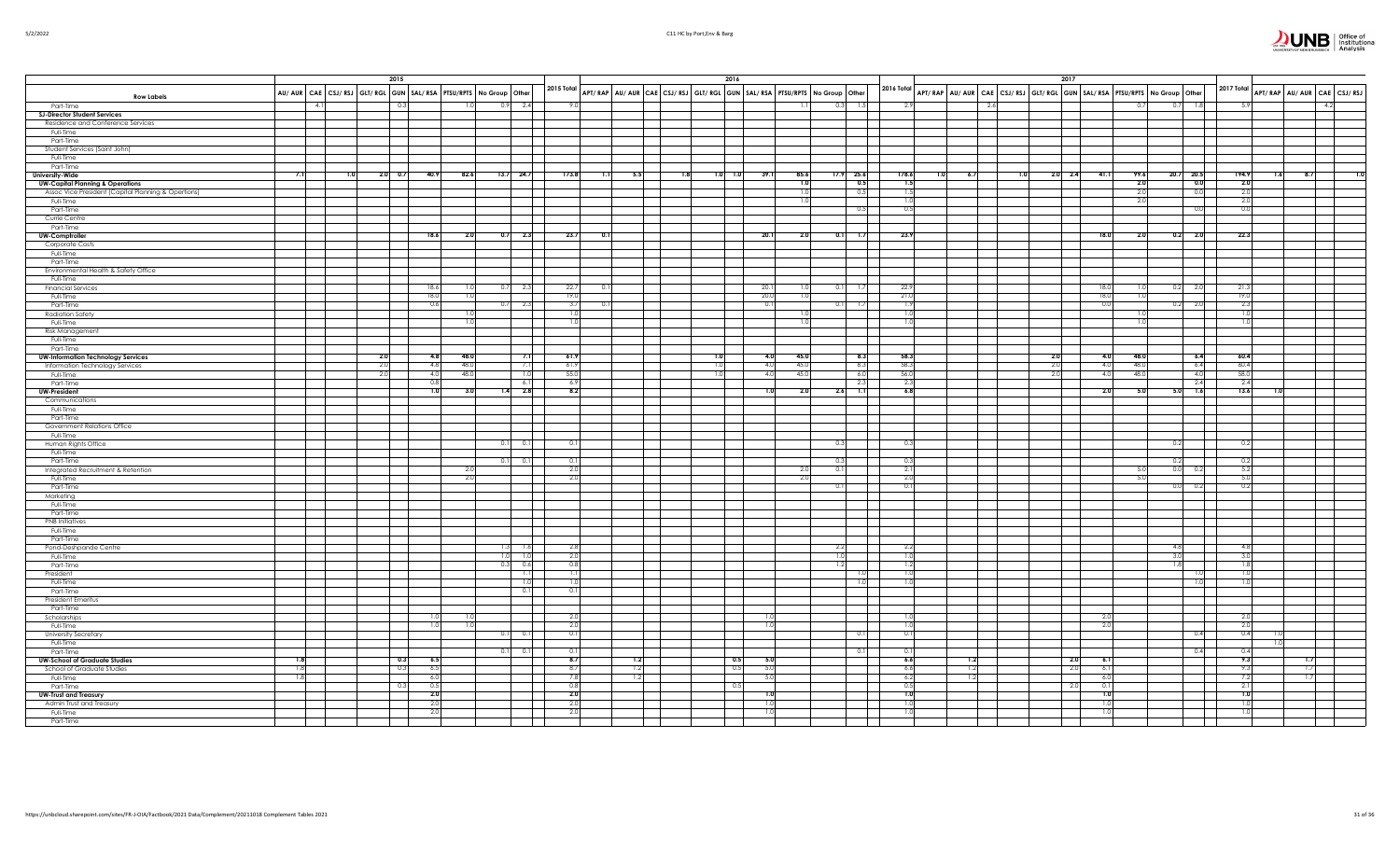|                                                                          |        |     | 2015                 |                                                                     |      |            |             |                  |     | 2016                                                                    |        |              |            |                    |              |     |     |     | 2017                                                                    |            |                   |            |                                          |  |
|--------------------------------------------------------------------------|--------|-----|----------------------|---------------------------------------------------------------------|------|------------|-------------|------------------|-----|-------------------------------------------------------------------------|--------|--------------|------------|--------------------|--------------|-----|-----|-----|-------------------------------------------------------------------------|------------|-------------------|------------|------------------------------------------|--|
| <b>Row Labels</b>                                                        |        |     |                      | AU/ AUR CAE CSJ/ RSJ GLT/ RGL GUN SAL/ RSA PTSU/RPTS No Group Other |      |            |             | 2015 Total       |     | APT/RAP AU/AUR CAE CSJ/RSJ GLT/RGL GUN SAL/RSA PTSU/RPTS No Group Other |        |              |            |                    | 2016 Total   |     |     |     | APT/RAP AU/AUR CAE CSJ/RSJ GLT/RGL GUN SAL/RSA PTSU/RPTS No Group Other |            |                   |            | 2017 Total<br>APT/RAP AU/AUR CAE CSJ/RSJ |  |
| Part-Time                                                                | $-4.1$ |     |                      | 0.3                                                                 | 1.0  | 0.9        | 2.4         | 9.0              |     |                                                                         |        | 1.1          | 0.3        | 1.5                | 2.9          |     | 2.6 |     |                                                                         | 0.7        | 0.7               | 1.8        | 5.9<br>4.2                               |  |
| <b>SJ-Director Student Services</b><br>Residence and Conference Services |        |     |                      |                                                                     |      |            |             |                  |     |                                                                         |        |              |            |                    |              |     |     |     |                                                                         |            |                   |            |                                          |  |
| Full-Time                                                                |        |     |                      |                                                                     |      |            |             |                  |     |                                                                         |        |              |            |                    |              |     |     |     |                                                                         |            |                   |            |                                          |  |
| Part-Time                                                                |        |     |                      |                                                                     |      |            |             |                  |     |                                                                         |        |              |            |                    |              |     |     |     |                                                                         |            |                   |            |                                          |  |
| Student Services (Saint John)<br>Full-Time                               |        |     |                      |                                                                     |      |            |             |                  |     |                                                                         |        |              |            |                    |              |     |     |     |                                                                         |            |                   |            |                                          |  |
| Part-Time                                                                |        |     |                      |                                                                     |      |            |             |                  |     |                                                                         |        |              |            |                    |              |     |     |     |                                                                         |            |                   |            |                                          |  |
| <b>University-Wide</b>                                                   | 7.1    | 1.0 | $2.0\frac{1}{1}$ 0.7 | 40.9                                                                | 82.6 |            | $13.7$ 24.7 | 173.8            | 1.1 | 1.8<br>$1.0$ 1.0<br>5.5                                                 | 39.1   | 85.6         |            | $17.9$ 25.6        | 178.6<br>1.0 | 6.7 |     | 1.0 | $2.0\qquad 2.4$<br>41.1                                                 | 99.6       |                   | 20.7 20.5  | 194.9<br>8.7<br>1.6                      |  |
| <b>UW-Capital Planning &amp; Operations</b>                              |        |     |                      |                                                                     |      |            |             |                  |     |                                                                         |        | 1.0          |            | 0.5                | 1.5          |     |     |     |                                                                         | 2.0        |                   | 0.0        | 2.0<br>2.0                               |  |
| Assoc Vice President (Capital Planning & Opertions)<br>Full-Time         |        |     |                      |                                                                     |      |            |             |                  |     |                                                                         |        | 1.0<br>1.0   |            | 0.5                | 1.5<br>1.0   |     |     |     |                                                                         | 2.0<br>2.0 |                   | 0.0        | 2.0                                      |  |
| Part-Time                                                                |        |     |                      |                                                                     |      |            |             |                  |     |                                                                         |        |              |            | 0.5                | 0.5          |     |     |     |                                                                         |            |                   | 0.0        | 0.0                                      |  |
| Currie Centre                                                            |        |     |                      |                                                                     |      |            |             |                  |     |                                                                         |        |              |            |                    |              |     |     |     |                                                                         |            |                   |            |                                          |  |
| Part-Time                                                                |        |     |                      | 18.6                                                                | 2.0  |            | $0.7$ 2.3   | 23.7             | 0.1 |                                                                         | 20.1   | 2.0          | 0.1        |                    | 23.9         |     |     |     | 18.0                                                                    | 2.0        | 0.2               | 2.0        | 22.3                                     |  |
| <b>UW-Comptroller</b><br>Corporate Costs                                 |        |     |                      |                                                                     |      |            |             |                  |     |                                                                         |        |              |            | 1.7                |              |     |     |     |                                                                         |            |                   |            |                                          |  |
| Full-Time                                                                |        |     |                      |                                                                     |      |            |             |                  |     |                                                                         |        |              |            |                    |              |     |     |     |                                                                         |            |                   |            |                                          |  |
| Part-Time                                                                |        |     |                      |                                                                     |      |            |             |                  |     |                                                                         |        |              |            |                    |              |     |     |     |                                                                         |            |                   |            |                                          |  |
| Environmental Health & Safety Office                                     |        |     |                      |                                                                     |      |            |             |                  |     |                                                                         |        |              |            |                    |              |     |     |     |                                                                         |            |                   |            |                                          |  |
| Full-Time<br><b>Financial Services</b>                                   |        |     |                      | 18.6                                                                | 1.0  | 0.7        | 2.3         | 22.7             |     |                                                                         | 20.1   | 1.0          | 0.1        | 1.7                | 22.9         |     |     |     | 18.0                                                                    |            | 0.2               | 2.0        | 21.3                                     |  |
| Full-Time                                                                |        |     |                      | 18.0                                                                | 1.0  |            |             | 19.0             |     |                                                                         | 20.0   | 1.0          |            |                    | 21.0         |     |     |     | 18.0                                                                    | 1.0        |                   |            | 19.0                                     |  |
| Part-Time                                                                |        |     |                      | 0.6                                                                 |      | 0.7        | 2.3         | -3.7             |     |                                                                         | 0.1    |              | 0.1        | 1.7                | 1.9          |     |     |     | 0.0                                                                     |            | 0.2               | 2.0        | 2.3                                      |  |
| <b>Radiation Safety</b>                                                  |        |     |                      |                                                                     | L.U  |            |             | 1.0              |     |                                                                         |        | 1.01         |            |                    | 1.0          |     |     |     |                                                                         |            |                   |            | 1.0                                      |  |
| Full-Time<br>Risk Management                                             |        |     |                      |                                                                     | 1.0  |            |             | 1.0              |     |                                                                         |        | 1.0          |            |                    | 1.0          |     |     |     |                                                                         |            |                   |            | 1.0                                      |  |
| Full-Time                                                                |        |     |                      |                                                                     |      |            |             |                  |     |                                                                         |        |              |            |                    |              |     |     |     |                                                                         |            |                   |            |                                          |  |
| Part-Time                                                                |        |     |                      |                                                                     |      |            |             |                  |     |                                                                         |        |              |            |                    |              |     |     |     |                                                                         |            |                   |            |                                          |  |
| <b>UW-Information Technology Services</b>                                |        |     | 2.0                  | 4.8                                                                 | 48.0 |            | 7.1         | 61.9             |     |                                                                         | 4.0    | 45.0         |            | 8.3                | 58.3         |     |     | 2.0 | 4.0                                                                     | 48.0       |                   | 6.4        | 60.4                                     |  |
| Information Technology Services                                          |        |     | 2.0                  | 4.8                                                                 | 48.0 |            |             | 61.9             |     |                                                                         | -4.0   | 45.0<br>45.0 |            | 8.3                | 58.3         |     |     | 2.0 | 4.0                                                                     | 48.0       |                   | 6.4        | 60.4                                     |  |
| Full-Time<br>Part-Time                                                   |        |     | 2.0                  | 4.0<br>0.8                                                          | 48.0 |            |             | 55.0<br>6.9      |     |                                                                         | $-4.0$ |              |            | 6.0<br>2.3         | 56.0<br>2.3  |     |     | 2.0 | 4.0                                                                     | 48.0       |                   | 4.0<br>2.4 | 58.0<br>2.4                              |  |
| <b>UW-President</b>                                                      |        |     |                      | 1.0                                                                 | 3.0  |            | 2.8         | 8.2              |     |                                                                         |        | 2.0          | 2.6        | $\overline{1.1}$   | 6.8          |     |     |     | 2.0                                                                     | 5.0        | 5.0               | 7.6        | 13.6                                     |  |
| Communications                                                           |        |     |                      |                                                                     |      |            |             |                  |     |                                                                         |        |              |            |                    |              |     |     |     |                                                                         |            |                   |            |                                          |  |
| Full-Time                                                                |        |     |                      |                                                                     |      |            |             |                  |     |                                                                         |        |              |            |                    |              |     |     |     |                                                                         |            |                   |            |                                          |  |
| Part-Time                                                                |        |     |                      |                                                                     |      |            |             |                  |     |                                                                         |        |              |            |                    |              |     |     |     |                                                                         |            |                   |            |                                          |  |
| Government Relations Office<br>Full-Time                                 |        |     |                      |                                                                     |      |            |             |                  |     |                                                                         |        |              |            |                    |              |     |     |     |                                                                         |            |                   |            |                                          |  |
| Human Rights Office                                                      |        |     |                      |                                                                     |      | 0.11       | $\Omega$    | 0.1              |     |                                                                         |        |              | 0.3        |                    | 0.3          |     |     |     |                                                                         |            | 0.2               |            | 0.2                                      |  |
| Full-Time                                                                |        |     |                      |                                                                     |      |            |             |                  |     |                                                                         |        |              |            |                    |              |     |     |     |                                                                         |            |                   |            |                                          |  |
| Part-Time                                                                |        |     |                      |                                                                     | 2.0  | 0.1        | 0.1         | 0.1<br>2.0       |     |                                                                         |        |              | 0.3<br>0.1 |                    | 0.3<br>2.1   |     |     |     |                                                                         | 5.0        | $^{\circ}$<br>0.0 |            | 0.2<br>5.2                               |  |
| Integrated Recruitment & Retention<br>Full-Time                          |        |     |                      |                                                                     | 2.0  |            |             | 2.0              |     |                                                                         |        | 2.0<br>2.0   |            |                    | 2.0          |     |     |     |                                                                         | 5.0        |                   | 0.2        | 5.0                                      |  |
| Part-Time                                                                |        |     |                      |                                                                     |      |            |             |                  |     |                                                                         |        |              | 0.1        |                    | 0.1          |     |     |     |                                                                         |            | $^{\circ}$        | 0.2        | 0.2                                      |  |
| Marketing                                                                |        |     |                      |                                                                     |      |            |             |                  |     |                                                                         |        |              |            |                    |              |     |     |     |                                                                         |            |                   |            |                                          |  |
| Full-Time                                                                |        |     |                      |                                                                     |      |            |             |                  |     |                                                                         |        |              |            |                    |              |     |     |     |                                                                         |            |                   |            |                                          |  |
| Part-Time<br><b>PNB</b> Initiatives                                      |        |     |                      |                                                                     |      |            |             |                  |     |                                                                         |        |              |            |                    |              |     |     |     |                                                                         |            |                   |            |                                          |  |
| Full-Time                                                                |        |     |                      |                                                                     |      |            |             |                  |     |                                                                         |        |              |            |                    |              |     |     |     |                                                                         |            |                   |            |                                          |  |
| Part-Time                                                                |        |     |                      |                                                                     |      |            |             |                  |     |                                                                         |        |              |            |                    |              |     |     |     |                                                                         |            |                   |            |                                          |  |
| Pond-Deshpande Centre                                                    |        |     |                      |                                                                     |      | 1.3        | 1.6         | 2.8              |     |                                                                         |        |              | 2.2        |                    | 2.2          |     |     |     |                                                                         |            | 4.8               |            | 4.8                                      |  |
| Full-Time<br>Part-Time                                                   |        |     |                      |                                                                     |      | 1.0<br>0.3 | 1.0<br>0.6  | 2.0<br>0.8       |     |                                                                         |        |              | 1.0<br>1.2 |                    | 1.0<br>1.2   |     |     |     |                                                                         |            | 3.0<br>1.8        |            | 3.0<br>1.8                               |  |
| President                                                                |        |     |                      |                                                                     |      |            | 1.1         | $\overline{1,1}$ |     |                                                                         |        |              |            | 1.0                | 1.0          |     |     |     |                                                                         |            |                   | 1.0        | 1.0                                      |  |
| Full-Time                                                                |        |     |                      |                                                                     |      |            | 1.0         | 1.0              |     |                                                                         |        |              |            | 1.0                | 1.0          |     |     |     |                                                                         |            |                   | 1.0        | 1.0                                      |  |
| Part-Time                                                                |        |     |                      |                                                                     |      |            | 0.1         | 0.1              |     |                                                                         |        |              |            |                    |              |     |     |     |                                                                         |            |                   |            |                                          |  |
| <b>President Emeritus</b>                                                |        |     |                      |                                                                     |      |            |             |                  |     |                                                                         |        |              |            |                    |              |     |     |     |                                                                         |            |                   |            |                                          |  |
| Part-Time<br>Scholarships                                                |        |     |                      | 1.01                                                                |      |            |             | 2.0              |     |                                                                         |        |              |            | <b>The Company</b> | 1.0          |     |     |     | -2.0                                                                    |            |                   |            | 2.0                                      |  |
| Full-Time                                                                |        |     |                      | 1.0                                                                 | 1.0  |            |             | 2.0              |     |                                                                         |        |              |            |                    | 1.0          |     |     |     | 2.0                                                                     |            |                   |            | 2.0                                      |  |
| <b>University Secretary</b>                                              |        |     |                      |                                                                     |      | 0.11       | 0.1         | 0.1              |     |                                                                         |        |              |            | 0.1                | 0.1          |     |     |     |                                                                         |            |                   | 0.4        | 0.4                                      |  |
| Full-Time                                                                |        |     |                      |                                                                     |      |            |             |                  |     |                                                                         |        |              |            |                    |              |     |     |     |                                                                         |            |                   |            |                                          |  |
| Part-Time                                                                | 1.8    |     |                      | 0.3<br>6.5                                                          |      | 0.11       | 0.1         | 0.1<br>8.7       |     | 0.5<br>1.2                                                              | 5.0    |              |            | 0.1                | 0.1<br>6.6   | 1.2 |     |     | 2.0                                                                     |            |                   | 0.4        | 0.4<br>9.3                               |  |
| <b>UW-School of Graduate Studies</b><br>School of Graduate Studies       | 1.8    |     |                      | 0.3<br>6.5                                                          |      |            |             | 8.7              |     | 1.2<br>0.5                                                              | -5.0   |              |            |                    | 6.6          | 1.2 |     |     | 2.0<br>6.1                                                              |            |                   |            | 9.3<br>1.7                               |  |
| Full-Time                                                                | 1.8    |     |                      | 6.0                                                                 |      |            |             | 7.8              |     | 1.2                                                                     | -5.0   |              |            |                    | 6.2          | 1.2 |     |     | 6.0                                                                     |            |                   |            | 7.2<br>1.7                               |  |
| Part-Time                                                                |        |     |                      | 0.3<br>0.5                                                          |      |            |             | 0.8              |     | 0.5                                                                     |        |              |            |                    | 0.5          |     |     |     | 2.0<br>0.1                                                              |            |                   |            | 2.1                                      |  |
| <b>UW-Trust and Treasury</b>                                             |        |     |                      | 2.0                                                                 |      |            |             | 2.0              |     |                                                                         |        |              |            |                    | 1.0          |     |     |     | 1.0                                                                     |            |                   |            | 1.0                                      |  |
| Admin Trust and Treasury<br>Full-Time                                    |        |     |                      | 2.0<br>2.0                                                          |      |            |             | 2.0<br>2.0       |     |                                                                         |        |              |            |                    | 1.0<br>1.0   |     |     |     | 1.0<br>1.0                                                              |            |                   |            | 1.0<br>1.0                               |  |
| Part-Time                                                                |        |     |                      |                                                                     |      |            |             |                  |     |                                                                         |        |              |            |                    |              |     |     |     |                                                                         |            |                   |            |                                          |  |

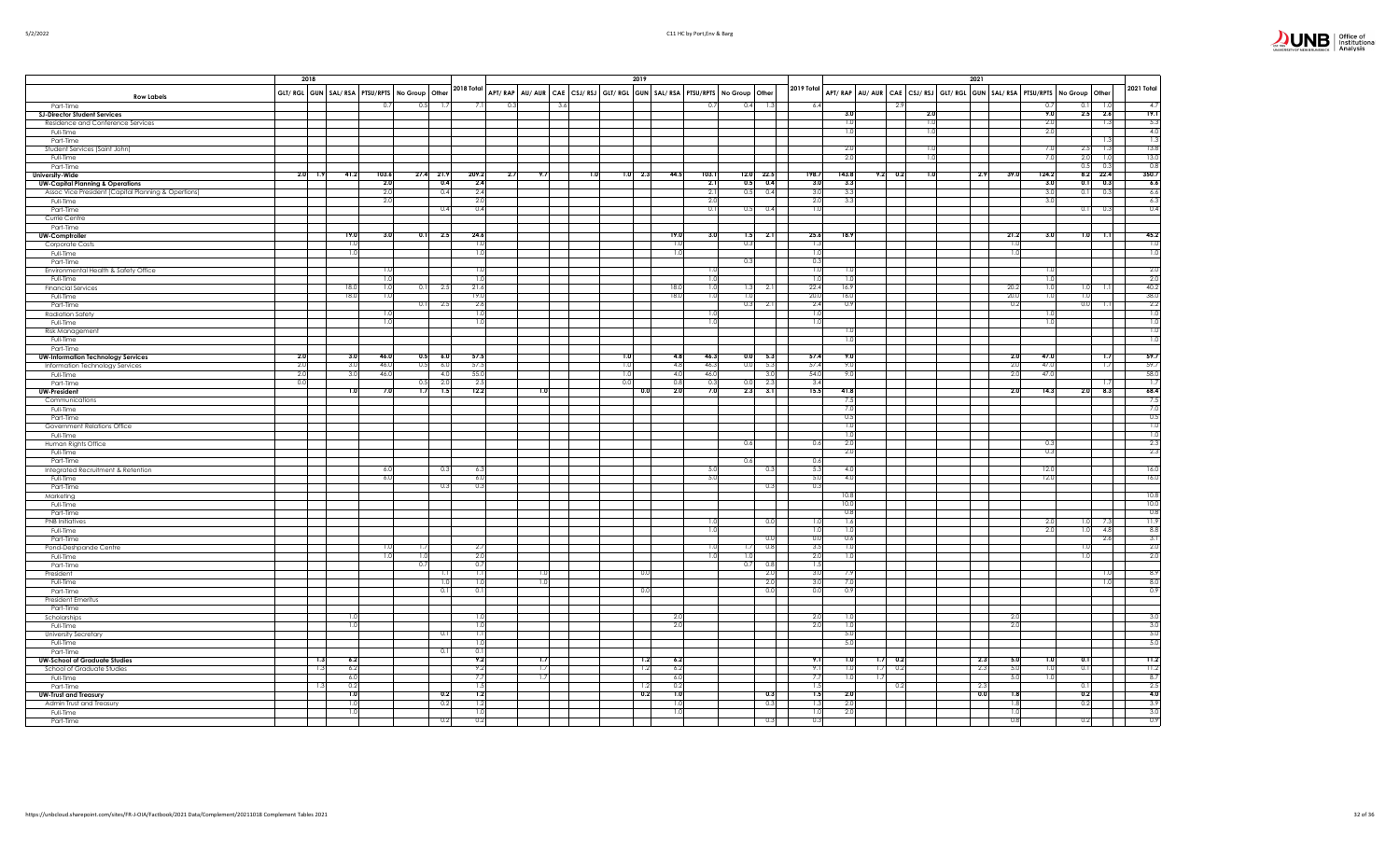|                                                     | 2018                                                   |            |            |      |           |             |     |     |     |     | 2019              |                               |                                                                                           |            |             |                |                       | 2021                                                                    |                 |            |                        |                         |
|-----------------------------------------------------|--------------------------------------------------------|------------|------------|------|-----------|-------------|-----|-----|-----|-----|-------------------|-------------------------------|-------------------------------------------------------------------------------------------|------------|-------------|----------------|-----------------------|-------------------------------------------------------------------------|-----------------|------------|------------------------|-------------------------|
|                                                     |                                                        |            |            |      |           | 2018 Total  |     |     |     |     |                   |                               |                                                                                           | 2019 Total |             |                |                       |                                                                         |                 |            |                        | 2021 Total              |
| <b>Row Labels</b>                                   | GLT/ RGL GUN   SAL/ RSA   PTSU/RPTS   No Group   Other |            |            |      |           |             |     |     |     |     |                   |                               | APT/RAP   AU/AUR   CAE   CSJ/RSJ   GLT/RGL   GUN   SAL/RSA   PTSU/RPTS   No Group   Other |            |             |                |                       | APT/RAP AU/AUR CAE CSJ/RSJ GLT/RGL GUN SAL/RSA PTSU/RPTS No Group Other |                 |            |                        |                         |
| Part-Time                                           |                                                        |            | 0.7        | 0.5  |           |             | 0.3 | 3.6 |     |     |                   | $\Omega$                      | 0.4                                                                                       |            | 6.4         |                |                       |                                                                         |                 | 0.7        | 0.1                    | $\overline{4}$          |
| <b>SJ-Director Student Services</b>                 |                                                        |            |            |      |           |             |     |     |     |     |                   |                               |                                                                                           |            |             | 3.1<br>1.0     |                       | 2.0                                                                     |                 | 9.0<br>2.0 | 2.5<br>2.6             | 19.1                    |
| Residence and Conference Services<br>Full-Time      |                                                        |            |            |      |           |             |     |     |     |     |                   |                               |                                                                                           |            |             | 1.0            |                       | 1.0<br>1.0                                                              |                 | 2.0        | 1.3                    | 5.3<br>4.0              |
| Part-Time                                           |                                                        |            |            |      |           |             |     |     |     |     |                   |                               |                                                                                           |            |             |                |                       |                                                                         |                 |            | 1.3                    | 1.3                     |
| Student Services (Saint John)                       |                                                        |            |            |      |           |             |     |     |     |     |                   |                               |                                                                                           |            |             | 2.0            |                       | 1.0                                                                     |                 | 7.0        | 2.5<br>$\overline{13}$ | 13.8                    |
| Full-Time                                           |                                                        |            |            |      |           |             |     |     |     |     |                   |                               |                                                                                           |            |             | 2.0            |                       | 1.0                                                                     |                 | 7.0        | 2.0<br>1.0             | 13.0                    |
| Part-Time                                           |                                                        |            |            |      |           |             |     |     |     |     |                   |                               |                                                                                           |            |             |                |                       |                                                                         |                 |            | 0.5<br>0.3             | 0.8                     |
| <b>University-Wide</b>                              | 2.0<br>1.9                                             | 41.2       | 103.6      | 27.4 | 21.9      | 209.2       | 2.7 | 9.7 | 1.0 |     | $1.0$ 2.3<br>44.5 | 103.1                         | $12.0$ 22.5                                                                               |            | 198.7       | 143.8          | 9.2<br>0.2            | 1.0<br>2.9                                                              | 39.0            | 124.2      | $8.2$ 22.4             | 350.7                   |
| <b>UW-Capital Planning &amp; Operations</b>         |                                                        |            | 2.0        |      | 0.4       | 2.4         |     |     |     |     |                   | $-2.1$                        | 0.5<br>0.4                                                                                |            | 3.0         | 3.3            |                       |                                                                         |                 | 3.0        | 0.1<br>0.3             | 6.6                     |
| Assoc Vice President (Capital Planning & Opertions) |                                                        |            | 2.0        |      | 0.4       | 2.4         |     |     |     |     |                   | 2.1                           | 0.5<br>0.4                                                                                |            | 3.0         | 3.3            |                       |                                                                         |                 | 3.0        | 0.1<br>0.3             | 6.6                     |
| Full-Time<br>Part-Time                              |                                                        |            | 2.0        |      | 0.4       | 2.0<br>0.4  |     |     |     |     |                   | 2.0<br>$\overline{0}$         | 0.5<br>0.4                                                                                |            | 2.0<br>1.0  | 3.3            |                       |                                                                         |                 | 3.0        | 01<br>-0.3             | 6.3<br>0.4              |
| Currie Centre                                       |                                                        |            |            |      |           |             |     |     |     |     |                   |                               |                                                                                           |            |             |                |                       |                                                                         |                 |            |                        |                         |
| Part-Time                                           |                                                        |            |            |      |           |             |     |     |     |     |                   |                               |                                                                                           |            |             |                |                       |                                                                         |                 |            |                        |                         |
| UW-Comptroller                                      |                                                        | 19.0       | 3.0        |      | $0.1$ 2.5 | 24.6        |     |     |     |     |                   | 19.0<br>3.0                   | $-2.1$<br>1.5                                                                             |            | 25.6        | 18.9           |                       |                                                                         | 21.2            | 3.0        | 1.0<br>$\overline{1}$  | 45.2                    |
| Corporate Costs                                     |                                                        | 1.0        |            |      |           | 1.0         |     |     |     |     |                   | 1.0                           | 0.3                                                                                       |            | 1.3         |                |                       |                                                                         | $\overline{10}$ |            |                        | $\overline{1.0}$        |
| Full-Time                                           |                                                        | 1.0        |            |      |           | 1.0         |     |     |     |     |                   | 1.0                           |                                                                                           |            | 1.0         |                |                       |                                                                         | 1.0             |            |                        | $\overline{1.0}$        |
| Part-Time                                           |                                                        |            |            |      |           |             |     |     |     |     |                   |                               | 0.3                                                                                       |            | 0.3         |                |                       |                                                                         |                 |            |                        |                         |
| Environmental Health & Safety Office                |                                                        |            | 1.0        |      |           | 1.0         |     |     |     |     |                   | - 1.                          |                                                                                           |            | 1.0         | -1.0           |                       |                                                                         |                 | 1.0        |                        | 2.0                     |
| Full-Time                                           |                                                        | 18.0       | 1.0<br>1.0 |      | 2.5       | 1.0<br>21.6 |     |     |     |     |                   | $\overline{1}$<br>18.0<br>-1. | 1.3                                                                                       |            | 1.0<br>22.4 | -1.0<br>16.9   |                       |                                                                         | 20.2            | 1.0        | 1.0                    | 2.0<br>40.2             |
| <b>Financial Services</b><br>Full-Time              |                                                        | 18.0       | 1.0        | 0.1  |           | 19.0        |     |     |     |     |                   | 18.0                          | 1.0                                                                                       | 2.1        | 20.0        | 16.0           |                       |                                                                         | 20.0            |            | 1.0                    | 38.0                    |
| Part-Time                                           |                                                        |            |            | 0.1  | -2.5      | 2.6         |     |     |     |     |                   |                               | 0.3<br>2.1                                                                                |            | 2.4         | 0.9            |                       |                                                                         | 0.2             |            | 0.0                    | 2.2                     |
| <b>Radiation Safety</b>                             |                                                        |            |            |      |           | 1.0         |     |     |     |     |                   |                               |                                                                                           |            | 1.0         |                |                       |                                                                         |                 |            |                        | 1.0                     |
| Full-Time                                           |                                                        |            | 1.0        |      |           | 1.0         |     |     |     |     |                   | 11                            |                                                                                           |            | 1.0         |                |                       |                                                                         |                 | 1.0        |                        | $\overline{1.0}$        |
| Risk Management                                     |                                                        |            |            |      |           |             |     |     |     |     |                   |                               |                                                                                           |            |             | 1.0            |                       |                                                                         |                 |            |                        | $\overline{1.0}$        |
| Full-Time                                           |                                                        |            |            |      |           |             |     |     |     |     |                   |                               |                                                                                           |            |             | 1.0            |                       |                                                                         |                 |            |                        | $\overline{1.0}$        |
| Part-Time                                           | 2.0                                                    | 3.0        | 46.0       | 0.5  | 6.0       | 57.5        |     |     |     | 1.0 |                   | 46.3<br>4.8                   | 0.0<br>$-5.3$                                                                             |            | 57.4        | 9.0            |                       |                                                                         | 2.0             | 47.0       | 7.7                    | 59.7                    |
| <b>UW-Information Technology Services</b>           | 2.0                                                    | 3.0        | 46.0       | 0.5  | 6.0       | 57.5        |     |     |     | 1.0 |                   | 4.8<br>46.3                   | 0.0<br>5.3                                                                                |            | 57.4        | 9.0            |                       |                                                                         | 2.0             | 47.0       | 1.7                    | 59.7                    |
| Information Technology Services<br>Full-Time        | 2.0                                                    | 3.0        | 46.0       |      | 4.0       | 55.0        |     |     |     | 1.0 |                   | 4.0<br>46.0                   | 3.0                                                                                       |            | 54.0        | 9.0            |                       |                                                                         | 2.0             | 47.0       |                        | 58.0                    |
| Part-Time                                           | 0.0                                                    |            |            | 0.5  | 2.0       | 2.5         |     |     |     | 0.0 |                   | 0.8<br>0.3                    | 0.0<br>2.3                                                                                |            | 3.4         |                |                       |                                                                         |                 |            | ТJ                     | 1.7                     |
| <b>UW-President</b>                                 |                                                        | 1.0        | 7.0        | 1.7  | 1.5       | 12.2        |     | 1.0 |     |     | 0.0               | 2.0<br>7.0                    | 2.3<br>3.1                                                                                |            | 15.5        | 41.8           |                       |                                                                         | 2.0             | 14.3       | 2.0<br>8.3             | 68.4                    |
| Communications                                      |                                                        |            |            |      |           |             |     |     |     |     |                   |                               |                                                                                           |            |             | 7.5            |                       |                                                                         |                 |            |                        | - 7.5                   |
| Full-Time                                           |                                                        |            |            |      |           |             |     |     |     |     |                   |                               |                                                                                           |            |             | 7.0            |                       |                                                                         |                 |            |                        | 7.0                     |
| Part-Time                                           |                                                        |            |            |      |           |             |     |     |     |     |                   |                               |                                                                                           |            |             | 0.5            |                       |                                                                         |                 |            |                        | 0.5                     |
| Government Relations Office                         |                                                        |            |            |      |           |             |     |     |     |     |                   |                               |                                                                                           |            |             | 1.0            |                       |                                                                         |                 |            |                        | $\overline{1.0}$        |
| Full-Time                                           |                                                        |            |            |      |           |             |     |     |     |     |                   |                               | 0.6                                                                                       |            |             | 1.0<br>2.0     |                       |                                                                         |                 | 0.3        |                        | $\overline{1.0}$<br>2.3 |
| Human Rights Office<br>Full-Time                    |                                                        |            |            |      |           |             |     |     |     |     |                   |                               |                                                                                           |            | 0.6         | 2.0            |                       |                                                                         |                 | 0.3        |                        | 2.3                     |
| Part-Time                                           |                                                        |            |            |      |           |             |     |     |     |     |                   |                               | 0.6                                                                                       |            | 0.6         |                |                       |                                                                         |                 |            |                        |                         |
| Integrated Recruitment & Retention                  |                                                        |            | 6.0        |      | 0.3       | 6.3         |     |     |     |     |                   | - 5.0                         | 0.3                                                                                       |            | 5.3         | 4.0            |                       |                                                                         |                 | 12.0       |                        | 16.0                    |
| Full-Time                                           |                                                        |            | 6.0        |      |           | 6.0         |     |     |     |     |                   | 5.0                           |                                                                                           |            | 5.0         | 4.0            |                       |                                                                         |                 | 12.0       |                        | 16.0                    |
| Part-Time                                           |                                                        |            |            |      | 0.3       | 0.3         |     |     |     |     |                   |                               | 0.3                                                                                       |            | 0.3         |                |                       |                                                                         |                 |            |                        |                         |
| Marketing                                           |                                                        |            |            |      |           |             |     |     |     |     |                   |                               |                                                                                           |            |             | 10.8           |                       |                                                                         |                 |            |                        | 10.8                    |
| Full-Time                                           |                                                        |            |            |      |           |             |     |     |     |     |                   |                               |                                                                                           |            |             | 10.0           |                       |                                                                         |                 |            |                        | 10.0                    |
| Part-Time                                           |                                                        |            |            |      |           |             |     |     |     |     |                   |                               | 0(                                                                                        |            | 1.0         | 0.8<br>1.6     |                       |                                                                         |                 | 2.C        | 1.0                    | 0.8<br>11.9             |
| <b>PNB</b> Initiatives<br>Full-Time                 |                                                        |            |            |      |           |             |     |     |     |     |                   | ТJ                            |                                                                                           |            | 1.0         | $\overline{1}$ |                       |                                                                         |                 | 2.0        | 1.0<br>48              | 8.8                     |
| Part-Time                                           |                                                        |            |            |      |           |             |     |     |     |     |                   |                               | 0(                                                                                        |            | 0.0         | 0.6            |                       |                                                                         |                 |            | 2.6                    | 3.1                     |
| Pond-Deshpande Centre                               |                                                        |            | 1.0        | -1.7 |           | 2.7         |     |     |     |     |                   | Ð                             | 0.8<br>1.7                                                                                |            | 3.5         | 1.0            |                       |                                                                         |                 |            | 1.0                    | $-2.0$                  |
| Full-Time                                           |                                                        |            | 1.0        | 1.0  |           | 2.0         |     |     |     |     |                   | $\overline{\phantom{a}}$ 1.0  | 1.0                                                                                       |            | 2.0         | 1.0            |                       |                                                                         |                 |            | 1.0                    | 2.0                     |
| Part-Time                                           |                                                        |            |            | 0.7  |           | 0.7         |     |     |     |     |                   |                               | 0.7<br>0.8                                                                                |            | 1.5         |                |                       |                                                                         |                 |            |                        |                         |
| President                                           |                                                        |            |            |      | 1.1       | 1.1         |     | 1.0 |     |     | 0.0               |                               | 2.0                                                                                       |            | 3.0         | 7.5            |                       |                                                                         |                 |            |                        | 8.9                     |
| Full-Time                                           |                                                        |            |            |      | 1.0       | 1.0         |     | 1.0 |     |     |                   |                               | 2.0                                                                                       |            | 3.0         | 7.0            |                       |                                                                         |                 |            | 1.0                    | 8.0                     |
| Part-Time                                           |                                                        |            |            |      | 0.1       | 0.1         |     |     |     |     | 0.0               |                               | 0.0                                                                                       |            | 0.0         | 0.9            |                       |                                                                         |                 |            |                        | 0.9                     |
| <b>President Emeritus</b>                           |                                                        |            |            |      |           |             |     |     |     |     |                   |                               |                                                                                           |            |             |                |                       |                                                                         |                 |            |                        |                         |
| Part-Time<br>Scholarships                           |                                                        | 10         |            |      |           | 1.0         |     |     |     |     |                   | 2.0                           |                                                                                           |            | -2.0        | 1.0            |                       |                                                                         | 2.0             |            |                        | -3.0                    |
| Full-Time                                           |                                                        | 1.0        |            |      |           | 1.0         |     |     |     |     |                   | 2.0                           |                                                                                           |            | 2.0         | 1.0            |                       |                                                                         | 2.0             |            |                        | 3.0                     |
| University Secretary                                |                                                        |            |            |      | 0.1       | 1.1         |     |     |     |     |                   |                               |                                                                                           |            |             | 5.0            |                       |                                                                         |                 |            |                        | 5.0                     |
| Full-Time                                           |                                                        |            |            |      |           | 1.0         |     |     |     |     |                   |                               |                                                                                           |            |             | 5.0            |                       |                                                                         |                 |            |                        | - 5.0                   |
| Part-Time                                           |                                                        |            |            |      | 0.1       | 0.1         |     |     |     |     |                   |                               |                                                                                           |            |             |                |                       |                                                                         |                 |            |                        |                         |
| <b>UW-School of Graduate Studies</b>                | 1.3                                                    | 6.2        |            |      |           | 9.2         |     | 1.7 |     |     | 1.2               | 6.2                           |                                                                                           |            | 9.1         | 1.0            | 0.2<br>1.7            | 2.3                                                                     | 5.0             | 1.0        | 0.1                    | 11.2                    |
| School of Graduate Studies                          | 1.3                                                    | 6.2        |            |      |           | 9.2         |     | 1.7 |     |     | 1.2               | 6.2                           |                                                                                           |            | 9.1         | 1.0            | 0.2<br>$\overline{1}$ | 2.3                                                                     | 5.0             | 1.0        | 0.1                    | 11.2                    |
| Full-Time<br>Part-Time                              |                                                        | 6.0<br>0.2 |            |      |           | 7.7<br>1.5  |     | 1.7 |     |     |                   | 6.0<br>0.2                    |                                                                                           |            | 7.7<br>1.5  | 1.0            | $\overline{1}$ .      | 2.3                                                                     | 5.0             | 1.0        | 0.1                    | 8.7<br>2.5              |
| <b>UW-Trust and Treasury</b>                        | 1.3                                                    | 1.0        |            |      | 0.2       | 1.2         |     |     |     |     | 1.2<br>0.2        | 1.0                           | 0.3                                                                                       |            | 1.5         | 2.0            | 0.2                   | 0.0                                                                     | 1.8             |            | 0.2                    | 4.0                     |
| Admin Trust and Treasury                            |                                                        | 1.0        |            |      | 0.2       | 1.2         |     |     |     |     |                   | 1.0                           | 0.3                                                                                       |            | 1.3         | 2.0            |                       |                                                                         | 1.8             |            | 0.2                    | 3.9                     |
| Full-Time                                           |                                                        | 1.0        |            |      |           | 1.0         |     |     |     |     |                   | 1.0                           |                                                                                           |            | 1.0         | 2.0            |                       |                                                                         | 1.0             |            |                        | 3.0                     |
| Part-Time                                           |                                                        |            |            |      | 0.2       | 0.2         |     |     |     |     |                   |                               | 0.3                                                                                       |            | 0.3         |                |                       |                                                                         | 0.8             |            | 0.2                    | 0.9                     |

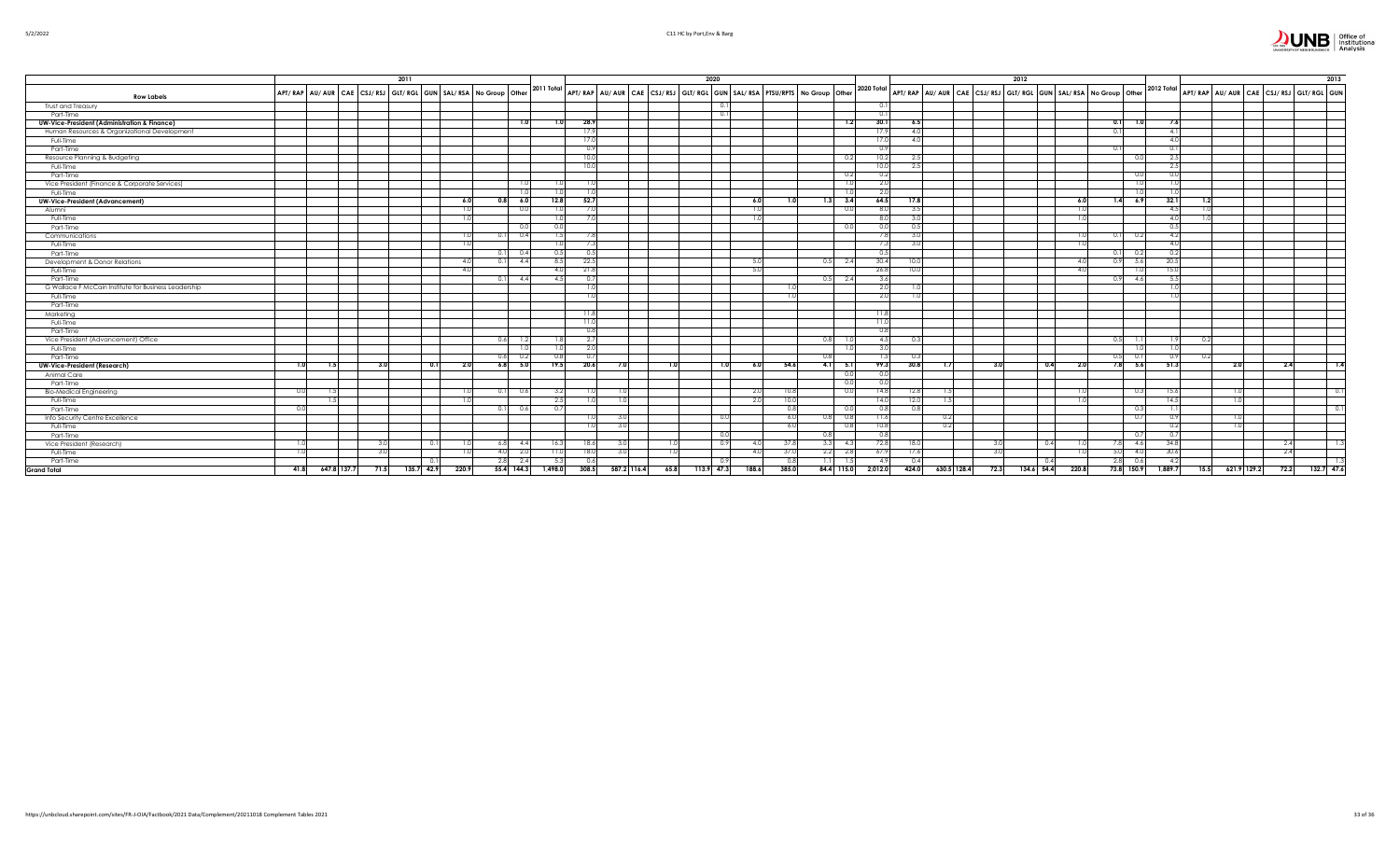

|                                                         | 2011 |     |  |      |                                                               |              |     |              |       |             | 2020             |                                                                                                                                                                                                               |      |              |            |                  |                                                                                                                                                                     | 2012             |            |      |       |             |                    |                         |      | 2013                                   |            |
|---------------------------------------------------------|------|-----|--|------|---------------------------------------------------------------|--------------|-----|--------------|-------|-------------|------------------|---------------------------------------------------------------------------------------------------------------------------------------------------------------------------------------------------------------|------|--------------|------------|------------------|---------------------------------------------------------------------------------------------------------------------------------------------------------------------|------------------|------------|------|-------|-------------|--------------------|-------------------------|------|----------------------------------------|------------|
|                                                         |      |     |  |      | APT/RAP AU/AUR CAE CSJ/RSJ GLT/RGL GUN SAL/RSA No Group Other |              |     | $2011$ Total |       |             |                  | $\frac{1}{2}$ APT/ RAP $\left $ AU/ AUR $\right $ CAE $\left $ CSJ/ RSJ $\right $ GIT/ RGL $\left $ GUN $\right $ SAL/ RSA $\left $ PTSU/RPTS $\right $ No Group $\left $ Other $\right $ 2020 Total $\left $ |      |              |            |                  | $\frac{1}{2}$ APT/ RAP $\vert$ AU/ AUR $\vert$ CAE $\vert$ CSJ/ RSJ $\vert$ GLT/ RGL $\vert$ GUN $\vert$ SAL/ RSA $\vert$ No Group $\vert$ Other $\vert$ 2012 Total |                  |            |      |       |             |                    |                         |      | APT/RAP AU/AUR CAE CSJ/RSJ GLT/RGL GUN |            |
| <b>Row Labels</b>                                       |      |     |  |      |                                                               |              |     |              |       |             |                  |                                                                                                                                                                                                               |      |              |            |                  |                                                                                                                                                                     |                  |            |      |       |             |                    |                         |      |                                        |            |
| Trust and Treasury                                      |      |     |  |      |                                                               |              |     |              |       |             |                  | 0.1<br>0.1                                                                                                                                                                                                    |      |              |            |                  |                                                                                                                                                                     |                  |            |      |       |             |                    |                         |      |                                        |            |
| Part-Time                                               |      |     |  |      |                                                               |              |     |              |       |             |                  |                                                                                                                                                                                                               |      |              |            |                  |                                                                                                                                                                     |                  |            |      |       |             |                    |                         |      |                                        |            |
| <b>UW-Vice-President (Administration &amp; Finance)</b> |      |     |  |      |                                                               |              |     |              | 28.9  |             |                  |                                                                                                                                                                                                               |      |              | 1.2        | 30.1             | 6.5                                                                                                                                                                 |                  |            |      |       | 1.0<br>0.11 | 7.6                |                         |      |                                        |            |
| Human Resources & Organizational Development            |      |     |  |      |                                                               |              |     |              | 17.5  |             |                  |                                                                                                                                                                                                               |      |              |            | 17.9             | 4.0                                                                                                                                                                 |                  |            |      |       | 0.1         | -4.1               |                         |      |                                        |            |
| Full-Time                                               |      |     |  |      |                                                               |              |     |              |       |             |                  |                                                                                                                                                                                                               |      |              |            | 17.0             | 40                                                                                                                                                                  |                  |            |      |       |             |                    |                         |      |                                        |            |
| Part-Time                                               |      |     |  |      |                                                               |              |     |              |       |             |                  |                                                                                                                                                                                                               |      |              |            |                  |                                                                                                                                                                     |                  |            |      |       |             |                    |                         |      |                                        |            |
| Resource Planning & Budgeting                           |      |     |  |      |                                                               |              |     |              |       |             |                  |                                                                                                                                                                                                               |      |              |            | 10.2             | 2.5                                                                                                                                                                 |                  |            |      |       |             |                    |                         |      |                                        |            |
| Full-Time                                               |      |     |  |      |                                                               |              |     |              |       |             |                  |                                                                                                                                                                                                               |      |              |            |                  | 2.5                                                                                                                                                                 |                  |            |      |       |             | つち                 |                         |      |                                        |            |
| Part-Time                                               |      |     |  |      |                                                               |              |     |              |       |             |                  |                                                                                                                                                                                                               |      |              | 0.2        | 0.2              |                                                                                                                                                                     |                  |            |      |       | 0.O         |                    |                         |      |                                        |            |
| Vice President (Finance & Corporate Services)           |      |     |  |      |                                                               |              |     |              |       |             |                  |                                                                                                                                                                                                               |      |              |            | 2.0              |                                                                                                                                                                     |                  |            |      |       |             |                    |                         |      |                                        |            |
| Full-Time                                               |      |     |  |      |                                                               |              |     |              |       |             |                  |                                                                                                                                                                                                               |      |              |            | $\overline{2.0}$ |                                                                                                                                                                     |                  |            |      |       |             |                    |                         |      |                                        |            |
| <b>UW-Vice-President (Advancement)</b>                  |      |     |  |      | 6.1                                                           | 6.0          |     | 12.8         | 52.   |             |                  |                                                                                                                                                                                                               | -6.0 |              | 3.4        | 64.5             | 17.8                                                                                                                                                                |                  |            |      | 6.0   | 6.9<br>1.4  | 32.1               |                         |      |                                        |            |
| Alumni                                                  |      |     |  |      |                                                               |              | 0.0 | 1.0          |       |             |                  |                                                                                                                                                                                                               | 1.0  |              | 0.0        | 8.0              | 3.5                                                                                                                                                                 |                  |            |      | 1.U   |             | 4.5                | -1.01                   |      |                                        |            |
| Full-Time                                               |      |     |  |      |                                                               |              |     |              |       |             |                  |                                                                                                                                                                                                               |      |              |            |                  | 3.0                                                                                                                                                                 |                  |            |      |       |             | 4.0                |                         |      |                                        |            |
| Part-Time                                               |      |     |  |      |                                                               |              |     |              |       |             |                  |                                                                                                                                                                                                               |      |              |            |                  | 0.5                                                                                                                                                                 |                  |            |      |       |             |                    |                         |      |                                        |            |
| Communications                                          |      |     |  |      |                                                               |              | 0.4 | 1.51         |       |             |                  |                                                                                                                                                                                                               |      |              |            |                  | 3.0                                                                                                                                                                 |                  |            |      |       | 0.11<br>0.2 | 4.2                |                         |      |                                        |            |
| Full-Time                                               |      |     |  |      |                                                               |              |     |              |       |             |                  |                                                                                                                                                                                                               |      |              |            |                  | 3.0                                                                                                                                                                 |                  |            |      |       |             | 40                 |                         |      |                                        |            |
| Part-Time                                               |      |     |  |      |                                                               | $0.1$ 0.4    |     | 0.5          | -0.5  |             |                  |                                                                                                                                                                                                               |      |              |            | 0.5              |                                                                                                                                                                     |                  |            |      |       | $0.1$ 0.2   | 0.2                |                         |      |                                        |            |
| Development & Donor Relations                           |      |     |  |      |                                                               |              | 4.4 | 8.5          | 22.5  |             |                  |                                                                                                                                                                                                               | 5.0  | 0.5          | - 2.4      | 30.4             | 10.0                                                                                                                                                                |                  |            |      |       | 5.6<br>0.91 | 20.5               |                         |      |                                        |            |
| Full-Time                                               |      |     |  |      |                                                               |              |     | 4 N          | -21.  |             |                  |                                                                                                                                                                                                               | -5.0 |              |            | 26.8             | 10.0                                                                                                                                                                |                  |            |      |       |             | 15.                |                         |      |                                        |            |
| Part-Time                                               |      |     |  |      |                                                               | 4.4          |     | 4.5          |       |             |                  |                                                                                                                                                                                                               |      | 0.5          | 2.4        | 3.6              |                                                                                                                                                                     |                  |            |      |       | 4.6<br>0.91 |                    |                         |      |                                        |            |
| G Wallace F McCain Institute for Business Leadership    |      |     |  |      |                                                               |              |     |              |       |             |                  |                                                                                                                                                                                                               |      |              |            | 2.0              | -1.0                                                                                                                                                                |                  |            |      |       |             |                    |                         |      |                                        |            |
| Full-Time                                               |      |     |  |      |                                                               |              |     |              |       |             |                  |                                                                                                                                                                                                               |      |              |            |                  |                                                                                                                                                                     |                  |            |      |       |             |                    |                         |      |                                        |            |
| Part-Time                                               |      |     |  |      |                                                               |              |     |              |       |             |                  |                                                                                                                                                                                                               |      |              |            |                  |                                                                                                                                                                     |                  |            |      |       |             |                    |                         |      |                                        |            |
| Marketing                                               |      |     |  |      |                                                               |              |     |              | -113  |             |                  |                                                                                                                                                                                                               |      |              |            | - 11.8           |                                                                                                                                                                     |                  |            |      |       |             |                    |                         |      |                                        |            |
| Full-Time                                               |      |     |  |      |                                                               |              |     |              | -11.  |             |                  |                                                                                                                                                                                                               |      |              |            | 11.0             |                                                                                                                                                                     |                  |            |      |       |             |                    |                         |      |                                        |            |
| Part-Time                                               |      |     |  |      |                                                               |              |     |              | 0.8   |             |                  |                                                                                                                                                                                                               |      |              |            | 0.8              |                                                                                                                                                                     |                  |            |      |       |             |                    |                         |      |                                        |            |
| Vice President (Advancement) Office                     |      |     |  |      |                                                               | 0.6          |     |              |       |             |                  |                                                                                                                                                                                                               |      | 0.81         |            | 4.5              | -0.3                                                                                                                                                                |                  |            |      |       | 0.51        |                    | 0.2                     |      |                                        |            |
| Full-Time                                               |      |     |  |      |                                                               |              |     |              |       |             |                  |                                                                                                                                                                                                               |      |              |            |                  |                                                                                                                                                                     |                  |            |      |       |             |                    |                         |      |                                        |            |
| Part-Time                                               |      |     |  |      |                                                               | 0.61         |     | 0.8          |       |             |                  |                                                                                                                                                                                                               |      |              |            | 15               | - 0.3                                                                                                                                                               |                  |            |      |       | 0.5L        |                    | 0.2                     |      |                                        |            |
| <b>UW-Vice-President (Research)</b>                     | 1.OL | 1.5 |  | 3.0  | 0.11<br>2.0                                                   | $6.8$ 5.0    |     | 19.5         | 20.6  |             | 10               | 1.0 <sub>l</sub>                                                                                                                                                                                              | 6.0  | 54.6<br>4.1  | 5.1        | 99.3             | 30.8<br>1.7                                                                                                                                                         | 3.0              |            | 0.41 | 2.0   | $7.8$ 5.6   | 51.3               |                         | 2.OI | 2.4                                    | $-1.4$     |
| Animal Care                                             |      |     |  |      |                                                               |              |     |              |       |             |                  |                                                                                                                                                                                                               |      |              | 0.0        |                  |                                                                                                                                                                     |                  |            |      |       |             |                    |                         |      |                                        |            |
| Part-Time                                               |      |     |  |      |                                                               |              |     |              |       |             |                  |                                                                                                                                                                                                               |      |              |            |                  |                                                                                                                                                                     |                  |            |      |       |             |                    |                         |      |                                        |            |
| <b>Bio-Medical Engineering</b>                          |      |     |  |      |                                                               |              | 0.6 | 3.2          |       |             |                  |                                                                                                                                                                                                               | 2.0  | 10.5         |            | 14.8             | 12.8                                                                                                                                                                |                  |            |      |       |             | 15.6               |                         |      |                                        |            |
| Full-Time                                               |      |     |  |      |                                                               |              |     | 2.5          |       |             |                  |                                                                                                                                                                                                               | 2.0  | 10.0         |            | 14.0             | 12.0                                                                                                                                                                |                  |            |      |       |             | 14.5               |                         | 1.0  |                                        |            |
| Part-Time                                               |      |     |  |      |                                                               | 0.1          | 0.6 | 0.7          |       |             |                  |                                                                                                                                                                                                               |      | 0.8          |            |                  | 0.8                                                                                                                                                                 |                  |            |      |       |             |                    |                         |      |                                        | $\Omega$   |
| Info Security Centre Excellence                         |      |     |  |      |                                                               |              |     |              |       |             |                  | 0.0                                                                                                                                                                                                           |      | -6.0<br>0.81 | 0.8        | 11.6             | 0.2                                                                                                                                                                 |                  |            |      |       | 0.7         | n 9                |                         |      |                                        |            |
| Full-Time                                               |      |     |  |      |                                                               |              |     |              |       |             |                  |                                                                                                                                                                                                               |      | -6.0         |            | 10.8             | 0.2                                                                                                                                                                 |                  |            |      |       |             |                    |                         |      |                                        |            |
| Part-Time                                               |      |     |  |      |                                                               |              |     |              |       |             |                  | 0.0                                                                                                                                                                                                           |      | 0.8          |            |                  |                                                                                                                                                                     |                  |            |      |       |             |                    |                         |      |                                        |            |
| Vice President (Research)                               | 1.0  |     |  | -3.0 | 0.11<br>-1.0                                                  | $6.8$ 4.4    |     | 16.3         | 18.6  |             | 1.01             | 0.9                                                                                                                                                                                                           | 4.0  | 37.8         | $3.3$ 4.3  | 72.8             | 18.0                                                                                                                                                                | 3.0 <sub>l</sub> |            | 0.4  | 1.0   | 4.6<br>7.8I | 34.8               |                         |      | 2.4                                    |            |
| Full-Time                                               |      |     |  | -3.0 |                                                               | 4.0<br>- 2.C |     | 11.0         | 18.0  |             | 1.0 <sub>1</sub> |                                                                                                                                                                                                               | 4.0  | 37.0<br>2.2  | 2.8        | 67.9             | 17.6                                                                                                                                                                | 3.0              |            |      |       | 4.0<br>5.0  | 30.6               |                         |      | 2.4                                    |            |
| Part-Time                                               |      |     |  |      |                                                               | $2.8$ 2.4    |     | 5.3          | 0.6   |             |                  | 0.9                                                                                                                                                                                                           |      | 1.11<br>0.8  |            | -4.9             | 0.4                                                                                                                                                                 |                  |            |      |       | 0.6<br>2.8  | -4.2               |                         |      |                                        |            |
| <b>Grand Total</b>                                      | 41.8 |     |  |      | 647.8 137.7 71.5 135.7 42.9 220.9                             | 55.4 144.3   |     | 1,498.0      | 308.5 | 587.2 116.4 |                  | 65.8 113.9 47.3<br>188.6                                                                                                                                                                                      |      | 385.0        | 84.4 115.0 | 2,012.0          | 424.0 630.5 128.4                                                                                                                                                   | 72.3             | 134.6 54.4 |      | 220.8 |             | 73.8 150.9 1,889.7 | $15.5$ 621.9 129.2 72.2 |      |                                        | 132.7 47.6 |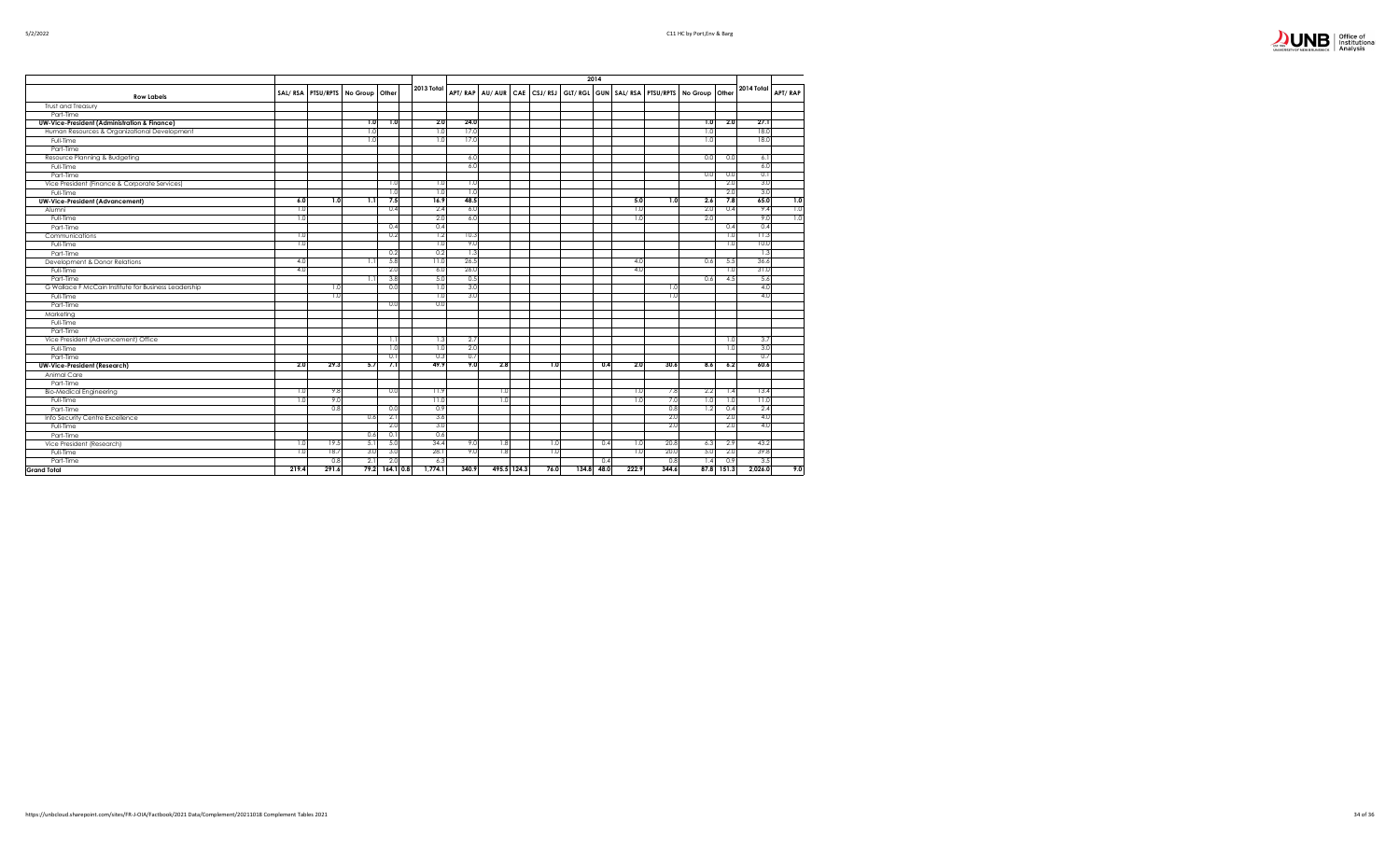| Office of<br>Institutional |
|----------------------------|
| Analysis                   |

|                                                         |       |                   |                |                |            |       |             |      | 2014       |       |                                                                         |     |            |            |                          |
|---------------------------------------------------------|-------|-------------------|----------------|----------------|------------|-------|-------------|------|------------|-------|-------------------------------------------------------------------------|-----|------------|------------|--------------------------|
|                                                         |       | SAL/RSA PTSU/RPTS | No Group Other |                | 2013 Total |       |             |      |            |       | APT/RAP AU/AUR CAE CSJ/RSJ GLT/RGL GUN SAL/RSA PTSU/RPTS No Group Other |     |            | 2014 Total | APT/RAP                  |
| <b>Row Labels</b>                                       |       |                   |                |                |            |       |             |      |            |       |                                                                         |     |            |            |                          |
| <b>Trust and Treasury</b>                               |       |                   |                |                |            |       |             |      |            |       |                                                                         |     |            |            |                          |
| Part-Time                                               |       |                   |                |                |            |       |             |      |            |       |                                                                         |     |            |            |                          |
| <b>UW-Vice-President (Administration &amp; Finance)</b> |       |                   | 1.0            | 1.0            | 2.0        | 24.0  |             |      |            |       |                                                                         | 1.0 | 2.0        | 27.1       |                          |
| Human Resources & Organizational Development            |       |                   | 1.0            |                | 1.0        | 17.0  |             |      |            |       |                                                                         | 1.0 |            | 18.0       |                          |
| Full-Time                                               |       |                   | 1.0            |                | 1.0        | 17.0  |             |      |            |       |                                                                         | 1.0 |            | 18.0       |                          |
| Part-Time                                               |       |                   |                |                |            |       |             |      |            |       |                                                                         |     |            |            |                          |
| Resource Planning & Budgeting                           |       |                   |                |                |            | 6.0   |             |      |            |       |                                                                         | 0.0 | 0.0        | 6.1        |                          |
| Full-Time                                               |       |                   |                |                |            | 6.0   |             |      |            |       |                                                                         |     |            | 6.0        |                          |
| Part-Time                                               |       |                   |                |                |            |       |             |      |            |       |                                                                         | 0.0 | 0.0        | 0.1        |                          |
| Vice President (Finance & Corporate Services)           |       |                   |                | 1.0            | 1.0        | 1.0   |             |      |            |       |                                                                         |     | 2.0        | 3.0        |                          |
| Full-Time                                               |       |                   |                | 1.0            | 1.0        | 1.0   |             |      |            |       |                                                                         |     | 2.0        | 3.0        |                          |
| <b>UW-Vice-President (Advancement)</b>                  | 6.0   | 1.0               | 1.1            | 7.5            | 16.9       | 48.5  |             |      |            | 5.0   | 1.0                                                                     | 2.6 | 7.8        | 65.0       | 1.0                      |
| Alumni                                                  | 1.0   |                   |                | 0.4            | 2.4        | 6.0   |             |      |            | 1.0   |                                                                         | 2.0 | 0.4        | 9.4        | $\overline{\phantom{a}}$ |
| Full-Time                                               | 1.0   |                   |                |                | 2.0        | 6.0   |             |      |            | 1.0   |                                                                         | 2.0 |            | 9.0        | 1.0                      |
| Part-Time                                               |       |                   |                | 0.4            | 0.4        |       |             |      |            |       |                                                                         |     | 0.4        | 0.4        |                          |
| Communications                                          | 1.0   |                   |                | 0.2            | 1.2        | 10.3  |             |      |            |       |                                                                         |     | 1.0        | 11.3       |                          |
| Full-Time                                               | 1.0   |                   |                |                | 1.0        | 9.0   |             |      |            |       |                                                                         |     | 1.0        | 10.0       |                          |
| Part-Time                                               |       |                   |                | 0.2            | 0.2        | 1.3   |             |      |            |       |                                                                         |     |            | 1.3        |                          |
| Development & Donor Relations                           | 4.0   |                   | 1.1            | 5.8            | 11.0       | 26.5  |             |      |            | 4.0   |                                                                         | 0.6 | 5.5        | 36.6       |                          |
| Full-Time                                               | 4.0   |                   |                | 2.0            | 6.0        | 26.0  |             |      |            | 4.0   |                                                                         |     | 1.0        | 31.0       |                          |
| Part-Time                                               |       |                   | 1.1            | 3.8            | 5.0        | 0.5   |             |      |            |       |                                                                         | 0.6 | 4.5        | 5.6        |                          |
| G Wallace F McCain Institute for Business Leadership    |       | 1.0               |                | 0.0            | 1.0        | 3.0   |             |      |            |       | 1.0                                                                     |     |            | 4.0        |                          |
| Full-Time                                               |       | 1.0               |                |                | 1.0        | 3.0   |             |      |            |       | 1.0                                                                     |     |            | 4.0        |                          |
| Part-Time                                               |       |                   |                | 0.0            | 0.0        |       |             |      |            |       |                                                                         |     |            |            |                          |
| Marketing                                               |       |                   |                |                |            |       |             |      |            |       |                                                                         |     |            |            |                          |
| Full-Time                                               |       |                   |                |                |            |       |             |      |            |       |                                                                         |     |            |            |                          |
| Part-Time                                               |       |                   |                |                |            |       |             |      |            |       |                                                                         |     |            |            |                          |
| Vice President (Advancement) Office                     |       |                   |                | 1.1            | 1.3        | 2.7   |             |      |            |       |                                                                         |     | 1.0        | 3.7        |                          |
| Full-Time                                               |       |                   |                | 1.0            | 1.0        | 2.0   |             |      |            |       |                                                                         |     | 1.0        | 3.0        |                          |
| Part-Time                                               |       |                   |                | 0.1            | 0.3        | 0.7   |             |      |            |       |                                                                         |     |            | 0.7        |                          |
| <b>UW-Vice-President (Research)</b>                     | 2.0   | 29.3              | 5.7            | 7.1            | 49.9       | 9.0   | 2.8         | 1.0  | 0.4        | 2.0   | 30.6                                                                    | 8.6 | 6.2        | 60.6       |                          |
| Animal Care                                             |       |                   |                |                |            |       |             |      |            |       |                                                                         |     |            |            |                          |
| Part-Time                                               |       |                   |                |                |            |       |             |      |            |       |                                                                         |     |            |            |                          |
| <b>Bio-Medical Engineering</b>                          | 1.0   | 9.8               |                | 0.0            | 11.9       |       | 1.0         |      |            | 1.0   | 7.8                                                                     | 2.2 | 1.4        | 13.4       |                          |
| Full-Time                                               | 1.0   | 9.0               |                |                | 11.0       |       | 1.0         |      |            | 1.0   | 7.0                                                                     | 1.0 | 1.0        | 11.0       |                          |
| Part-Time                                               |       | 0.8               |                | 0.0            | 0.9        |       |             |      |            |       | 0.8                                                                     | 1.2 | 0.4        | 2.4        |                          |
|                                                         |       |                   | 0.6            | 2.1            | 3.6        |       |             |      |            |       | 2.0                                                                     |     | 2.0        | 4.0        |                          |
| Info Security Centre Excellence                         |       |                   |                | 2.0            | 3.0        |       |             |      |            |       | 2.0                                                                     |     | 2.0        | 4.0        |                          |
| Full-Time                                               |       |                   |                |                |            |       |             |      |            |       |                                                                         |     |            |            |                          |
| Part-Time                                               |       |                   | 0.6            | 0.1            | 0.6        |       |             |      |            |       |                                                                         |     |            |            |                          |
| Vice President (Research)                               | 1.0   | 19.5              | 5.1            | 5.0            | 34.4       | 9.0   | 1.8         | 1.0  | 0.4        | 1.0   | 20.8                                                                    | 6.3 | 2.9        | 43.2       |                          |
| Full-Time                                               | 1.0   | 18.7              | 3.0            | 3.0            | 28.1       | 9.0   | 1.8         | 1.0  |            | 1.0   | 20.0                                                                    | 5.0 | 2.0        | 39.8       |                          |
| Part-Time                                               |       | 0.8               | 2.1            | 2.0            | 6.3        |       |             |      | 0.4        |       | 0.8                                                                     | 1.4 | 0.9        | 3.5        |                          |
| <b>Grand Total</b>                                      | 219.4 | 291.6             |                | 79.2 164.1 0.8 | 1,774.1    | 340.9 | 495.5 124.3 | 76.0 | 134.8 48.0 | 222.9 | 344.6                                                                   |     | 87.8 151.3 | 2.026.0    | 9.0                      |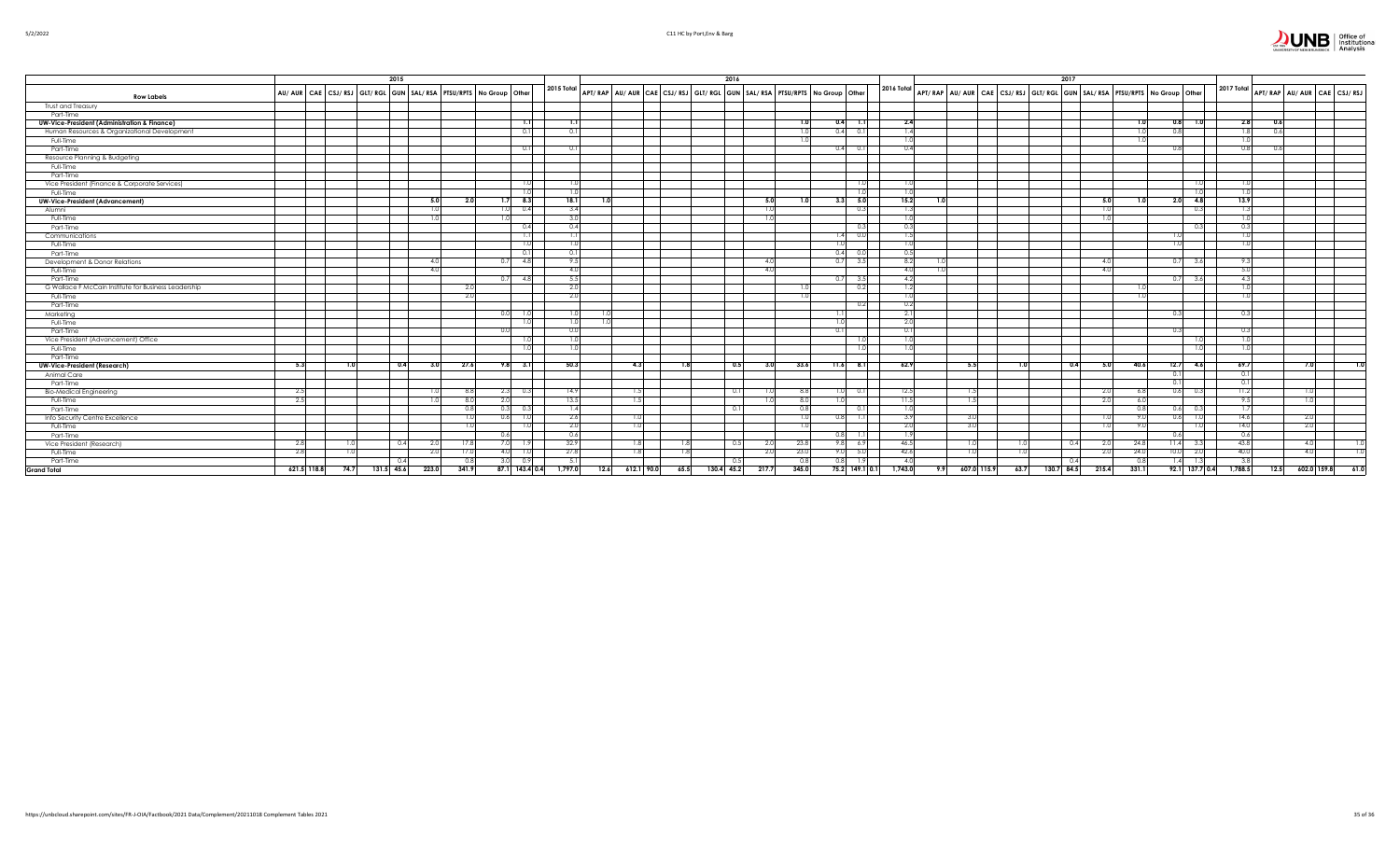

|                                                         | 2015 |                                                                                     |            |       |                        |                  |                                                                         | 2016 |            |       |                  |           |                          | 2017              |                                                                          |       |               |                                                                                           |                            |      |
|---------------------------------------------------------|------|-------------------------------------------------------------------------------------|------------|-------|------------------------|------------------|-------------------------------------------------------------------------|------|------------|-------|------------------|-----------|--------------------------|-------------------|--------------------------------------------------------------------------|-------|---------------|-------------------------------------------------------------------------------------------|----------------------------|------|
| <b>Row Labels</b>                                       |      | AU/ AUR   CAE   CSJ/ RSJ   GLT/ RGL   GUN   SAL/ RSA   PTSU/RPTS   No Group   Other |            |       |                        | 2015 Total       | APT/RAP AU/AUR CAE CSJ/RSJ GLT/RGL GUN SAL/RSA PTSU/RPTS No Group Other |      |            |       |                  |           | 2016 Total               |                   | APT/RAP AU/ AUR CAE CSJ/RSJ GLT/RGL GUN SAL/RSA PTSU/RPTS No Group Other |       |               | 2017 Total                                                                                | APT/RAP AU/AUR CAE CSJ/RSJ |      |
| Trust and Treasury                                      |      |                                                                                     |            |       |                        |                  |                                                                         |      |            |       |                  |           |                          |                   |                                                                          |       |               |                                                                                           |                            |      |
| Part-Time                                               |      |                                                                                     |            |       |                        |                  |                                                                         |      |            |       |                  |           |                          |                   |                                                                          |       |               |                                                                                           |                            |      |
| <b>UW-Vice-President (Administration &amp; Finance)</b> |      |                                                                                     |            |       | 1.1                    | 1.1              |                                                                         |      |            | 1.0   |                  | $0.4$ 1.1 | 2.4                      |                   |                                                                          |       | $0.8$ 1.0     | າ ຂ                                                                                       | 0.6                        |      |
| Human Resources & Organizational Development            |      |                                                                                     |            |       | 0.1                    | 0.1              |                                                                         |      |            |       | 0.4              | 0.1       | 1.4                      |                   |                                                                          |       | 0.8           |                                                                                           | 0.6                        |      |
| Full-Time                                               |      |                                                                                     |            |       |                        |                  |                                                                         |      |            |       |                  |           |                          |                   |                                                                          |       |               |                                                                                           |                            |      |
| Part-Time                                               |      |                                                                                     |            |       |                        |                  |                                                                         |      |            |       |                  | 0.11      |                          |                   |                                                                          |       |               |                                                                                           | 0.6                        |      |
| Resource Planning & Budgeting                           |      |                                                                                     |            |       |                        |                  |                                                                         |      |            |       |                  |           |                          |                   |                                                                          |       |               |                                                                                           |                            |      |
| Full-Time                                               |      |                                                                                     |            |       |                        |                  |                                                                         |      |            |       |                  |           |                          |                   |                                                                          |       |               |                                                                                           |                            |      |
| Part-Time                                               |      |                                                                                     |            |       |                        |                  |                                                                         |      |            |       |                  |           |                          |                   |                                                                          |       |               |                                                                                           |                            |      |
| Vice President (Finance & Corporate Services)           |      |                                                                                     |            |       |                        |                  |                                                                         |      |            |       |                  | 1.0       |                          |                   |                                                                          |       | $-1$          |                                                                                           |                            |      |
| Full-Time                                               |      |                                                                                     |            |       |                        | 1.0              |                                                                         |      |            |       |                  |           |                          |                   |                                                                          |       |               |                                                                                           |                            |      |
| <b>UW-Vice-President (Advancement)</b>                  |      |                                                                                     | 5.0        |       | 8.3                    | 18.1             |                                                                         |      |            |       | 3.3 <sub>1</sub> | 5.0       | 15.2                     |                   | 5.0                                                                      |       | 4.8<br>2.0    | 13.                                                                                       |                            |      |
| Alumni                                                  |      |                                                                                     |            |       | 1.01<br>0.4            | 3.4              |                                                                         |      |            |       |                  | 0.3       | 1.3                      |                   | 1.0                                                                      |       | 0.3           |                                                                                           |                            |      |
| Full-Time                                               |      |                                                                                     |            |       |                        |                  |                                                                         |      |            |       |                  |           |                          |                   |                                                                          |       |               |                                                                                           |                            |      |
| Part-Time                                               |      |                                                                                     |            |       | 0.4                    | 0.4              |                                                                         |      |            |       |                  | 0.31      | 0.3                      |                   |                                                                          |       |               |                                                                                           |                            |      |
| Communications                                          |      |                                                                                     |            |       |                        |                  |                                                                         |      |            |       | 1.4              | 0.0       |                          |                   |                                                                          |       |               |                                                                                           |                            |      |
| Full-Time                                               |      |                                                                                     |            |       |                        |                  |                                                                         |      |            |       |                  |           |                          |                   |                                                                          |       | 1.0           |                                                                                           |                            |      |
| Part-Time                                               |      |                                                                                     |            |       |                        |                  |                                                                         |      |            |       | 0.4              | 0.01      |                          |                   |                                                                          |       |               |                                                                                           |                            |      |
| Development & Donor Relations                           |      |                                                                                     | - 4.0      |       | 4.8                    | 9.5              |                                                                         |      |            |       | 0.7              | 3.5       | 8.21                     |                   | -4.0                                                                     |       | 0.71<br>-3.61 |                                                                                           |                            |      |
| Full-Time                                               |      |                                                                                     | -4.0       |       |                        | 4.0              |                                                                         |      |            |       |                  |           | 4.0                      |                   | 4.0                                                                      |       |               |                                                                                           |                            |      |
| Part-Time                                               |      |                                                                                     |            |       | -4.8                   | 5.5              |                                                                         |      |            |       | 0.7              | 3.5       | 4.2                      |                   |                                                                          |       | $0.7$ 3.6     | -4.3                                                                                      |                            |      |
| G Wallace F McCain Institute for Business Leadership    |      |                                                                                     |            |       |                        | 2.0              |                                                                         |      |            |       |                  | 0.2       | 1.2                      |                   |                                                                          |       |               |                                                                                           |                            |      |
| Full-Time                                               |      |                                                                                     |            |       |                        |                  |                                                                         |      |            |       |                  |           |                          |                   |                                                                          |       |               |                                                                                           |                            |      |
| Part-Time                                               |      |                                                                                     |            |       |                        |                  |                                                                         |      |            |       |                  | 0.2       | 0.2                      |                   |                                                                          |       |               |                                                                                           |                            |      |
| Marketing                                               |      |                                                                                     |            |       |                        |                  |                                                                         |      |            |       |                  |           |                          |                   |                                                                          |       |               |                                                                                           |                            |      |
| Full-Time                                               |      |                                                                                     |            |       |                        |                  |                                                                         |      |            |       |                  |           |                          |                   |                                                                          |       |               |                                                                                           |                            |      |
| Part-Time                                               |      |                                                                                     |            |       |                        |                  |                                                                         |      |            |       | $\Omega$         |           | $\Omega$                 |                   |                                                                          |       |               |                                                                                           |                            |      |
| Vice President (Advancement) Office                     |      |                                                                                     |            |       |                        |                  |                                                                         |      |            |       |                  | 1.01      |                          |                   |                                                                          |       |               |                                                                                           |                            |      |
| Full-Time                                               |      |                                                                                     |            |       |                        |                  |                                                                         |      |            |       |                  | 1.01      |                          |                   |                                                                          |       |               |                                                                                           |                            |      |
| Part-Time                                               |      |                                                                                     |            |       |                        |                  |                                                                         |      |            |       |                  |           |                          |                   |                                                                          |       |               |                                                                                           |                            |      |
| <b>UW-Vice-President (Research)</b>                     | 5.3  |                                                                                     | 0.4<br>3.0 | 27.6  | 3.1<br>9.8             | 50.3             | 4.3                                                                     | 1.8  | 0.5<br>3.0 | 33.6  | 11.6             | 8.1       | 62.9                     | 5.5               | 0.4<br>5.0                                                               | 40.6  | 12.7<br>4.6   | 69.7                                                                                      |                            |      |
| Animal Care                                             |      |                                                                                     |            |       |                        |                  |                                                                         |      |            |       |                  |           |                          |                   |                                                                          |       | 0.11          |                                                                                           |                            |      |
| Part-Time                                               |      |                                                                                     |            |       |                        |                  |                                                                         |      |            |       |                  |           |                          |                   |                                                                          |       | 0.11          |                                                                                           |                            |      |
| <b>Bio-Medical Engineering</b>                          | 2.5  |                                                                                     |            |       |                        | 14.9             |                                                                         |      | 0.1        | 8.8   |                  | 0.1       | 12.5                     |                   | 2.0                                                                      | 6.8   | 0.6           |                                                                                           |                            |      |
| Full-Time                                               | 2.5  |                                                                                     |            |       | 2.0                    | 13.5             | 1.5                                                                     |      |            | 8.C   |                  |           | 11.5                     | 1.5               | 2.0                                                                      | 6.0   |               |                                                                                           | 1.0                        |      |
| Part-Time                                               |      |                                                                                     |            |       |                        | $\overline{1.4}$ |                                                                         |      | 0.1        |       |                  | 0.11      |                          |                   |                                                                          |       | 0.6           |                                                                                           |                            |      |
| Info Security Centre Excellence                         |      |                                                                                     |            |       | 0.6                    | 2.6              |                                                                         |      |            |       |                  | -1.11     | 3.9                      | -3.0              |                                                                          | 9.0   | 0.6           | 14.6                                                                                      |                            |      |
| Full-Time                                               |      |                                                                                     |            |       |                        | 20               |                                                                         |      |            |       |                  |           |                          | 3 C               |                                                                          |       |               | 14                                                                                        |                            |      |
| Part-Time                                               |      |                                                                                     |            |       | 0.6                    | 0.6              |                                                                         |      |            |       | 0.8              | 1.1       | 1.9                      |                   |                                                                          |       | 0.6           | 0.6                                                                                       |                            |      |
| Vice President (Research)                               | 2.8  |                                                                                     |            | 17.8  |                        | 32.9             |                                                                         |      | 0.5        | 23.8  | 9.8              | 6.9       | 46.5                     | . L . L           | 0.4<br>.Z.O                                                              | 24.8  | 11.4          | 43.8                                                                                      | 4.0                        |      |
| Full-Time                                               | 2.8  |                                                                                     |            | 17.0  | 4.0                    | 27.8             |                                                                         | -1.8 |            | 23.0  |                  | 5.0       | 42.6                     | 1.0               | -2.0                                                                     | 24.0  | 10.0<br>- 2.  | 40.C                                                                                      | 4.0                        |      |
| Part-Time                                               |      |                                                                                     |            |       |                        | 5.1              |                                                                         |      | 0.5        | 0.8   | 0.81             |           | 4.0                      |                   | 0.4                                                                      |       | 1.4           |                                                                                           |                            |      |
| <b>Grand Total</b>                                      |      | $621.5$ 118.8 74.7 131.5 45.6 223.0                                                 |            | 341.9 | 87.1 143.4 0.4 1,797.0 |                  | $12.6$ 612.1 90.0 65.5 130.4 45.2 217.7                                 |      |            | 345.0 |                  |           | $75.2$ 149.1 0.1 1,743.0 | $9.9$ 607.0 115.9 | $63.7$ 130.7 84.5<br>215.4                                               | 331.1 |               | $\begin{array}{ c c c c c c c c } \hline 92.1 & 137.7 & 0.4 & 1.788.5 \hline \end{array}$ | $12.5$ 602.0 159.8         | 61.0 |